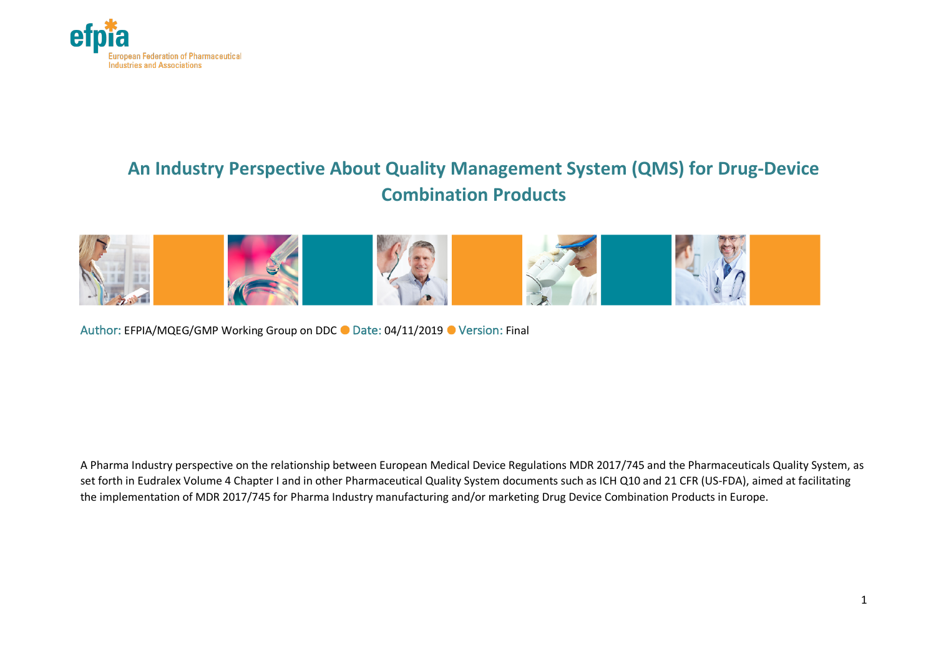

# **An Industry Perspective About Quality Management System (QMS) for Drug-Device Combination Products**



Author: EFPIA/MQEG/GMP Working Group on DDC ● Date: 04/11/2019 ● Version: Final

A Pharma Industry perspective on the relationship between European Medical Device Regulations MDR 2017/745 and the Pharmaceuticals Quality System, as set forth in Eudralex Volume 4 Chapter I and in other Pharmaceutical Quality System documents such as ICH Q10 and 21 CFR (US-FDA), aimed at facilitating the implementation of MDR 2017/745 for Pharma Industry manufacturing and/or marketing Drug Device Combination Products in Europe.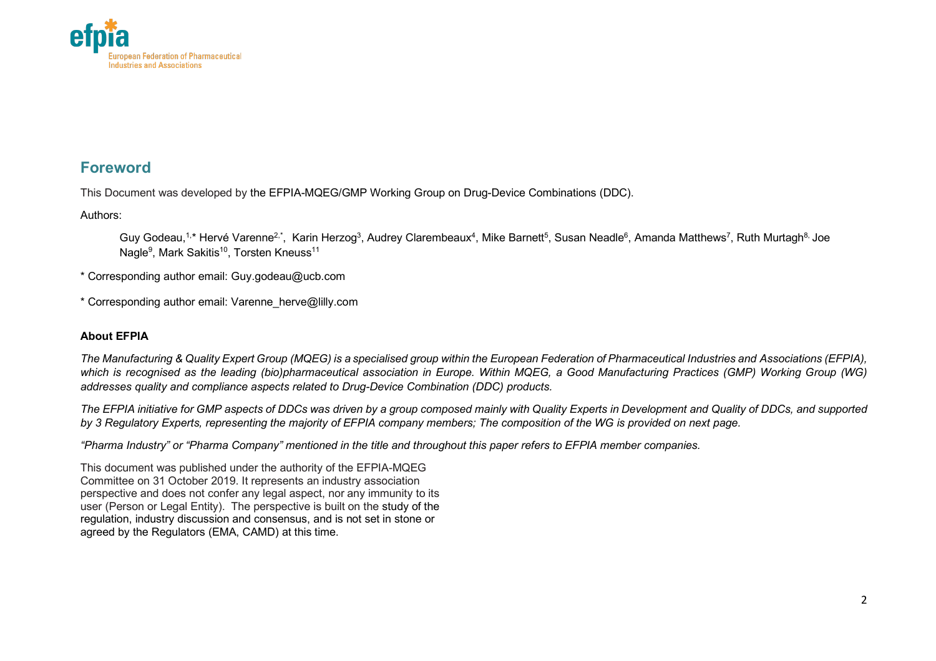

### **Foreword**

This Document was developed by the EFPIA-MQEG/GMP Working Group on Drug-Device Combinations (DDC).

Authors:

Guy Godeau,<sup>1,</sup>\* Hervé Varenne<sup>2,\*</sup>, Karin Herzog<sup>3</sup>, Audrey Clarembeaux<sup>4</sup>, Mike Barnett<sup>5</sup>, Susan Neadle<sup>6</sup>, Amanda Matthews<sup>7</sup>, Ruth Murtagh<sup>8,</sup> Joe Nagle<sup>9</sup>, Mark Sakitis<sup>10</sup>, Torsten Kneuss<sup>11</sup>

\* Corresponding author email: Guy.godeau@ucb.com

\* Corresponding author email: Varenne\_herve@lilly.com

#### **About EFPIA**

*The Manufacturing & Quality Expert Group (MQEG) is a specialised group within the European Federation of Pharmaceutical Industries and Associations (EFPIA), which is recognised as the leading (bio)pharmaceutical association in Europe. Within MQEG, a Good Manufacturing Practices (GMP) Working Group (WG) addresses quality and compliance aspects related to Drug-Device Combination (DDC) products.*

*The EFPIA initiative for GMP aspects of DDCs was driven by a group composed mainly with Quality Experts in Development and Quality of DDCs, and supported by 3 Regulatory Experts, representing the majority of EFPIA company members; The composition of the WG is provided on next page.*

*"Pharma Industry" or "Pharma Company" mentioned in the title and throughout this paper refers to EFPIA member companies.*

This document was published under the authority of the EFPIA-MQEG Committee on 31 October 2019. It represents an industry association perspective and does not confer any legal aspect, nor any immunity to its user (Person or Legal Entity). The perspective is built on the study of the regulation, industry discussion and consensus, and is not set in stone or agreed by the Regulators (EMA, CAMD) at this time.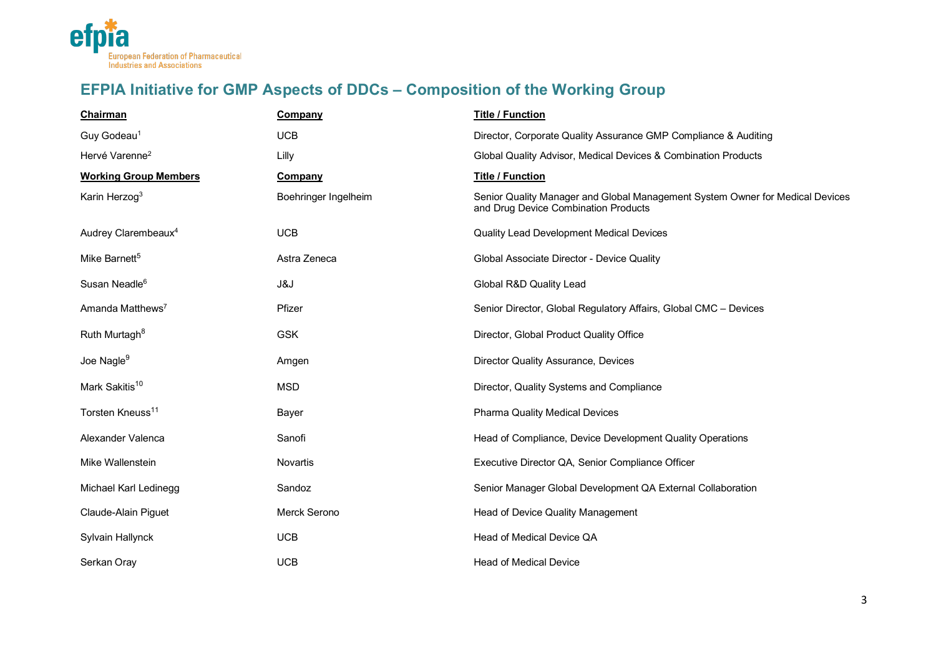

# **EFPIA Initiative for GMP Aspects of DDCs – Composition of the Working Group**

| <b>Chairman</b>                 | Company              | <b>Title / Function</b>                                                                                               |
|---------------------------------|----------------------|-----------------------------------------------------------------------------------------------------------------------|
| Guy Godeau <sup>1</sup>         | <b>UCB</b>           | Director, Corporate Quality Assurance GMP Compliance & Auditing                                                       |
| Hervé Varenne <sup>2</sup>      | Lilly                | Global Quality Advisor, Medical Devices & Combination Products                                                        |
| <b>Working Group Members</b>    | <b>Company</b>       | <b>Title / Function</b>                                                                                               |
| Karin Herzog <sup>3</sup>       | Boehringer Ingelheim | Senior Quality Manager and Global Management System Owner for Medical Devices<br>and Drug Device Combination Products |
| Audrey Clarembeaux <sup>4</sup> | <b>UCB</b>           | Quality Lead Development Medical Devices                                                                              |
| Mike Barnett <sup>5</sup>       | Astra Zeneca         | Global Associate Director - Device Quality                                                                            |
| Susan Neadle <sup>6</sup>       | J&J                  | Global R&D Quality Lead                                                                                               |
| Amanda Matthews <sup>7</sup>    | Pfizer               | Senior Director, Global Regulatory Affairs, Global CMC - Devices                                                      |
| Ruth Murtagh <sup>8</sup>       | <b>GSK</b>           | Director, Global Product Quality Office                                                                               |
| Joe Nagle <sup>9</sup>          | Amgen                | Director Quality Assurance, Devices                                                                                   |
| Mark Sakitis <sup>10</sup>      | <b>MSD</b>           | Director, Quality Systems and Compliance                                                                              |
| Torsten Kneuss <sup>11</sup>    | Bayer                | <b>Pharma Quality Medical Devices</b>                                                                                 |
| Alexander Valenca               | Sanofi               | Head of Compliance, Device Development Quality Operations                                                             |
| Mike Wallenstein                | <b>Novartis</b>      | Executive Director QA, Senior Compliance Officer                                                                      |
| Michael Karl Ledinegg           | Sandoz               | Senior Manager Global Development QA External Collaboration                                                           |
| Claude-Alain Piguet             | Merck Serono         | Head of Device Quality Management                                                                                     |
| Sylvain Hallynck                | <b>UCB</b>           | Head of Medical Device QA                                                                                             |
| Serkan Oray                     | <b>UCB</b>           | <b>Head of Medical Device</b>                                                                                         |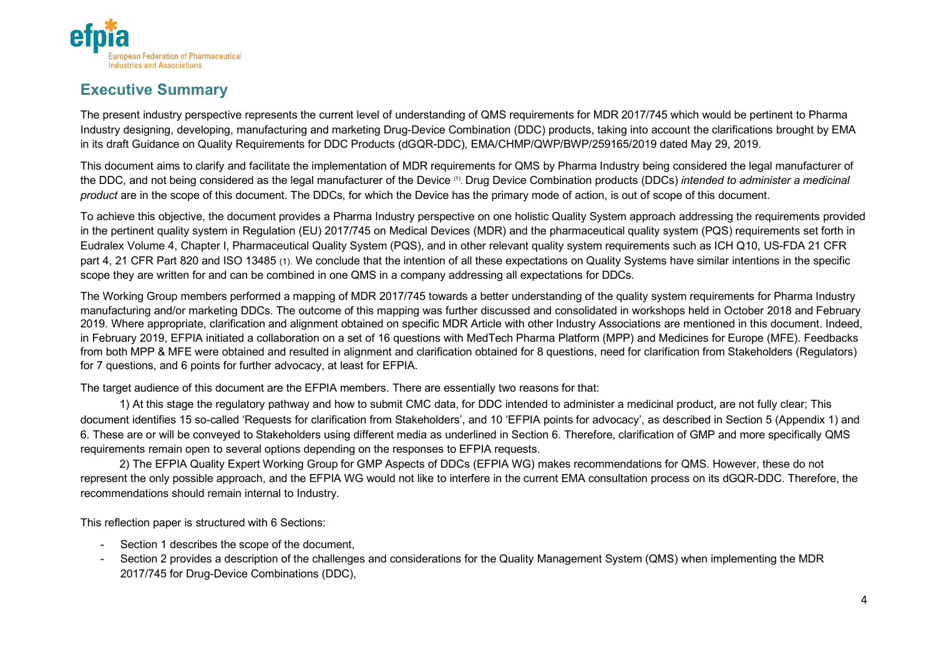

### **Executive Summary**

The present industry perspective represents the current level of understanding of QMS requirements for MDR 2017/745 which would be pertinent to Pharma Industry designing, developing, manufacturing and marketing Drug-Device Combination (DDC) products, taking into account the clarifications brought by EMA in its draft Guidance on Quality Requirements for DDC Products (dGQR-DDC), EMA/CHMP/QWP/BWP/259165/2019 dated May 29, 2019.

This document aims to clarify and facilitate the implementation of MDR requirements for QMS by Pharma Industry being considered the legal manufacturer of the DDC, and not being considered as the legal manufacturer of the Device (1). Drug Device Combination products (DDCs) *intended to administer a medicinal product* are in the scope of this document. The DDCs, for which the Device has the primary mode of action, is out of scope of this document.

To achieve this objective, the document provides a Pharma Industry perspective on one holistic Quality System approach addressing the requirements provided in the pertinent quality system in Regulation (EU) 2017/745 on Medical Devices (MDR) and the pharmaceutical quality system (PQS) requirements set forth in Eudralex Volume 4, Chapter I, Pharmaceutical Quality System (PQS), and in other relevant quality system requirements such as ICH Q10, US-FDA 21 CFR part 4, 21 CFR Part 820 and ISO 13485 (1). We conclude that the intention of all these expectations on Quality Systems have similar intentions in the specific scope they are written for and can be combined in one QMS in a company addressing all expectations for DDCs.

The Working Group members performed a mapping of MDR 2017/745 towards a better understanding of the quality system requirements for Pharma Industry manufacturing and/or marketing DDCs. The outcome of this mapping was further discussed and consolidated in workshops held in October 2018 and February 2019. Where appropriate, clarification and alignment obtained on specific MDR Article with other Industry Associations are mentioned in this document. Indeed, in February 2019, EFPIA initiated a collaboration on a set of 16 questions with MedTech Pharma Platform (MPP) and Medicines for Europe (MFE). Feedbacks from both MPP & MFE were obtained and resulted in alignment and clarification obtained for 8 questions, need for clarification from Stakeholders (Regulators) for 7 questions, and 6 points for further advocacy, at least for EFPIA.

The target audience of this document are the EFPIA members. There are essentially two reasons for that:

1) At this stage the regulatory pathway and how to submit CMC data, for DDC intended to administer a medicinal product, are not fully clear; This document identifies 15 so-called 'Requests for clarification from Stakeholders', and 10 'EFPIA points for advocacy', as described in Section 5 (Appendix 1) and 6. These are or will be conveyed to Stakeholders using different media as underlined in Section 6. Therefore, clarification of GMP and more specifically QMS requirements remain open to several options depending on the responses to EFPIA requests.

2) The EFPIA Quality Expert Working Group for GMP Aspects of DDCs (EFPIA WG) makes recommendations for QMS. However, these do not represent the only possible approach, and the EFPIA WG would not like to interfere in the current EMA consultation process on its dGQR-DDC. Therefore, the recommendations should remain internal to Industry.

This reflection paper is structured with 6 Sections:

- Section 1 describes the scope of the document,
- Section 2 provides a description of the challenges and considerations for the Quality Management System (QMS) when implementing the MDR 2017/745 for Drug-Device Combinations (DDC),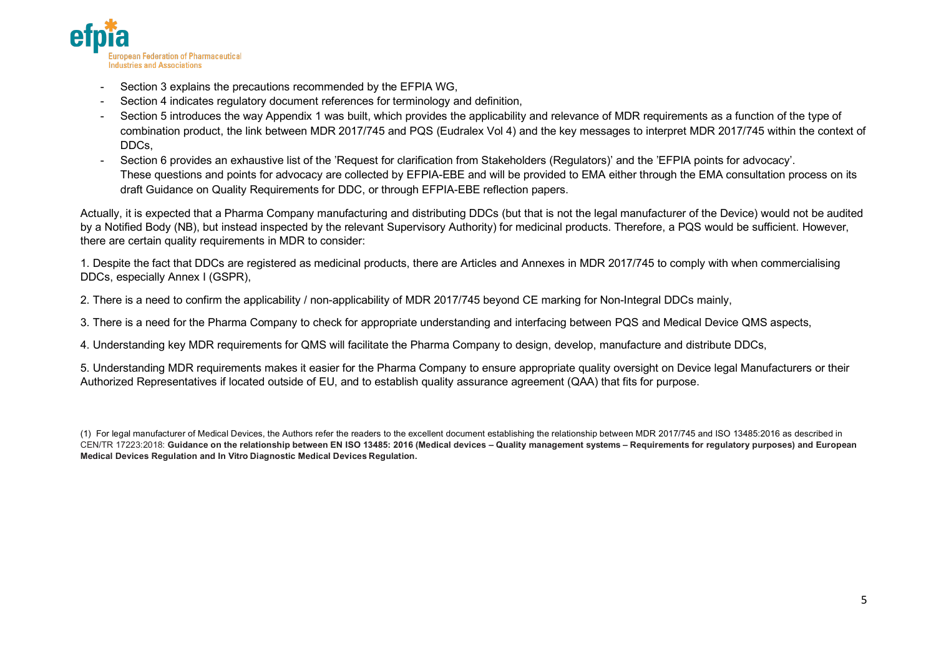

- Section 3 explains the precautions recommended by the EFPIA WG,
- Section 4 indicates regulatory document references for terminology and definition,
- Section 5 introduces the way Appendix 1 was built, which provides the applicability and relevance of MDR requirements as a function of the type of combination product, the link between MDR 2017/745 and PQS (Eudralex Vol 4) and the key messages to interpret MDR 2017/745 within the context of DDCs,
- Section 6 provides an exhaustive list of the 'Request for clarification from Stakeholders (Regulators)' and the 'EFPIA points for advocacy'. These questions and points for advocacy are collected by EFPIA-EBE and will be provided to EMA either through the EMA consultation process on its draft Guidance on Quality Requirements for DDC, or through EFPIA-EBE reflection papers.

Actually, it is expected that a Pharma Company manufacturing and distributing DDCs (but that is not the legal manufacturer of the Device) would not be audited by a Notified Body (NB), but instead inspected by the relevant Supervisory Authority) for medicinal products. Therefore, a PQS would be sufficient. However, there are certain quality requirements in MDR to consider:

1. Despite the fact that DDCs are registered as medicinal products, there are Articles and Annexes in MDR 2017/745 to comply with when commercialising DDCs, especially Annex I (GSPR),

2. There is a need to confirm the applicability / non-applicability of MDR 2017/745 beyond CE marking for Non-Integral DDCs mainly,

3. There is a need for the Pharma Company to check for appropriate understanding and interfacing between PQS and Medical Device QMS aspects,

4. Understanding key MDR requirements for QMS will facilitate the Pharma Company to design, develop, manufacture and distribute DDCs,

5. Understanding MDR requirements makes it easier for the Pharma Company to ensure appropriate quality oversight on Device legal Manufacturers or their Authorized Representatives if located outside of EU, and to establish quality assurance agreement (QAA) that fits for purpose.

(1) For legal manufacturer of Medical Devices, the Authors refer the readers to the excellent document establishing the relationship between MDR 2017/745 and ISO 13485:2016 as described in CEN/TR 17223:2018: **Guidance on the relationship between EN ISO 13485: 2016 (Medical devices – Quality management systems – Requirements for regulatory purposes) and European Medical Devices Regulation and In Vitro Diagnostic Medical Devices Regulation.**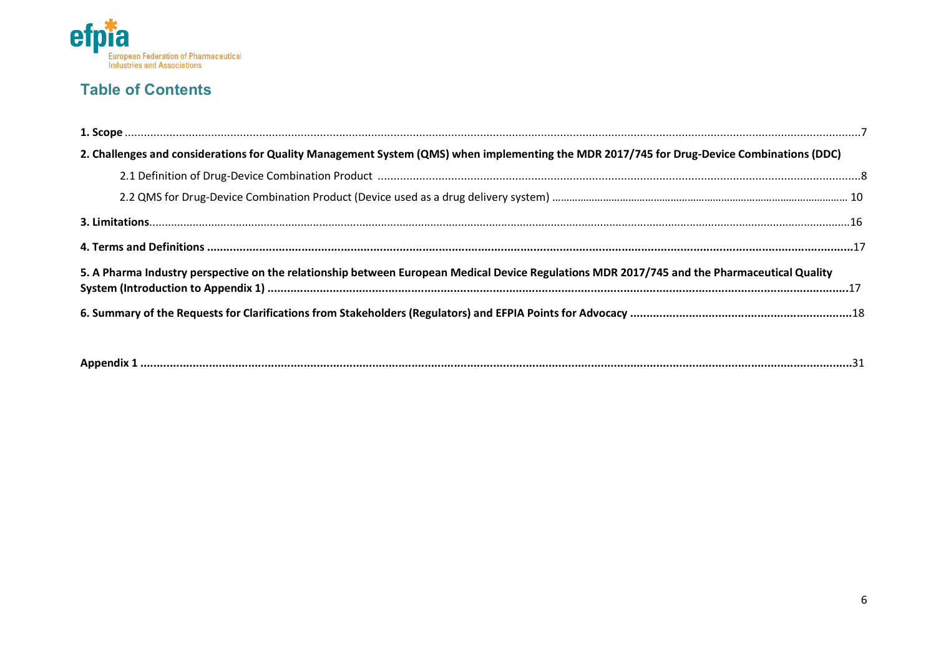

## **Table of Contents**

| 2. Challenges and considerations for Quality Management System (QMS) when implementing the MDR 2017/745 for Drug-Device Combinations (DDC)   |  |
|----------------------------------------------------------------------------------------------------------------------------------------------|--|
|                                                                                                                                              |  |
|                                                                                                                                              |  |
|                                                                                                                                              |  |
|                                                                                                                                              |  |
| 5. A Pharma Industry perspective on the relationship between European Medical Device Regulations MDR 2017/745 and the Pharmaceutical Quality |  |
|                                                                                                                                              |  |
|                                                                                                                                              |  |

|--|--|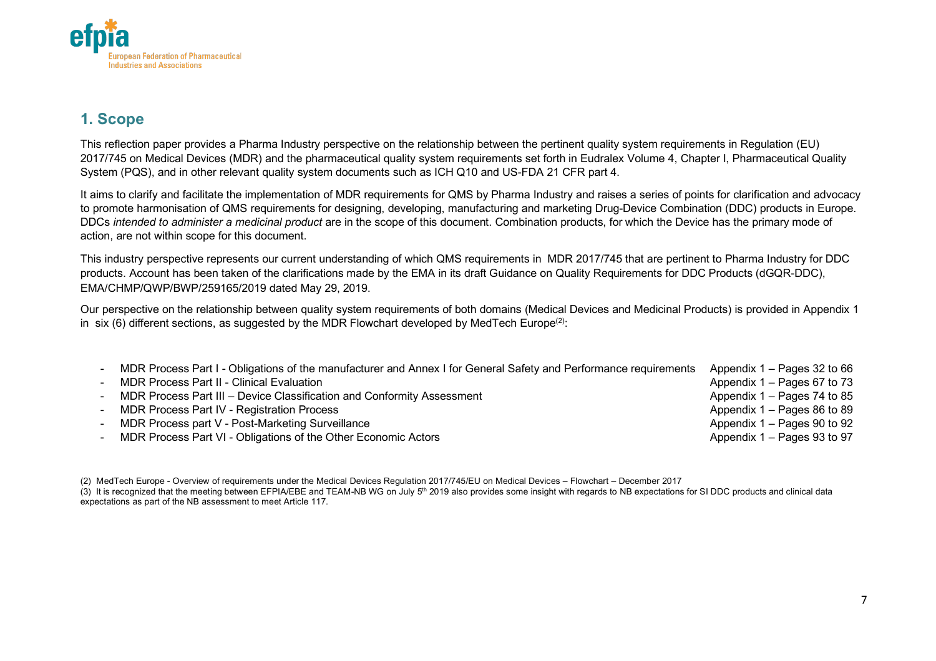

### **1. Scope**

This reflection paper provides a Pharma Industry perspective on the relationship between the pertinent quality system requirements in Regulation (EU) 2017/745 on Medical Devices (MDR) and the pharmaceutical quality system requirements set forth in Eudralex Volume 4, Chapter I, Pharmaceutical Quality System (PQS), and in other relevant quality system documents such as ICH Q10 and US-FDA 21 CFR part 4.

It aims to clarify and facilitate the implementation of MDR requirements for QMS by Pharma Industry and raises a series of points for clarification and advocacy to promote harmonisation of QMS requirements for designing, developing, manufacturing and marketing Drug-Device Combination (DDC) products in Europe. DDCs *intended to administer a medicinal product* are in the scope of this document. Combination products, for which the Device has the primary mode of action, are not within scope for this document.

This industry perspective represents our current understanding of which QMS requirements in MDR 2017/745 that are pertinent to Pharma Industry for DDC products. Account has been taken of the clarifications made by the EMA in its draft Guidance on Quality Requirements for DDC Products (dGQR-DDC), EMA/CHMP/QWP/BWP/259165/2019 dated May 29, 2019.

Our perspective on the relationship between quality system requirements of both domains (Medical Devices and Medicinal Products) is provided in Appendix 1 in six (6) different sections, as suggested by the MDR Flowchart developed by MedTech Europe<sup>(2)</sup>:

| MDR Process Part I - Obligations of the manufacturer and Annex I for General Safety and Performance requirements | Appendix $1 -$ Pages 32 to 66 |
|------------------------------------------------------------------------------------------------------------------|-------------------------------|
| <b>MDR Process Part II - Clinical Evaluation</b>                                                                 | Appendix $1 -$ Pages 67 to 73 |
| MDR Process Part III - Device Classification and Conformity Assessment                                           | Appendix 1 – Pages 74 to 85   |
| MDR Process Part IV - Registration Process                                                                       | Appendix $1 -$ Pages 86 to 89 |
| MDR Process part V - Post-Marketing Surveillance                                                                 | Appendix 1 – Pages 90 to 92   |
| MDR Process Part VI - Obligations of the Other Economic Actors                                                   | Appendix 1 – Pages 93 to 97   |

(2) MedTech Europe - Overview of requirements under the Medical Devices Regulation 2017/745/EU on Medical Devices – Flowchart – December 2017 (3) It is recognized that the meeting between EFPIA/EBE and TEAM-NB WG on July 5<sup>th</sup> 2019 also provides some insight with regards to NB expectations for SI DDC products and clinical data expectations as part of the NB assessment to meet Article 117.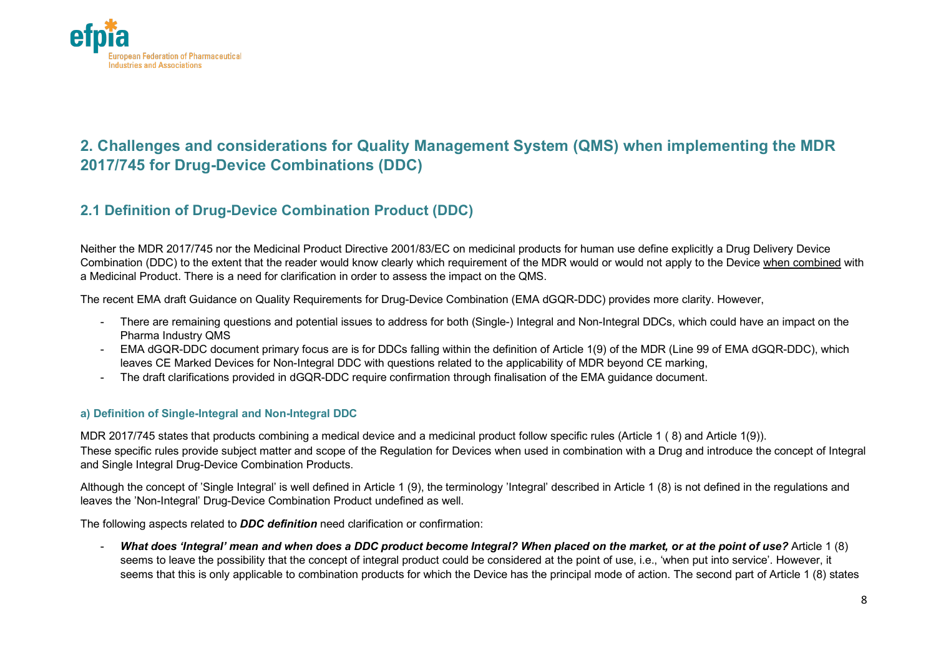

## **2. Challenges and considerations for Quality Management System (QMS) when implementing the MDR 2017/745 for Drug-Device Combinations (DDC)**

### **2.1 Definition of Drug-Device Combination Product (DDC)**

Neither the MDR 2017/745 nor the Medicinal Product Directive 2001/83/EC on medicinal products for human use define explicitly a Drug Delivery Device Combination (DDC) to the extent that the reader would know clearly which requirement of the MDR would or would not apply to the Device when combined with a Medicinal Product. There is a need for clarification in order to assess the impact on the QMS.

The recent EMA draft Guidance on Quality Requirements for Drug-Device Combination (EMA dGQR-DDC) provides more clarity. However,

- There are remaining questions and potential issues to address for both (Single-) Integral and Non-Integral DDCs, which could have an impact on the Pharma Industry QMS
- EMA dGQR-DDC document primary focus are is for DDCs falling within the definition of Article 1(9) of the MDR (Line 99 of EMA dGQR-DDC), which leaves CE Marked Devices for Non-Integral DDC with questions related to the applicability of MDR beyond CE marking,
- The draft clarifications provided in dGQR-DDC require confirmation through finalisation of the EMA guidance document.

#### **a) Definition of Single-Integral and Non-Integral DDC**

MDR 2017/745 states that products combining a medical device and a medicinal product follow specific rules (Article 1 ( 8) and Article 1(9)). These specific rules provide subject matter and scope of the Regulation for Devices when used in combination with a Drug and introduce the concept of Integral and Single Integral Drug-Device Combination Products.

Although the concept of 'Single Integral' is well defined in Article 1 (9), the terminology 'Integral' described in Article 1 (8) is not defined in the regulations and leaves the 'Non-Integral' Drug-Device Combination Product undefined as well.

The following aspects related to *DDC definition* need clarification or confirmation:

- *What does 'Integral' mean and when does a DDC product become Integral? When placed on the market, or at the point of use?* Article 1 (8) seems to leave the possibility that the concept of integral product could be considered at the point of use, i.e., 'when put into service'. However, it seems that this is only applicable to combination products for which the Device has the principal mode of action. The second part of Article 1 (8) states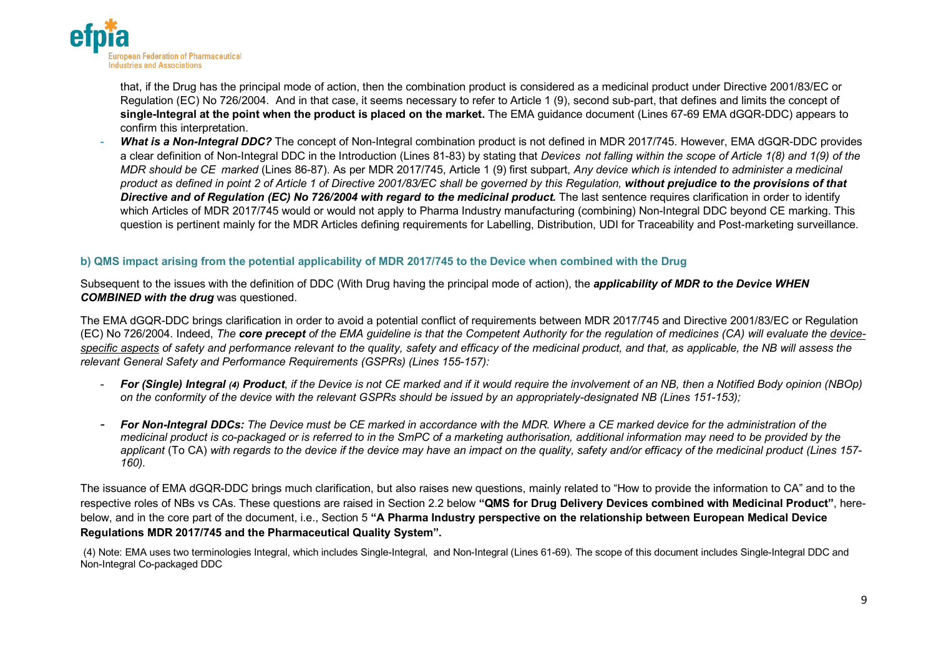

that, if the Drug has the principal mode of action, then the combination product is considered as a medicinal product under Directive 2001/83/EC or Regulation (EC) No 726/2004. And in that case, it seems necessary to refer to Article 1 (9), second sub-part, that defines and limits the concept of **single-Integral at the point when the product is placed on the market.** The EMA guidance document (Lines 67-69 EMA dGQR-DDC) appears to confirm this interpretation.

- *What is a Non-Integral DDC?* The concept of Non-Integral combination product is not defined in MDR 2017/745. However, EMA dGQR-DDC provides a clear definition of Non-Integral DDC in the Introduction (Lines 81-83) by stating that *Devices not falling within the scope of Article 1(8) and 1(9) of the MDR should be CE marked* (Lines 86-87). As per MDR 2017/745, Article 1 (9) first subpart, *Any device which is intended to administer a medicinal product as defined in point 2 of Article 1 of Directive 2001/83/EC shall be governed by this Regulation, without prejudice to the provisions of that*  **Directive and of Regulation (EC) No 726/2004 with regard to the medicinal product.** The last sentence requires clarification in order to identify which Articles of MDR 2017/745 would or would not apply to Pharma Industry manufacturing (combining) Non-Integral DDC beyond CE marking. This question is pertinent mainly for the MDR Articles defining requirements for Labelling, Distribution, UDI for Traceability and Post-marketing surveillance.

#### **b) QMS impact arising from the potential applicability of MDR 2017/745 to the Device when combined with the Drug**

Subsequent to the issues with the definition of DDC (With Drug having the principal mode of action), the *applicability of MDR to the Device WHEN COMBINED with the drug* was questioned.

The EMA dGQR-DDC brings clarification in order to avoid a potential conflict of requirements between MDR 2017/745 and Directive 2001/83/EC or Regulation (EC) No 726/2004. Indeed, *The core precept of the EMA guideline is that the Competent Authority for the regulation of medicines (CA) will evaluate the devicespecific aspects of safety and performance relevant to the quality, safety and efficacy of the medicinal product, and that, as applicable, the NB will assess the relevant General Safety and Performance Requirements (GSPRs) (Lines 155-157):*

- *For (Single) Integral (4) Product*, *if the Device is not CE marked and if it would require the involvement of an NB, then a Notified Body opinion (NBOp) on the conformity of the device with the relevant GSPRs should be issued by an appropriately-designated NB (Lines 151-153);*
- *For Non-Integral DDCs: The Device must be CE marked in accordance with the MDR. Where a CE marked device for the administration of the medicinal product is co-packaged or is referred to in the SmPC of a marketing authorisation, additional information may need to be provided by the applicant* (To CA) *with regards to the device if the device may have an impact on the quality, safety and/or efficacy of the medicinal product (Lines 157- 160).*

The issuance of EMA dGQR-DDC brings much clarification, but also raises new questions, mainly related to "How to provide the information to CA" and to the respective roles of NBs vs CAs. These questions are raised in Section 2.2 below **"QMS for Drug Delivery Devices combined with Medicinal Product"**, herebelow, and in the core part of the document, i.e., Section 5 **"A Pharma Industry perspective on the relationship between European Medical Device Regulations MDR 2017/745 and the Pharmaceutical Quality System".** 

(4) Note: EMA uses two terminologies Integral, which includes Single-Integral, and Non-Integral (Lines 61-69). The scope of this document includes Single-Integral DDC and Non-Integral Co-packaged DDC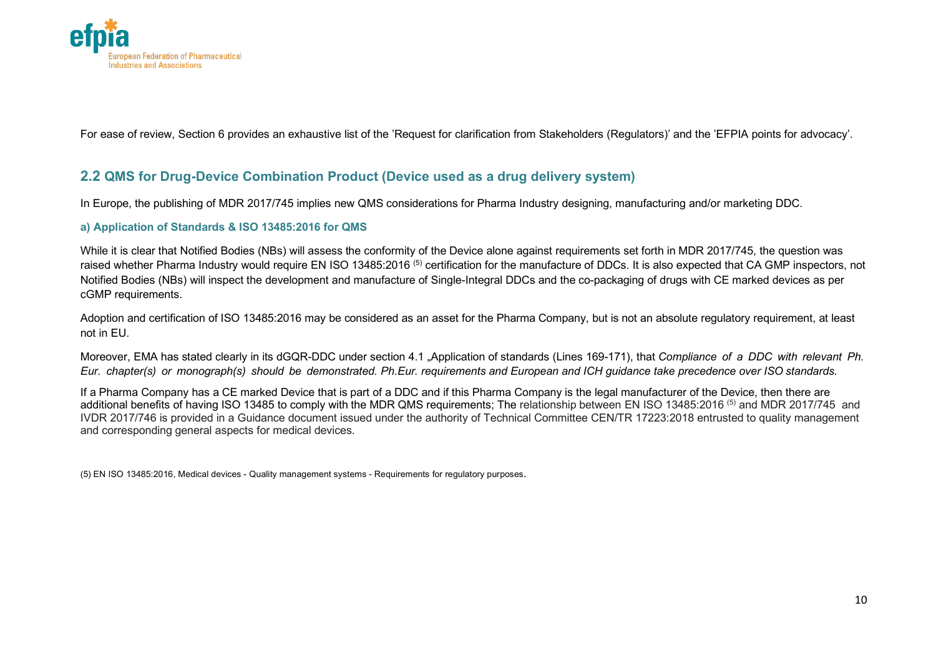

For ease of review, Section 6 provides an exhaustive list of the 'Request for clarification from Stakeholders (Regulators)' and the 'EFPIA points for advocacy'.

### **2.2 QMS for Drug-Device Combination Product (Device used as a drug delivery system)**

In Europe, the publishing of MDR 2017/745 implies new QMS considerations for Pharma Industry designing, manufacturing and/or marketing DDC.

#### **a) Application of Standards & ISO 13485:2016 for QMS**

While it is clear that Notified Bodies (NBs) will assess the conformity of the Device alone against requirements set forth in MDR 2017/745, the question was raised whether Pharma Industry would require EN ISO 13485:2016<sup>(5)</sup> certification for the manufacture of DDCs. It is also expected that CA GMP inspectors, not Notified Bodies (NBs) will inspect the development and manufacture of Single-Integral DDCs and the co-packaging of drugs with CE marked devices as per cGMP requirements.

Adoption and certification of ISO 13485:2016 may be considered as an asset for the Pharma Company, but is not an absolute regulatory requirement, at least not in EU.

Moreover, EMA has stated clearly in its dGQR-DDC under section 4.1 "Application of standards (Lines 169-171), that *Compliance of a DDC with relevant Ph. Eur. chapter(s) or monograph(s) should be demonstrated. Ph.Eur. requirements and European and ICH guidance take precedence over ISO standards.*

If a Pharma Company has a CE marked Device that is part of a DDC and if this Pharma Company is the legal manufacturer of the Device, then there are additional benefits of having ISO 13485 to comply with the MDR QMS requirements; The relationship between EN ISO 13485:2016 <sup>(5)</sup> and MDR 2017/745 and IVDR 2017/746 is provided in a Guidance document issued under the authority of Technical Committee CEN/TR 17223:2018 entrusted to quality management and corresponding general aspects for medical devices.

(5) EN ISO 13485:2016, Medical devices - Quality management systems - Requirements for regulatory purposes.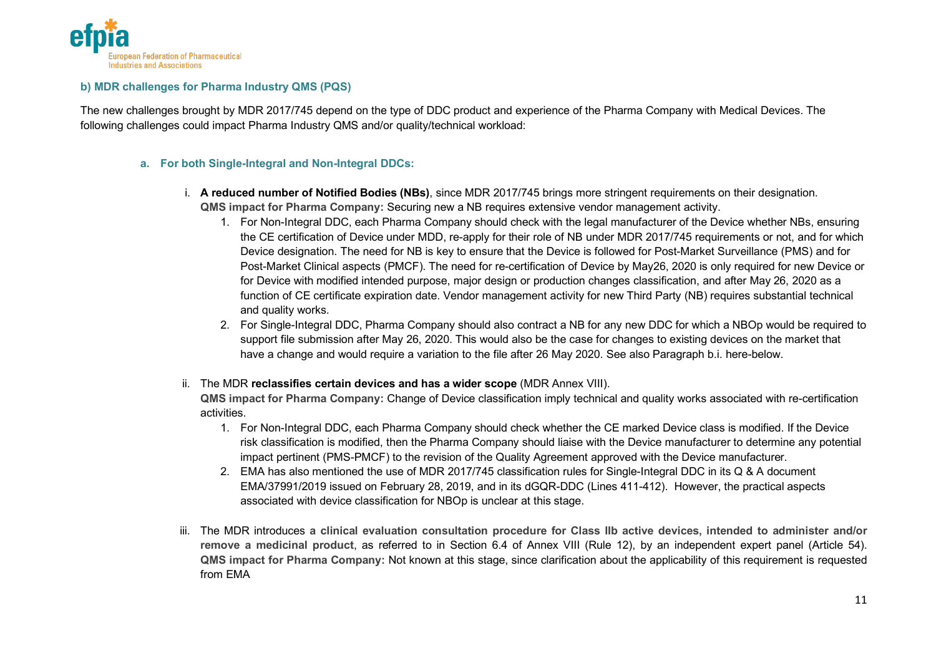

#### **b) MDR challenges for Pharma Industry QMS (PQS)**

The new challenges brought by MDR 2017/745 depend on the type of DDC product and experience of the Pharma Company with Medical Devices. The following challenges could impact Pharma Industry QMS and/or quality/technical workload:

#### **a. For both Single-Integral and Non-Integral DDCs:**

- i. **A reduced number of Notified Bodies (NBs)**, since MDR 2017/745 brings more stringent requirements on their designation. **QMS impact for Pharma Company:** Securing new a NB requires extensive vendor management activity.
	- 1. For Non-Integral DDC, each Pharma Company should check with the legal manufacturer of the Device whether NBs, ensuring the CE certification of Device under MDD, re-apply for their role of NB under MDR 2017/745 requirements or not, and for which Device designation. The need for NB is key to ensure that the Device is followed for Post-Market Surveillance (PMS) and for Post-Market Clinical aspects (PMCF). The need for re-certification of Device by May26, 2020 is only required for new Device or for Device with modified intended purpose, major design or production changes classification, and after May 26, 2020 as a function of CE certificate expiration date. Vendor management activity for new Third Party (NB) requires substantial technical and quality works.
	- 2. For Single-Integral DDC, Pharma Company should also contract a NB for any new DDC for which a NBOp would be required to support file submission after May 26, 2020. This would also be the case for changes to existing devices on the market that have a change and would require a variation to the file after 26 May 2020. See also Paragraph b.i. here-below.
- ii. The MDR **reclassifies certain devices and has a wider scope** (MDR Annex VIII).

**QMS impact for Pharma Company:** Change of Device classification imply technical and quality works associated with re-certification activities.

- 1. For Non-Integral DDC, each Pharma Company should check whether the CE marked Device class is modified. If the Device risk classification is modified, then the Pharma Company should liaise with the Device manufacturer to determine any potential impact pertinent (PMS-PMCF) to the revision of the Quality Agreement approved with the Device manufacturer.
- 2. EMA has also mentioned the use of MDR 2017/745 classification rules for Single-Integral DDC in its Q & A document EMA/37991/2019 issued on February 28, 2019, and in its dGQR-DDC (Lines 411-412). However, the practical aspects associated with device classification for NBOp is unclear at this stage.
- iii. The MDR introduces **a clinical evaluation consultation procedure for Class IIb active devices, intended to administer and/or remove a medicinal product**, as referred to in Section 6.4 of Annex VIII (Rule 12), by an independent expert panel (Article 54). **QMS impact for Pharma Company:** Not known at this stage, since clarification about the applicability of this requirement is requested from EMA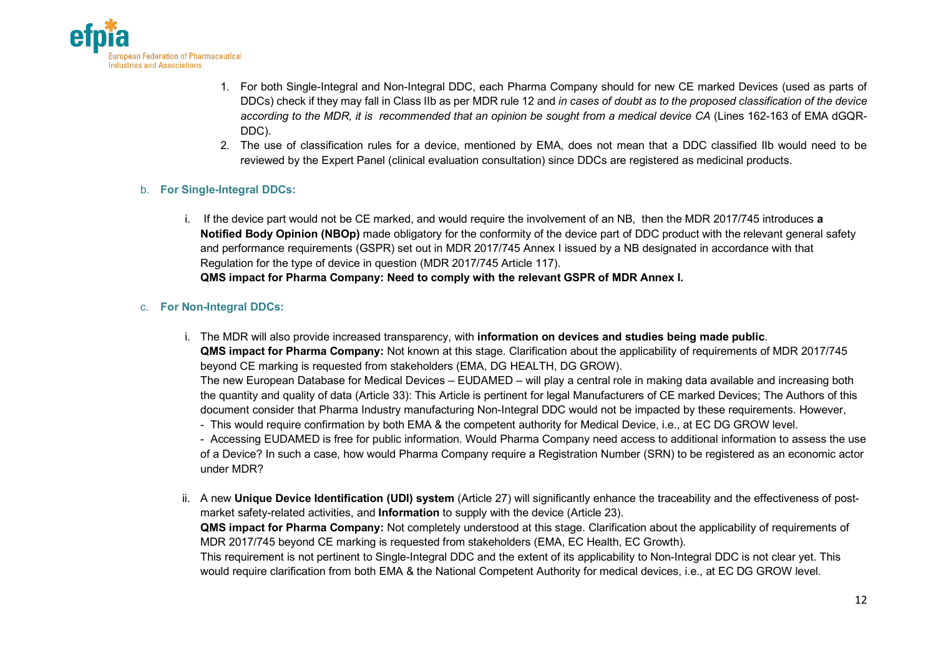

- 1. For both Single-Integral and Non-Integral DDC, each Pharma Company should for new CE marked Devices (used as parts of DDCs) check if they may fall in Class IIb as per MDR rule 12 and *in cases of doubt as to the proposed classification of the device according to the MDR, it is recommended that an opinion be sought from a medical device CA* (Lines 162-163 of EMA dGQR-DDC).
- 2. The use of classification rules for a device, mentioned by EMA, does not mean that a DDC classified IIb would need to be reviewed by the Expert Panel (clinical evaluation consultation) since DDCs are registered as medicinal products.

#### b. **For Single-Integral DDCs:**

i. If the device part would not be CE marked, and would require the involvement of an NB, then the MDR 2017/745 introduces **a Notified Body Opinion (NBOp)** made obligatory for the conformity of the device part of DDC product with the relevant general safety and performance requirements (GSPR) set out in MDR 2017/745 Annex I issued by a NB designated in accordance with that Regulation for the type of device in question (MDR 2017/745 Article 117). **QMS impact for Pharma Company: Need to comply with the relevant GSPR of MDR Annex I.** 

#### c. **For Non-Integral DDCs:**

i. The MDR will also provide increased transparency, with **information on devices and studies being made public**. **QMS impact for Pharma Company:** Not known at this stage. Clarification about the applicability of requirements of MDR 2017/745 beyond CE marking is requested from stakeholders (EMA, DG HEALTH, DG GROW).

The new European Database for Medical Devices – EUDAMED – will play a central role in making data available and increasing both the quantity and quality of data (Article 33): This Article is pertinent for legal Manufacturers of CE marked Devices; The Authors of this document consider that Pharma Industry manufacturing Non-Integral DDC would not be impacted by these requirements. However,

- This would require confirmation by both EMA & the competent authority for Medical Device, i.e., at EC DG GROW level.

- Accessing EUDAMED is free for public information. Would Pharma Company need access to additional information to assess the use of a Device? In such a case, how would Pharma Company require a Registration Number (SRN) to be registered as an economic actor under MDR?

ii. A new **Unique Device Identification (UDI) system** (Article 27) will significantly enhance the traceability and the effectiveness of postmarket safety-related activities, and **Information** to supply with the device (Article 23).

**QMS impact for Pharma Company:** Not completely understood at this stage. Clarification about the applicability of requirements of MDR 2017/745 beyond CE marking is requested from stakeholders (EMA, EC Health, EC Growth).

This requirement is not pertinent to Single-Integral DDC and the extent of its applicability to Non-Integral DDC is not clear yet. This would require clarification from both EMA & the National Competent Authority for medical devices, i.e., at EC DG GROW level.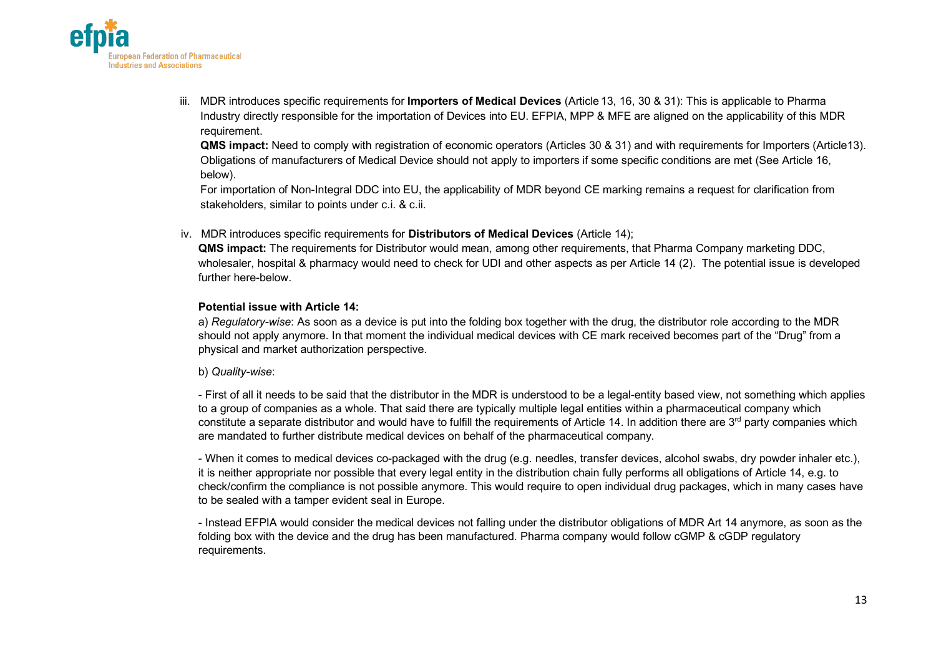

iii. MDR introduces specific requirements for **Importers of Medical Devices** (Article 13, 16, 30 & 31): This is applicable to Pharma Industry directly responsible for the importation of Devices into EU. EFPIA, MPP & MFE are aligned on the applicability of this MDR requirement.

**QMS impact:** Need to comply with registration of economic operators (Articles 30 & 31) and with requirements for Importers (Article13). Obligations of manufacturers of Medical Device should not apply to importers if some specific conditions are met (See Article 16, below).

For importation of Non-Integral DDC into EU, the applicability of MDR beyond CE marking remains a request for clarification from stakeholders, similar to points under c.i. & c.ii.

iv. MDR introduces specific requirements for **Distributors of Medical Devices** (Article 14);

**QMS impact:** The requirements for Distributor would mean, among other requirements, that Pharma Company marketing DDC, wholesaler, hospital & pharmacy would need to check for UDI and other aspects as per Article 14 (2). The potential issue is developed further here-below.

#### **Potential issue with Article 14:**

a) *Regulatory-wise*: As soon as a device is put into the folding box together with the drug, the distributor role according to the MDR should not apply anymore. In that moment the individual medical devices with CE mark received becomes part of the "Drug" from a physical and market authorization perspective.

#### b) *Quality-wise*:

- First of all it needs to be said that the distributor in the MDR is understood to be a legal-entity based view, not something which applies to a group of companies as a whole. That said there are typically multiple legal entities within a pharmaceutical company which constitute a separate distributor and would have to fulfill the requirements of Article 14. In addition there are 3<sup>rd</sup> party companies which are mandated to further distribute medical devices on behalf of the pharmaceutical company.

- When it comes to medical devices co-packaged with the drug (e.g. needles, transfer devices, alcohol swabs, dry powder inhaler etc.), it is neither appropriate nor possible that every legal entity in the distribution chain fully performs all obligations of Article 14, e.g. to check/confirm the compliance is not possible anymore. This would require to open individual drug packages, which in many cases have to be sealed with a tamper evident seal in Europe.

- Instead EFPIA would consider the medical devices not falling under the distributor obligations of MDR Art 14 anymore, as soon as the folding box with the device and the drug has been manufactured. Pharma company would follow cGMP & cGDP regulatory requirements.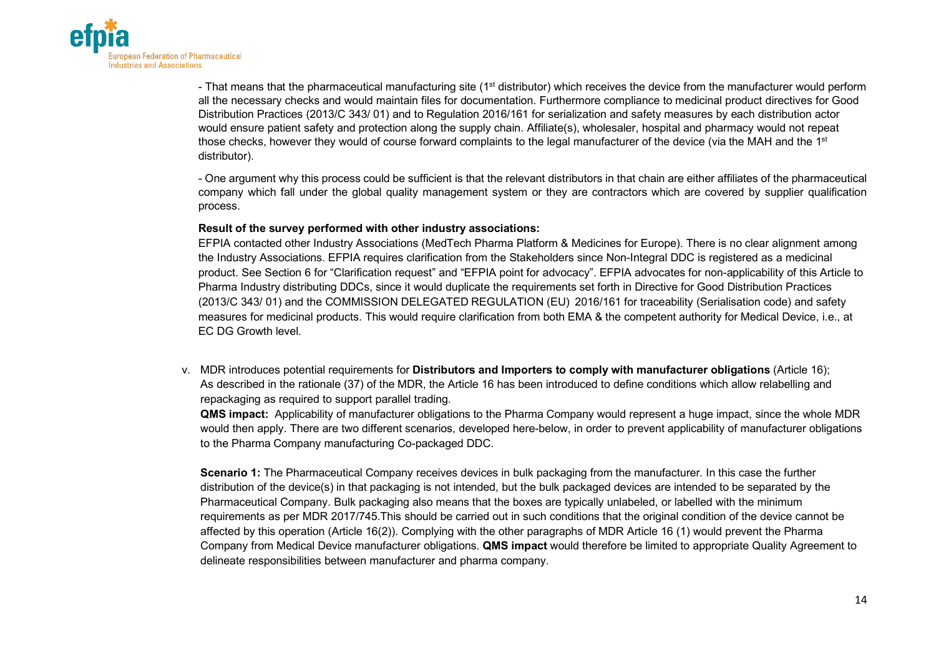

- That means that the pharmaceutical manufacturing site (1<sup>st</sup> distributor) which receives the device from the manufacturer would perform all the necessary checks and would maintain files for documentation. Furthermore compliance to medicinal product directives for Good Distribution Practices (2013/C 343/ 01) and to Regulation 2016/161 for serialization and safety measures by each distribution actor would ensure patient safety and protection along the supply chain. Affiliate(s), wholesaler, hospital and pharmacy would not repeat those checks, however they would of course forward complaints to the legal manufacturer of the device (via the MAH and the 1<sup>st</sup> distributor).

- One argument why this process could be sufficient is that the relevant distributors in that chain are either affiliates of the pharmaceutical company which fall under the global quality management system or they are contractors which are covered by supplier qualification process.

#### **Result of the survey performed with other industry associations:**

EFPIA contacted other Industry Associations (MedTech Pharma Platform & Medicines for Europe). There is no clear alignment among the Industry Associations. EFPIA requires clarification from the Stakeholders since Non-Integral DDC is registered as a medicinal product. See Section 6 for "Clarification request" and "EFPIA point for advocacy". EFPIA advocates for non-applicability of this Article to Pharma Industry distributing DDCs, since it would duplicate the requirements set forth in Directive for Good Distribution Practices (2013/C 343/ 01) and the COMMISSION DELEGATED REGULATION (EU) 2016/161 for traceability (Serialisation code) and safety measures for medicinal products. This would require clarification from both EMA & the competent authority for Medical Device, i.e., at EC DG Growth level.

v. MDR introduces potential requirements for **Distributors and Importers to comply with manufacturer obligations** (Article 16); As described in the rationale (37) of the MDR, the Article 16 has been introduced to define conditions which allow relabelling and repackaging as required to support parallel trading.

**QMS impact:** Applicability of manufacturer obligations to the Pharma Company would represent a huge impact, since the whole MDR would then apply. There are two different scenarios, developed here-below, in order to prevent applicability of manufacturer obligations to the Pharma Company manufacturing Co-packaged DDC.

**Scenario 1:** The Pharmaceutical Company receives devices in bulk packaging from the manufacturer. In this case the further distribution of the device(s) in that packaging is not intended, but the bulk packaged devices are intended to be separated by the Pharmaceutical Company. Bulk packaging also means that the boxes are typically unlabeled, or labelled with the minimum requirements as per MDR 2017/745.This should be carried out in such conditions that the original condition of the device cannot be affected by this operation (Article 16(2)). Complying with the other paragraphs of MDR Article 16 (1) would prevent the Pharma Company from Medical Device manufacturer obligations. **QMS impact** would therefore be limited to appropriate Quality Agreement to delineate responsibilities between manufacturer and pharma company.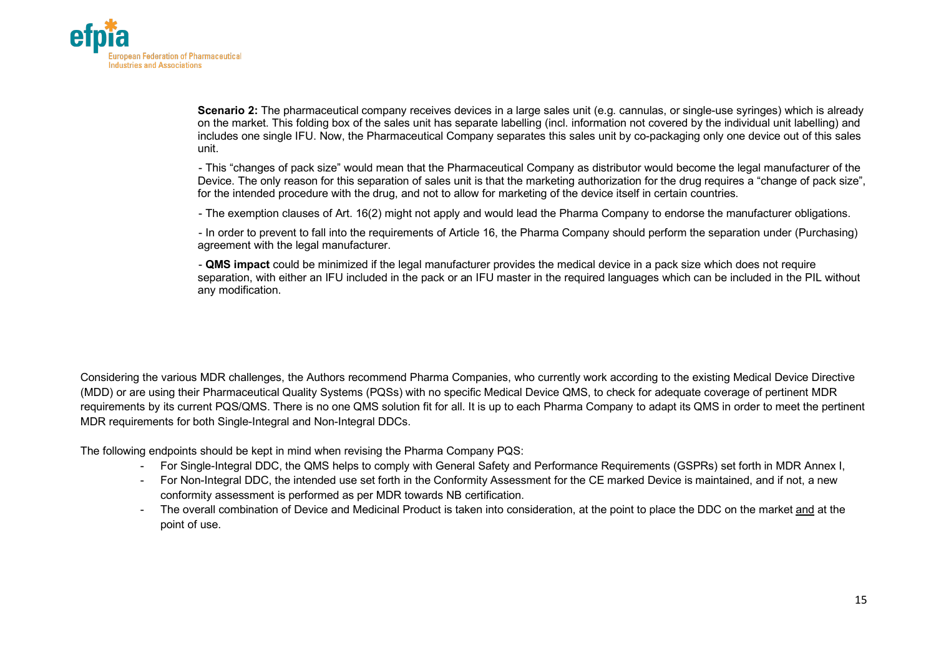

**Scenario 2:** The pharmaceutical company receives devices in a large sales unit (e.g. cannulas, or single-use syringes) which is already on the market. This folding box of the sales unit has separate labelling (incl. information not covered by the individual unit labelling) and includes one single IFU. Now, the Pharmaceutical Company separates this sales unit by co-packaging only one device out of this sales unit.

- This "changes of pack size" would mean that the Pharmaceutical Company as distributor would become the legal manufacturer of the Device. The only reason for this separation of sales unit is that the marketing authorization for the drug requires a "change of pack size", for the intended procedure with the drug, and not to allow for marketing of the device itself in certain countries.

- The exemption clauses of Art. 16(2) might not apply and would lead the Pharma Company to endorse the manufacturer obligations.

- In order to prevent to fall into the requirements of Article 16, the Pharma Company should perform the separation under (Purchasing) agreement with the legal manufacturer.

- **QMS impact** could be minimized if the legal manufacturer provides the medical device in a pack size which does not require separation, with either an IFU included in the pack or an IFU master in the required languages which can be included in the PIL without any modification.

Considering the various MDR challenges, the Authors recommend Pharma Companies, who currently work according to the existing Medical Device Directive (MDD) or are using their Pharmaceutical Quality Systems (PQSs) with no specific Medical Device QMS, to check for adequate coverage of pertinent MDR requirements by its current PQS/QMS. There is no one QMS solution fit for all. It is up to each Pharma Company to adapt its QMS in order to meet the pertinent MDR requirements for both Single-Integral and Non-Integral DDCs.

The following endpoints should be kept in mind when revising the Pharma Company PQS:

- For Single-Integral DDC, the QMS helps to comply with General Safety and Performance Requirements (GSPRs) set forth in MDR Annex I,
- For Non-Integral DDC, the intended use set forth in the Conformity Assessment for the CE marked Device is maintained, and if not, a new conformity assessment is performed as per MDR towards NB certification.
- The overall combination of Device and Medicinal Product is taken into consideration, at the point to place the DDC on the market and at the point of use.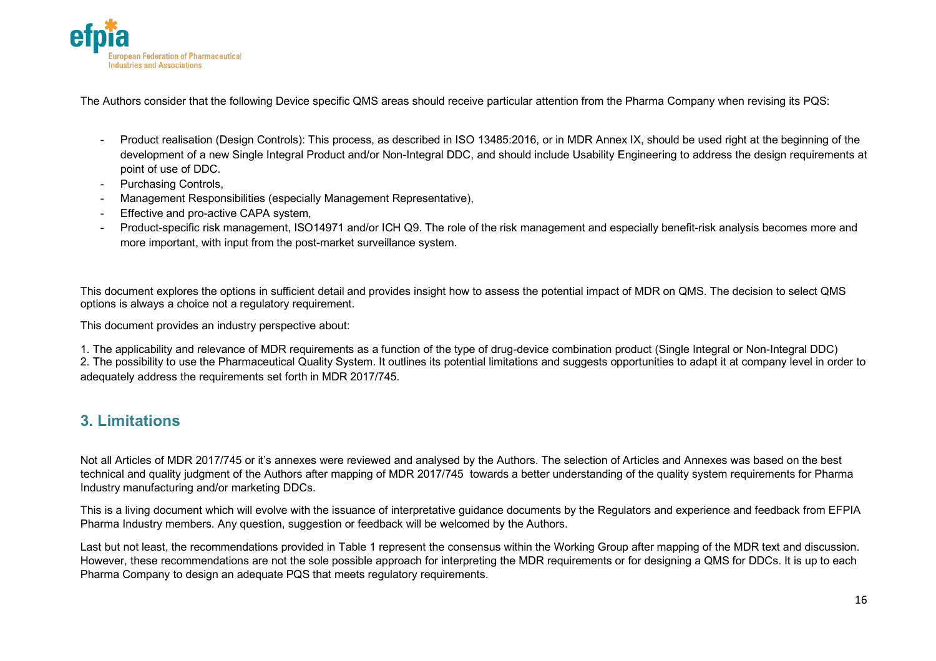

The Authors consider that the following Device specific QMS areas should receive particular attention from the Pharma Company when revising its PQS:

- Product realisation (Design Controls): This process, as described in ISO 13485:2016, or in MDR Annex IX, should be used right at the beginning of the development of a new Single Integral Product and/or Non-Integral DDC, and should include Usability Engineering to address the design requirements at point of use of DDC.
- Purchasing Controls,
- Management Responsibilities (especially Management Representative),
- Effective and pro-active CAPA system,
- Product-specific risk management, ISO14971 and/or ICH Q9. The role of the risk management and especially benefit-risk analysis becomes more and more important, with input from the post-market surveillance system.

This document explores the options in sufficient detail and provides insight how to assess the potential impact of MDR on QMS. The decision to select QMS options is always a choice not a regulatory requirement.

This document provides an industry perspective about:

1. The applicability and relevance of MDR requirements as a function of the type of drug-device combination product (Single Integral or Non-Integral DDC) 2. The possibility to use the Pharmaceutical Quality System. It outlines its potential limitations and suggests opportunities to adapt it at company level in order to adequately address the requirements set forth in MDR 2017/745.

## **3. Limitations**

Not all Articles of MDR 2017/745 or it's annexes were reviewed and analysed by the Authors. The selection of Articles and Annexes was based on the best technical and quality judgment of the Authors after mapping of MDR 2017/745 towards a better understanding of the quality system requirements for Pharma Industry manufacturing and/or marketing DDCs.

This is a living document which will evolve with the issuance of interpretative guidance documents by the Regulators and experience and feedback from EFPIA Pharma Industry members. Any question, suggestion or feedback will be welcomed by the Authors.

Last but not least, the recommendations provided in Table 1 represent the consensus within the Working Group after mapping of the MDR text and discussion. However, these recommendations are not the sole possible approach for interpreting the MDR requirements or for designing a QMS for DDCs. It is up to each Pharma Company to design an adequate PQS that meets regulatory requirements.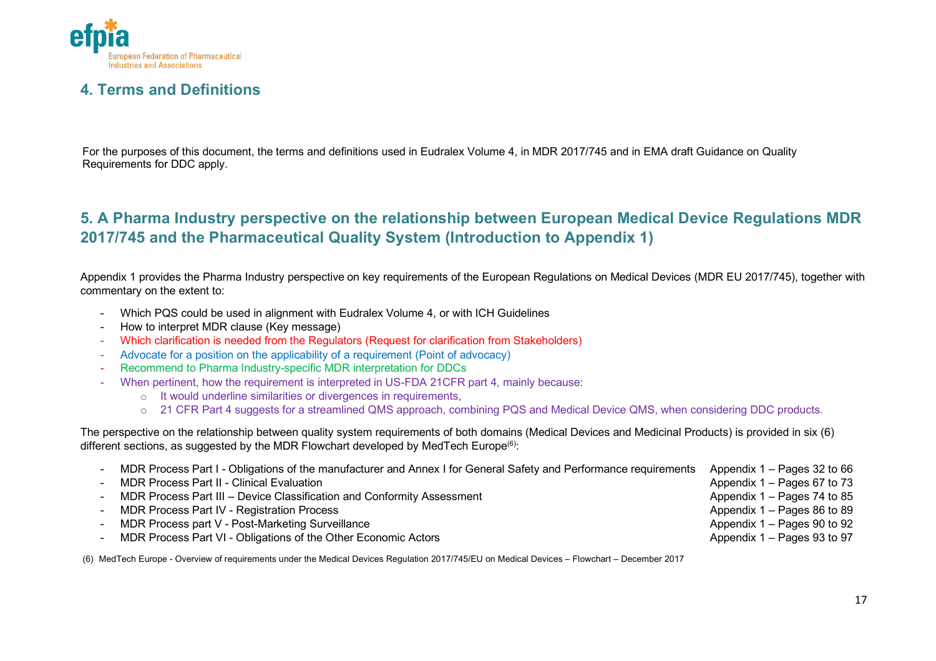

## **4. Terms and Definitions**

For the purposes of this document, the terms and definitions used in Eudralex Volume 4, in MDR 2017/745 and in EMA draft Guidance on Quality Requirements for DDC apply.

## **5. A Pharma Industry perspective on the relationship between European Medical Device Regulations MDR 2017/745 and the Pharmaceutical Quality System (Introduction to Appendix 1)**

Appendix 1 provides the Pharma Industry perspective on key requirements of the European Regulations on Medical Devices (MDR EU 2017/745), together with commentary on the extent to:

- Which PQS could be used in alignment with Eudralex Volume 4, or with ICH Guidelines
- How to interpret MDR clause (Key message)
- Which clarification is needed from the Regulators (Request for clarification from Stakeholders)
- Advocate for a position on the applicability of a requirement (Point of advocacy)
- Recommend to Pharma Industry-specific MDR interpretation for DDCs
- When pertinent, how the requirement is interpreted in US-FDA 21CFR part 4, mainly because:
	- o It would underline similarities or divergences in requirements,
	- o 21 CFR Part 4 suggests for a streamlined QMS approach, combining PQS and Medical Device QMS, when considering DDC products.

The perspective on the relationship between quality system requirements of both domains (Medical Devices and Medicinal Products) is provided in six (6) different sections, as suggested by the MDR Flowchart developed by MedTech Europe<sup>(6)</sup>:

| MDR Process Part I - Obligations of the manufacturer and Annex I for General Safety and Performance requirements | Appendix $1 -$ Pages 32 to 66 |
|------------------------------------------------------------------------------------------------------------------|-------------------------------|
| <b>MDR Process Part II - Clinical Evaluation</b>                                                                 | Appendix $1 -$ Pages 67 to 73 |
| MDR Process Part III - Device Classification and Conformity Assessment                                           | Appendix 1 – Pages 74 to 85   |
| MDR Process Part IV - Registration Process                                                                       | Appendix 1 – Pages 86 to 89   |
| MDR Process part V - Post-Marketing Surveillance                                                                 | Appendix $1 -$ Pages 90 to 92 |
| MDR Process Part VI - Obligations of the Other Economic Actors                                                   | Appendix $1 -$ Pages 93 to 97 |

(6) MedTech Europe - Overview of requirements under the Medical Devices Regulation 2017/745/EU on Medical Devices – Flowchart – December 2017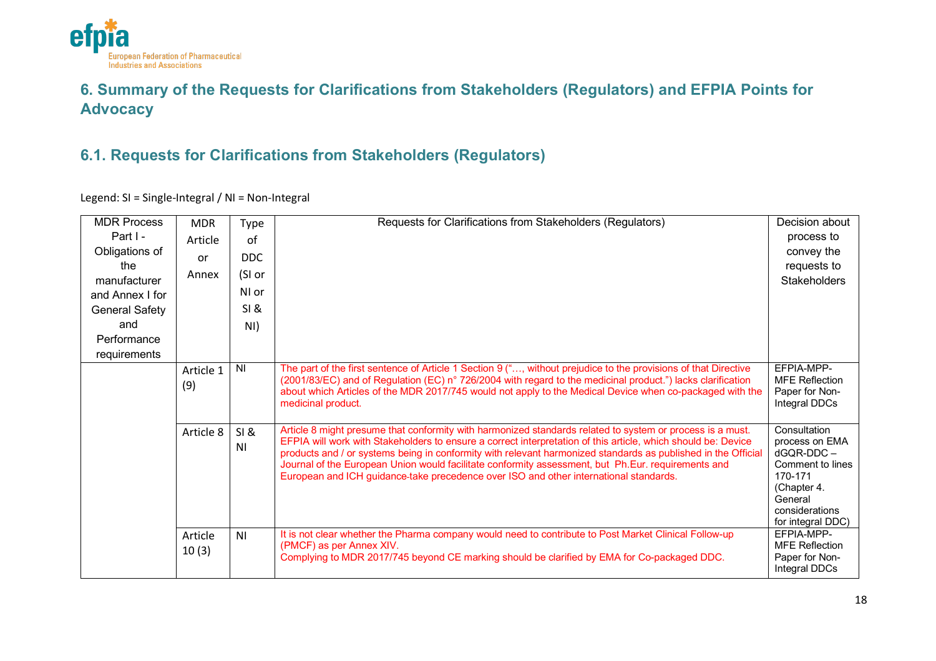

## **6. Summary of the Requests for Clarifications from Stakeholders (Regulators) and EFPIA Points for Advocacy**

## **6.1. Requests for Clarifications from Stakeholders (Regulators)**

Legend: SI = Single-Integral / NI = Non-Integral

| <b>MDR Process</b> | <b>MDR</b>       | Type                   | Requests for Clarifications from Stakeholders (Regulators)                                                                                                                                                                                                                                                                                                                                                                                                                                                                                 | Decision about                                                                                                                                 |
|--------------------|------------------|------------------------|--------------------------------------------------------------------------------------------------------------------------------------------------------------------------------------------------------------------------------------------------------------------------------------------------------------------------------------------------------------------------------------------------------------------------------------------------------------------------------------------------------------------------------------------|------------------------------------------------------------------------------------------------------------------------------------------------|
| Part I -           | Article          | of                     |                                                                                                                                                                                                                                                                                                                                                                                                                                                                                                                                            | process to                                                                                                                                     |
| Obligations of     | or               | DDC.                   |                                                                                                                                                                                                                                                                                                                                                                                                                                                                                                                                            | convey the                                                                                                                                     |
| the                | Annex            | (SI or                 |                                                                                                                                                                                                                                                                                                                                                                                                                                                                                                                                            | requests to                                                                                                                                    |
| manufacturer       |                  |                        |                                                                                                                                                                                                                                                                                                                                                                                                                                                                                                                                            | <b>Stakeholders</b>                                                                                                                            |
| and Annex I for    |                  | NI or                  |                                                                                                                                                                                                                                                                                                                                                                                                                                                                                                                                            |                                                                                                                                                |
| General Safety     |                  | SI &                   |                                                                                                                                                                                                                                                                                                                                                                                                                                                                                                                                            |                                                                                                                                                |
| and                |                  | NI)                    |                                                                                                                                                                                                                                                                                                                                                                                                                                                                                                                                            |                                                                                                                                                |
| Performance        |                  |                        |                                                                                                                                                                                                                                                                                                                                                                                                                                                                                                                                            |                                                                                                                                                |
| requirements       |                  |                        |                                                                                                                                                                                                                                                                                                                                                                                                                                                                                                                                            |                                                                                                                                                |
|                    | Article 1<br>(9) | <b>NI</b>              | The part of the first sentence of Article 1 Section 9 (", without prejudice to the provisions of that Directive<br>(2001/83/EC) and of Regulation (EC) n° 726/2004 with regard to the medicinal product.") lacks clarification<br>about which Articles of the MDR 2017/745 would not apply to the Medical Device when co-packaged with the<br>medicinal product.                                                                                                                                                                           | EFPIA-MPP-<br><b>MFE Reflection</b><br>Paper for Non-<br>Integral DDCs                                                                         |
|                    | Article 8        | SI &<br>N <sub>l</sub> | Article 8 might presume that conformity with harmonized standards related to system or process is a must.<br>EFPIA will work with Stakeholders to ensure a correct interpretation of this article, which should be: Device<br>products and / or systems being in conformity with relevant harmonized standards as published in the Official<br>Journal of the European Union would facilitate conformity assessment, but Ph.Eur. requirements and<br>European and ICH guidance-take precedence over ISO and other international standards. | Consultation<br>process on EMA<br>$dGQR-DDC -$<br>Comment to lines<br>170-171<br>(Chapter 4.<br>General<br>considerations<br>for integral DDC) |
|                    | Article<br>10(3) | N <sub>l</sub>         | It is not clear whether the Pharma company would need to contribute to Post Market Clinical Follow-up<br>(PMCF) as per Annex XIV.<br>Complying to MDR 2017/745 beyond CE marking should be clarified by EMA for Co-packaged DDC.                                                                                                                                                                                                                                                                                                           | EFPIA-MPP-<br><b>MFE Reflection</b><br>Paper for Non-<br>Integral DDCs                                                                         |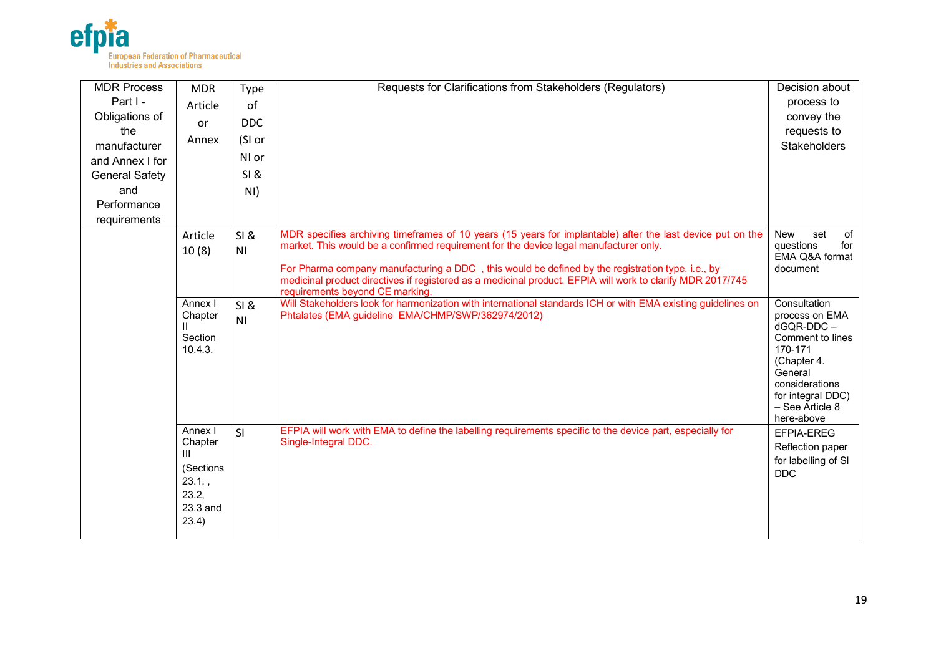

| <b>MDR Process</b><br>Part I -<br>Obligations of<br>the<br>manufacturer<br>and Annex I for<br><b>General Safety</b><br>and<br>Performance<br>requirements | <b>MDR</b><br>Article<br><b>or</b><br>Annex                                 | Type<br>of<br><b>DDC</b><br>(SI or<br>NI or<br>SI &<br>NI) | Requests for Clarifications from Stakeholders (Regulators)                                                                                                                                                                                                                                                                                                                                                                                               | Decision about<br>process to<br>convey the<br>requests to<br><b>Stakeholders</b>                                                                                             |
|-----------------------------------------------------------------------------------------------------------------------------------------------------------|-----------------------------------------------------------------------------|------------------------------------------------------------|----------------------------------------------------------------------------------------------------------------------------------------------------------------------------------------------------------------------------------------------------------------------------------------------------------------------------------------------------------------------------------------------------------------------------------------------------------|------------------------------------------------------------------------------------------------------------------------------------------------------------------------------|
|                                                                                                                                                           | Article<br>10(8)                                                            | SI &<br>N <sub>1</sub>                                     | MDR specifies archiving timeframes of 10 years (15 years for implantable) after the last device put on the<br>market. This would be a confirmed requirement for the device legal manufacturer only.<br>For Pharma company manufacturing a DDC, this would be defined by the registration type, i.e., by<br>medicinal product directives if registered as a medicinal product. EFPIA will work to clarify MDR 2017/745<br>requirements beyond CE marking. | set<br><b>New</b><br>of<br>questions<br>for<br>EMA Q&A format<br>document                                                                                                    |
|                                                                                                                                                           | Annex I<br>Chapter<br>Ш<br>Section<br>10.4.3.                               | SI &<br>N <sub>1</sub>                                     | Will Stakeholders look for harmonization with international standards ICH or with EMA existing guidelines on<br>Phtalates (EMA guideline EMA/CHMP/SWP/362974/2012)                                                                                                                                                                                                                                                                                       | Consultation<br>process on EMA<br>dGQR-DDC-<br>Comment to lines<br>170-171<br>(Chapter 4.<br>General<br>considerations<br>for integral DDC)<br>- See Article 8<br>here-above |
|                                                                                                                                                           | Annex I<br>Chapter<br>Ш<br>(Sections<br>23.1.<br>23.2,<br>23.3 and<br>23.4) | SI                                                         | EFPIA will work with EMA to define the labelling requirements specific to the device part, especially for<br>Single-Integral DDC.                                                                                                                                                                                                                                                                                                                        | EFPIA-EREG<br>Reflection paper<br>for labelling of SI<br><b>DDC</b>                                                                                                          |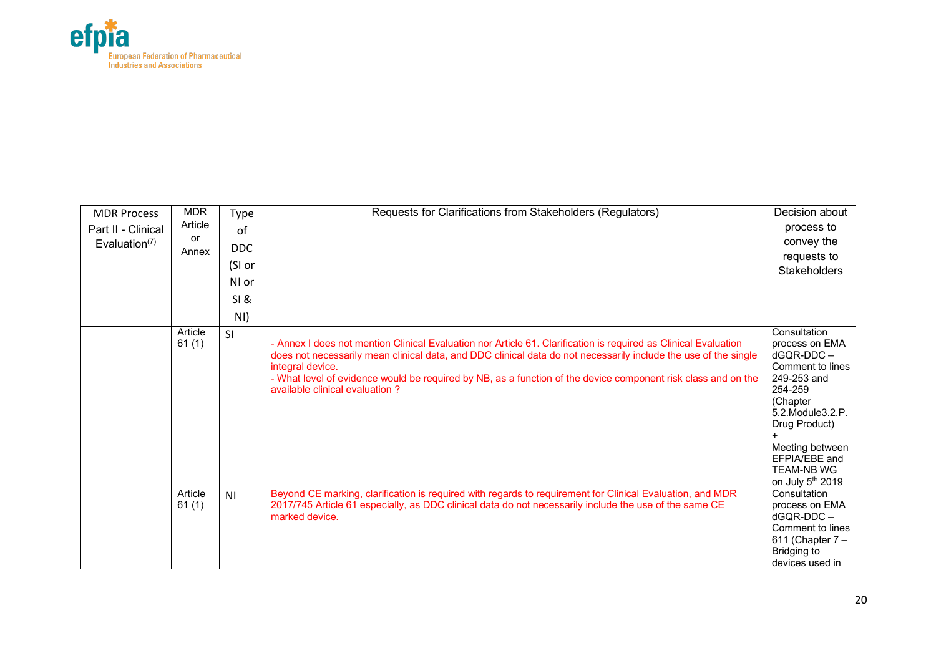

| <b>MDR Process</b> | <b>MDR</b>       | Type           | Requests for Clarifications from Stakeholders (Regulators)                                                                                                                                                                                                                                                                                                                                                | Decision about                                                                                                                                                                                                                |
|--------------------|------------------|----------------|-----------------------------------------------------------------------------------------------------------------------------------------------------------------------------------------------------------------------------------------------------------------------------------------------------------------------------------------------------------------------------------------------------------|-------------------------------------------------------------------------------------------------------------------------------------------------------------------------------------------------------------------------------|
| Part II - Clinical | Article          | of             |                                                                                                                                                                                                                                                                                                                                                                                                           | process to                                                                                                                                                                                                                    |
| Evaluation $(7)$   | or               | <b>DDC</b>     |                                                                                                                                                                                                                                                                                                                                                                                                           | convey the                                                                                                                                                                                                                    |
|                    | Annex            |                |                                                                                                                                                                                                                                                                                                                                                                                                           | requests to                                                                                                                                                                                                                   |
|                    |                  | (SI or         |                                                                                                                                                                                                                                                                                                                                                                                                           | <b>Stakeholders</b>                                                                                                                                                                                                           |
|                    |                  | NI or          |                                                                                                                                                                                                                                                                                                                                                                                                           |                                                                                                                                                                                                                               |
|                    |                  | SI &           |                                                                                                                                                                                                                                                                                                                                                                                                           |                                                                                                                                                                                                                               |
|                    |                  | NI)            |                                                                                                                                                                                                                                                                                                                                                                                                           |                                                                                                                                                                                                                               |
|                    | Article<br>61(1) | SI             | - Annex I does not mention Clinical Evaluation nor Article 61. Clarification is required as Clinical Evaluation<br>does not necessarily mean clinical data, and DDC clinical data do not necessarily include the use of the single<br>integral device.<br>- What level of evidence would be required by NB, as a function of the device component risk class and on the<br>available clinical evaluation? | Consultation<br>process on EMA<br>$dGQR-DDC -$<br>Comment to lines<br>249-253 and<br>254-259<br>(Chapter<br>5.2. Module 3.2. P.<br>Drug Product)<br>Meeting between<br>EFPIA/EBE and<br><b>TEAM-NB WG</b><br>on July 5th 2019 |
|                    | Article<br>61(1) | N <sub>1</sub> | Beyond CE marking, clarification is required with regards to requirement for Clinical Evaluation, and MDR<br>2017/745 Article 61 especially, as DDC clinical data do not necessarily include the use of the same CE<br>marked device.                                                                                                                                                                     | Consultation<br>process on EMA<br>$dGOR-DDC -$<br>Comment to lines<br>611 (Chapter $7-$<br>Bridging to<br>devices used in                                                                                                     |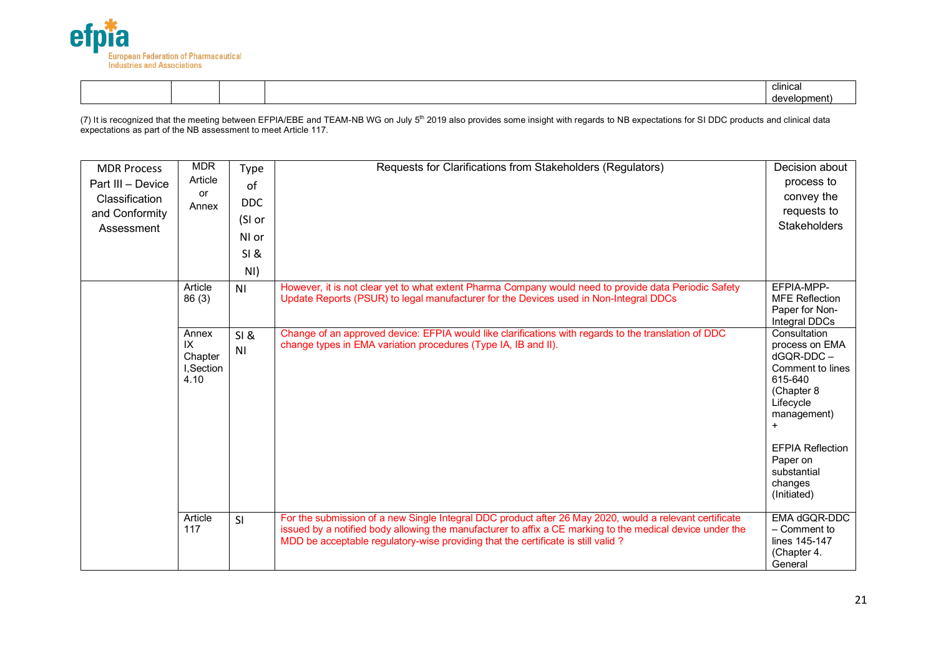

|  |  | <br>clinical |  |
|--|--|--------------|--|
|  |  | (development |  |

(7) It is recognized that the meeting between EFPIA/EBE and TEAM-NB WG on July 5<sup>th</sup> 2019 also provides some insight with regards to NB expectations for SI DDC products and clinical data expectations as part of the NB assessment to meet Article 117.

| <b>MDR Process</b><br>Part III - Device<br>Classification<br>and Conformity<br>Assessment | <b>MDR</b><br>Article<br>or<br>Annex        | Type<br>of<br><b>DDC</b><br>(SI or<br>NI or<br>SI &<br>NI) | Requests for Clarifications from Stakeholders (Regulators)                                                                                                                                                                                                                                               | Decision about<br>process to<br>convey the<br>requests to<br><b>Stakeholders</b>                                                                                                                            |
|-------------------------------------------------------------------------------------------|---------------------------------------------|------------------------------------------------------------|----------------------------------------------------------------------------------------------------------------------------------------------------------------------------------------------------------------------------------------------------------------------------------------------------------|-------------------------------------------------------------------------------------------------------------------------------------------------------------------------------------------------------------|
|                                                                                           | Article<br>86(3)                            | N <sub>1</sub>                                             | However, it is not clear yet to what extent Pharma Company would need to provide data Periodic Safety<br>Update Reports (PSUR) to legal manufacturer for the Devices used in Non-Integral DDCs                                                                                                           | EFPIA-MPP-<br><b>MFE Reflection</b><br>Paper for Non-<br>Integral DDCs                                                                                                                                      |
|                                                                                           | Annex<br>IX<br>Chapter<br>I,Section<br>4.10 | SI &<br>N <sub>1</sub>                                     | Change of an approved device: EFPIA would like clarifications with regards to the translation of DDC<br>change types in EMA variation procedures (Type IA, IB and II).                                                                                                                                   | Consultation<br>process on EMA<br>dGQR-DDC-<br>Comment to lines<br>615-640<br>(Chapter 8<br>Lifecycle<br>management)<br>$+$<br><b>EFPIA Reflection</b><br>Paper on<br>substantial<br>changes<br>(Initiated) |
|                                                                                           | Article<br>117                              | SI                                                         | For the submission of a new Single Integral DDC product after 26 May 2020, would a relevant certificate<br>issued by a notified body allowing the manufacturer to affix a CE marking to the medical device under the<br>MDD be acceptable regulatory-wise providing that the certificate is still valid? | EMA dGQR-DDC<br>$-$ Comment to<br>lines 145-147<br>(Chapter 4.<br>General                                                                                                                                   |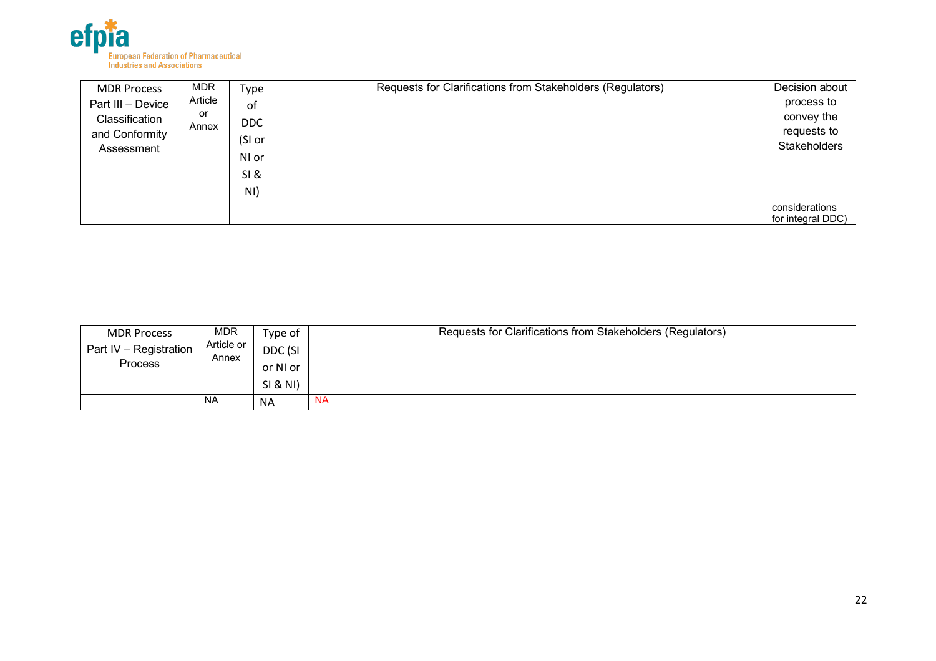

| <b>MDR Process</b>                                                  | <b>MDR</b>             | Type                                        | Requests for Clarifications from Stakeholders (Regulators) | Decision about                                          |
|---------------------------------------------------------------------|------------------------|---------------------------------------------|------------------------------------------------------------|---------------------------------------------------------|
| Part III - Device<br>Classification<br>and Conformity<br>Assessment | Article<br>or<br>Annex | of<br><b>DDC</b><br>(SI or<br>NI or<br>SI & |                                                            | process to<br>convey the<br>requests to<br>Stakeholders |
|                                                                     |                        | NI)                                         |                                                            |                                                         |
|                                                                     |                        |                                             |                                                            | considerations<br>for integral DDC)                     |

| <b>MDR Process</b>     | <b>MDR</b>          | Type of   | Requests for Clarifications from Stakeholders (Regulators) |  |
|------------------------|---------------------|-----------|------------------------------------------------------------|--|
| Part IV - Registration | Article or<br>Annex |           | DDC (SI                                                    |  |
| <b>Process</b>         |                     | or NI or  |                                                            |  |
|                        |                     | SI & NI)  |                                                            |  |
|                        | <b>NA</b>           | <b>NA</b> | <b>NA</b>                                                  |  |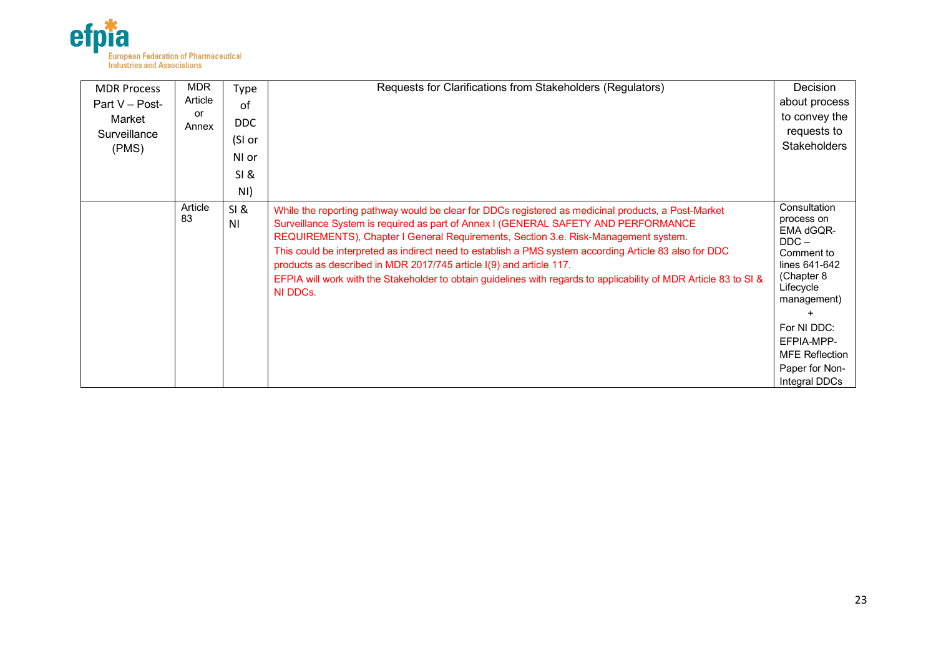

| <b>MDR Process</b><br>Part V - Post- | <b>MDR</b><br>Article<br>or | Type<br>0f             | Requests for Clarifications from Stakeholders (Regulators)                                                                                                                                                                                                                                                                                                                                                                                                                                                                                                                                         | Decision<br>about process<br>to convey the                                                                                                 |
|--------------------------------------|-----------------------------|------------------------|----------------------------------------------------------------------------------------------------------------------------------------------------------------------------------------------------------------------------------------------------------------------------------------------------------------------------------------------------------------------------------------------------------------------------------------------------------------------------------------------------------------------------------------------------------------------------------------------------|--------------------------------------------------------------------------------------------------------------------------------------------|
| Market<br>Surveillance               | Annex                       | DDC                    |                                                                                                                                                                                                                                                                                                                                                                                                                                                                                                                                                                                                    | requests to                                                                                                                                |
| (PMS)                                |                             | (SI or<br>NI or        |                                                                                                                                                                                                                                                                                                                                                                                                                                                                                                                                                                                                    | <b>Stakeholders</b>                                                                                                                        |
|                                      |                             | SI &                   |                                                                                                                                                                                                                                                                                                                                                                                                                                                                                                                                                                                                    |                                                                                                                                            |
|                                      |                             | NI)                    |                                                                                                                                                                                                                                                                                                                                                                                                                                                                                                                                                                                                    |                                                                                                                                            |
|                                      | Article<br>83               | SI &<br>N <sub>1</sub> | While the reporting pathway would be clear for DDCs registered as medicinal products, a Post-Market<br>Surveillance System is required as part of Annex I (GENERAL SAFETY AND PERFORMANCE<br>REQUIREMENTS), Chapter I General Requirements, Section 3.e. Risk-Management system.<br>This could be interpreted as indirect need to establish a PMS system according Article 83 also for DDC<br>products as described in MDR 2017/745 article I(9) and article 117.<br>EFPIA will work with the Stakeholder to obtain guidelines with regards to applicability of MDR Article 83 to SI &<br>NI DDCs. | Consultation<br>process on<br>EMA dGQR-<br>$DDC -$<br>Comment to<br>lines 641-642<br>(Chapter 8<br>Lifecycle<br>management)<br>For NI DDC: |
|                                      |                             |                        |                                                                                                                                                                                                                                                                                                                                                                                                                                                                                                                                                                                                    | EFPIA-MPP-<br><b>MFE Reflection</b>                                                                                                        |
|                                      |                             |                        |                                                                                                                                                                                                                                                                                                                                                                                                                                                                                                                                                                                                    | Paper for Non-<br>Integral DDCs                                                                                                            |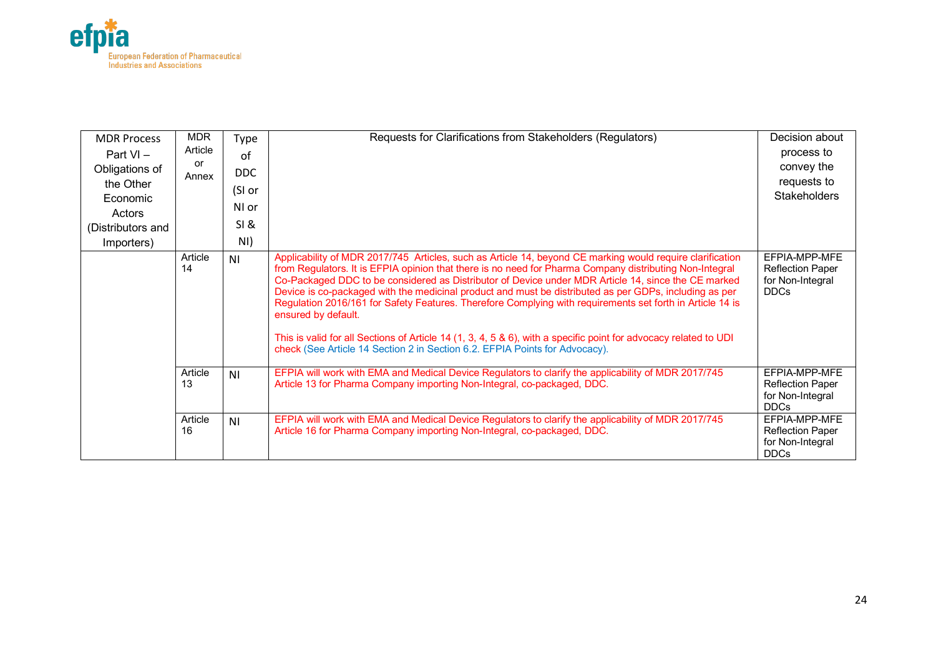

| <b>MDR Process</b><br>Part $VI -$<br>Obligations of<br>the Other<br>Economic<br>Actors<br>(Distributors and<br>Importers) | <b>MDR</b><br>Article<br>or<br>Annex | Type<br>of<br>DDC.<br>(SI or<br>NI or<br><b>SI &amp;</b><br>NI) | Requests for Clarifications from Stakeholders (Regulators)                                                                                                                                                                                                                                                                                                                                                                                                                                                                                                                                                                                                                                                                                                                   | Decision about<br>process to<br>convey the<br>requests to<br><b>Stakeholders</b> |
|---------------------------------------------------------------------------------------------------------------------------|--------------------------------------|-----------------------------------------------------------------|------------------------------------------------------------------------------------------------------------------------------------------------------------------------------------------------------------------------------------------------------------------------------------------------------------------------------------------------------------------------------------------------------------------------------------------------------------------------------------------------------------------------------------------------------------------------------------------------------------------------------------------------------------------------------------------------------------------------------------------------------------------------------|----------------------------------------------------------------------------------|
|                                                                                                                           | Article<br>14                        | N <sub>1</sub>                                                  | Applicability of MDR 2017/745 Articles, such as Article 14, beyond CE marking would require clarification<br>from Regulators. It is EFPIA opinion that there is no need for Pharma Company distributing Non-Integral<br>Co-Packaged DDC to be considered as Distributor of Device under MDR Article 14, since the CE marked<br>Device is co-packaged with the medicinal product and must be distributed as per GDPs, including as per<br>Regulation 2016/161 for Safety Features. Therefore Complying with requirements set forth in Article 14 is<br>ensured by default.<br>This is valid for all Sections of Article 14 (1, 3, 4, 5 & 6), with a specific point for advocacy related to UDI<br>check (See Article 14 Section 2 in Section 6.2. EFPIA Points for Advocacy). | EFPIA-MPP-MFE<br><b>Reflection Paper</b><br>for Non-Integral<br><b>DDCs</b>      |
|                                                                                                                           | Article<br>13                        | N <sub>1</sub>                                                  | EFPIA will work with EMA and Medical Device Regulators to clarify the applicability of MDR 2017/745<br>Article 13 for Pharma Company importing Non-Integral, co-packaged, DDC.                                                                                                                                                                                                                                                                                                                                                                                                                                                                                                                                                                                               | EFPIA-MPP-MFE<br><b>Reflection Paper</b><br>for Non-Integral<br><b>DDCs</b>      |
|                                                                                                                           | Article<br>16                        | N <sub>1</sub>                                                  | EFPIA will work with EMA and Medical Device Regulators to clarify the applicability of MDR 2017/745<br>Article 16 for Pharma Company importing Non-Integral, co-packaged, DDC.                                                                                                                                                                                                                                                                                                                                                                                                                                                                                                                                                                                               | EFPIA-MPP-MFE<br><b>Reflection Paper</b><br>for Non-Integral<br><b>DDCs</b>      |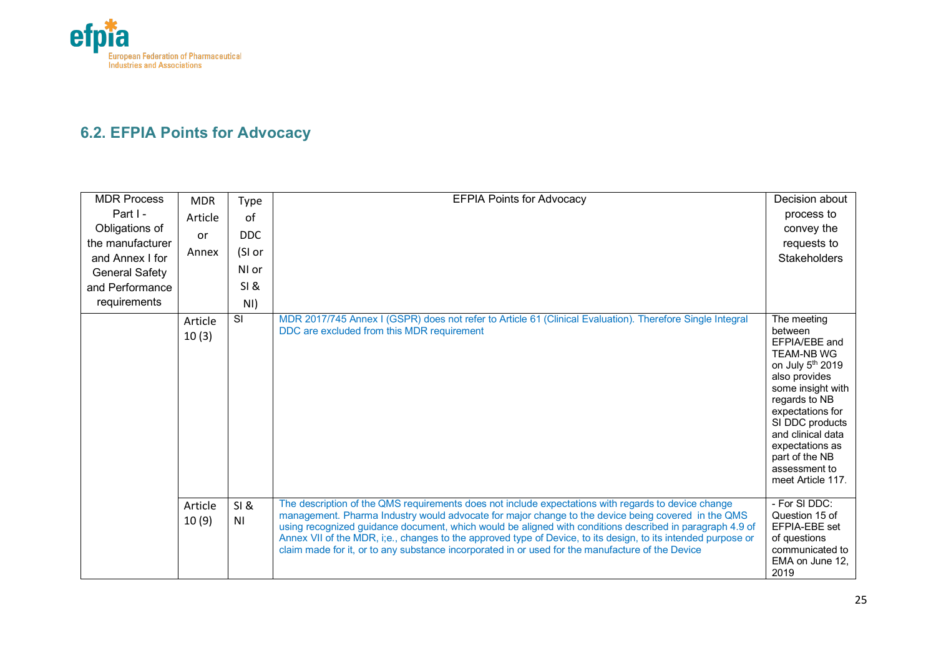

# **6.2. EFPIA Points for Advocacy**

| <b>MDR Process</b><br>Part I -<br>Obligations of<br>the manufacturer<br>and Annex I for<br><b>General Safety</b><br>and Performance<br>requirements | <b>MDR</b><br>Article<br><b>or</b><br>Annex | <b>Type</b><br>of<br><b>DDC</b><br>(SI or<br>NI or<br><b>SI&amp;</b><br>NI) | <b>EFPIA Points for Advocacy</b>                                                                                                                                                                                                                                                                                                                                                                                                                                                                                                           | Decision about<br>process to<br>convey the<br>requests to<br><b>Stakeholders</b>                                                                                                                                                                                               |
|-----------------------------------------------------------------------------------------------------------------------------------------------------|---------------------------------------------|-----------------------------------------------------------------------------|--------------------------------------------------------------------------------------------------------------------------------------------------------------------------------------------------------------------------------------------------------------------------------------------------------------------------------------------------------------------------------------------------------------------------------------------------------------------------------------------------------------------------------------------|--------------------------------------------------------------------------------------------------------------------------------------------------------------------------------------------------------------------------------------------------------------------------------|
|                                                                                                                                                     | Article<br>10(3)                            | $\overline{\mathbf{s}}$                                                     | MDR 2017/745 Annex I (GSPR) does not refer to Article 61 (Clinical Evaluation). Therefore Single Integral<br>DDC are excluded from this MDR requirement                                                                                                                                                                                                                                                                                                                                                                                    | The meeting<br>between<br>EFPIA/EBE and<br><b>TEAM-NB WG</b><br>on July 5th 2019<br>also provides<br>some insight with<br>regards to NB<br>expectations for<br>SI DDC products<br>and clinical data<br>expectations as<br>part of the NB<br>assessment to<br>meet Article 117. |
|                                                                                                                                                     | Article<br>10(9)                            | SI &<br>N <sub>1</sub>                                                      | The description of the QMS requirements does not include expectations with regards to device change<br>management. Pharma Industry would advocate for major change to the device being covered in the QMS<br>using recognized guidance document, which would be aligned with conditions described in paragraph 4.9 of<br>Annex VII of the MDR, i;e., changes to the approved type of Device, to its design, to its intended purpose or<br>claim made for it, or to any substance incorporated in or used for the manufacture of the Device | - For SI DDC:<br>Question 15 of<br>EFPIA-EBE set<br>of questions<br>communicated to<br>EMA on June 12,<br>2019                                                                                                                                                                 |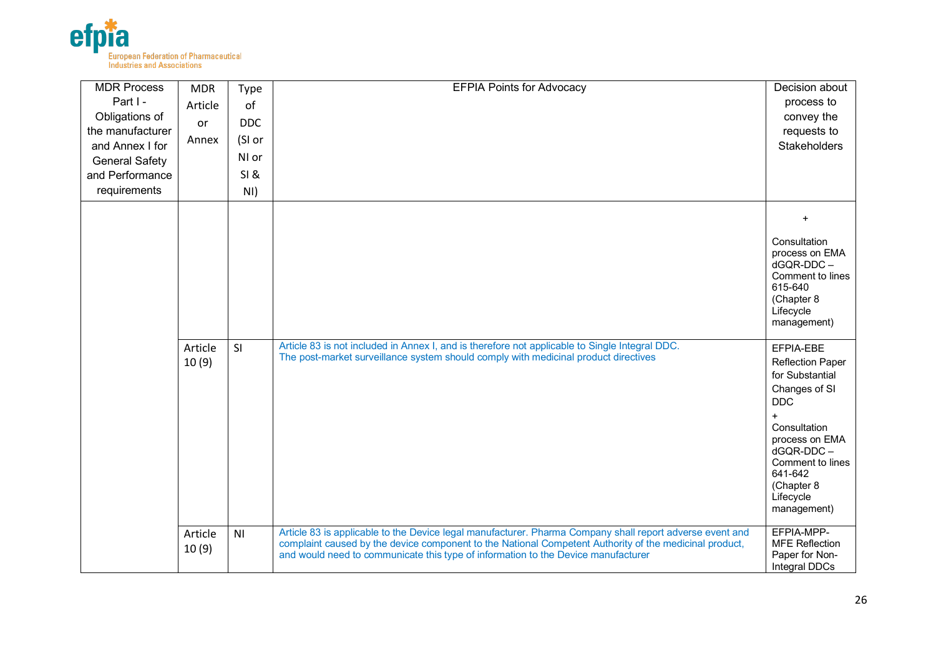

| <b>MDR Process</b><br>Part I -<br>Obligations of<br>the manufacturer<br>and Annex I for<br><b>General Safety</b><br>and Performance<br>requirements | <b>MDR</b><br>Article<br>or<br>Annex | Type<br>of<br><b>DDC</b><br>(SI or<br>NI or<br>SI &<br>NI) | <b>EFPIA Points for Advocacy</b>                                                                                                                                                                                                                                                                        | Decision about<br>process to<br>convey the<br>requests to<br><b>Stakeholders</b>                                                                                                                                      |
|-----------------------------------------------------------------------------------------------------------------------------------------------------|--------------------------------------|------------------------------------------------------------|---------------------------------------------------------------------------------------------------------------------------------------------------------------------------------------------------------------------------------------------------------------------------------------------------------|-----------------------------------------------------------------------------------------------------------------------------------------------------------------------------------------------------------------------|
|                                                                                                                                                     |                                      |                                                            |                                                                                                                                                                                                                                                                                                         | Consultation<br>process on EMA<br>dGQR-DDC-<br>Comment to lines<br>615-640<br>(Chapter 8<br>Lifecycle<br>management)                                                                                                  |
|                                                                                                                                                     | Article<br>10(9)                     | SI                                                         | Article 83 is not included in Annex I, and is therefore not applicable to Single Integral DDC.<br>The post-market surveillance system should comply with medicinal product directives                                                                                                                   | EFPIA-EBE<br><b>Reflection Paper</b><br>for Substantial<br>Changes of SI<br><b>DDC</b><br>$+$<br>Consultation<br>process on EMA<br>dGQR-DDC-<br>Comment to lines<br>641-642<br>(Chapter 8<br>Lifecycle<br>management) |
|                                                                                                                                                     | Article<br>10(9)                     | N <sub>l</sub>                                             | Article 83 is applicable to the Device legal manufacturer. Pharma Company shall report adverse event and<br>complaint caused by the device component to the National Competent Authority of the medicinal product,<br>and would need to communicate this type of information to the Device manufacturer | EFPIA-MPP-<br><b>MFE</b> Reflection<br>Paper for Non-<br>Integral DDCs                                                                                                                                                |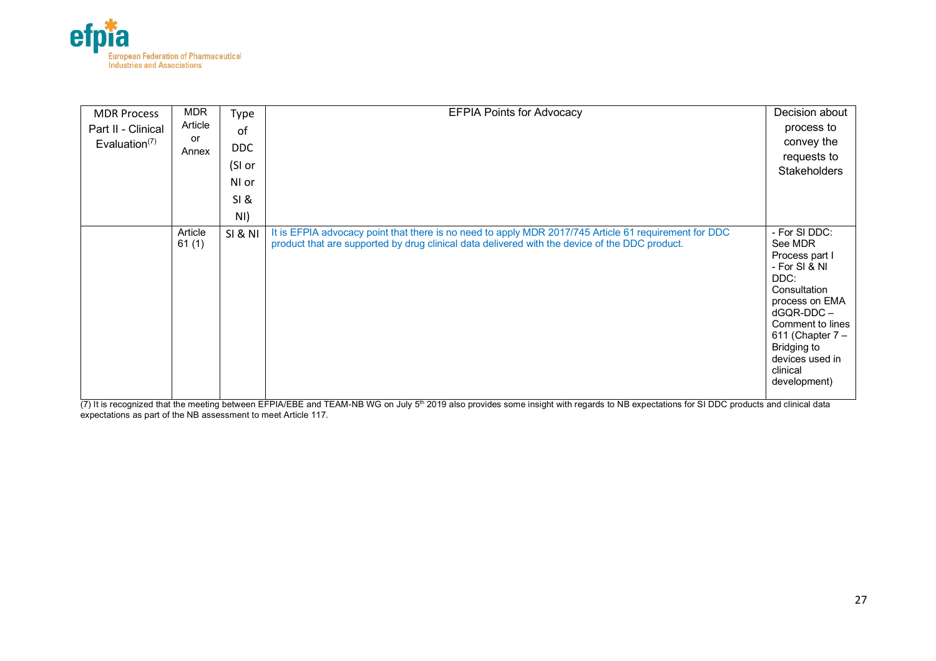

| <b>MDR Process</b><br>Part II - Clinical<br>Evaluation $(7)$ | <b>MDR</b><br>Article<br>or<br>Annex | Type<br>of<br>DDC<br>(SI or<br>NI or | <b>EFPIA Points for Advocacy</b>                                                                                                                                                                        | Decision about<br>process to<br>convey the<br>requests to<br><b>Stakeholders</b>                                                                                                                                             |
|--------------------------------------------------------------|--------------------------------------|--------------------------------------|---------------------------------------------------------------------------------------------------------------------------------------------------------------------------------------------------------|------------------------------------------------------------------------------------------------------------------------------------------------------------------------------------------------------------------------------|
|                                                              |                                      | SI &                                 |                                                                                                                                                                                                         |                                                                                                                                                                                                                              |
|                                                              |                                      | NI)                                  |                                                                                                                                                                                                         |                                                                                                                                                                                                                              |
|                                                              | Article<br>61(1)                     | <b>SI &amp; NI</b>                   | It is EFPIA advocacy point that there is no need to apply MDR 2017/745 Article 61 requirement for DDC<br>product that are supported by drug clinical data delivered with the device of the DDC product. | - For SI DDC:<br>See MDR<br>Process part I<br>- For SI & NI<br>DDC:<br>Consultation<br>process on EMA<br>$dGQR-DDC -$<br>Comment to lines<br>611 (Chapter $7-$<br>Bridging to<br>devices used in<br>clinical<br>development) |

(7) It is recognized that the meeting between EFPIA/EBE and TEAM-NB WG on July 5<sup>th</sup> 2019 also provides some insight with regards to NB expectations for SI DDC products and clinical data expectations as part of the NB assessment to meet Article 117.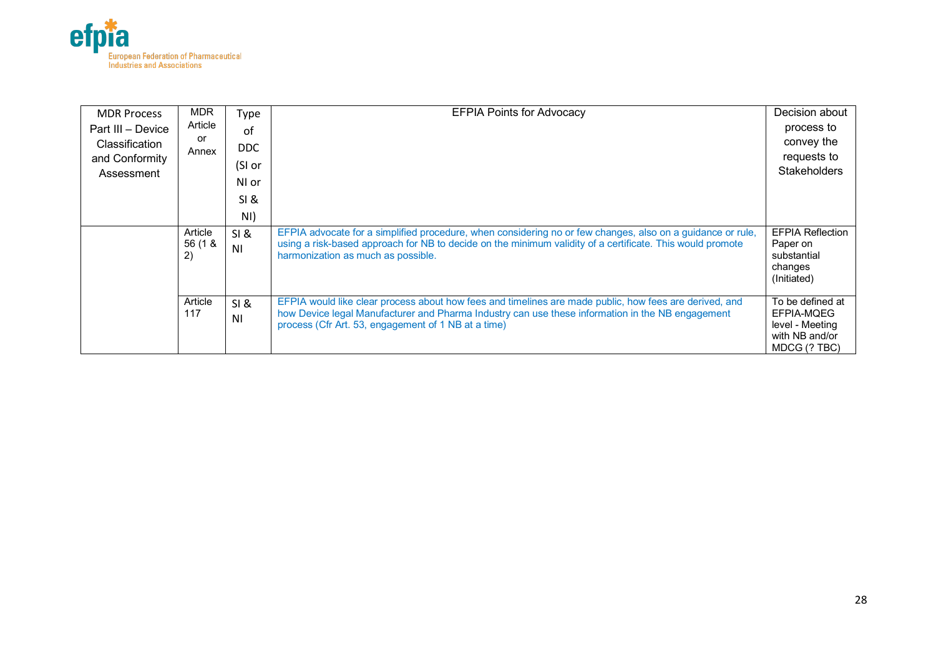

| <b>MDR Process</b> | <b>MDR</b>               | Type                   | <b>EFPIA Points for Advocacy</b>                                                                                                                                                                                                                                  | Decision about                                                                      |
|--------------------|--------------------------|------------------------|-------------------------------------------------------------------------------------------------------------------------------------------------------------------------------------------------------------------------------------------------------------------|-------------------------------------------------------------------------------------|
| Part III - Device  | Article                  | of                     |                                                                                                                                                                                                                                                                   | process to                                                                          |
| Classification     | or                       | <b>DDC</b>             |                                                                                                                                                                                                                                                                   | convey the                                                                          |
| and Conformity     | Annex                    |                        |                                                                                                                                                                                                                                                                   | requests to                                                                         |
| Assessment         |                          | (SI or                 |                                                                                                                                                                                                                                                                   | <b>Stakeholders</b>                                                                 |
|                    |                          | NI or                  |                                                                                                                                                                                                                                                                   |                                                                                     |
|                    |                          | SI &                   |                                                                                                                                                                                                                                                                   |                                                                                     |
|                    |                          | NI)                    |                                                                                                                                                                                                                                                                   |                                                                                     |
|                    | Article<br>56 (1 &<br>2) | SI &<br>N <sub>1</sub> | EFPIA advocate for a simplified procedure, when considering no or few changes, also on a guidance or rule,<br>using a risk-based approach for NB to decide on the minimum validity of a certificate. This would promote<br>harmonization as much as possible.     | <b>EFPIA Reflection</b><br>Paper on<br>substantial<br>changes<br>(Initiated)        |
|                    | Article<br>117           | SI &<br>N <sub>1</sub> | EFPIA would like clear process about how fees and timelines are made public, how fees are derived, and<br>how Device legal Manufacturer and Pharma Industry can use these information in the NB engagement<br>process (Cfr Art. 53, engagement of 1 NB at a time) | To be defined at<br>EFPIA-MQEG<br>level - Meeting<br>with NB and/or<br>MDCG (? TBC) |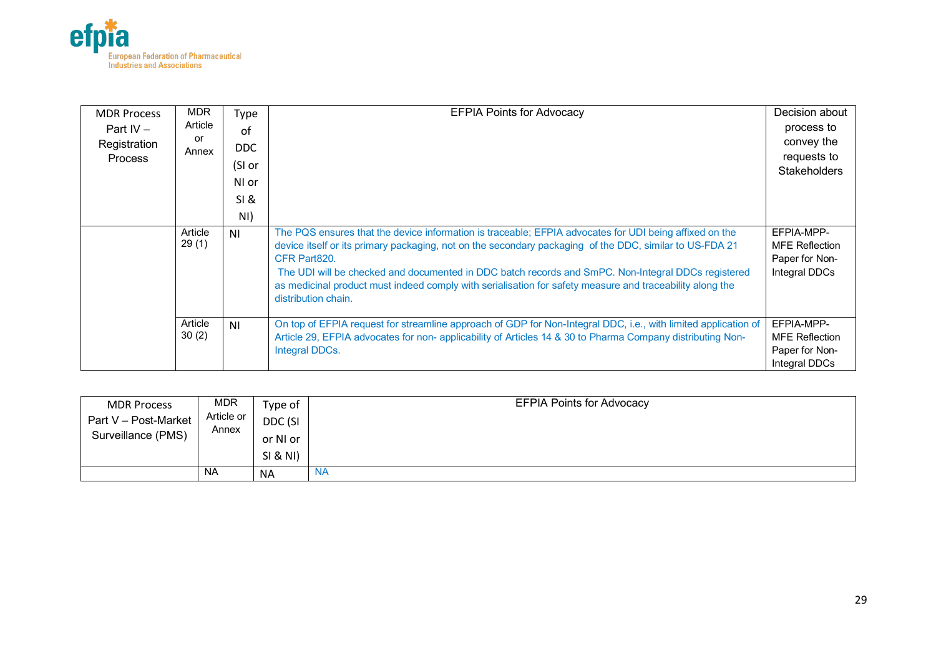

| <b>MDR Process</b><br>Part $IV -$<br>Registration<br><b>Process</b> | <b>MDR</b><br>Type<br>Article<br>of<br>or<br>DDC.<br>Annex<br>(SI or<br>NI or<br>SI &<br>NI) |           | <b>EFPIA Points for Advocacy</b>                                                                                                                                                                                                                                                                                                                                                                                                                                           | Decision about<br>process to<br>convey the<br>requests to<br><b>Stakeholders</b> |
|---------------------------------------------------------------------|----------------------------------------------------------------------------------------------|-----------|----------------------------------------------------------------------------------------------------------------------------------------------------------------------------------------------------------------------------------------------------------------------------------------------------------------------------------------------------------------------------------------------------------------------------------------------------------------------------|----------------------------------------------------------------------------------|
|                                                                     | Article<br>29(1)                                                                             | <b>NI</b> | The PQS ensures that the device information is traceable; EFPIA advocates for UDI being affixed on the<br>device itself or its primary packaging, not on the secondary packaging of the DDC, similar to US-FDA 21<br>CFR Part820.<br>The UDI will be checked and documented in DDC batch records and SmPC. Non-Integral DDCs registered<br>as medicinal product must indeed comply with serialisation for safety measure and traceability along the<br>distribution chain. | EFPIA-MPP-<br><b>MFE Reflection</b><br>Paper for Non-<br>Integral DDCs           |
|                                                                     | Article<br>30(2)                                                                             | ΝI        | On top of EFPIA request for streamline approach of GDP for Non-Integral DDC, i.e., with limited application of<br>Article 29, EFPIA advocates for non- applicability of Articles 14 & 30 to Pharma Company distributing Non-<br>Integral DDCs.                                                                                                                                                                                                                             | EFPIA-MPP-<br><b>MFE Reflection</b><br>Paper for Non-<br>Integral DDCs           |

| <b>MDR Process</b>   | <b>MDR</b>          | Type of   | <b>EFPIA Points for Advocacy</b> |
|----------------------|---------------------|-----------|----------------------------------|
| Part V - Post-Market | Article or<br>Annex | DDC (SI   |                                  |
| Surveillance (PMS)   |                     | or NI or  |                                  |
|                      |                     | SI & NI)  |                                  |
|                      | <b>NA</b>           | <b>NA</b> | <b>NA</b>                        |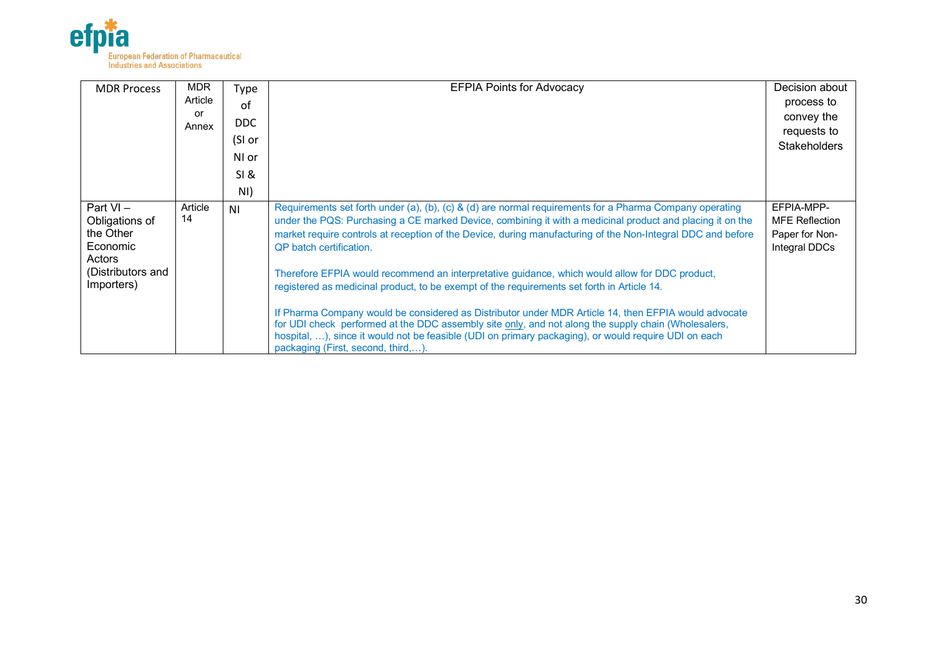

| <b>MDR Process</b> | <b>MDR</b> | Type           | <b>EFPIA Points for Advocacy</b>                                                                                                                                                             | Decision about        |
|--------------------|------------|----------------|----------------------------------------------------------------------------------------------------------------------------------------------------------------------------------------------|-----------------------|
|                    | Article    | of             |                                                                                                                                                                                              | process to            |
|                    | or         | DDC            |                                                                                                                                                                                              | convey the            |
|                    | Annex      |                |                                                                                                                                                                                              | requests to           |
|                    |            | (SI or         |                                                                                                                                                                                              | <b>Stakeholders</b>   |
|                    |            | NI or          |                                                                                                                                                                                              |                       |
|                    |            | SI &           |                                                                                                                                                                                              |                       |
|                    |            | NI)            |                                                                                                                                                                                              |                       |
| Part VI-           | Article    | N <sub>1</sub> | Requirements set forth under (a), (b), (c) & (d) are normal requirements for a Pharma Company operating                                                                                      | EFPIA-MPP-            |
| Obligations of     | 14         |                | under the PQS: Purchasing a CE marked Device, combining it with a medicinal product and placing it on the                                                                                    | <b>MFE Reflection</b> |
| the Other          |            |                | market require controls at reception of the Device, during manufacturing of the Non-Integral DDC and before                                                                                  | Paper for Non-        |
| Economic<br>Actors |            |                | QP batch certification.                                                                                                                                                                      | Integral DDCs         |
| (Distributors and  |            |                |                                                                                                                                                                                              |                       |
| Importers)         |            |                | Therefore EFPIA would recommend an interpretative guidance, which would allow for DDC product,<br>registered as medicinal product, to be exempt of the requirements set forth in Article 14. |                       |
|                    |            |                |                                                                                                                                                                                              |                       |
|                    |            |                | If Pharma Company would be considered as Distributor under MDR Article 14, then EFPIA would advocate                                                                                         |                       |
|                    |            |                | for UDI check performed at the DDC assembly site only, and not along the supply chain (Wholesalers,                                                                                          |                       |
|                    |            |                | hospital, ), since it would not be feasible (UDI on primary packaging), or would require UDI on each                                                                                         |                       |
|                    |            |                | packaging (First, second, third,).                                                                                                                                                           |                       |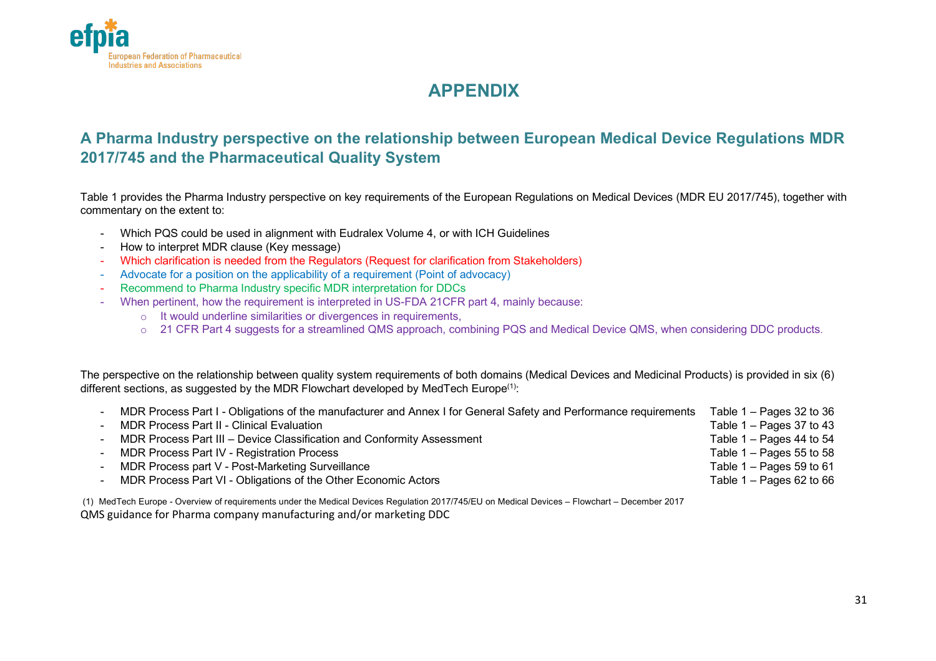

# **APPENDIX**

## **A Pharma Industry perspective on the relationship between European Medical Device Regulations MDR 2017/745 and the Pharmaceutical Quality System**

Table 1 provides the Pharma Industry perspective on key requirements of the European Regulations on Medical Devices (MDR EU 2017/745), together with commentary on the extent to:

- Which PQS could be used in alignment with Eudralex Volume 4, or with ICH Guidelines
- How to interpret MDR clause (Key message)
- Which clarification is needed from the Regulators (Request for clarification from Stakeholders)
- Advocate for a position on the applicability of a requirement (Point of advocacy)
- Recommend to Pharma Industry specific MDR interpretation for DDCs
- When pertinent, how the requirement is interpreted in US-FDA 21CFR part 4, mainly because:
	- o It would underline similarities or divergences in requirements,
	- o 21 CFR Part 4 suggests for a streamlined QMS approach, combining PQS and Medical Device QMS, when considering DDC products.

The perspective on the relationship between quality system requirements of both domains (Medical Devices and Medicinal Products) is provided in six (6) different sections, as suggested by the MDR Flowchart developed by MedTech Europe<sup>(1)</sup>:

| - MDR Process Part I - Obligations of the manufacturer and Annex I for General Safety and Performance requirements | Table $1 -$ Pages 32 to 36 |
|--------------------------------------------------------------------------------------------------------------------|----------------------------|
| - MDR Process Part II - Clinical Evaluation                                                                        | Table $1 -$ Pages 37 to 43 |
| - MDR Process Part III – Device Classification and Conformity Assessment                                           | Table $1 -$ Pages 44 to 54 |
| - MDR Process Part IV - Registration Process                                                                       | Table $1 -$ Pages 55 to 58 |
| - MDR Process part V - Post-Marketing Surveillance                                                                 | Table $1 -$ Pages 59 to 61 |
| - MDR Process Part VI - Obligations of the Other Economic Actors                                                   | Table $1 -$ Pages 62 to 66 |

(1) MedTech Europe - Overview of requirements under the Medical Devices Regulation 2017/745/EU on Medical Devices – Flowchart – December 2017 QMS guidance for Pharma company manufacturing and/or marketing DDC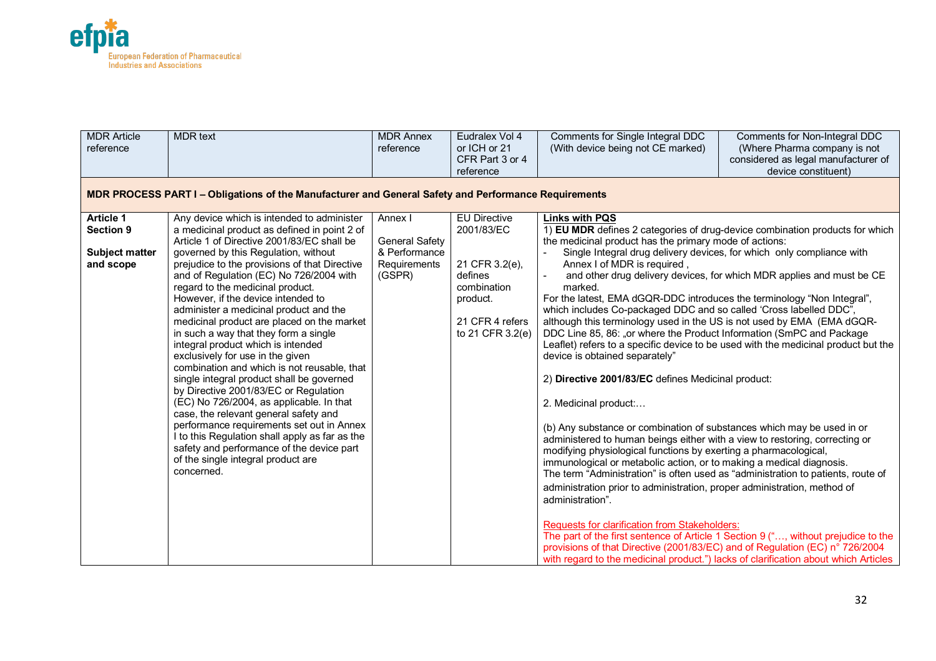

| <b>MDR Article</b><br>reference                                            | <b>MDR</b> text                                                                                                                                                                                                                                                                                                                                                                                                                                                                                                                                                                                                                                                                                                                                                                                                                                                                                                                                                                             | <b>MDR Annex</b><br>reference                                               | Eudralex Vol 4<br>or ICH or 21<br>CFR Part 3 or 4<br>reference                                                                   | Comments for Single Integral DDC<br>(With device being not CE marked)                                                                                                                                                                                                                                                                                                                                                                                                                                                                                                                                                                                                                                                                                                                                                                                                                                                                                                                                                                                                                                                                                                                                                                                                                                                                                                                                                                                                                                         | Comments for Non-Integral DDC<br>(Where Pharma company is not<br>considered as legal manufacturer of<br>device constituent)                                 |
|----------------------------------------------------------------------------|---------------------------------------------------------------------------------------------------------------------------------------------------------------------------------------------------------------------------------------------------------------------------------------------------------------------------------------------------------------------------------------------------------------------------------------------------------------------------------------------------------------------------------------------------------------------------------------------------------------------------------------------------------------------------------------------------------------------------------------------------------------------------------------------------------------------------------------------------------------------------------------------------------------------------------------------------------------------------------------------|-----------------------------------------------------------------------------|----------------------------------------------------------------------------------------------------------------------------------|---------------------------------------------------------------------------------------------------------------------------------------------------------------------------------------------------------------------------------------------------------------------------------------------------------------------------------------------------------------------------------------------------------------------------------------------------------------------------------------------------------------------------------------------------------------------------------------------------------------------------------------------------------------------------------------------------------------------------------------------------------------------------------------------------------------------------------------------------------------------------------------------------------------------------------------------------------------------------------------------------------------------------------------------------------------------------------------------------------------------------------------------------------------------------------------------------------------------------------------------------------------------------------------------------------------------------------------------------------------------------------------------------------------------------------------------------------------------------------------------------------------|-------------------------------------------------------------------------------------------------------------------------------------------------------------|
|                                                                            | MDR PROCESS PART I - Obligations of the Manufacturer and General Safety and Performance Requirements                                                                                                                                                                                                                                                                                                                                                                                                                                                                                                                                                                                                                                                                                                                                                                                                                                                                                        |                                                                             |                                                                                                                                  |                                                                                                                                                                                                                                                                                                                                                                                                                                                                                                                                                                                                                                                                                                                                                                                                                                                                                                                                                                                                                                                                                                                                                                                                                                                                                                                                                                                                                                                                                                               |                                                                                                                                                             |
| <b>Article 1</b><br><b>Section 9</b><br><b>Subject matter</b><br>and scope | Any device which is intended to administer<br>a medicinal product as defined in point 2 of<br>Article 1 of Directive 2001/83/EC shall be<br>governed by this Regulation, without<br>prejudice to the provisions of that Directive<br>and of Regulation (EC) No 726/2004 with<br>regard to the medicinal product.<br>However, if the device intended to<br>administer a medicinal product and the<br>medicinal product are placed on the market<br>in such a way that they form a single<br>integral product which is intended<br>exclusively for use in the given<br>combination and which is not reusable, that<br>single integral product shall be governed<br>by Directive 2001/83/EC or Regulation<br>(EC) No 726/2004, as applicable. In that<br>case, the relevant general safety and<br>performance requirements set out in Annex<br>I to this Regulation shall apply as far as the<br>safety and performance of the device part<br>of the single integral product are<br>concerned. | Annex I<br><b>General Safety</b><br>& Performance<br>Requirements<br>(GSPR) | <b>EU Directive</b><br>2001/83/EC<br>21 CFR 3.2(e),<br>defines<br>combination<br>product.<br>21 CFR 4 refers<br>to 21 CFR 3.2(e) | <b>Links with PQS</b><br>1) EU MDR defines 2 categories of drug-device combination products for which<br>the medicinal product has the primary mode of actions:<br>Single Integral drug delivery devices, for which only compliance with<br>Annex I of MDR is required,<br>marked.<br>For the latest, EMA dGQR-DDC introduces the terminology "Non Integral",<br>which includes Co-packaged DDC and so called 'Cross labelled DDC",<br>although this terminology used in the US is not used by EMA (EMA dGQR-<br>DDC Line 85, 86: "or where the Product Information (SmPC and Package<br>device is obtained separately"<br>2) Directive 2001/83/EC defines Medicinal product:<br>2. Medicinal product:<br>(b) Any substance or combination of substances which may be used in or<br>administered to human beings either with a view to restoring, correcting or<br>modifying physiological functions by exerting a pharmacological,<br>immunological or metabolic action, or to making a medical diagnosis.<br>The term "Administration" is often used as "administration to patients, route of<br>administration prior to administration, proper administration, method of<br>administration".<br>Requests for clarification from Stakeholders:<br>The part of the first sentence of Article 1 Section 9 (", without prejudice to the<br>provisions of that Directive (2001/83/EC) and of Regulation (EC) n° 726/2004<br>with regard to the medicinal product.") lacks of clarification about which Articles | and other drug delivery devices, for which MDR applies and must be CE<br>Leaflet) refers to a specific device to be used with the medicinal product but the |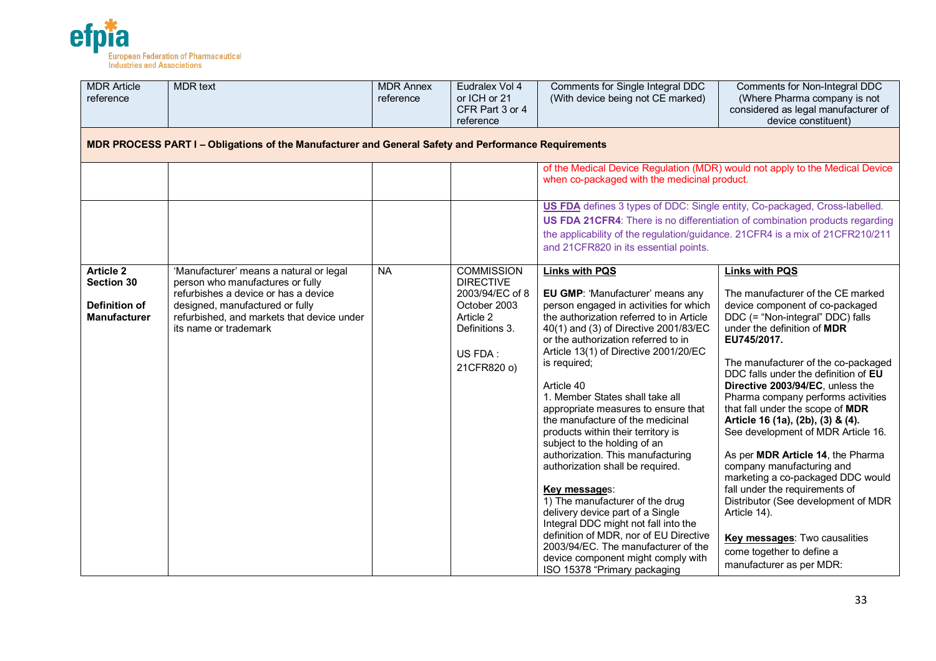

| <b>MDR</b> Article<br>reference                                                      | <b>MDR</b> text                                                                                                                                                                                                               | <b>MDR Annex</b><br>reference | Eudralex Vol 4<br>or ICH or 21<br>CFR Part 3 or 4<br>reference                                                                    | Comments for Single Integral DDC<br>(With device being not CE marked)                                                                                                                                                                                                                                                                                                                                                                                                                                                                                                                                                                                                                                                                                                                                                                                      | Comments for Non-Integral DDC<br>(Where Pharma company is not<br>considered as legal manufacturer of<br>device constituent)                                                                                                                                                                                                                                                                                                                                                                                                                                                                                                                                                                                                                                     |
|--------------------------------------------------------------------------------------|-------------------------------------------------------------------------------------------------------------------------------------------------------------------------------------------------------------------------------|-------------------------------|-----------------------------------------------------------------------------------------------------------------------------------|------------------------------------------------------------------------------------------------------------------------------------------------------------------------------------------------------------------------------------------------------------------------------------------------------------------------------------------------------------------------------------------------------------------------------------------------------------------------------------------------------------------------------------------------------------------------------------------------------------------------------------------------------------------------------------------------------------------------------------------------------------------------------------------------------------------------------------------------------------|-----------------------------------------------------------------------------------------------------------------------------------------------------------------------------------------------------------------------------------------------------------------------------------------------------------------------------------------------------------------------------------------------------------------------------------------------------------------------------------------------------------------------------------------------------------------------------------------------------------------------------------------------------------------------------------------------------------------------------------------------------------------|
|                                                                                      | MDR PROCESS PART I - Obligations of the Manufacturer and General Safety and Performance Requirements                                                                                                                          |                               |                                                                                                                                   |                                                                                                                                                                                                                                                                                                                                                                                                                                                                                                                                                                                                                                                                                                                                                                                                                                                            |                                                                                                                                                                                                                                                                                                                                                                                                                                                                                                                                                                                                                                                                                                                                                                 |
|                                                                                      |                                                                                                                                                                                                                               |                               |                                                                                                                                   | when co-packaged with the medicinal product.                                                                                                                                                                                                                                                                                                                                                                                                                                                                                                                                                                                                                                                                                                                                                                                                               | of the Medical Device Regulation (MDR) would not apply to the Medical Device                                                                                                                                                                                                                                                                                                                                                                                                                                                                                                                                                                                                                                                                                    |
|                                                                                      |                                                                                                                                                                                                                               |                               |                                                                                                                                   | US FDA defines 3 types of DDC: Single entity, Co-packaged, Cross-labelled.                                                                                                                                                                                                                                                                                                                                                                                                                                                                                                                                                                                                                                                                                                                                                                                 |                                                                                                                                                                                                                                                                                                                                                                                                                                                                                                                                                                                                                                                                                                                                                                 |
|                                                                                      |                                                                                                                                                                                                                               |                               |                                                                                                                                   | the applicability of the regulation/guidance. 21CFR4 is a mix of 21CFR210/211<br>and 21CFR820 in its essential points.                                                                                                                                                                                                                                                                                                                                                                                                                                                                                                                                                                                                                                                                                                                                     | US FDA 21CFR4: There is no differentiation of combination products regarding                                                                                                                                                                                                                                                                                                                                                                                                                                                                                                                                                                                                                                                                                    |
| <b>Article 2</b><br><b>Section 30</b><br><b>Definition of</b><br><b>Manufacturer</b> | 'Manufacturer' means a natural or legal<br>person who manufactures or fully<br>refurbishes a device or has a device<br>designed, manufactured or fully<br>refurbished, and markets that device under<br>its name or trademark | <b>NA</b>                     | <b>COMMISSION</b><br><b>DIRECTIVE</b><br>2003/94/EC of 8<br>October 2003<br>Article 2<br>Definitions 3.<br>US FDA:<br>21CFR820 o) | <b>Links with PQS</b><br>EU GMP: 'Manufacturer' means any<br>person engaged in activities for which<br>the authorization referred to in Article<br>40(1) and (3) of Directive 2001/83/EC<br>or the authorization referred to in<br>Article 13(1) of Directive 2001/20/EC<br>is required;<br>Article 40<br>1. Member States shall take all<br>appropriate measures to ensure that<br>the manufacture of the medicinal<br>products within their territory is<br>subject to the holding of an<br>authorization. This manufacturing<br>authorization shall be required.<br>Key messages:<br>1) The manufacturer of the drug<br>delivery device part of a Single<br>Integral DDC might not fall into the<br>definition of MDR, nor of EU Directive<br>2003/94/EC. The manufacturer of the<br>device component might comply with<br>ISO 15378 "Primary packaging | <b>Links with PQS</b><br>The manufacturer of the CE marked<br>device component of co-packaged<br>DDC (= "Non-integral" DDC) falls<br>under the definition of <b>MDR</b><br>EU745/2017.<br>The manufacturer of the co-packaged<br>DDC falls under the definition of EU<br>Directive 2003/94/EC, unless the<br>Pharma company performs activities<br>that fall under the scope of MDR<br>Article 16 (1a), (2b), (3) & (4).<br>See development of MDR Article 16.<br>As per MDR Article 14, the Pharma<br>company manufacturing and<br>marketing a co-packaged DDC would<br>fall under the requirements of<br>Distributor (See development of MDR<br>Article 14).<br><b>Key messages:</b> Two causalities<br>come together to define a<br>manufacturer as per MDR: |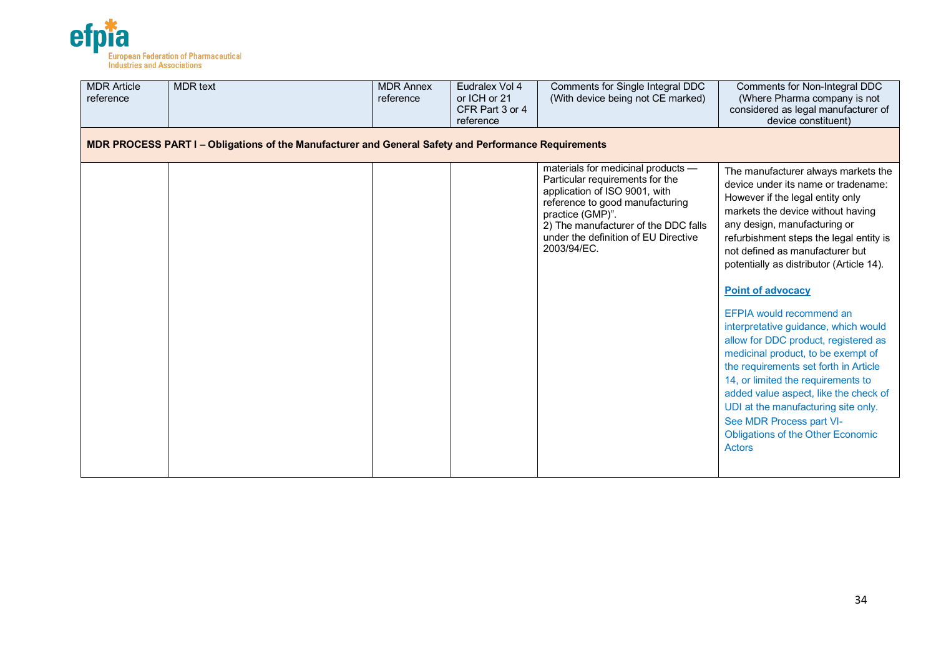

| <b>MDR Article</b><br>reference                                                                      | <b>MDR</b> text | <b>MDR Annex</b><br>reference | Eudralex Vol 4<br>or ICH or 21<br>CFR Part 3 or 4<br>reference | Comments for Single Integral DDC<br>(With device being not CE marked)                                                                                                                                                                                        | Comments for Non-Integral DDC<br>(Where Pharma company is not<br>considered as legal manufacturer of<br>device constituent)                                                                                                                                                                                                                                                                                                                                                                                                                                                                                                                                                                                                                         |  |  |  |  |  |
|------------------------------------------------------------------------------------------------------|-----------------|-------------------------------|----------------------------------------------------------------|--------------------------------------------------------------------------------------------------------------------------------------------------------------------------------------------------------------------------------------------------------------|-----------------------------------------------------------------------------------------------------------------------------------------------------------------------------------------------------------------------------------------------------------------------------------------------------------------------------------------------------------------------------------------------------------------------------------------------------------------------------------------------------------------------------------------------------------------------------------------------------------------------------------------------------------------------------------------------------------------------------------------------------|--|--|--|--|--|
| MDR PROCESS PART I - Obligations of the Manufacturer and General Safety and Performance Requirements |                 |                               |                                                                |                                                                                                                                                                                                                                                              |                                                                                                                                                                                                                                                                                                                                                                                                                                                                                                                                                                                                                                                                                                                                                     |  |  |  |  |  |
|                                                                                                      |                 |                               |                                                                | materials for medicinal products -<br>Particular requirements for the<br>application of ISO 9001, with<br>reference to good manufacturing<br>practice (GMP)".<br>2) The manufacturer of the DDC falls<br>under the definition of EU Directive<br>2003/94/EC. | The manufacturer always markets the<br>device under its name or tradename:<br>However if the legal entity only<br>markets the device without having<br>any design, manufacturing or<br>refurbishment steps the legal entity is<br>not defined as manufacturer but<br>potentially as distributor (Article 14).<br><b>Point of advocacy</b><br>EFPIA would recommend an<br>interpretative guidance, which would<br>allow for DDC product, registered as<br>medicinal product, to be exempt of<br>the requirements set forth in Article<br>14, or limited the requirements to<br>added value aspect, like the check of<br>UDI at the manufacturing site only.<br>See MDR Process part VI-<br><b>Obligations of the Other Economic</b><br><b>Actors</b> |  |  |  |  |  |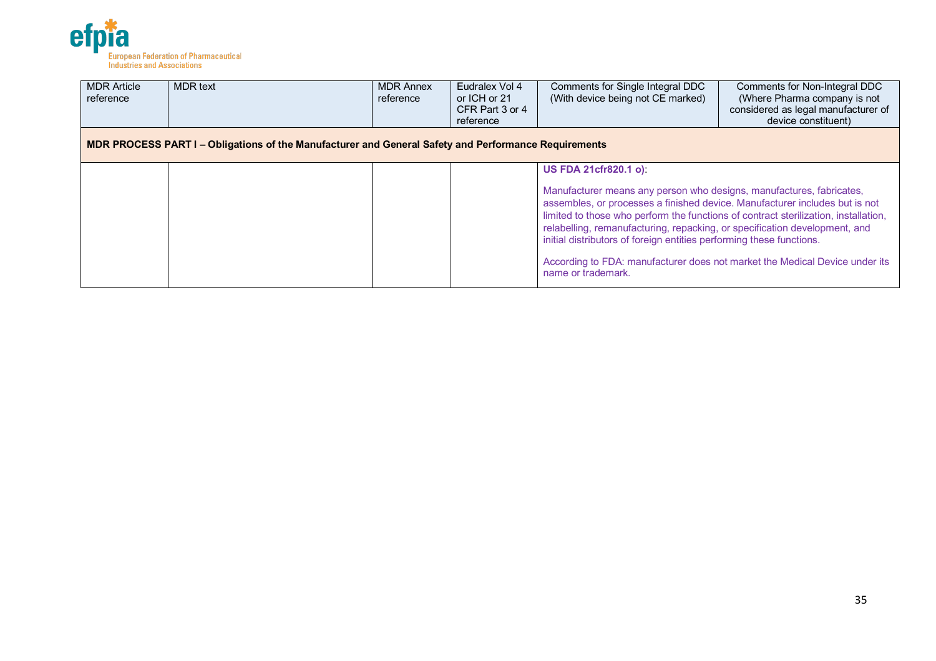

| <b>MDR Article</b><br>reference                                                                      | <b>MDR</b> text | <b>MDR Annex</b><br>reference | Eudralex Vol 4<br>or ICH or 21<br>CFR Part 3 or 4<br>reference | Comments for Single Integral DDC<br>(With device being not CE marked)                                                                                                                                                                                                                                                                                                                                                                                                                                 | Comments for Non-Integral DDC<br>(Where Pharma company is not<br>considered as legal manufacturer of<br>device constituent) |  |  |  |  |
|------------------------------------------------------------------------------------------------------|-----------------|-------------------------------|----------------------------------------------------------------|-------------------------------------------------------------------------------------------------------------------------------------------------------------------------------------------------------------------------------------------------------------------------------------------------------------------------------------------------------------------------------------------------------------------------------------------------------------------------------------------------------|-----------------------------------------------------------------------------------------------------------------------------|--|--|--|--|
| MDR PROCESS PART I – Obligations of the Manufacturer and General Safety and Performance Requirements |                 |                               |                                                                |                                                                                                                                                                                                                                                                                                                                                                                                                                                                                                       |                                                                                                                             |  |  |  |  |
|                                                                                                      |                 |                               |                                                                | US FDA 21cfr820.1 o):                                                                                                                                                                                                                                                                                                                                                                                                                                                                                 |                                                                                                                             |  |  |  |  |
|                                                                                                      |                 |                               |                                                                | Manufacturer means any person who designs, manufactures, fabricates,<br>assembles, or processes a finished device. Manufacturer includes but is not<br>limited to those who perform the functions of contract sterilization, installation,<br>relabelling, remanufacturing, repacking, or specification development, and<br>initial distributors of foreign entities performing these functions.<br>According to FDA: manufacturer does not market the Medical Device under its<br>name or trademark. |                                                                                                                             |  |  |  |  |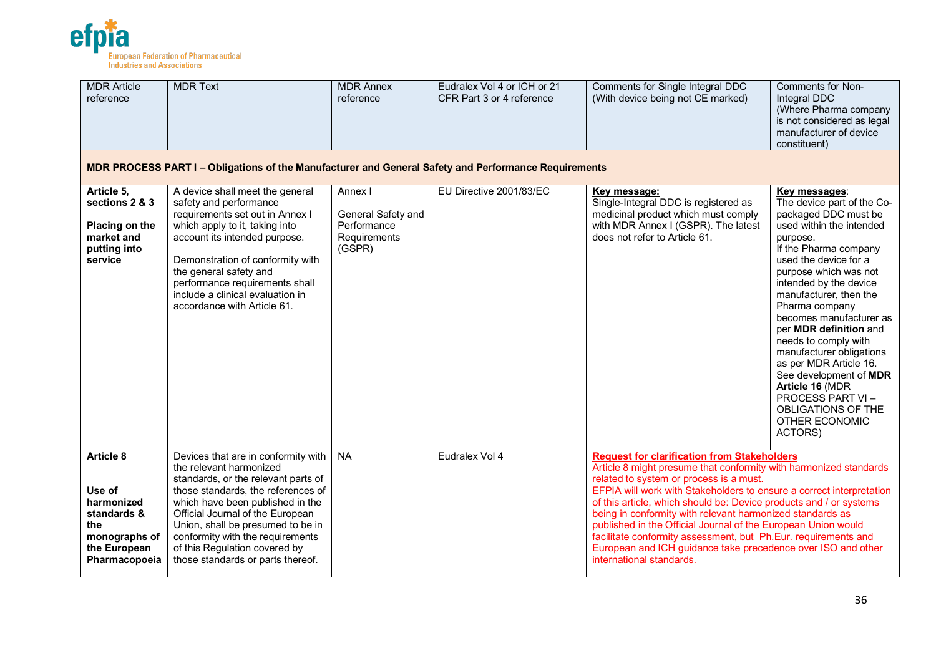

| <b>MDR Article</b><br>reference                                                                                  | <b>MDR Text</b>                                                                                                                                                                                                                                                                                                                                                    | <b>MDR Annex</b><br>reference                                          | Eudralex Vol 4 or ICH or 21<br>CFR Part 3 or 4 reference | Comments for Single Integral DDC<br>(With device being not CE marked)                                                                                                                                                                                                                                                                                                                                                                                                                                                                                                                                        | Comments for Non-<br>Integral DDC<br>(Where Pharma company<br>is not considered as legal<br>manufacturer of device<br>constituent)                                                                                                                                                                                                                                                                                                                                                                                                |  |  |  |  |  |
|------------------------------------------------------------------------------------------------------------------|--------------------------------------------------------------------------------------------------------------------------------------------------------------------------------------------------------------------------------------------------------------------------------------------------------------------------------------------------------------------|------------------------------------------------------------------------|----------------------------------------------------------|--------------------------------------------------------------------------------------------------------------------------------------------------------------------------------------------------------------------------------------------------------------------------------------------------------------------------------------------------------------------------------------------------------------------------------------------------------------------------------------------------------------------------------------------------------------------------------------------------------------|-----------------------------------------------------------------------------------------------------------------------------------------------------------------------------------------------------------------------------------------------------------------------------------------------------------------------------------------------------------------------------------------------------------------------------------------------------------------------------------------------------------------------------------|--|--|--|--|--|
| MDR PROCESS PART I - Obligations of the Manufacturer and General Safety and Performance Requirements             |                                                                                                                                                                                                                                                                                                                                                                    |                                                                        |                                                          |                                                                                                                                                                                                                                                                                                                                                                                                                                                                                                                                                                                                              |                                                                                                                                                                                                                                                                                                                                                                                                                                                                                                                                   |  |  |  |  |  |
| Article 5,<br>sections 2 & 3<br>Placing on the<br>market and<br>putting into<br>service                          | A device shall meet the general<br>safety and performance<br>requirements set out in Annex I<br>which apply to it, taking into<br>account its intended purpose.<br>Demonstration of conformity with<br>the general safety and<br>performance requirements shall<br>include a clinical evaluation in<br>accordance with Article 61.                                 | Annex I<br>General Safety and<br>Performance<br>Requirements<br>(GSPR) | EU Directive 2001/83/EC                                  | Key message:<br>Single-Integral DDC is registered as<br>medicinal product which must comply<br>with MDR Annex I (GSPR). The latest<br>does not refer to Article 61.                                                                                                                                                                                                                                                                                                                                                                                                                                          | Key messages:<br>The device part of the Co-<br>packaged DDC must be<br>used within the intended<br>purpose.<br>If the Pharma company<br>used the device for a<br>purpose which was not<br>intended by the device<br>manufacturer, then the<br>Pharma company<br>becomes manufacturer as<br>per MDR definition and<br>needs to comply with<br>manufacturer obligations<br>as per MDR Article 16.<br>See development of MDR<br>Article 16 (MDR<br><b>PROCESS PART VI-</b><br>OBLIGATIONS OF THE<br><b>OTHER ECONOMIC</b><br>ACTORS) |  |  |  |  |  |
| <b>Article 8</b><br>Use of<br>harmonized<br>standards &<br>the<br>monographs of<br>the European<br>Pharmacopoeia | Devices that are in conformity with<br>the relevant harmonized<br>standards, or the relevant parts of<br>those standards, the references of<br>which have been published in the<br>Official Journal of the European<br>Union, shall be presumed to be in<br>conformity with the requirements<br>of this Regulation covered by<br>those standards or parts thereof. | <b>NA</b>                                                              | Eudralex Vol 4                                           | <b>Request for clarification from Stakeholders</b><br>Article 8 might presume that conformity with harmonized standards<br>related to system or process is a must.<br>EFPIA will work with Stakeholders to ensure a correct interpretation<br>of this article, which should be: Device products and / or systems<br>being in conformity with relevant harmonized standards as<br>published in the Official Journal of the European Union would<br>facilitate conformity assessment, but Ph.Eur. requirements and<br>European and ICH guidance-take precedence over ISO and other<br>international standards. |                                                                                                                                                                                                                                                                                                                                                                                                                                                                                                                                   |  |  |  |  |  |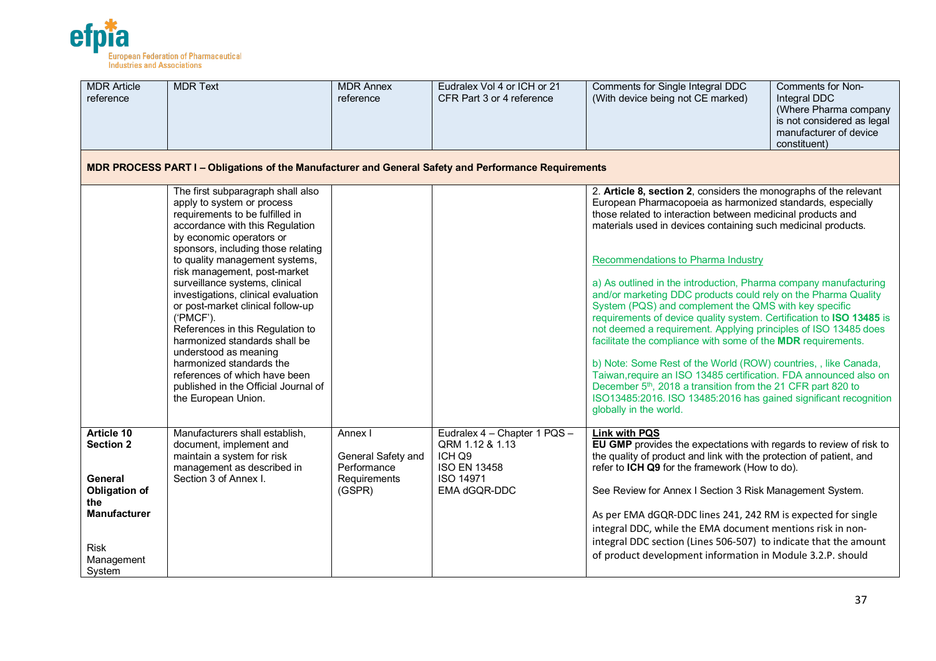

| <b>MDR Article</b><br>reference                                                                                                               | <b>MDR Text</b>                                                                                                                                                                                                                                                                                                                                                                                                                                                                                                                                                                                                                | <b>MDR Annex</b><br>reference                                          | Eudralex Vol 4 or ICH or 21<br>CFR Part 3 or 4 reference                                                      | Comments for Single Integral DDC<br>(With device being not CE marked)                                                                                                                                                                                                                                                                                                                                                                                                                                                                                                                                                                                                                                                                                                                                                                                                                                                                                                                                                             | <b>Comments for Non-</b><br>Integral DDC<br>(Where Pharma company<br>is not considered as legal<br>manufacturer of device<br>constituent) |
|-----------------------------------------------------------------------------------------------------------------------------------------------|--------------------------------------------------------------------------------------------------------------------------------------------------------------------------------------------------------------------------------------------------------------------------------------------------------------------------------------------------------------------------------------------------------------------------------------------------------------------------------------------------------------------------------------------------------------------------------------------------------------------------------|------------------------------------------------------------------------|---------------------------------------------------------------------------------------------------------------|-----------------------------------------------------------------------------------------------------------------------------------------------------------------------------------------------------------------------------------------------------------------------------------------------------------------------------------------------------------------------------------------------------------------------------------------------------------------------------------------------------------------------------------------------------------------------------------------------------------------------------------------------------------------------------------------------------------------------------------------------------------------------------------------------------------------------------------------------------------------------------------------------------------------------------------------------------------------------------------------------------------------------------------|-------------------------------------------------------------------------------------------------------------------------------------------|
|                                                                                                                                               | MDR PROCESS PART I - Obligations of the Manufacturer and General Safety and Performance Requirements                                                                                                                                                                                                                                                                                                                                                                                                                                                                                                                           |                                                                        |                                                                                                               |                                                                                                                                                                                                                                                                                                                                                                                                                                                                                                                                                                                                                                                                                                                                                                                                                                                                                                                                                                                                                                   |                                                                                                                                           |
|                                                                                                                                               | The first subparagraph shall also<br>apply to system or process<br>requirements to be fulfilled in<br>accordance with this Regulation<br>by economic operators or<br>sponsors, including those relating<br>to quality management systems,<br>risk management, post-market<br>surveillance systems, clinical<br>investigations, clinical evaluation<br>or post-market clinical follow-up<br>('PMCF').<br>References in this Regulation to<br>harmonized standards shall be<br>understood as meaning<br>harmonized standards the<br>references of which have been<br>published in the Official Journal of<br>the European Union. |                                                                        |                                                                                                               | 2. Article 8, section 2, considers the monographs of the relevant<br>European Pharmacopoeia as harmonized standards, especially<br>those related to interaction between medicinal products and<br>materials used in devices containing such medicinal products.<br>Recommendations to Pharma Industry<br>a) As outlined in the introduction, Pharma company manufacturing<br>and/or marketing DDC products could rely on the Pharma Quality<br>System (PQS) and complement the QMS with key specific<br>requirements of device quality system. Certification to ISO 13485 is<br>not deemed a requirement. Applying principles of ISO 13485 does<br>facilitate the compliance with some of the MDR requirements.<br>b) Note: Some Rest of the World (ROW) countries, , like Canada,<br>Taiwan, require an ISO 13485 certification. FDA announced also on<br>December 5 <sup>th</sup> , 2018 a transition from the 21 CFR part 820 to<br>ISO13485:2016. ISO 13485:2016 has gained significant recognition<br>globally in the world. |                                                                                                                                           |
| <b>Article 10</b><br><b>Section 2</b><br>General<br><b>Obligation of</b><br>the<br><b>Manufacturer</b><br><b>Risk</b><br>Management<br>System | Manufacturers shall establish,<br>document, implement and<br>maintain a system for risk<br>management as described in<br>Section 3 of Annex I.                                                                                                                                                                                                                                                                                                                                                                                                                                                                                 | Annex I<br>General Safety and<br>Performance<br>Requirements<br>(GSPR) | Eudralex 4 - Chapter 1 PQS -<br>QRM 1.12 & 1.13<br>ICH Q9<br><b>ISO EN 13458</b><br>ISO 14971<br>EMA dGQR-DDC | <b>Link with PQS</b><br>EU GMP provides the expectations with regards to review of risk to<br>the quality of product and link with the protection of patient, and<br>refer to ICH Q9 for the framework (How to do).<br>See Review for Annex I Section 3 Risk Management System.<br>As per EMA dGQR-DDC lines 241, 242 RM is expected for single<br>integral DDC, while the EMA document mentions risk in non-<br>integral DDC section (Lines 506-507) to indicate that the amount<br>of product development information in Module 3.2.P. should                                                                                                                                                                                                                                                                                                                                                                                                                                                                                   |                                                                                                                                           |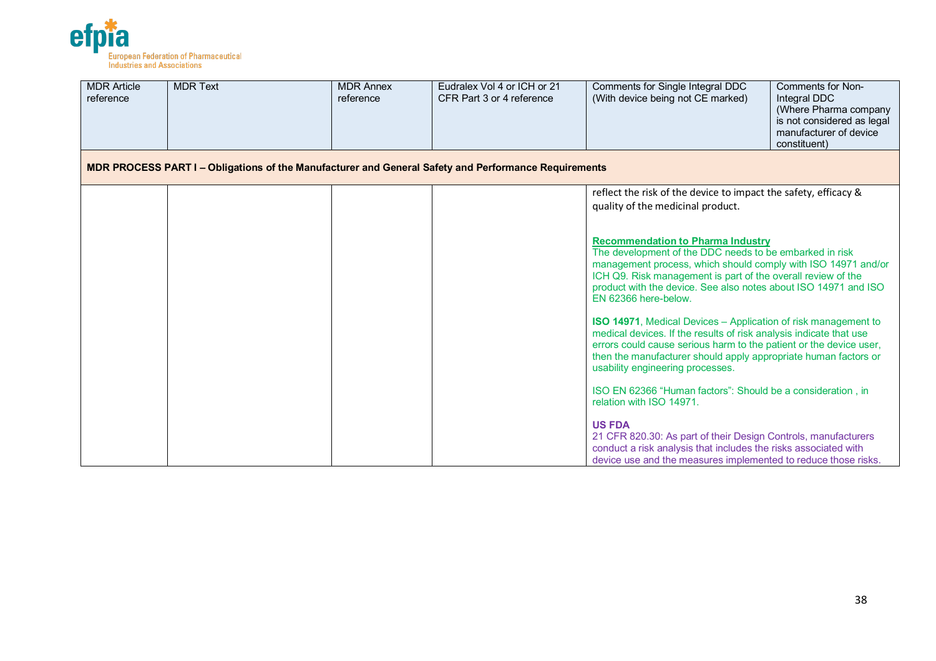

| <b>MDR Article</b><br>reference | <b>MDR Text</b>                                                                                      | <b>MDR Annex</b><br>reference | Eudralex Vol 4 or ICH or 21<br>CFR Part 3 or 4 reference | Comments for Single Integral DDC<br>(With device being not CE marked)                                                                                                                                                                                                                                                           | <b>Comments for Non-</b><br>Integral DDC<br>(Where Pharma company<br>is not considered as legal<br>manufacturer of device<br>constituent) |
|---------------------------------|------------------------------------------------------------------------------------------------------|-------------------------------|----------------------------------------------------------|---------------------------------------------------------------------------------------------------------------------------------------------------------------------------------------------------------------------------------------------------------------------------------------------------------------------------------|-------------------------------------------------------------------------------------------------------------------------------------------|
|                                 | MDR PROCESS PART I – Obligations of the Manufacturer and General Safety and Performance Requirements |                               |                                                          |                                                                                                                                                                                                                                                                                                                                 |                                                                                                                                           |
|                                 |                                                                                                      |                               |                                                          | reflect the risk of the device to impact the safety, efficacy &<br>quality of the medicinal product.                                                                                                                                                                                                                            |                                                                                                                                           |
|                                 |                                                                                                      |                               |                                                          | <b>Recommendation to Pharma Industry</b><br>The development of the DDC needs to be embarked in risk<br>management process, which should comply with ISO 14971 and/or<br>ICH Q9. Risk management is part of the overall review of the<br>product with the device. See also notes about ISO 14971 and ISO<br>EN 62366 here-below. |                                                                                                                                           |
|                                 |                                                                                                      |                               |                                                          | <b>ISO 14971</b> , Medical Devices – Application of risk management to<br>medical devices. If the results of risk analysis indicate that use<br>errors could cause serious harm to the patient or the device user,<br>then the manufacturer should apply appropriate human factors or<br>usability engineering processes.       |                                                                                                                                           |
|                                 |                                                                                                      |                               |                                                          | ISO EN 62366 "Human factors": Should be a consideration, in<br>relation with ISO 14971.                                                                                                                                                                                                                                         |                                                                                                                                           |
|                                 |                                                                                                      |                               |                                                          | <b>US FDA</b><br>21 CFR 820.30: As part of their Design Controls, manufacturers<br>conduct a risk analysis that includes the risks associated with<br>device use and the measures implemented to reduce those risks.                                                                                                            |                                                                                                                                           |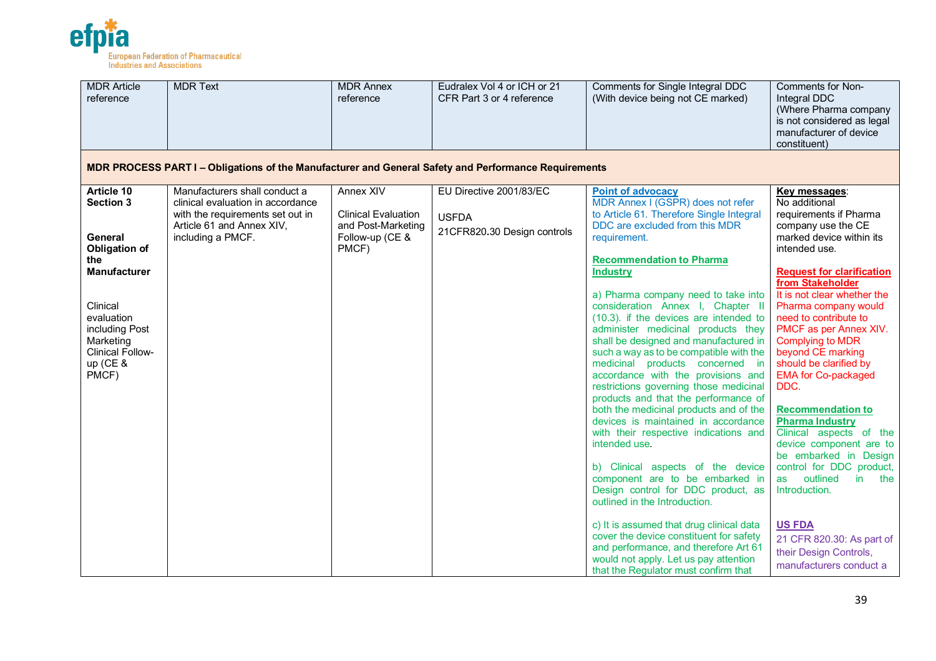

| <b>MDR Article</b><br>reference                                                                                                                                                                          | <b>MDR Text</b>                                                                                                                                          | <b>MDR Annex</b><br>reference                                                                    | Eudralex Vol 4 or ICH or 21<br>CFR Part 3 or 4 reference               | Comments for Single Integral DDC<br>(With device being not CE marked)                                                                                                                                                                                                                                                                                                                                                                                                                                                                                                                                                                                                                                                                                                                                                                                                                                                                                                                                                                                                                                                                   | <b>Comments for Non-</b><br>Integral DDC<br>(Where Pharma company<br>is not considered as legal<br>manufacturer of device<br>constituent)                                                                                                                                                                                                                                                                                                                                                                                                                                                                                                                                                                                  |
|----------------------------------------------------------------------------------------------------------------------------------------------------------------------------------------------------------|----------------------------------------------------------------------------------------------------------------------------------------------------------|--------------------------------------------------------------------------------------------------|------------------------------------------------------------------------|-----------------------------------------------------------------------------------------------------------------------------------------------------------------------------------------------------------------------------------------------------------------------------------------------------------------------------------------------------------------------------------------------------------------------------------------------------------------------------------------------------------------------------------------------------------------------------------------------------------------------------------------------------------------------------------------------------------------------------------------------------------------------------------------------------------------------------------------------------------------------------------------------------------------------------------------------------------------------------------------------------------------------------------------------------------------------------------------------------------------------------------------|----------------------------------------------------------------------------------------------------------------------------------------------------------------------------------------------------------------------------------------------------------------------------------------------------------------------------------------------------------------------------------------------------------------------------------------------------------------------------------------------------------------------------------------------------------------------------------------------------------------------------------------------------------------------------------------------------------------------------|
|                                                                                                                                                                                                          | MDR PROCESS PART I - Obligations of the Manufacturer and General Safety and Performance Requirements                                                     |                                                                                                  |                                                                        |                                                                                                                                                                                                                                                                                                                                                                                                                                                                                                                                                                                                                                                                                                                                                                                                                                                                                                                                                                                                                                                                                                                                         |                                                                                                                                                                                                                                                                                                                                                                                                                                                                                                                                                                                                                                                                                                                            |
| Article 10<br><b>Section 3</b><br>General<br><b>Obligation of</b><br>the<br><b>Manufacturer</b><br>Clinical<br>evaluation<br>including Post<br>Marketing<br><b>Clinical Follow-</b><br>up (CE &<br>PMCF) | Manufacturers shall conduct a<br>clinical evaluation in accordance<br>with the requirements set out in<br>Article 61 and Annex XIV,<br>including a PMCF. | <b>Annex XIV</b><br><b>Clinical Evaluation</b><br>and Post-Marketing<br>Follow-up (CE &<br>PMCF) | EU Directive 2001/83/EC<br><b>USFDA</b><br>21CFR820.30 Design controls | <b>Point of advocacy</b><br>MDR Annex I (GSPR) does not refer<br>to Article 61. Therefore Single Integral<br>DDC are excluded from this MDR<br>requirement.<br><b>Recommendation to Pharma</b><br><b>Industry</b><br>a) Pharma company need to take into<br>consideration Annex I, Chapter II<br>(10.3). if the devices are intended to<br>administer medicinal products they<br>shall be designed and manufactured in<br>such a way as to be compatible with the<br>medicinal products concerned in<br>accordance with the provisions and<br>restrictions governing those medicinal<br>products and that the performance of<br>both the medicinal products and of the<br>devices is maintained in accordance<br>with their respective indications and<br>intended use.<br>b) Clinical aspects of the device<br>component are to be embarked in<br>Design control for DDC product, as<br>outlined in the Introduction.<br>c) It is assumed that drug clinical data<br>cover the device constituent for safety<br>and performance, and therefore Art 61<br>would not apply. Let us pay attention<br>that the Regulator must confirm that | Key messages:<br>No additional<br>requirements if Pharma<br>company use the CE<br>marked device within its<br>intended use.<br><b>Request for clarification</b><br>from Stakeholder<br>It is not clear whether the<br>Pharma company would<br>need to contribute to<br>PMCF as per Annex XIV.<br>Complying to MDR<br>beyond CE marking<br>should be clarified by<br><b>EMA for Co-packaged</b><br>DDC.<br><b>Recommendation to</b><br><b>Pharma Industry</b><br>Clinical aspects of the<br>device component are to<br>be embarked in Design<br>control for DDC product,<br>outlined<br>as<br>in<br>the<br>Introduction.<br><b>US FDA</b><br>21 CFR 820.30: As part of<br>their Design Controls,<br>manufacturers conduct a |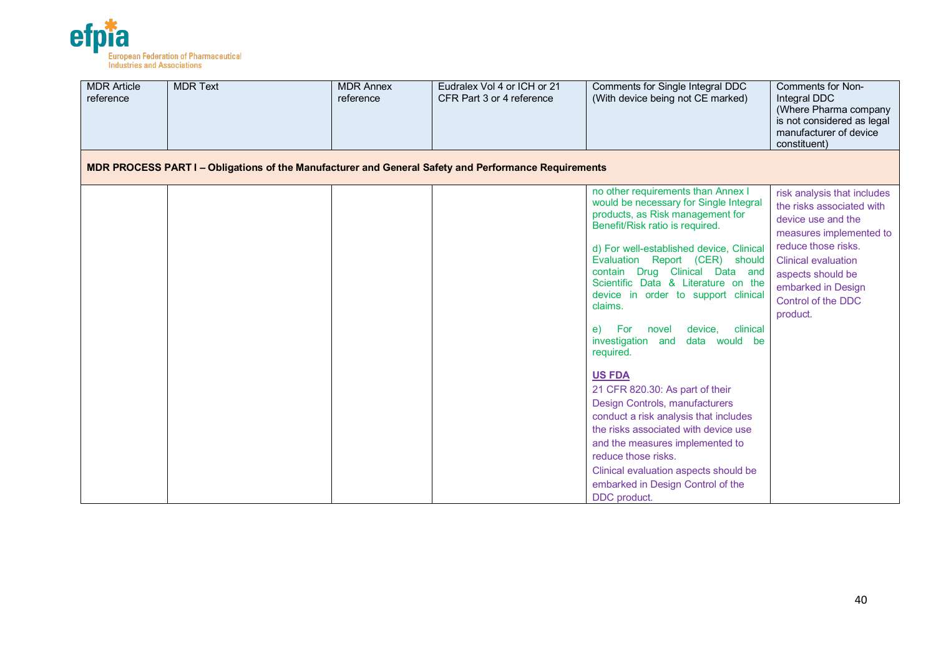

| <b>MDR Article</b><br>reference | <b>MDR Text</b>                                                                                      | <b>MDR Annex</b><br>reference | Eudralex Vol 4 or ICH or 21<br>CFR Part 3 or 4 reference | Comments for Single Integral DDC<br>(With device being not CE marked)                                                                                                                                                                                                                                                                                                                                                                                                                                                                                                                                                                                                                                                                                                                                 | Comments for Non-<br>Integral DDC<br>(Where Pharma company<br>is not considered as legal<br>manufacturer of device<br>constituent)                                                                                                          |
|---------------------------------|------------------------------------------------------------------------------------------------------|-------------------------------|----------------------------------------------------------|-------------------------------------------------------------------------------------------------------------------------------------------------------------------------------------------------------------------------------------------------------------------------------------------------------------------------------------------------------------------------------------------------------------------------------------------------------------------------------------------------------------------------------------------------------------------------------------------------------------------------------------------------------------------------------------------------------------------------------------------------------------------------------------------------------|---------------------------------------------------------------------------------------------------------------------------------------------------------------------------------------------------------------------------------------------|
|                                 | MDR PROCESS PART I - Obligations of the Manufacturer and General Safety and Performance Requirements |                               |                                                          |                                                                                                                                                                                                                                                                                                                                                                                                                                                                                                                                                                                                                                                                                                                                                                                                       |                                                                                                                                                                                                                                             |
|                                 |                                                                                                      |                               |                                                          | no other requirements than Annex I<br>would be necessary for Single Integral<br>products, as Risk management for<br>Benefit/Risk ratio is required.<br>d) For well-established device, Clinical<br>Evaluation Report (CER) should<br>contain Drug Clinical Data<br>and<br>Scientific Data & Literature on the<br>device in order to support clinical<br>claims.<br>clinical<br><b>For</b><br>novel<br>device,<br>e)<br>investigation and<br>data would be<br>required.<br><b>US FDA</b><br>21 CFR 820.30: As part of their<br>Design Controls, manufacturers<br>conduct a risk analysis that includes<br>the risks associated with device use<br>and the measures implemented to<br>reduce those risks.<br>Clinical evaluation aspects should be<br>embarked in Design Control of the<br>DDC product. | risk analysis that includes<br>the risks associated with<br>device use and the<br>measures implemented to<br>reduce those risks.<br><b>Clinical evaluation</b><br>aspects should be<br>embarked in Design<br>Control of the DDC<br>product. |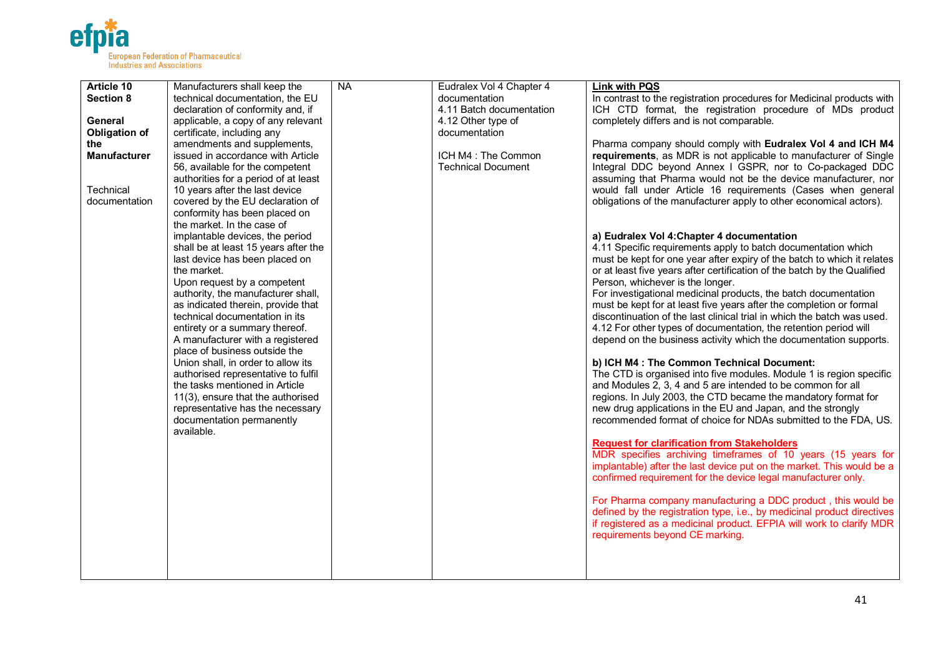

| Article 10           | Manufacturers shall keep the         | <b>NA</b> | Eudralex Vol 4 Chapter 4  | <b>Link with PQS</b>                                                     |
|----------------------|--------------------------------------|-----------|---------------------------|--------------------------------------------------------------------------|
| <b>Section 8</b>     | technical documentation, the EU      |           | documentation             | In contrast to the registration procedures for Medicinal products with   |
|                      | declaration of conformity and, if    |           | 4.11 Batch documentation  | ICH CTD format, the registration procedure of MDs product                |
| General              | applicable, a copy of any relevant   |           | 4.12 Other type of        | completely differs and is not comparable.                                |
| <b>Obligation of</b> | certificate, including any           |           | documentation             |                                                                          |
| the                  | amendments and supplements,          |           |                           | Pharma company should comply with Eudralex Vol 4 and ICH M4              |
| <b>Manufacturer</b>  | issued in accordance with Article    |           | ICH M4: The Common        | requirements, as MDR is not applicable to manufacturer of Single         |
|                      | 56, available for the competent      |           | <b>Technical Document</b> | Integral DDC beyond Annex I GSPR, nor to Co-packaged DDC                 |
|                      | authorities for a period of at least |           |                           | assuming that Pharma would not be the device manufacturer, nor           |
| Technical            | 10 years after the last device       |           |                           | would fall under Article 16 requirements (Cases when general             |
| documentation        | covered by the EU declaration of     |           |                           | obligations of the manufacturer apply to other economical actors).       |
|                      | conformity has been placed on        |           |                           |                                                                          |
|                      | the market. In the case of           |           |                           |                                                                          |
|                      | implantable devices, the period      |           |                           | a) Eudralex Vol 4: Chapter 4 documentation                               |
|                      | shall be at least 15 years after the |           |                           | 4.11 Specific requirements apply to batch documentation which            |
|                      | last device has been placed on       |           |                           | must be kept for one year after expiry of the batch to which it relates  |
|                      | the market.                          |           |                           | or at least five years after certification of the batch by the Qualified |
|                      | Upon request by a competent          |           |                           | Person, whichever is the longer.                                         |
|                      | authority, the manufacturer shall,   |           |                           | For investigational medicinal products, the batch documentation          |
|                      | as indicated therein, provide that   |           |                           | must be kept for at least five years after the completion or formal      |
|                      | technical documentation in its       |           |                           | discontinuation of the last clinical trial in which the batch was used.  |
|                      | entirety or a summary thereof.       |           |                           | 4.12 For other types of documentation, the retention period will         |
|                      | A manufacturer with a registered     |           |                           | depend on the business activity which the documentation supports.        |
|                      | place of business outside the        |           |                           |                                                                          |
|                      | Union shall, in order to allow its   |           |                           | b) ICH M4 : The Common Technical Document:                               |
|                      | authorised representative to fulfil  |           |                           | The CTD is organised into five modules. Module 1 is region specific      |
|                      | the tasks mentioned in Article       |           |                           | and Modules 2, 3, 4 and 5 are intended to be common for all              |
|                      | 11(3), ensure that the authorised    |           |                           | regions. In July 2003, the CTD became the mandatory format for           |
|                      | representative has the necessary     |           |                           | new drug applications in the EU and Japan, and the strongly              |
|                      | documentation permanently            |           |                           | recommended format of choice for NDAs submitted to the FDA, US.          |
|                      | available.                           |           |                           |                                                                          |
|                      |                                      |           |                           | <b>Request for clarification from Stakeholders</b>                       |
|                      |                                      |           |                           | MDR specifies archiving timeframes of 10 years (15 years for             |
|                      |                                      |           |                           | implantable) after the last device put on the market. This would be a    |
|                      |                                      |           |                           | confirmed requirement for the device legal manufacturer only.            |
|                      |                                      |           |                           |                                                                          |
|                      |                                      |           |                           | For Pharma company manufacturing a DDC product, this would be            |
|                      |                                      |           |                           | defined by the registration type, i.e., by medicinal product directives  |
|                      |                                      |           |                           | if registered as a medicinal product. EFPIA will work to clarify MDR     |
|                      |                                      |           |                           | requirements beyond CE marking.                                          |
|                      |                                      |           |                           |                                                                          |
|                      |                                      |           |                           |                                                                          |
|                      |                                      |           |                           |                                                                          |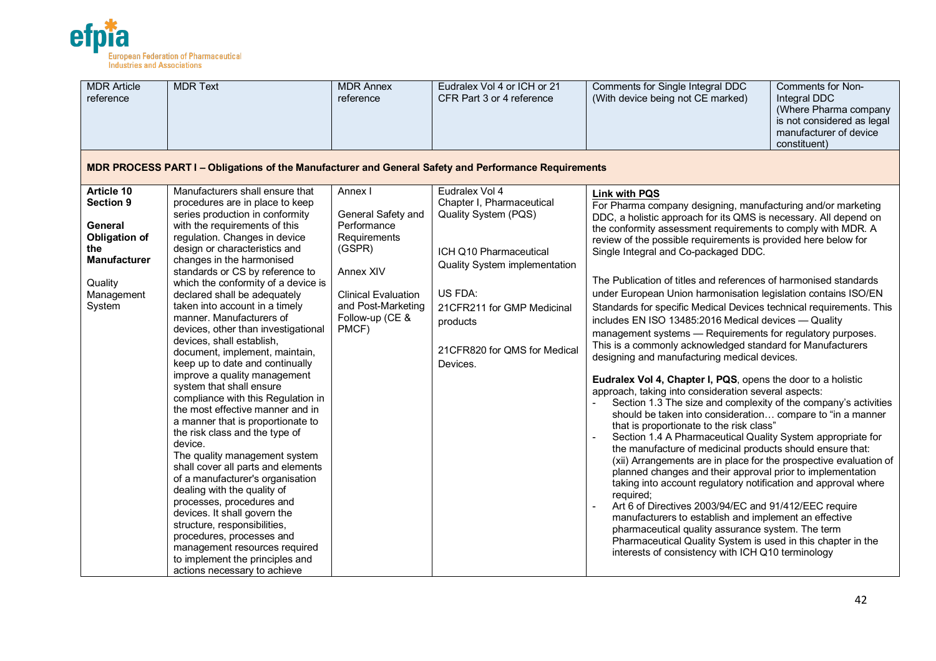

| <b>MDR Article</b><br>reference                                                                                                    | <b>MDR Text</b>                                                                                                                                                                                                                                                                                                                                                                                                                                                                                                                                                                                                                                                                                                                                                                                                                                                                                                                                                                                                                                                                                                                                        | <b>MDR Annex</b><br>reference                                                                                                                                       | Eudralex Vol 4 or ICH or 21<br>CFR Part 3 or 4 reference                                                                                                                                                                        | Comments for Single Integral DDC<br>(With device being not CE marked)                                                                                                                                                                                                                                                                                                                                                                                                                                                                                                                                                                                                                                                                                                                                                                                                                                                                                                                                                                                                                                                                                                                                                                                                                                                                                                                                                                                                                                                                                                                                                                                                                                                              | Comments for Non-<br>Integral DDC<br>(Where Pharma company<br>is not considered as legal<br>manufacturer of device<br>constituent) |
|------------------------------------------------------------------------------------------------------------------------------------|--------------------------------------------------------------------------------------------------------------------------------------------------------------------------------------------------------------------------------------------------------------------------------------------------------------------------------------------------------------------------------------------------------------------------------------------------------------------------------------------------------------------------------------------------------------------------------------------------------------------------------------------------------------------------------------------------------------------------------------------------------------------------------------------------------------------------------------------------------------------------------------------------------------------------------------------------------------------------------------------------------------------------------------------------------------------------------------------------------------------------------------------------------|---------------------------------------------------------------------------------------------------------------------------------------------------------------------|---------------------------------------------------------------------------------------------------------------------------------------------------------------------------------------------------------------------------------|------------------------------------------------------------------------------------------------------------------------------------------------------------------------------------------------------------------------------------------------------------------------------------------------------------------------------------------------------------------------------------------------------------------------------------------------------------------------------------------------------------------------------------------------------------------------------------------------------------------------------------------------------------------------------------------------------------------------------------------------------------------------------------------------------------------------------------------------------------------------------------------------------------------------------------------------------------------------------------------------------------------------------------------------------------------------------------------------------------------------------------------------------------------------------------------------------------------------------------------------------------------------------------------------------------------------------------------------------------------------------------------------------------------------------------------------------------------------------------------------------------------------------------------------------------------------------------------------------------------------------------------------------------------------------------------------------------------------------------|------------------------------------------------------------------------------------------------------------------------------------|
|                                                                                                                                    | MDR PROCESS PART I - Obligations of the Manufacturer and General Safety and Performance Requirements                                                                                                                                                                                                                                                                                                                                                                                                                                                                                                                                                                                                                                                                                                                                                                                                                                                                                                                                                                                                                                                   |                                                                                                                                                                     |                                                                                                                                                                                                                                 |                                                                                                                                                                                                                                                                                                                                                                                                                                                                                                                                                                                                                                                                                                                                                                                                                                                                                                                                                                                                                                                                                                                                                                                                                                                                                                                                                                                                                                                                                                                                                                                                                                                                                                                                    |                                                                                                                                    |
| Article 10<br><b>Section 9</b><br>General<br><b>Obligation of</b><br>the<br><b>Manufacturer</b><br>Quality<br>Management<br>System | Manufacturers shall ensure that<br>procedures are in place to keep<br>series production in conformity<br>with the requirements of this<br>regulation. Changes in device<br>design or characteristics and<br>changes in the harmonised<br>standards or CS by reference to<br>which the conformity of a device is<br>declared shall be adequately<br>taken into account in a timely<br>manner. Manufacturers of<br>devices, other than investigational<br>devices, shall establish,<br>document, implement, maintain,<br>keep up to date and continually<br>improve a quality management<br>system that shall ensure<br>compliance with this Regulation in<br>the most effective manner and in<br>a manner that is proportionate to<br>the risk class and the type of<br>device.<br>The quality management system<br>shall cover all parts and elements<br>of a manufacturer's organisation<br>dealing with the quality of<br>processes, procedures and<br>devices. It shall govern the<br>structure, responsibilities,<br>procedures, processes and<br>management resources required<br>to implement the principles and<br>actions necessary to achieve | Annex I<br>General Safety and<br>Performance<br>Requirements<br>(GSPR)<br>Annex XIV<br><b>Clinical Evaluation</b><br>and Post-Marketing<br>Follow-up (CE &<br>PMCF) | Eudralex Vol 4<br>Chapter I, Pharmaceutical<br>Quality System (PQS)<br>ICH Q10 Pharmaceutical<br>Quality System implementation<br>US FDA:<br>21CFR211 for GMP Medicinal<br>products<br>21CFR820 for QMS for Medical<br>Devices. | <b>Link with PQS</b><br>For Pharma company designing, manufacturing and/or marketing<br>DDC, a holistic approach for its QMS is necessary. All depend on<br>the conformity assessment requirements to comply with MDR. A<br>review of the possible requirements is provided here below for<br>Single Integral and Co-packaged DDC.<br>The Publication of titles and references of harmonised standards<br>under European Union harmonisation legislation contains ISO/EN<br>Standards for specific Medical Devices technical requirements. This<br>includes EN ISO 13485:2016 Medical devices - Quality<br>management systems - Requirements for regulatory purposes.<br>This is a commonly acknowledged standard for Manufacturers<br>designing and manufacturing medical devices.<br>Eudralex Vol 4, Chapter I, PQS, opens the door to a holistic<br>approach, taking into consideration several aspects:<br>Section 1.3 The size and complexity of the company's activities<br>should be taken into consideration compare to "in a manner<br>that is proportionate to the risk class"<br>Section 1.4 A Pharmaceutical Quality System appropriate for<br>the manufacture of medicinal products should ensure that:<br>(xii) Arrangements are in place for the prospective evaluation of<br>planned changes and their approval prior to implementation<br>taking into account regulatory notification and approval where<br>required;<br>Art 6 of Directives 2003/94/EC and 91/412/EEC require<br>manufacturers to establish and implement an effective<br>pharmaceutical quality assurance system. The term<br>Pharmaceutical Quality System is used in this chapter in the<br>interests of consistency with ICH Q10 terminology |                                                                                                                                    |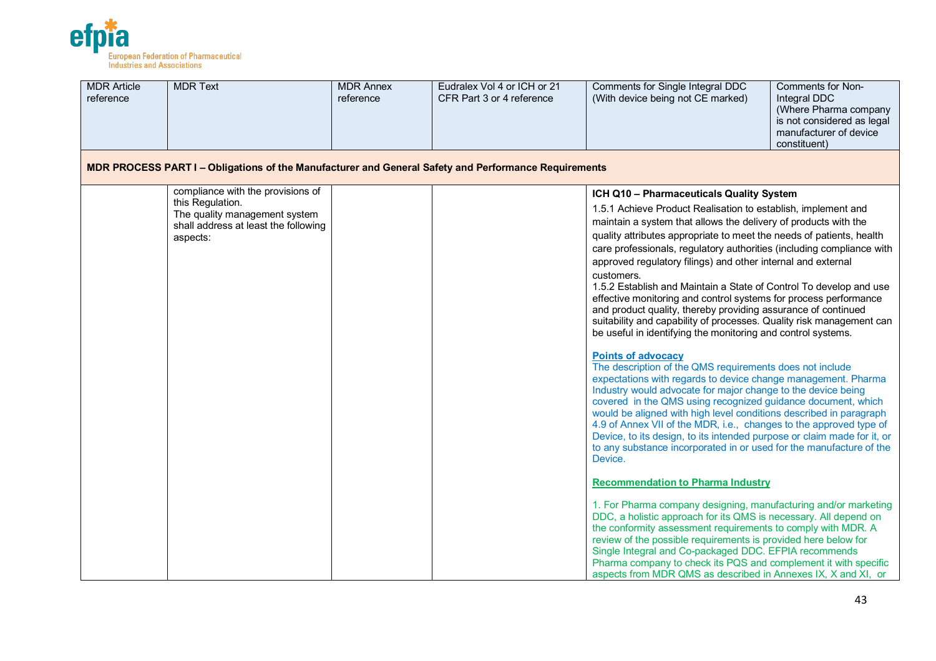

| <b>MDR Article</b><br>reference | <b>MDR Text</b>                                                                                                                            | <b>MDR Annex</b><br>reference | Eudralex Vol 4 or ICH or 21<br>CFR Part 3 or 4 reference | Comments for Single Integral DDC<br>(With device being not CE marked)                                                                                                                                                                                                                                                                                                                                                                                                                                                                                                                                                                                                                                                                                                                                                                                                                                                                                                                                                                                                                                                                                                                                                                                                                                                                                                                                                                                                                                                                                                                                                                                                                                                                                                                                                                                                               | Comments for Non-<br>Integral DDC<br>(Where Pharma company<br>is not considered as legal<br>manufacturer of device<br>constituent) |
|---------------------------------|--------------------------------------------------------------------------------------------------------------------------------------------|-------------------------------|----------------------------------------------------------|-------------------------------------------------------------------------------------------------------------------------------------------------------------------------------------------------------------------------------------------------------------------------------------------------------------------------------------------------------------------------------------------------------------------------------------------------------------------------------------------------------------------------------------------------------------------------------------------------------------------------------------------------------------------------------------------------------------------------------------------------------------------------------------------------------------------------------------------------------------------------------------------------------------------------------------------------------------------------------------------------------------------------------------------------------------------------------------------------------------------------------------------------------------------------------------------------------------------------------------------------------------------------------------------------------------------------------------------------------------------------------------------------------------------------------------------------------------------------------------------------------------------------------------------------------------------------------------------------------------------------------------------------------------------------------------------------------------------------------------------------------------------------------------------------------------------------------------------------------------------------------------|------------------------------------------------------------------------------------------------------------------------------------|
|                                 | MDR PROCESS PART I - Obligations of the Manufacturer and General Safety and Performance Requirements                                       |                               |                                                          |                                                                                                                                                                                                                                                                                                                                                                                                                                                                                                                                                                                                                                                                                                                                                                                                                                                                                                                                                                                                                                                                                                                                                                                                                                                                                                                                                                                                                                                                                                                                                                                                                                                                                                                                                                                                                                                                                     |                                                                                                                                    |
|                                 | compliance with the provisions of<br>this Regulation.<br>The quality management system<br>shall address at least the following<br>aspects: |                               |                                                          | ICH Q10 - Pharmaceuticals Quality System<br>1.5.1 Achieve Product Realisation to establish, implement and<br>maintain a system that allows the delivery of products with the<br>quality attributes appropriate to meet the needs of patients, health<br>care professionals, regulatory authorities (including compliance with<br>approved regulatory filings) and other internal and external<br>customers.<br>1.5.2 Establish and Maintain a State of Control To develop and use<br>effective monitoring and control systems for process performance<br>and product quality, thereby providing assurance of continued<br>suitability and capability of processes. Quality risk management can<br>be useful in identifying the monitoring and control systems.<br><b>Points of advocacy</b><br>The description of the QMS requirements does not include<br>expectations with regards to device change management. Pharma<br>Industry would advocate for major change to the device being<br>covered in the QMS using recognized guidance document, which<br>would be aligned with high level conditions described in paragraph<br>4.9 of Annex VII of the MDR, i.e., changes to the approved type of<br>Device, to its design, to its intended purpose or claim made for it, or<br>to any substance incorporated in or used for the manufacture of the<br>Device.<br><b>Recommendation to Pharma Industry</b><br>1. For Pharma company designing, manufacturing and/or marketing<br>DDC, a holistic approach for its QMS is necessary. All depend on<br>the conformity assessment requirements to comply with MDR. A<br>review of the possible requirements is provided here below for<br>Single Integral and Co-packaged DDC. EFPIA recommends<br>Pharma company to check its PQS and complement it with specific<br>aspects from MDR QMS as described in Annexes IX, X and XI, or |                                                                                                                                    |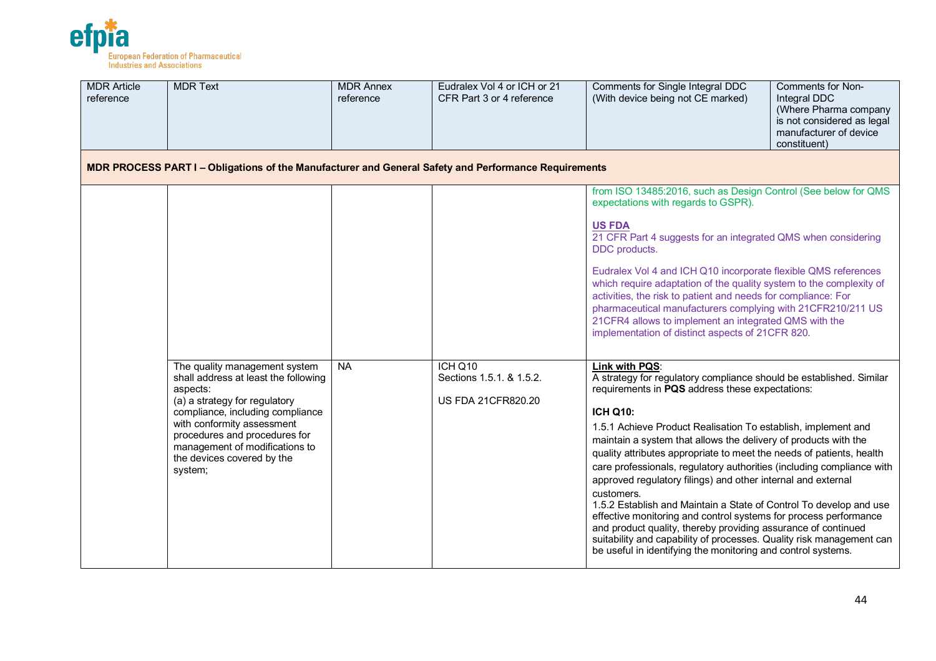

| <b>MDR Article</b><br>reference | <b>MDR Text</b>                                                                                                                                                                                                                                                                                  | <b>MDR Annex</b><br>reference | Eudralex Vol 4 or ICH or 21<br>CFR Part 3 or 4 reference         | Comments for Single Integral DDC<br>(With device being not CE marked)                                                                                                                                                                                                                                                                                                                                                                                                                                                                                                                                                                                                                                                                                                                                                                                                                                                                                                                                                                                                                                                                                                                                                                                                                                                                       | Comments for Non-<br>Integral DDC<br>(Where Pharma company<br>is not considered as legal<br>manufacturer of device<br>constituent) |
|---------------------------------|--------------------------------------------------------------------------------------------------------------------------------------------------------------------------------------------------------------------------------------------------------------------------------------------------|-------------------------------|------------------------------------------------------------------|---------------------------------------------------------------------------------------------------------------------------------------------------------------------------------------------------------------------------------------------------------------------------------------------------------------------------------------------------------------------------------------------------------------------------------------------------------------------------------------------------------------------------------------------------------------------------------------------------------------------------------------------------------------------------------------------------------------------------------------------------------------------------------------------------------------------------------------------------------------------------------------------------------------------------------------------------------------------------------------------------------------------------------------------------------------------------------------------------------------------------------------------------------------------------------------------------------------------------------------------------------------------------------------------------------------------------------------------|------------------------------------------------------------------------------------------------------------------------------------|
|                                 | MDR PROCESS PART I - Obligations of the Manufacturer and General Safety and Performance Requirements                                                                                                                                                                                             |                               |                                                                  |                                                                                                                                                                                                                                                                                                                                                                                                                                                                                                                                                                                                                                                                                                                                                                                                                                                                                                                                                                                                                                                                                                                                                                                                                                                                                                                                             |                                                                                                                                    |
|                                 | The quality management system<br>shall address at least the following<br>aspects:<br>(a) a strategy for regulatory<br>compliance, including compliance<br>with conformity assessment<br>procedures and procedures for<br>management of modifications to<br>the devices covered by the<br>system; | <b>NA</b>                     | ICH Q10<br>Sections 1.5.1. & 1.5.2.<br><b>US FDA 21CFR820.20</b> | from ISO 13485:2016, such as Design Control (See below for QMS<br>expectations with regards to GSPR).<br><b>US FDA</b><br>21 CFR Part 4 suggests for an integrated QMS when considering<br>DDC products.<br>Eudralex Vol 4 and ICH Q10 incorporate flexible QMS references<br>which require adaptation of the quality system to the complexity of<br>activities, the risk to patient and needs for compliance: For<br>pharmaceutical manufacturers complying with 21CFR210/211 US<br>21CFR4 allows to implement an integrated QMS with the<br>implementation of distinct aspects of 21CFR 820.<br>Link with PQS:<br>A strategy for regulatory compliance should be established. Similar<br>requirements in PQS address these expectations:<br><b>ICH Q10:</b><br>1.5.1 Achieve Product Realisation To establish, implement and<br>maintain a system that allows the delivery of products with the<br>quality attributes appropriate to meet the needs of patients, health<br>care professionals, regulatory authorities (including compliance with<br>approved regulatory filings) and other internal and external<br>customers.<br>1.5.2 Establish and Maintain a State of Control To develop and use<br>effective monitoring and control systems for process performance<br>and product quality, thereby providing assurance of continued |                                                                                                                                    |
|                                 |                                                                                                                                                                                                                                                                                                  |                               |                                                                  | suitability and capability of processes. Quality risk management can<br>be useful in identifying the monitoring and control systems.                                                                                                                                                                                                                                                                                                                                                                                                                                                                                                                                                                                                                                                                                                                                                                                                                                                                                                                                                                                                                                                                                                                                                                                                        |                                                                                                                                    |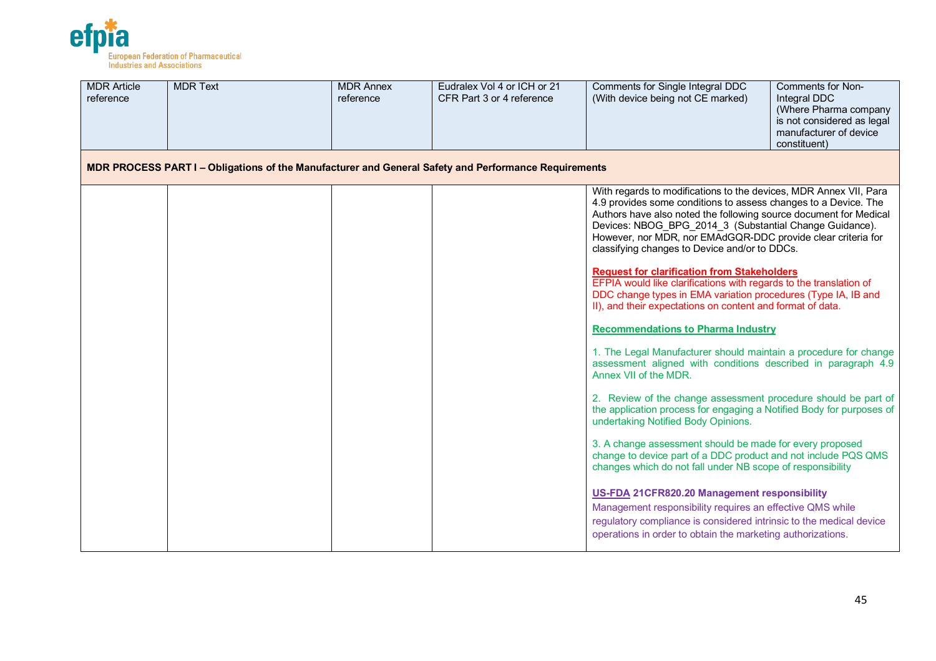

| <b>MDR Article</b><br>reference | <b>MDR Text</b>                                                                                      | <b>MDR Annex</b><br>reference | Eudralex Vol 4 or ICH or 21<br>CFR Part 3 or 4 reference | Comments for Single Integral DDC<br>(With device being not CE marked)                                                                                                                                                                                                                                                                                                                                                                                                                                                                                                                                                                            | <b>Comments for Non-</b><br>Integral DDC<br>(Where Pharma company<br>is not considered as legal<br>manufacturer of device<br>constituent) |
|---------------------------------|------------------------------------------------------------------------------------------------------|-------------------------------|----------------------------------------------------------|--------------------------------------------------------------------------------------------------------------------------------------------------------------------------------------------------------------------------------------------------------------------------------------------------------------------------------------------------------------------------------------------------------------------------------------------------------------------------------------------------------------------------------------------------------------------------------------------------------------------------------------------------|-------------------------------------------------------------------------------------------------------------------------------------------|
|                                 | MDR PROCESS PART I - Obligations of the Manufacturer and General Safety and Performance Requirements |                               |                                                          |                                                                                                                                                                                                                                                                                                                                                                                                                                                                                                                                                                                                                                                  |                                                                                                                                           |
|                                 |                                                                                                      |                               |                                                          | With regards to modifications to the devices, MDR Annex VII, Para<br>4.9 provides some conditions to assess changes to a Device. The<br>Authors have also noted the following source document for Medical<br>Devices: NBOG BPG 2014 3 (Substantial Change Guidance).<br>However, nor MDR, nor EMAdGQR-DDC provide clear criteria for<br>classifying changes to Device and/or to DDCs.<br><b>Request for clarification from Stakeholders</b><br>EFPIA would like clarifications with regards to the translation of<br>DDC change types in EMA variation procedures (Type IA, IB and<br>II), and their expectations on content and format of data. |                                                                                                                                           |
|                                 |                                                                                                      |                               |                                                          | <b>Recommendations to Pharma Industry</b>                                                                                                                                                                                                                                                                                                                                                                                                                                                                                                                                                                                                        |                                                                                                                                           |
|                                 |                                                                                                      |                               |                                                          | 1. The Legal Manufacturer should maintain a procedure for change<br>assessment aligned with conditions described in paragraph 4.9<br>Annex VII of the MDR.                                                                                                                                                                                                                                                                                                                                                                                                                                                                                       |                                                                                                                                           |
|                                 |                                                                                                      |                               |                                                          | 2. Review of the change assessment procedure should be part of<br>the application process for engaging a Notified Body for purposes of<br>undertaking Notified Body Opinions.                                                                                                                                                                                                                                                                                                                                                                                                                                                                    |                                                                                                                                           |
|                                 |                                                                                                      |                               |                                                          | 3. A change assessment should be made for every proposed<br>change to device part of a DDC product and not include PQS QMS<br>changes which do not fall under NB scope of responsibility                                                                                                                                                                                                                                                                                                                                                                                                                                                         |                                                                                                                                           |
|                                 |                                                                                                      |                               |                                                          | US-FDA 21CFR820.20 Management responsibility<br>Management responsibility requires an effective QMS while<br>regulatory compliance is considered intrinsic to the medical device<br>operations in order to obtain the marketing authorizations.                                                                                                                                                                                                                                                                                                                                                                                                  |                                                                                                                                           |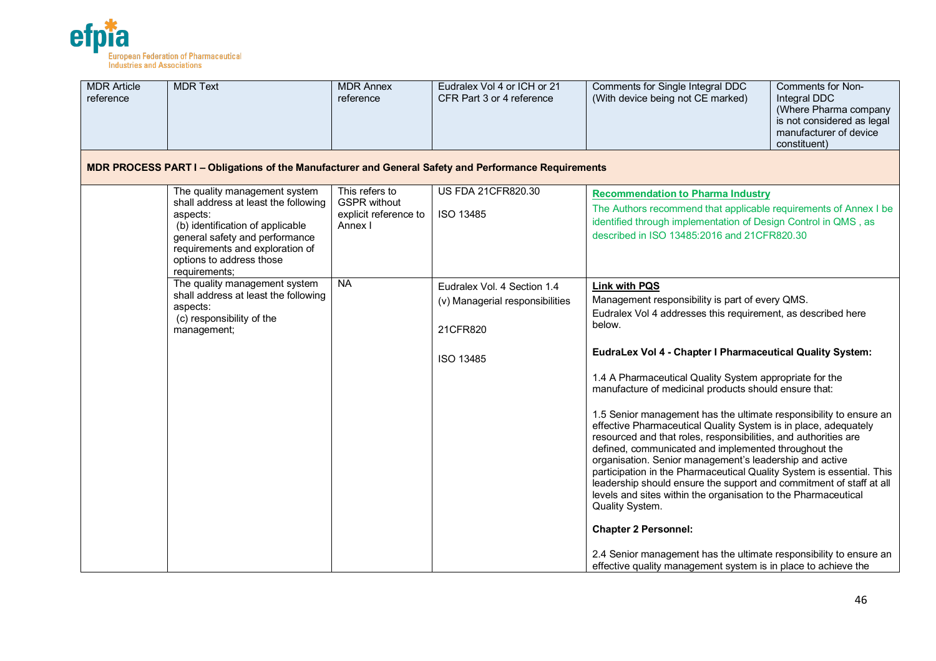

| <b>MDR Article</b><br>reference | <b>MDR Text</b>                                                                                                                                                                                                                         | <b>MDR Annex</b><br>reference                                             | Eudralex Vol 4 or ICH or 21<br>CFR Part 3 or 4 reference                                | Comments for Single Integral DDC<br>(With device being not CE marked)                                                                                                                                                                                                                                                                                                                                                                                                                                                                                                                                                                                                                                                                                                                                                                                                                                                                                                                                                                                                         | Comments for Non-<br>Integral DDC<br>(Where Pharma company<br>is not considered as legal<br>manufacturer of device<br>constituent) |
|---------------------------------|-----------------------------------------------------------------------------------------------------------------------------------------------------------------------------------------------------------------------------------------|---------------------------------------------------------------------------|-----------------------------------------------------------------------------------------|-------------------------------------------------------------------------------------------------------------------------------------------------------------------------------------------------------------------------------------------------------------------------------------------------------------------------------------------------------------------------------------------------------------------------------------------------------------------------------------------------------------------------------------------------------------------------------------------------------------------------------------------------------------------------------------------------------------------------------------------------------------------------------------------------------------------------------------------------------------------------------------------------------------------------------------------------------------------------------------------------------------------------------------------------------------------------------|------------------------------------------------------------------------------------------------------------------------------------|
|                                 | MDR PROCESS PART I - Obligations of the Manufacturer and General Safety and Performance Requirements                                                                                                                                    |                                                                           |                                                                                         |                                                                                                                                                                                                                                                                                                                                                                                                                                                                                                                                                                                                                                                                                                                                                                                                                                                                                                                                                                                                                                                                               |                                                                                                                                    |
|                                 | The quality management system<br>shall address at least the following<br>aspects:<br>(b) identification of applicable<br>general safety and performance<br>requirements and exploration of<br>options to address those<br>requirements; | This refers to<br><b>GSPR</b> without<br>explicit reference to<br>Annex I | <b>US FDA 21CFR820.30</b><br>ISO 13485                                                  | <b>Recommendation to Pharma Industry</b><br>The Authors recommend that applicable requirements of Annex I be<br>identified through implementation of Design Control in QMS, as<br>described in ISO 13485:2016 and 21CFR820.30                                                                                                                                                                                                                                                                                                                                                                                                                                                                                                                                                                                                                                                                                                                                                                                                                                                 |                                                                                                                                    |
|                                 | The quality management system<br>shall address at least the following<br>aspects:<br>(c) responsibility of the<br>management;                                                                                                           | <b>NA</b>                                                                 | Eudralex Vol. 4 Section 1.4<br>(v) Managerial responsibilities<br>21CFR820<br>ISO 13485 | <b>Link with PQS</b><br>Management responsibility is part of every QMS.<br>Eudralex Vol 4 addresses this requirement, as described here<br>below.<br>EudraLex Vol 4 - Chapter I Pharmaceutical Quality System:<br>1.4 A Pharmaceutical Quality System appropriate for the<br>manufacture of medicinal products should ensure that:<br>1.5 Senior management has the ultimate responsibility to ensure an<br>effective Pharmaceutical Quality System is in place, adequately<br>resourced and that roles, responsibilities, and authorities are<br>defined, communicated and implemented throughout the<br>organisation. Senior management's leadership and active<br>participation in the Pharmaceutical Quality System is essential. This<br>leadership should ensure the support and commitment of staff at all<br>levels and sites within the organisation to the Pharmaceutical<br>Quality System.<br><b>Chapter 2 Personnel:</b><br>2.4 Senior management has the ultimate responsibility to ensure an<br>effective quality management system is in place to achieve the |                                                                                                                                    |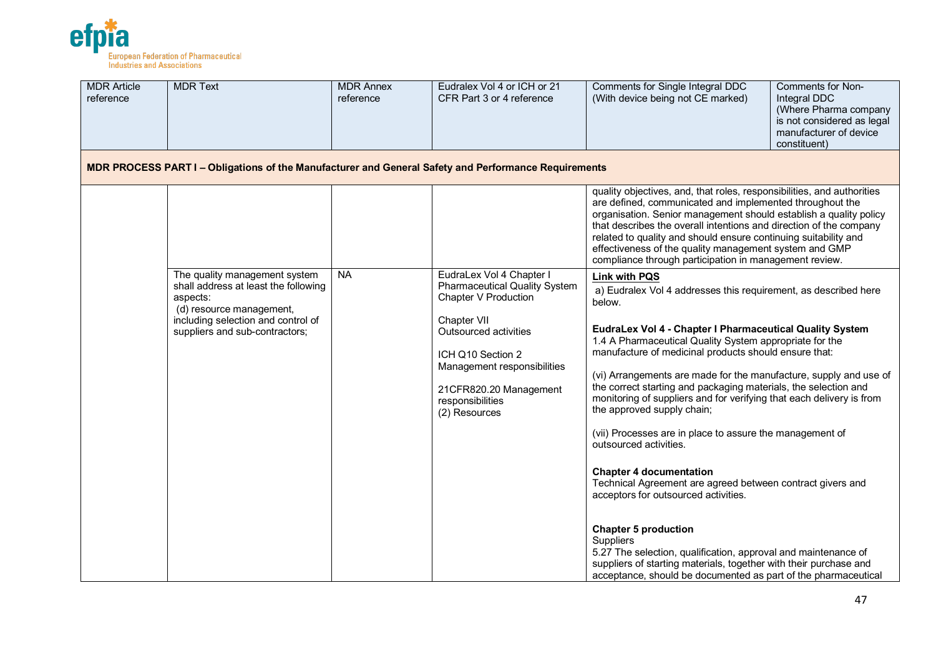

| <b>MDR Article</b><br>reference | <b>MDR Text</b>                                                                                                                                                                       | <b>MDR Annex</b><br>reference | Eudralex Vol 4 or ICH or 21<br>CFR Part 3 or 4 reference                                                                                                                                                                                            | Comments for Single Integral DDC<br>(With device being not CE marked)                                                                                                                                                                                                                                                                                                                                                                                                                                                                                                                                                                                                                                                                                                                                                                                                                                                                                                                                                     | Comments for Non-<br>Integral DDC<br>(Where Pharma company<br>is not considered as legal<br>manufacturer of device<br>constituent) |
|---------------------------------|---------------------------------------------------------------------------------------------------------------------------------------------------------------------------------------|-------------------------------|-----------------------------------------------------------------------------------------------------------------------------------------------------------------------------------------------------------------------------------------------------|---------------------------------------------------------------------------------------------------------------------------------------------------------------------------------------------------------------------------------------------------------------------------------------------------------------------------------------------------------------------------------------------------------------------------------------------------------------------------------------------------------------------------------------------------------------------------------------------------------------------------------------------------------------------------------------------------------------------------------------------------------------------------------------------------------------------------------------------------------------------------------------------------------------------------------------------------------------------------------------------------------------------------|------------------------------------------------------------------------------------------------------------------------------------|
|                                 | MDR PROCESS PART I - Obligations of the Manufacturer and General Safety and Performance Requirements                                                                                  |                               |                                                                                                                                                                                                                                                     |                                                                                                                                                                                                                                                                                                                                                                                                                                                                                                                                                                                                                                                                                                                                                                                                                                                                                                                                                                                                                           |                                                                                                                                    |
|                                 |                                                                                                                                                                                       |                               |                                                                                                                                                                                                                                                     | quality objectives, and, that roles, responsibilities, and authorities<br>are defined, communicated and implemented throughout the<br>organisation. Senior management should establish a quality policy<br>that describes the overall intentions and direction of the company<br>related to quality and should ensure continuing suitability and<br>effectiveness of the quality management system and GMP<br>compliance through participation in management review.                                                                                                                                                                                                                                                                                                                                                                                                                                                                                                                                                      |                                                                                                                                    |
|                                 | The quality management system<br>shall address at least the following<br>aspects:<br>(d) resource management,<br>including selection and control of<br>suppliers and sub-contractors; | <b>NA</b>                     | EudraLex Vol 4 Chapter I<br><b>Pharmaceutical Quality System</b><br>Chapter V Production<br>Chapter VII<br>Outsourced activities<br>ICH Q10 Section 2<br>Management responsibilities<br>21CFR820.20 Management<br>responsibilities<br>(2) Resources | <b>Link with PQS</b><br>a) Eudralex Vol 4 addresses this requirement, as described here<br>below.<br>EudraLex Vol 4 - Chapter I Pharmaceutical Quality System<br>1.4 A Pharmaceutical Quality System appropriate for the<br>manufacture of medicinal products should ensure that:<br>(vi) Arrangements are made for the manufacture, supply and use of<br>the correct starting and packaging materials, the selection and<br>monitoring of suppliers and for verifying that each delivery is from<br>the approved supply chain;<br>(vii) Processes are in place to assure the management of<br>outsourced activities.<br><b>Chapter 4 documentation</b><br>Technical Agreement are agreed between contract givers and<br>acceptors for outsourced activities.<br><b>Chapter 5 production</b><br><b>Suppliers</b><br>5.27 The selection, qualification, approval and maintenance of<br>suppliers of starting materials, together with their purchase and<br>acceptance, should be documented as part of the pharmaceutical |                                                                                                                                    |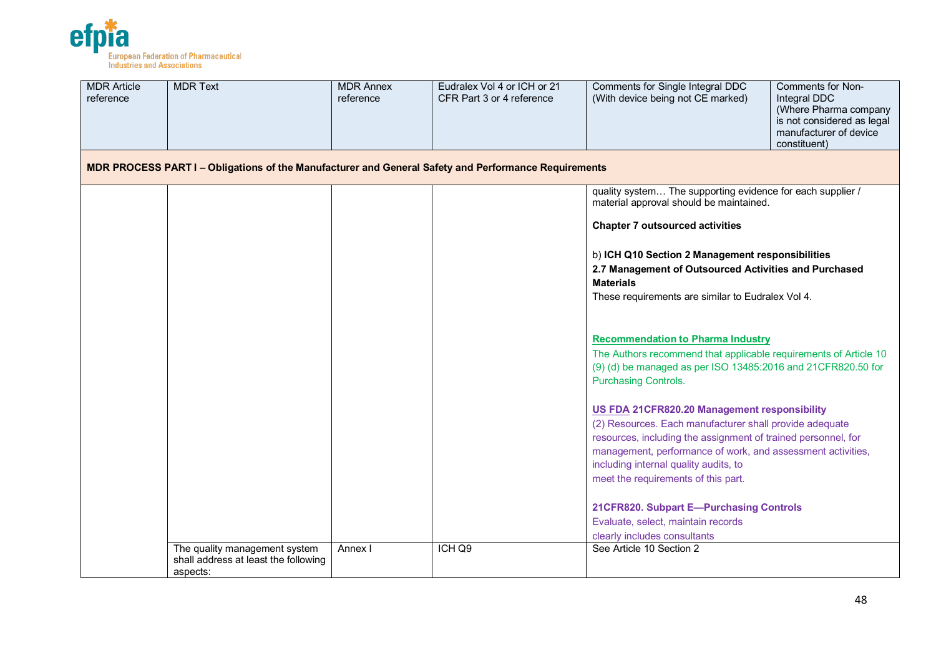

| <b>MDR Article</b><br>reference | <b>MDR Text</b>                                                                                      | <b>MDR Annex</b><br>reference | Eudralex Vol 4 or ICH or 21<br>CFR Part 3 or 4 reference | Comments for Single Integral DDC<br>Comments for Non-<br>(With device being not CE marked)<br>Integral DDC<br>(Where Pharma company<br>is not considered as legal<br>manufacturer of device<br>constituent)                                                                                                             |
|---------------------------------|------------------------------------------------------------------------------------------------------|-------------------------------|----------------------------------------------------------|-------------------------------------------------------------------------------------------------------------------------------------------------------------------------------------------------------------------------------------------------------------------------------------------------------------------------|
|                                 | MDR PROCESS PART I – Obligations of the Manufacturer and General Safety and Performance Requirements |                               |                                                          |                                                                                                                                                                                                                                                                                                                         |
|                                 |                                                                                                      |                               |                                                          | quality system The supporting evidence for each supplier /<br>material approval should be maintained.<br><b>Chapter 7 outsourced activities</b>                                                                                                                                                                         |
|                                 |                                                                                                      |                               |                                                          | b) ICH Q10 Section 2 Management responsibilities<br>2.7 Management of Outsourced Activities and Purchased<br><b>Materials</b><br>These requirements are similar to Eudralex Vol 4.                                                                                                                                      |
|                                 |                                                                                                      |                               |                                                          | <b>Recommendation to Pharma Industry</b><br>The Authors recommend that applicable requirements of Article 10<br>(9) (d) be managed as per ISO 13485:2016 and 21CFR820.50 for<br><b>Purchasing Controls.</b>                                                                                                             |
|                                 |                                                                                                      |                               |                                                          | US FDA 21CFR820.20 Management responsibility<br>(2) Resources. Each manufacturer shall provide adequate<br>resources, including the assignment of trained personnel, for<br>management, performance of work, and assessment activities,<br>including internal quality audits, to<br>meet the requirements of this part. |
|                                 | The quality management system                                                                        | Annex I                       | ICH Q9                                                   | 21CFR820. Subpart E-Purchasing Controls<br>Evaluate, select, maintain records<br>clearly includes consultants<br>See Article 10 Section 2                                                                                                                                                                               |
|                                 | shall address at least the following<br>aspects:                                                     |                               |                                                          |                                                                                                                                                                                                                                                                                                                         |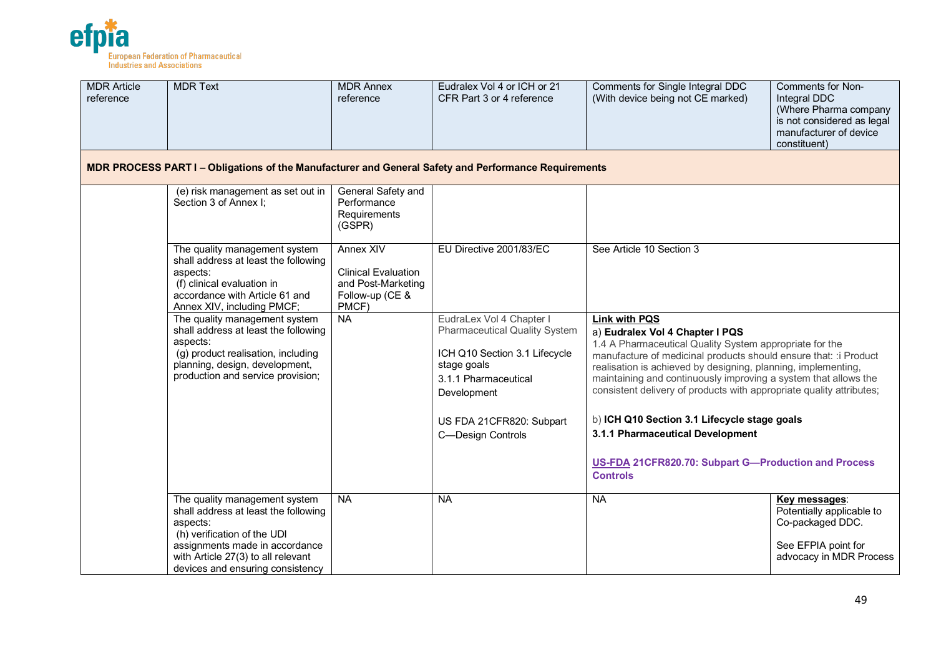

| <b>MDR Article</b><br>reference | <b>MDR Text</b>                                                                                                                                                                                                              | <b>MDR Annex</b><br>reference                                                             | Eudralex Vol 4 or ICH or 21<br>CFR Part 3 or 4 reference                                                                                                                                                 | Comments for Single Integral DDC<br>(With device being not CE marked)                                                                                                                                                                                                                                                                                                                                                                                                           | Comments for Non-<br>Integral DDC<br>(Where Pharma company<br>is not considered as legal<br>manufacturer of device<br>constituent) |
|---------------------------------|------------------------------------------------------------------------------------------------------------------------------------------------------------------------------------------------------------------------------|-------------------------------------------------------------------------------------------|----------------------------------------------------------------------------------------------------------------------------------------------------------------------------------------------------------|---------------------------------------------------------------------------------------------------------------------------------------------------------------------------------------------------------------------------------------------------------------------------------------------------------------------------------------------------------------------------------------------------------------------------------------------------------------------------------|------------------------------------------------------------------------------------------------------------------------------------|
|                                 | MDR PROCESS PART I – Obligations of the Manufacturer and General Safety and Performance Requirements                                                                                                                         |                                                                                           |                                                                                                                                                                                                          |                                                                                                                                                                                                                                                                                                                                                                                                                                                                                 |                                                                                                                                    |
|                                 | (e) risk management as set out in<br>Section 3 of Annex I;                                                                                                                                                                   | General Safety and<br>Performance<br>Requirements<br>(GSPR)                               |                                                                                                                                                                                                          |                                                                                                                                                                                                                                                                                                                                                                                                                                                                                 |                                                                                                                                    |
|                                 | The quality management system<br>shall address at least the following<br>aspects:<br>(f) clinical evaluation in<br>accordance with Article 61 and<br>Annex XIV, including PMCF;                                              | Annex XIV<br><b>Clinical Evaluation</b><br>and Post-Marketing<br>Follow-up (CE &<br>PMCF) | EU Directive 2001/83/EC                                                                                                                                                                                  | See Article 10 Section 3<br><b>Link with PQS</b><br>a) Eudralex Vol 4 Chapter I PQS<br>1.4 A Pharmaceutical Quality System appropriate for the<br>manufacture of medicinal products should ensure that: : i Product<br>realisation is achieved by designing, planning, implementing,<br>maintaining and continuously improving a system that allows the<br>consistent delivery of products with appropriate quality attributes;<br>b) ICH Q10 Section 3.1 Lifecycle stage goals |                                                                                                                                    |
|                                 | The quality management system<br>shall address at least the following<br>aspects:<br>(g) product realisation, including<br>planning, design, development,<br>production and service provision;                               | <b>NA</b>                                                                                 | EudraLex Vol 4 Chapter I<br><b>Pharmaceutical Quality System</b><br>ICH Q10 Section 3.1 Lifecycle<br>stage goals<br>3.1.1 Pharmaceutical<br>Development<br>US FDA 21CFR820: Subpart<br>C-Design Controls |                                                                                                                                                                                                                                                                                                                                                                                                                                                                                 |                                                                                                                                    |
|                                 |                                                                                                                                                                                                                              |                                                                                           |                                                                                                                                                                                                          | 3.1.1 Pharmaceutical Development<br>US-FDA 21CFR820.70: Subpart G-Production and Process<br><b>Controls</b>                                                                                                                                                                                                                                                                                                                                                                     |                                                                                                                                    |
|                                 | The quality management system<br>shall address at least the following<br>aspects:<br>(h) verification of the UDI<br>assignments made in accordance<br>with Article 27(3) to all relevant<br>devices and ensuring consistency | <b>NA</b>                                                                                 | <b>NA</b>                                                                                                                                                                                                | <b>NA</b>                                                                                                                                                                                                                                                                                                                                                                                                                                                                       | Key messages:<br>Potentially applicable to<br>Co-packaged DDC.<br>See EFPIA point for<br>advocacy in MDR Process                   |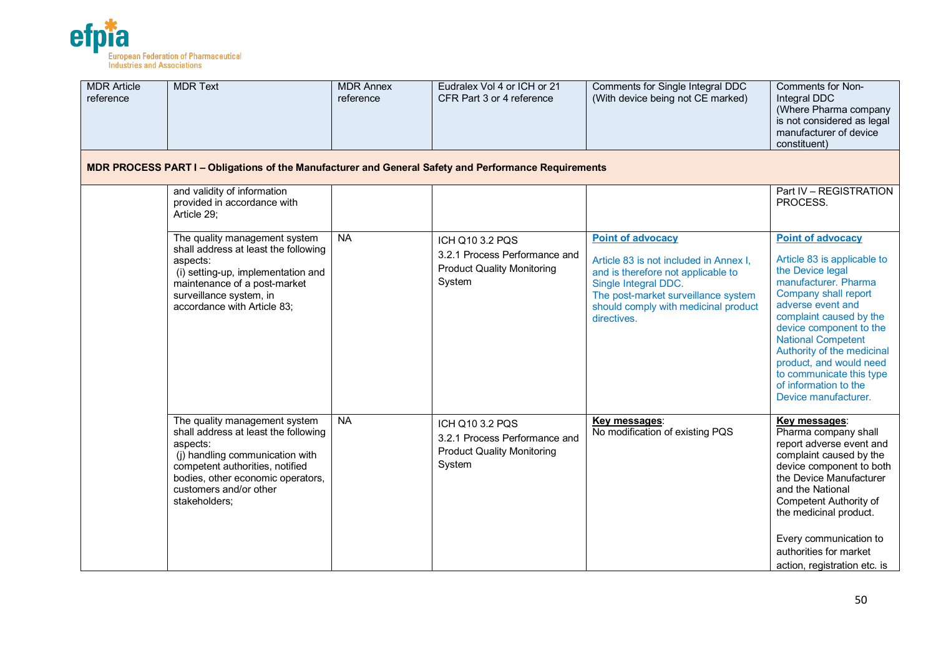

| <b>MDR Article</b><br>reference | <b>MDR Text</b>                                                                                                                                                                                                                         | <b>MDR Annex</b><br>reference | Eudralex Vol 4 or ICH or 21<br>CFR Part 3 or 4 reference                                        | Comments for Single Integral DDC<br>(With device being not CE marked)                                                                                                                                                          | Comments for Non-<br>Integral DDC<br>(Where Pharma company<br>is not considered as legal<br>manufacturer of device<br>constituent)                                                                                                                                                                                                                                        |
|---------------------------------|-----------------------------------------------------------------------------------------------------------------------------------------------------------------------------------------------------------------------------------------|-------------------------------|-------------------------------------------------------------------------------------------------|--------------------------------------------------------------------------------------------------------------------------------------------------------------------------------------------------------------------------------|---------------------------------------------------------------------------------------------------------------------------------------------------------------------------------------------------------------------------------------------------------------------------------------------------------------------------------------------------------------------------|
|                                 | MDR PROCESS PART I - Obligations of the Manufacturer and General Safety and Performance Requirements                                                                                                                                    |                               |                                                                                                 |                                                                                                                                                                                                                                |                                                                                                                                                                                                                                                                                                                                                                           |
|                                 | and validity of information<br>provided in accordance with<br>Article 29;                                                                                                                                                               |                               |                                                                                                 |                                                                                                                                                                                                                                | Part IV - REGISTRATION<br>PROCESS.                                                                                                                                                                                                                                                                                                                                        |
|                                 | The quality management system<br>shall address at least the following<br>aspects:<br>(i) setting-up, implementation and<br>maintenance of a post-market<br>surveillance system, in<br>accordance with Article 83;                       | <b>NA</b>                     | ICH Q10 3.2 PQS<br>3.2.1 Process Performance and<br><b>Product Quality Monitoring</b><br>System | <b>Point of advocacy</b><br>Article 83 is not included in Annex I,<br>and is therefore not applicable to<br>Single Integral DDC.<br>The post-market surveillance system<br>should comply with medicinal product<br>directives. | <b>Point of advocacy</b><br>Article 83 is applicable to<br>the Device legal<br>manufacturer. Pharma<br>Company shall report<br>adverse event and<br>complaint caused by the<br>device component to the<br><b>National Competent</b><br>Authority of the medicinal<br>product, and would need<br>to communicate this type<br>of information to the<br>Device manufacturer. |
|                                 | The quality management system<br>shall address at least the following<br>aspects:<br>(j) handling communication with<br>competent authorities, notified<br>bodies, other economic operators,<br>customers and/or other<br>stakeholders; | <b>NA</b>                     | ICH Q10 3.2 PQS<br>3.2.1 Process Performance and<br><b>Product Quality Monitoring</b><br>System | Key messages:<br>No modification of existing PQS                                                                                                                                                                               | Key messages:<br>Pharma company shall<br>report adverse event and<br>complaint caused by the<br>device component to both<br>the Device Manufacturer<br>and the National<br>Competent Authority of<br>the medicinal product.<br>Every communication to<br>authorities for market<br>action, registration etc. is                                                           |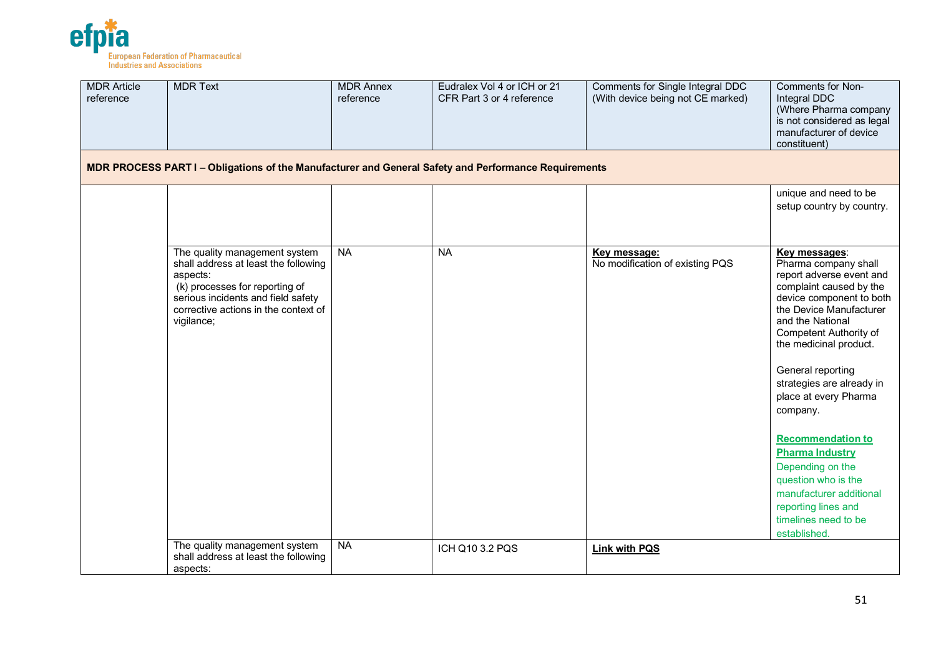

| <b>MDR Article</b><br>reference | <b>MDR Text</b>                                                                                                                                                                                                 | <b>MDR Annex</b><br>reference | Eudralex Vol 4 or ICH or 21<br>CFR Part 3 or 4 reference | Comments for Single Integral DDC<br>(With device being not CE marked) | Comments for Non-<br>Integral DDC<br>(Where Pharma company<br>is not considered as legal<br>manufacturer of device<br>constituent)                                                                                                                                                                                                                                                                                                                                                                                   |
|---------------------------------|-----------------------------------------------------------------------------------------------------------------------------------------------------------------------------------------------------------------|-------------------------------|----------------------------------------------------------|-----------------------------------------------------------------------|----------------------------------------------------------------------------------------------------------------------------------------------------------------------------------------------------------------------------------------------------------------------------------------------------------------------------------------------------------------------------------------------------------------------------------------------------------------------------------------------------------------------|
|                                 | MDR PROCESS PART I - Obligations of the Manufacturer and General Safety and Performance Requirements                                                                                                            |                               |                                                          |                                                                       |                                                                                                                                                                                                                                                                                                                                                                                                                                                                                                                      |
|                                 |                                                                                                                                                                                                                 |                               |                                                          |                                                                       | unique and need to be<br>setup country by country.                                                                                                                                                                                                                                                                                                                                                                                                                                                                   |
|                                 | The quality management system<br>shall address at least the following<br>aspects:<br>(k) processes for reporting of<br>serious incidents and field safety<br>corrective actions in the context of<br>vigilance; | <b>NA</b>                     | <b>NA</b>                                                | <u>Key message:</u><br>No modification of existing PQS                | <b>Key messages:</b><br>Pharma company shall<br>report adverse event and<br>complaint caused by the<br>device component to both<br>the Device Manufacturer<br>and the National<br>Competent Authority of<br>the medicinal product.<br>General reporting<br>strategies are already in<br>place at every Pharma<br>company.<br><b>Recommendation to</b><br><b>Pharma Industry</b><br>Depending on the<br>question who is the<br>manufacturer additional<br>reporting lines and<br>timelines need to be<br>established. |
|                                 | The quality management system<br>shall address at least the following<br>aspects:                                                                                                                               | <b>NA</b>                     | ICH Q10 3.2 PQS                                          | <b>Link with PQS</b>                                                  |                                                                                                                                                                                                                                                                                                                                                                                                                                                                                                                      |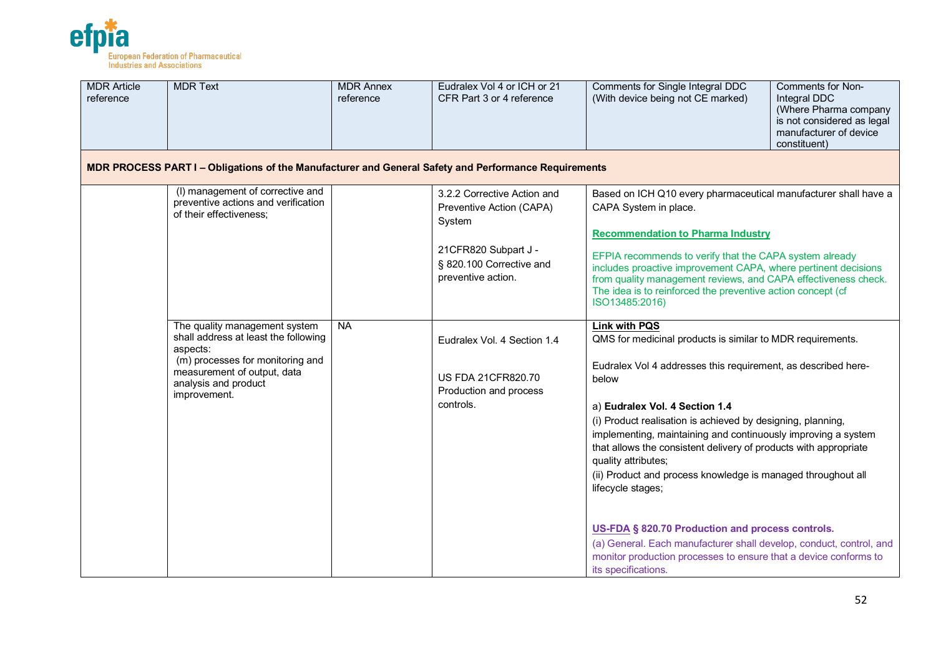

| <b>MDR Article</b><br>reference | <b>MDR Text</b>                                                                                                                                                                                                                                                                                                                                                                                                                                                                                                                                                                                                                                                           | <b>MDR Annex</b><br>reference | Eudralex Vol 4 or ICH or 21<br>CFR Part 3 or 4 reference                                        | Comments for Non-<br>Comments for Single Integral DDC<br>(With device being not CE marked)<br>Integral DDC<br>(Where Pharma company<br>is not considered as legal<br>manufacturer of device<br>constituent)                                                                                                                                                                                                                                                                                                                                                                                                                                                                                                                          |
|---------------------------------|---------------------------------------------------------------------------------------------------------------------------------------------------------------------------------------------------------------------------------------------------------------------------------------------------------------------------------------------------------------------------------------------------------------------------------------------------------------------------------------------------------------------------------------------------------------------------------------------------------------------------------------------------------------------------|-------------------------------|-------------------------------------------------------------------------------------------------|--------------------------------------------------------------------------------------------------------------------------------------------------------------------------------------------------------------------------------------------------------------------------------------------------------------------------------------------------------------------------------------------------------------------------------------------------------------------------------------------------------------------------------------------------------------------------------------------------------------------------------------------------------------------------------------------------------------------------------------|
|                                 | MDR PROCESS PART I - Obligations of the Manufacturer and General Safety and Performance Requirements                                                                                                                                                                                                                                                                                                                                                                                                                                                                                                                                                                      |                               |                                                                                                 |                                                                                                                                                                                                                                                                                                                                                                                                                                                                                                                                                                                                                                                                                                                                      |
|                                 | (I) management of corrective and<br>3.2.2 Corrective Action and<br>Based on ICH Q10 every pharmaceutical manufacturer shall have a<br>preventive actions and verification<br>Preventive Action (CAPA)<br>CAPA System in place.<br>of their effectiveness;<br>System<br><b>Recommendation to Pharma Industry</b><br>21CFR820 Subpart J -<br>EFPIA recommends to verify that the CAPA system already<br>§ 820.100 Corrective and<br>includes proactive improvement CAPA, where pertinent decisions<br>preventive action.<br>from quality management reviews, and CAPA effectiveness check.<br>The idea is to reinforced the preventive action concept (cf<br>ISO13485:2016) |                               |                                                                                                 |                                                                                                                                                                                                                                                                                                                                                                                                                                                                                                                                                                                                                                                                                                                                      |
|                                 | The quality management system<br>shall address at least the following<br>aspects:<br>(m) processes for monitoring and<br>measurement of output, data<br>analysis and product<br>improvement.                                                                                                                                                                                                                                                                                                                                                                                                                                                                              | <b>NA</b>                     | Eudralex Vol. 4 Section 1.4<br><b>US FDA 21CFR820.70</b><br>Production and process<br>controls. | <b>Link with PQS</b><br>QMS for medicinal products is similar to MDR requirements.<br>Eudralex Vol 4 addresses this requirement, as described here-<br>below<br>a) Eudralex Vol. 4 Section 1.4<br>(i) Product realisation is achieved by designing, planning,<br>implementing, maintaining and continuously improving a system<br>that allows the consistent delivery of products with appropriate<br>quality attributes;<br>(ii) Product and process knowledge is managed throughout all<br>lifecycle stages;<br>US-FDA § 820.70 Production and process controls.<br>(a) General. Each manufacturer shall develop, conduct, control, and<br>monitor production processes to ensure that a device conforms to<br>its specifications. |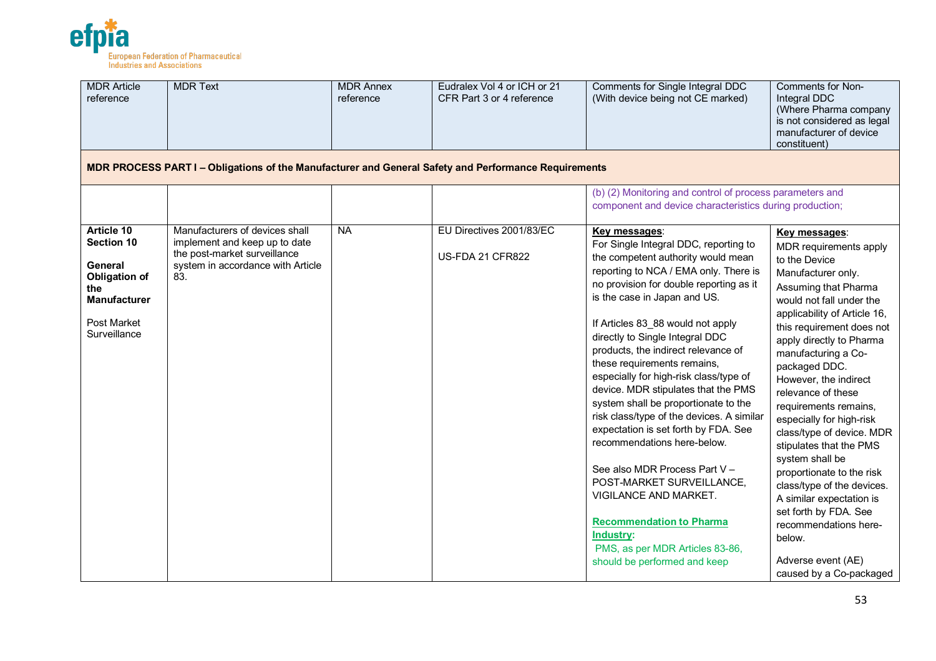

| <b>MDR Article</b><br>reference                                                                                                        | <b>MDR Text</b>                                                                                                                             | <b>MDR Annex</b><br>reference | Eudralex Vol 4 or ICH or 21<br>CFR Part 3 or 4 reference | Comments for Single Integral DDC<br>(With device being not CE marked)                                                                                                                                                                                                                                                                                                                                                                                                                                                                                                                                                                                                                                                                                                                                                 | Comments for Non-<br>Integral DDC<br>(Where Pharma company<br>is not considered as legal<br>manufacturer of device<br>constituent)                                                                                                                                                                                                                                                                                                                                                                                                                                                                                                                     |
|----------------------------------------------------------------------------------------------------------------------------------------|---------------------------------------------------------------------------------------------------------------------------------------------|-------------------------------|----------------------------------------------------------|-----------------------------------------------------------------------------------------------------------------------------------------------------------------------------------------------------------------------------------------------------------------------------------------------------------------------------------------------------------------------------------------------------------------------------------------------------------------------------------------------------------------------------------------------------------------------------------------------------------------------------------------------------------------------------------------------------------------------------------------------------------------------------------------------------------------------|--------------------------------------------------------------------------------------------------------------------------------------------------------------------------------------------------------------------------------------------------------------------------------------------------------------------------------------------------------------------------------------------------------------------------------------------------------------------------------------------------------------------------------------------------------------------------------------------------------------------------------------------------------|
|                                                                                                                                        | MDR PROCESS PART I - Obligations of the Manufacturer and General Safety and Performance Requirements                                        |                               |                                                          |                                                                                                                                                                                                                                                                                                                                                                                                                                                                                                                                                                                                                                                                                                                                                                                                                       |                                                                                                                                                                                                                                                                                                                                                                                                                                                                                                                                                                                                                                                        |
|                                                                                                                                        |                                                                                                                                             |                               |                                                          | (b) (2) Monitoring and control of process parameters and<br>component and device characteristics during production;                                                                                                                                                                                                                                                                                                                                                                                                                                                                                                                                                                                                                                                                                                   |                                                                                                                                                                                                                                                                                                                                                                                                                                                                                                                                                                                                                                                        |
| Article 10<br>Section 10<br><b>General</b><br><b>Obligation of</b><br>the<br><b>Manufacturer</b><br><b>Post Market</b><br>Surveillance | Manufacturers of devices shall<br>implement and keep up to date<br>the post-market surveillance<br>system in accordance with Article<br>83. | <b>NA</b>                     | EU Directives 2001/83/EC<br><b>US-FDA 21 CFR822</b>      | Key messages:<br>For Single Integral DDC, reporting to<br>the competent authority would mean<br>reporting to NCA / EMA only. There is<br>no provision for double reporting as it<br>is the case in Japan and US.<br>If Articles 83_88 would not apply<br>directly to Single Integral DDC<br>products, the indirect relevance of<br>these requirements remains,<br>especially for high-risk class/type of<br>device. MDR stipulates that the PMS<br>system shall be proportionate to the<br>risk class/type of the devices. A similar<br>expectation is set forth by FDA. See<br>recommendations here-below.<br>See also MDR Process Part V -<br>POST-MARKET SURVEILLANCE,<br>VIGILANCE AND MARKET.<br><b>Recommendation to Pharma</b><br>Industry:<br>PMS, as per MDR Articles 83-86,<br>should be performed and keep | Key messages:<br>MDR requirements apply<br>to the Device<br>Manufacturer only.<br>Assuming that Pharma<br>would not fall under the<br>applicability of Article 16,<br>this requirement does not<br>apply directly to Pharma<br>manufacturing a Co-<br>packaged DDC.<br>However, the indirect<br>relevance of these<br>requirements remains,<br>especially for high-risk<br>class/type of device. MDR<br>stipulates that the PMS<br>system shall be<br>proportionate to the risk<br>class/type of the devices.<br>A similar expectation is<br>set forth by FDA. See<br>recommendations here-<br>below.<br>Adverse event (AE)<br>caused by a Co-packaged |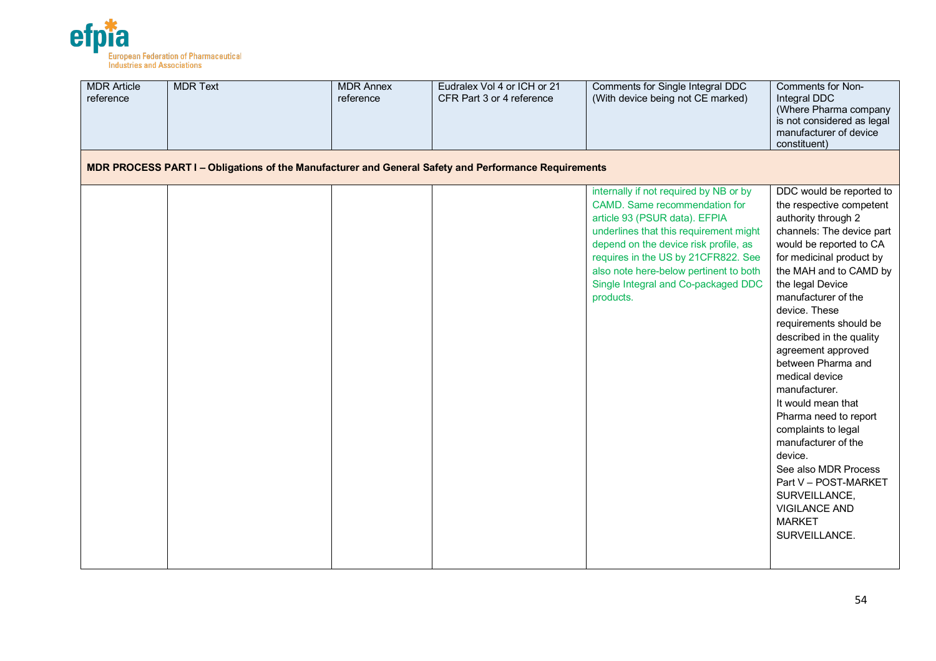

| <b>MDR Article</b><br>reference | <b>MDR Text</b>                                                                                      | <b>MDR Annex</b><br>reference | Eudralex Vol 4 or ICH or 21<br>CFR Part 3 or 4 reference | Comments for Single Integral DDC<br>(With device being not CE marked)                                                                                                                                                                                                                                                            | Comments for Non-<br>Integral DDC<br>(Where Pharma company<br>is not considered as legal<br>manufacturer of device<br>constituent)                                                                                                                                                                                                                                                                                                                                                                                                                                                                                            |
|---------------------------------|------------------------------------------------------------------------------------------------------|-------------------------------|----------------------------------------------------------|----------------------------------------------------------------------------------------------------------------------------------------------------------------------------------------------------------------------------------------------------------------------------------------------------------------------------------|-------------------------------------------------------------------------------------------------------------------------------------------------------------------------------------------------------------------------------------------------------------------------------------------------------------------------------------------------------------------------------------------------------------------------------------------------------------------------------------------------------------------------------------------------------------------------------------------------------------------------------|
|                                 | MDR PROCESS PART I – Obligations of the Manufacturer and General Safety and Performance Requirements |                               |                                                          |                                                                                                                                                                                                                                                                                                                                  |                                                                                                                                                                                                                                                                                                                                                                                                                                                                                                                                                                                                                               |
|                                 |                                                                                                      |                               |                                                          | internally if not required by NB or by<br>CAMD. Same recommendation for<br>article 93 (PSUR data). EFPIA<br>underlines that this requirement might<br>depend on the device risk profile, as<br>requires in the US by 21CFR822. See<br>also note here-below pertinent to both<br>Single Integral and Co-packaged DDC<br>products. | DDC would be reported to<br>the respective competent<br>authority through 2<br>channels: The device part<br>would be reported to CA<br>for medicinal product by<br>the MAH and to CAMD by<br>the legal Device<br>manufacturer of the<br>device. These<br>requirements should be<br>described in the quality<br>agreement approved<br>between Pharma and<br>medical device<br>manufacturer.<br>It would mean that<br>Pharma need to report<br>complaints to legal<br>manufacturer of the<br>device.<br>See also MDR Process<br>Part V - POST-MARKET<br>SURVEILLANCE,<br><b>VIGILANCE AND</b><br><b>MARKET</b><br>SURVEILLANCE. |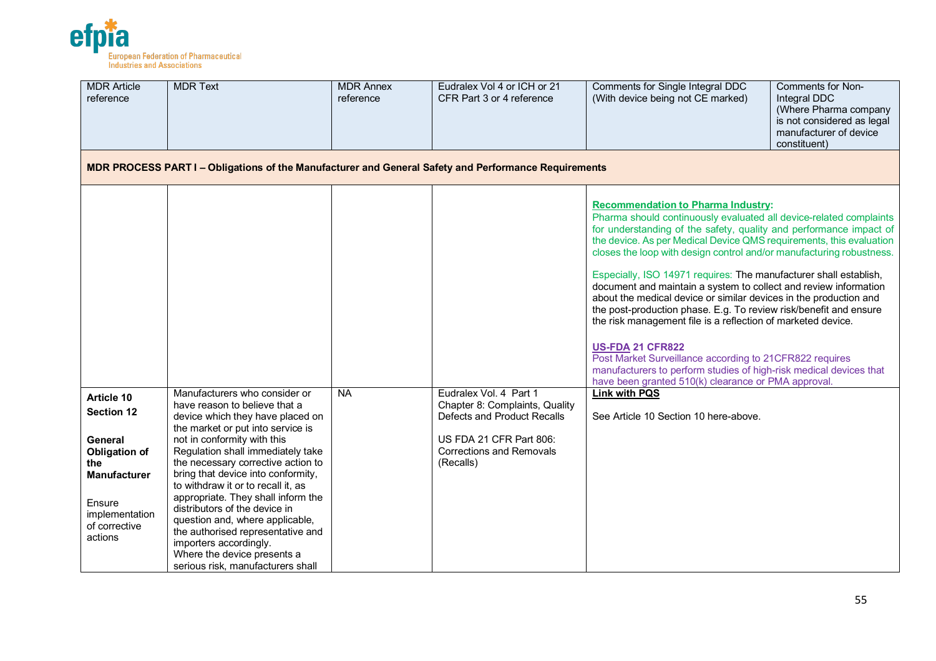

| <b>MDR Article</b><br>reference                                                                                                                                 | <b>MDR Text</b>                                                                                                                                                                                                                                                                                                                                                                                                                                                                                                                                                            | <b>MDR Annex</b><br>reference | Eudralex Vol 4 or ICH or 21<br>CFR Part 3 or 4 reference                                                                                                           | Comments for Single Integral DDC<br>(With device being not CE marked)                                                                                                                                                                                                                                                                                                                                                                                                                                                                                                                                                                                                                                                                                                                                                                                                                                      | Comments for Non-<br>Integral DDC<br>(Where Pharma company<br>is not considered as legal<br>manufacturer of device<br>constituent) |
|-----------------------------------------------------------------------------------------------------------------------------------------------------------------|----------------------------------------------------------------------------------------------------------------------------------------------------------------------------------------------------------------------------------------------------------------------------------------------------------------------------------------------------------------------------------------------------------------------------------------------------------------------------------------------------------------------------------------------------------------------------|-------------------------------|--------------------------------------------------------------------------------------------------------------------------------------------------------------------|------------------------------------------------------------------------------------------------------------------------------------------------------------------------------------------------------------------------------------------------------------------------------------------------------------------------------------------------------------------------------------------------------------------------------------------------------------------------------------------------------------------------------------------------------------------------------------------------------------------------------------------------------------------------------------------------------------------------------------------------------------------------------------------------------------------------------------------------------------------------------------------------------------|------------------------------------------------------------------------------------------------------------------------------------|
|                                                                                                                                                                 | MDR PROCESS PART I - Obligations of the Manufacturer and General Safety and Performance Requirements                                                                                                                                                                                                                                                                                                                                                                                                                                                                       |                               |                                                                                                                                                                    |                                                                                                                                                                                                                                                                                                                                                                                                                                                                                                                                                                                                                                                                                                                                                                                                                                                                                                            |                                                                                                                                    |
|                                                                                                                                                                 |                                                                                                                                                                                                                                                                                                                                                                                                                                                                                                                                                                            |                               |                                                                                                                                                                    | <b>Recommendation to Pharma Industry:</b><br>Pharma should continuously evaluated all device-related complaints<br>for understanding of the safety, quality and performance impact of<br>the device. As per Medical Device QMS requirements, this evaluation<br>closes the loop with design control and/or manufacturing robustness.<br>Especially, ISO 14971 requires: The manufacturer shall establish,<br>document and maintain a system to collect and review information<br>about the medical device or similar devices in the production and<br>the post-production phase. E.g. To review risk/benefit and ensure<br>the risk management file is a reflection of marketed device.<br><b>US-FDA 21 CFR822</b><br>Post Market Surveillance according to 21CFR822 requires<br>manufacturers to perform studies of high-risk medical devices that<br>have been granted 510(k) clearance or PMA approval. |                                                                                                                                    |
| Article 10<br><b>Section 12</b><br><b>General</b><br><b>Obligation of</b><br>the<br><b>Manufacturer</b><br>Ensure<br>implementation<br>of corrective<br>actions | Manufacturers who consider or<br>have reason to believe that a<br>device which they have placed on<br>the market or put into service is<br>not in conformity with this<br>Regulation shall immediately take<br>the necessary corrective action to<br>bring that device into conformity,<br>to withdraw it or to recall it, as<br>appropriate. They shall inform the<br>distributors of the device in<br>question and, where applicable,<br>the authorised representative and<br>importers accordingly.<br>Where the device presents a<br>serious risk, manufacturers shall | <b>NA</b>                     | Eudralex Vol. 4 Part 1<br>Chapter 8: Complaints, Quality<br>Defects and Product Recalls<br>US FDA 21 CFR Part 806:<br><b>Corrections and Removals</b><br>(Recalls) | <b>Link with PQS</b><br>See Article 10 Section 10 here-above.                                                                                                                                                                                                                                                                                                                                                                                                                                                                                                                                                                                                                                                                                                                                                                                                                                              |                                                                                                                                    |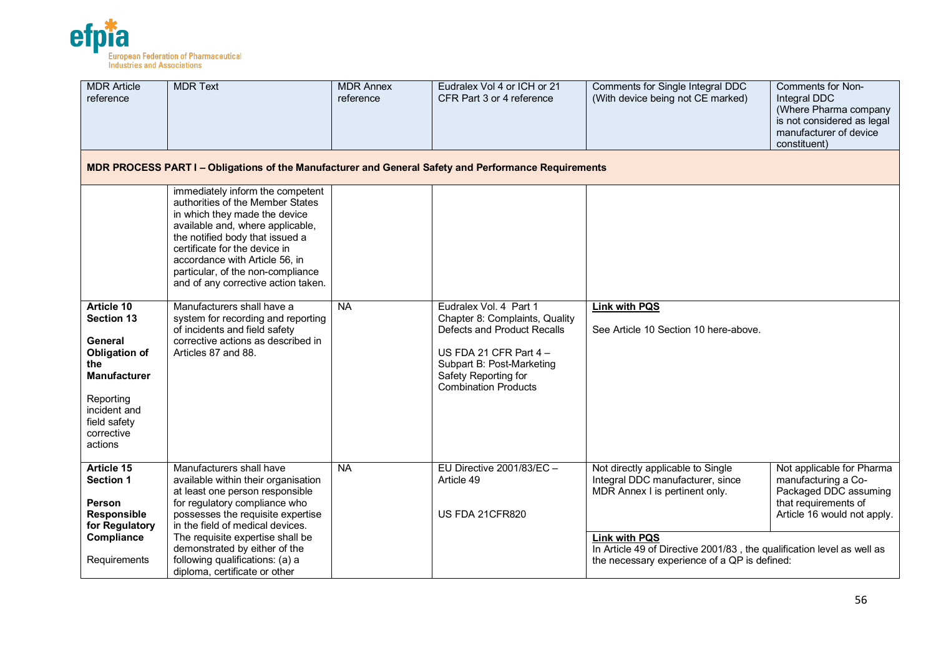

| <b>MDR Article</b><br>reference                                                                                                                                        | <b>MDR Text</b>                                                                                                                                                                                                                                                                                                                                       | <b>MDR Annex</b><br>reference | Eudralex Vol 4 or ICH or 21<br>CFR Part 3 or 4 reference                                                                                                                                                | Comments for Single Integral DDC<br>(With device being not CE marked)                                                                                                                                                                                     | Comments for Non-<br>Integral DDC<br>(Where Pharma company<br>is not considered as legal<br>manufacturer of device<br>constituent) |
|------------------------------------------------------------------------------------------------------------------------------------------------------------------------|-------------------------------------------------------------------------------------------------------------------------------------------------------------------------------------------------------------------------------------------------------------------------------------------------------------------------------------------------------|-------------------------------|---------------------------------------------------------------------------------------------------------------------------------------------------------------------------------------------------------|-----------------------------------------------------------------------------------------------------------------------------------------------------------------------------------------------------------------------------------------------------------|------------------------------------------------------------------------------------------------------------------------------------|
|                                                                                                                                                                        | MDR PROCESS PART I - Obligations of the Manufacturer and General Safety and Performance Requirements                                                                                                                                                                                                                                                  |                               |                                                                                                                                                                                                         |                                                                                                                                                                                                                                                           |                                                                                                                                    |
|                                                                                                                                                                        | immediately inform the competent<br>authorities of the Member States<br>in which they made the device<br>available and, where applicable,<br>the notified body that issued a<br>certificate for the device in<br>accordance with Article 56, in<br>particular, of the non-compliance<br>and of any corrective action taken.                           |                               |                                                                                                                                                                                                         |                                                                                                                                                                                                                                                           |                                                                                                                                    |
| Article 10<br><b>Section 13</b><br>General<br><b>Obligation of</b><br>the<br><b>Manufacturer</b><br>Reporting<br>incident and<br>field safety<br>corrective<br>actions | Manufacturers shall have a<br>system for recording and reporting<br>of incidents and field safety<br>corrective actions as described in<br>Articles 87 and 88.                                                                                                                                                                                        | <b>NA</b>                     | Eudralex Vol. 4 Part 1<br>Chapter 8: Complaints, Quality<br>Defects and Product Recalls<br>US FDA 21 CFR Part $4 -$<br>Subpart B: Post-Marketing<br>Safety Reporting for<br><b>Combination Products</b> | <b>Link with PQS</b><br>See Article 10 Section 10 here-above.                                                                                                                                                                                             |                                                                                                                                    |
| Article 15<br>Section 1<br>Person<br>Responsible<br>for Regulatory<br>Compliance<br>Requirements                                                                       | Manufacturers shall have<br>available within their organisation<br>at least one person responsible<br>for regulatory compliance who<br>possesses the requisite expertise<br>in the field of medical devices.<br>The requisite expertise shall be<br>demonstrated by either of the<br>following qualifications: (a) a<br>diploma, certificate or other | <b>NA</b>                     | EU Directive 2001/83/EC -<br>Article 49<br><b>US FDA 21CFR820</b>                                                                                                                                       | Not directly applicable to Single<br>Integral DDC manufacturer, since<br>MDR Annex I is pertinent only.<br><b>Link with PQS</b><br>In Article 49 of Directive 2001/83, the qualification level as well as<br>the necessary experience of a QP is defined: | Not applicable for Pharma<br>manufacturing a Co-<br>Packaged DDC assuming<br>that requirements of<br>Article 16 would not apply.   |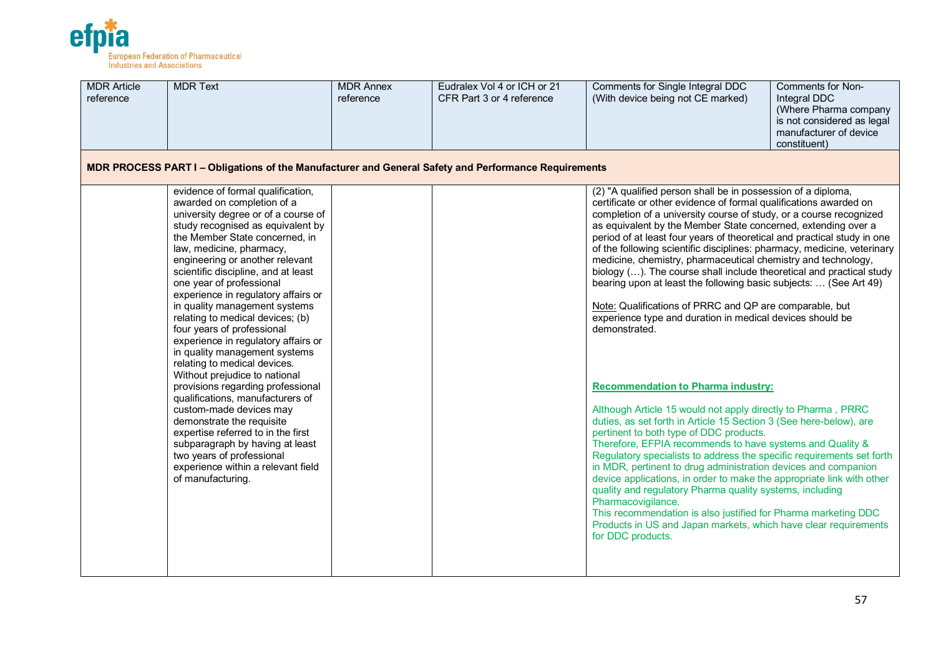

| <b>MDR Article</b><br>reference | <b>MDR Text</b>                                                                                                                                                                                                                                                                                                                                                                                                                                                                                                                                                                                                                                                                                                                                                                                                                                                                                      | <b>MDR Annex</b><br>reference | Eudralex Vol 4 or ICH or 21<br>CFR Part 3 or 4 reference | Comments for Single Integral DDC<br>(With device being not CE marked)                                                                                                                                                                                                                                                                                                                                                                                                                                                                                                                                                                                                                                                                                                                                                                                                                                                                                                                                                                                                                                                                                                                                                                                                                                                                                                                                                                                                                                                                            | Comments for Non-<br>Integral DDC<br>(Where Pharma company<br>is not considered as legal<br>manufacturer of device<br>constituent) |
|---------------------------------|------------------------------------------------------------------------------------------------------------------------------------------------------------------------------------------------------------------------------------------------------------------------------------------------------------------------------------------------------------------------------------------------------------------------------------------------------------------------------------------------------------------------------------------------------------------------------------------------------------------------------------------------------------------------------------------------------------------------------------------------------------------------------------------------------------------------------------------------------------------------------------------------------|-------------------------------|----------------------------------------------------------|--------------------------------------------------------------------------------------------------------------------------------------------------------------------------------------------------------------------------------------------------------------------------------------------------------------------------------------------------------------------------------------------------------------------------------------------------------------------------------------------------------------------------------------------------------------------------------------------------------------------------------------------------------------------------------------------------------------------------------------------------------------------------------------------------------------------------------------------------------------------------------------------------------------------------------------------------------------------------------------------------------------------------------------------------------------------------------------------------------------------------------------------------------------------------------------------------------------------------------------------------------------------------------------------------------------------------------------------------------------------------------------------------------------------------------------------------------------------------------------------------------------------------------------------------|------------------------------------------------------------------------------------------------------------------------------------|
|                                 | MDR PROCESS PART I - Obligations of the Manufacturer and General Safety and Performance Requirements                                                                                                                                                                                                                                                                                                                                                                                                                                                                                                                                                                                                                                                                                                                                                                                                 |                               |                                                          |                                                                                                                                                                                                                                                                                                                                                                                                                                                                                                                                                                                                                                                                                                                                                                                                                                                                                                                                                                                                                                                                                                                                                                                                                                                                                                                                                                                                                                                                                                                                                  |                                                                                                                                    |
|                                 | evidence of formal qualification,<br>awarded on completion of a<br>university degree or of a course of<br>study recognised as equivalent by<br>the Member State concerned, in<br>law, medicine, pharmacy,<br>engineering or another relevant<br>scientific discipline, and at least<br>one year of professional<br>experience in regulatory affairs or<br>in quality management systems<br>relating to medical devices; (b)<br>four years of professional<br>experience in regulatory affairs or<br>in quality management systems<br>relating to medical devices.<br>Without prejudice to national<br>provisions regarding professional<br>qualifications, manufacturers of<br>custom-made devices may<br>demonstrate the requisite<br>expertise referred to in the first<br>subparagraph by having at least<br>two years of professional<br>experience within a relevant field<br>of manufacturing. |                               |                                                          | (2) "A qualified person shall be in possession of a diploma,<br>certificate or other evidence of formal qualifications awarded on<br>completion of a university course of study, or a course recognized<br>as equivalent by the Member State concerned, extending over a<br>period of at least four years of theoretical and practical study in one<br>of the following scientific disciplines: pharmacy, medicine, veterinary<br>medicine, chemistry, pharmaceutical chemistry and technology,<br>biology (). The course shall include theoretical and practical study<br>bearing upon at least the following basic subjects:  (See Art 49)<br>Note: Qualifications of PRRC and QP are comparable, but<br>experience type and duration in medical devices should be<br>demonstrated.<br><b>Recommendation to Pharma industry:</b><br>Although Article 15 would not apply directly to Pharma, PRRC<br>duties, as set forth in Article 15 Section 3 (See here-below), are<br>pertinent to both type of DDC products.<br>Therefore, EFPIA recommends to have systems and Quality &<br>Regulatory specialists to address the specific requirements set forth<br>in MDR, pertinent to drug administration devices and companion<br>device applications, in order to make the appropriate link with other<br>quality and regulatory Pharma quality systems, including<br>Pharmacovigilance.<br>This recommendation is also justified for Pharma marketing DDC<br>Products in US and Japan markets, which have clear requirements<br>for DDC products. |                                                                                                                                    |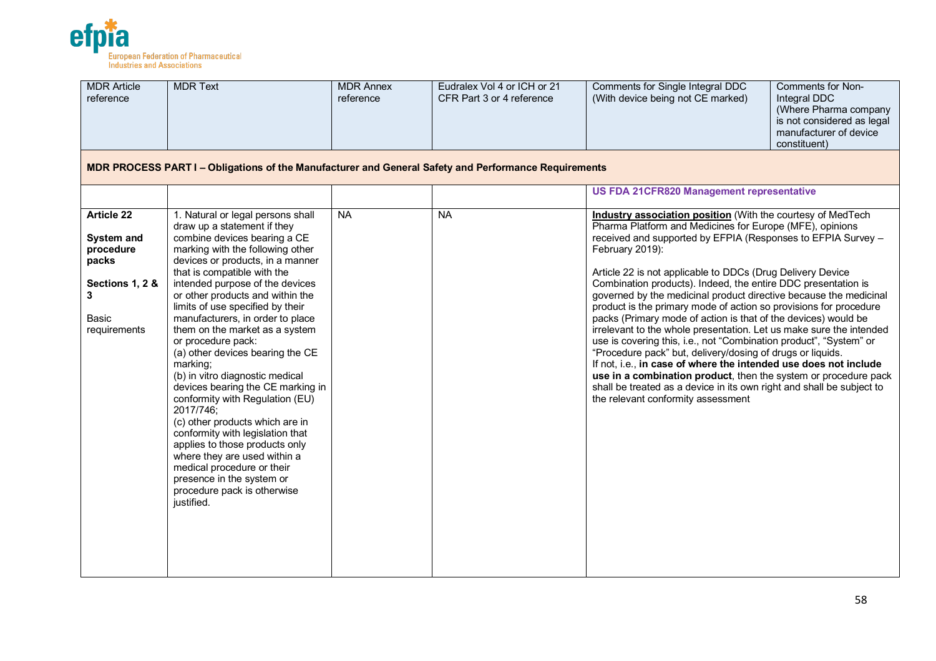

| <b>MDR Article</b><br>reference              | <b>MDR Text</b>                                                                                                                                                                                                                                                                                                                                                                                                                                                                                                   | <b>MDR Annex</b><br>reference | Eudralex Vol 4 or ICH or 21<br>CFR Part 3 or 4 reference | Comments for Single Integral DDC<br>(With device being not CE marked)                                                                                                                                                                                                                                                                                                                                                                                                                                                           | Comments for Non-<br>Integral DDC<br>(Where Pharma company<br>is not considered as legal<br>manufacturer of device<br>constituent) |
|----------------------------------------------|-------------------------------------------------------------------------------------------------------------------------------------------------------------------------------------------------------------------------------------------------------------------------------------------------------------------------------------------------------------------------------------------------------------------------------------------------------------------------------------------------------------------|-------------------------------|----------------------------------------------------------|---------------------------------------------------------------------------------------------------------------------------------------------------------------------------------------------------------------------------------------------------------------------------------------------------------------------------------------------------------------------------------------------------------------------------------------------------------------------------------------------------------------------------------|------------------------------------------------------------------------------------------------------------------------------------|
|                                              | MDR PROCESS PART I – Obligations of the Manufacturer and General Safety and Performance Requirements                                                                                                                                                                                                                                                                                                                                                                                                              |                               |                                                          |                                                                                                                                                                                                                                                                                                                                                                                                                                                                                                                                 |                                                                                                                                    |
|                                              |                                                                                                                                                                                                                                                                                                                                                                                                                                                                                                                   |                               |                                                          | <b>US FDA 21CFR820 Management representative</b>                                                                                                                                                                                                                                                                                                                                                                                                                                                                                |                                                                                                                                    |
| <b>Article 22</b><br>System and<br>procedure | 1. Natural or legal persons shall<br>draw up a statement if they<br>combine devices bearing a CE<br>marking with the following other                                                                                                                                                                                                                                                                                                                                                                              | <b>NA</b>                     | <b>NA</b>                                                | Industry association position (With the courtesy of MedTech<br>Pharma Platform and Medicines for Europe (MFE), opinions<br>received and supported by EFPIA (Responses to EFPIA Survey -<br>February 2019):                                                                                                                                                                                                                                                                                                                      |                                                                                                                                    |
| packs<br>Sections 1, 2 &<br>3                | devices or products, in a manner<br>that is compatible with the<br>intended purpose of the devices<br>or other products and within the<br>limits of use specified by their                                                                                                                                                                                                                                                                                                                                        |                               |                                                          | Article 22 is not applicable to DDCs (Drug Delivery Device<br>Combination products). Indeed, the entire DDC presentation is<br>governed by the medicinal product directive because the medicinal<br>product is the primary mode of action so provisions for procedure                                                                                                                                                                                                                                                           |                                                                                                                                    |
| <b>Basic</b><br>requirements                 | manufacturers, in order to place<br>them on the market as a system<br>or procedure pack:<br>(a) other devices bearing the CE<br>marking;<br>(b) in vitro diagnostic medical<br>devices bearing the CE marking in<br>conformity with Regulation (EU)<br>2017/746;<br>(c) other products which are in<br>conformity with legislation that<br>applies to those products only<br>where they are used within a<br>medical procedure or their<br>presence in the system or<br>procedure pack is otherwise<br>justified. |                               |                                                          | packs (Primary mode of action is that of the devices) would be<br>irrelevant to the whole presentation. Let us make sure the intended<br>use is covering this, i.e., not "Combination product", "System" or<br>"Procedure pack" but, delivery/dosing of drugs or liquids.<br>If not, i.e., in case of where the intended use does not include<br>use in a combination product, then the system or procedure pack<br>shall be treated as a device in its own right and shall be subject to<br>the relevant conformity assessment |                                                                                                                                    |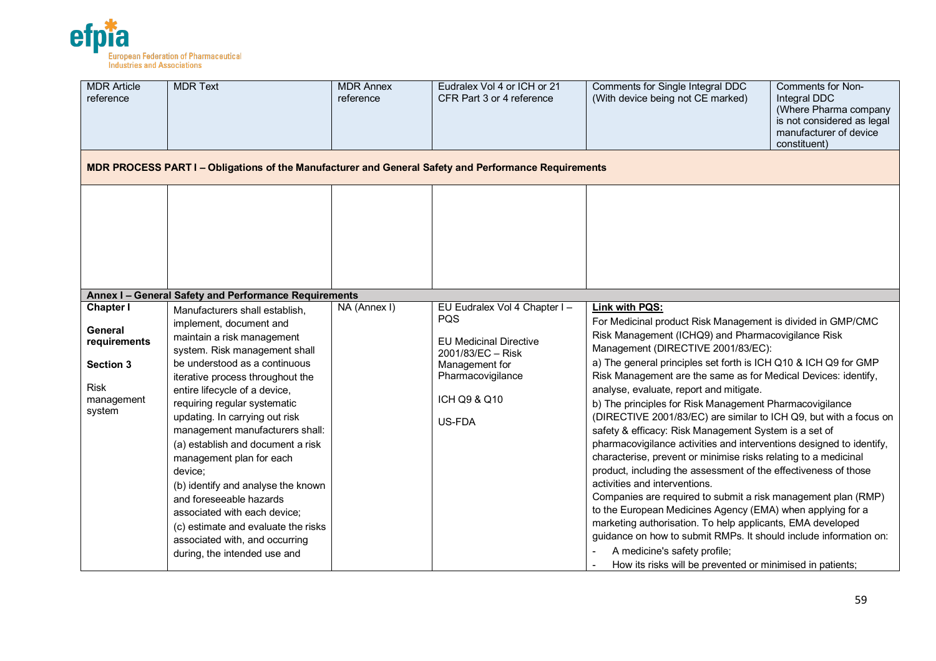

| <b>MDR Article</b><br>reference                                                    | <b>MDR Text</b>                                                                                                                                                                                                                                                                                                                                                                                                                                                                                                                                                                                                           | <b>MDR Annex</b><br>reference | Eudralex Vol 4 or ICH or 21<br>CFR Part 3 or 4 reference                                                                          | Comments for Single Integral DDC<br>(With device being not CE marked)                                                                                                                                                                                                                                                                                                                                                                                                                                                                                                                                                                                                                                                                                                                                                                                                                                                                                                                                                                                                                                                                          | Comments for Non-<br>Integral DDC<br>(Where Pharma company<br>is not considered as legal<br>manufacturer of device<br>constituent) |
|------------------------------------------------------------------------------------|---------------------------------------------------------------------------------------------------------------------------------------------------------------------------------------------------------------------------------------------------------------------------------------------------------------------------------------------------------------------------------------------------------------------------------------------------------------------------------------------------------------------------------------------------------------------------------------------------------------------------|-------------------------------|-----------------------------------------------------------------------------------------------------------------------------------|------------------------------------------------------------------------------------------------------------------------------------------------------------------------------------------------------------------------------------------------------------------------------------------------------------------------------------------------------------------------------------------------------------------------------------------------------------------------------------------------------------------------------------------------------------------------------------------------------------------------------------------------------------------------------------------------------------------------------------------------------------------------------------------------------------------------------------------------------------------------------------------------------------------------------------------------------------------------------------------------------------------------------------------------------------------------------------------------------------------------------------------------|------------------------------------------------------------------------------------------------------------------------------------|
|                                                                                    | MDR PROCESS PART I – Obligations of the Manufacturer and General Safety and Performance Requirements                                                                                                                                                                                                                                                                                                                                                                                                                                                                                                                      |                               |                                                                                                                                   |                                                                                                                                                                                                                                                                                                                                                                                                                                                                                                                                                                                                                                                                                                                                                                                                                                                                                                                                                                                                                                                                                                                                                |                                                                                                                                    |
| <b>Chapter I</b>                                                                   | Annex I - General Safety and Performance Requirements                                                                                                                                                                                                                                                                                                                                                                                                                                                                                                                                                                     | NA (Annex I)                  | EU Eudralex Vol 4 Chapter I -                                                                                                     | Link with PQS:                                                                                                                                                                                                                                                                                                                                                                                                                                                                                                                                                                                                                                                                                                                                                                                                                                                                                                                                                                                                                                                                                                                                 |                                                                                                                                    |
| General<br>requirements<br><b>Section 3</b><br><b>Risk</b><br>management<br>system | Manufacturers shall establish,<br>implement, document and<br>maintain a risk management<br>system. Risk management shall<br>be understood as a continuous<br>iterative process throughout the<br>entire lifecycle of a device,<br>requiring regular systematic<br>updating. In carrying out risk<br>management manufacturers shall:<br>(a) establish and document a risk<br>management plan for each<br>device;<br>(b) identify and analyse the known<br>and foreseeable hazards<br>associated with each device;<br>(c) estimate and evaluate the risks<br>associated with, and occurring<br>during, the intended use and |                               | <b>PQS</b><br><b>EU Medicinal Directive</b><br>2001/83/EC - Risk<br>Management for<br>Pharmacovigilance<br>ICH Q9 & Q10<br>US-FDA | For Medicinal product Risk Management is divided in GMP/CMC<br>Risk Management (ICHQ9) and Pharmacovigilance Risk<br>Management (DIRECTIVE 2001/83/EC):<br>a) The general principles set forth is ICH Q10 & ICH Q9 for GMP<br>Risk Management are the same as for Medical Devices: identify,<br>analyse, evaluate, report and mitigate.<br>b) The principles for Risk Management Pharmacovigilance<br>(DIRECTIVE 2001/83/EC) are similar to ICH Q9, but with a focus on<br>safety & efficacy: Risk Management System is a set of<br>pharmacovigilance activities and interventions designed to identify,<br>characterise, prevent or minimise risks relating to a medicinal<br>product, including the assessment of the effectiveness of those<br>activities and interventions.<br>Companies are required to submit a risk management plan (RMP)<br>to the European Medicines Agency (EMA) when applying for a<br>marketing authorisation. To help applicants, EMA developed<br>guidance on how to submit RMPs. It should include information on:<br>A medicine's safety profile;<br>How its risks will be prevented or minimised in patients; |                                                                                                                                    |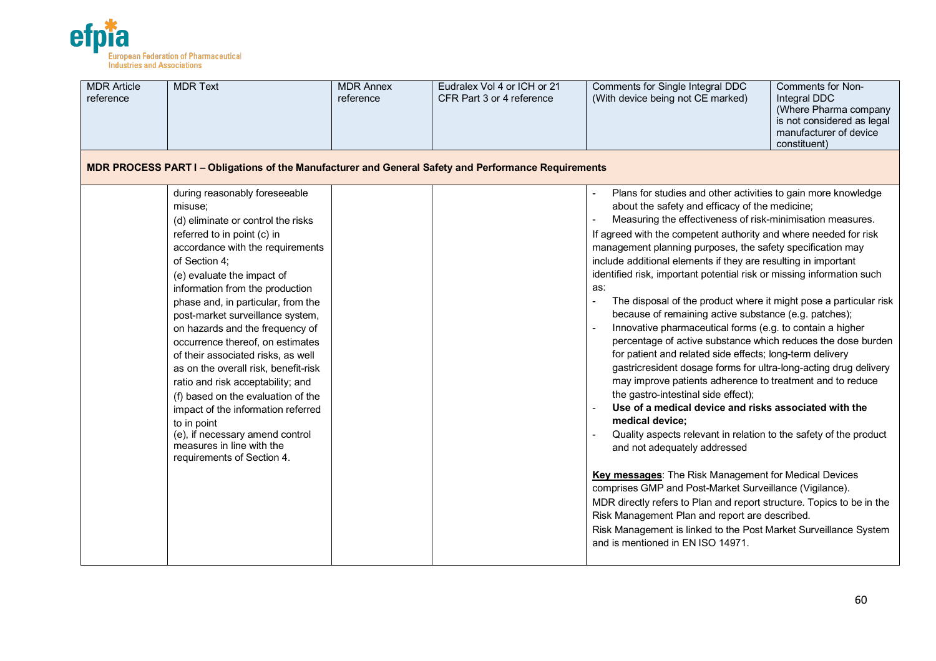

| <b>MDR Article</b><br>reference | <b>MDR Text</b>                                                                                                                                                                                                                                                                                                                                                                                                                                                                                                                                                                                                                                                                                  | <b>MDR Annex</b><br>reference | Eudralex Vol 4 or ICH or 21<br>CFR Part 3 or 4 reference | Comments for Single Integral DDC<br>(With device being not CE marked)                                                                                                                                                                                                                                                                                                                                                                                                                                                                                                                                                                                                                                                                                                                                                                                                                                                                                                                                                                                                                                                                                                                                                                                                                                                                                                                                                                                                                                            | <b>Comments for Non-</b><br>Integral DDC<br>(Where Pharma company<br>is not considered as legal<br>manufacturer of device<br>constituent) |
|---------------------------------|--------------------------------------------------------------------------------------------------------------------------------------------------------------------------------------------------------------------------------------------------------------------------------------------------------------------------------------------------------------------------------------------------------------------------------------------------------------------------------------------------------------------------------------------------------------------------------------------------------------------------------------------------------------------------------------------------|-------------------------------|----------------------------------------------------------|------------------------------------------------------------------------------------------------------------------------------------------------------------------------------------------------------------------------------------------------------------------------------------------------------------------------------------------------------------------------------------------------------------------------------------------------------------------------------------------------------------------------------------------------------------------------------------------------------------------------------------------------------------------------------------------------------------------------------------------------------------------------------------------------------------------------------------------------------------------------------------------------------------------------------------------------------------------------------------------------------------------------------------------------------------------------------------------------------------------------------------------------------------------------------------------------------------------------------------------------------------------------------------------------------------------------------------------------------------------------------------------------------------------------------------------------------------------------------------------------------------------|-------------------------------------------------------------------------------------------------------------------------------------------|
|                                 | MDR PROCESS PART I - Obligations of the Manufacturer and General Safety and Performance Requirements                                                                                                                                                                                                                                                                                                                                                                                                                                                                                                                                                                                             |                               |                                                          |                                                                                                                                                                                                                                                                                                                                                                                                                                                                                                                                                                                                                                                                                                                                                                                                                                                                                                                                                                                                                                                                                                                                                                                                                                                                                                                                                                                                                                                                                                                  |                                                                                                                                           |
|                                 | during reasonably foreseeable<br>misuse;<br>(d) eliminate or control the risks<br>referred to in point (c) in<br>accordance with the requirements<br>of Section 4;<br>(e) evaluate the impact of<br>information from the production<br>phase and, in particular, from the<br>post-market surveillance system,<br>on hazards and the frequency of<br>occurrence thereof, on estimates<br>of their associated risks, as well<br>as on the overall risk, benefit-risk<br>ratio and risk acceptability; and<br>(f) based on the evaluation of the<br>impact of the information referred<br>to in point<br>(e), if necessary amend control<br>measures in line with the<br>requirements of Section 4. |                               |                                                          | Plans for studies and other activities to gain more knowledge<br>about the safety and efficacy of the medicine;<br>Measuring the effectiveness of risk-minimisation measures.<br>If agreed with the competent authority and where needed for risk<br>management planning purposes, the safety specification may<br>include additional elements if they are resulting in important<br>identified risk, important potential risk or missing information such<br>as:<br>The disposal of the product where it might pose a particular risk<br>because of remaining active substance (e.g. patches);<br>Innovative pharmaceutical forms (e.g. to contain a higher<br>percentage of active substance which reduces the dose burden<br>for patient and related side effects; long-term delivery<br>gastricresident dosage forms for ultra-long-acting drug delivery<br>may improve patients adherence to treatment and to reduce<br>the gastro-intestinal side effect);<br>Use of a medical device and risks associated with the<br>medical device;<br>Quality aspects relevant in relation to the safety of the product<br>and not adequately addressed<br><b>Key messages:</b> The Risk Management for Medical Devices<br>comprises GMP and Post-Market Surveillance (Vigilance).<br>MDR directly refers to Plan and report structure. Topics to be in the<br>Risk Management Plan and report are described.<br>Risk Management is linked to the Post Market Surveillance System<br>and is mentioned in EN ISO 14971. |                                                                                                                                           |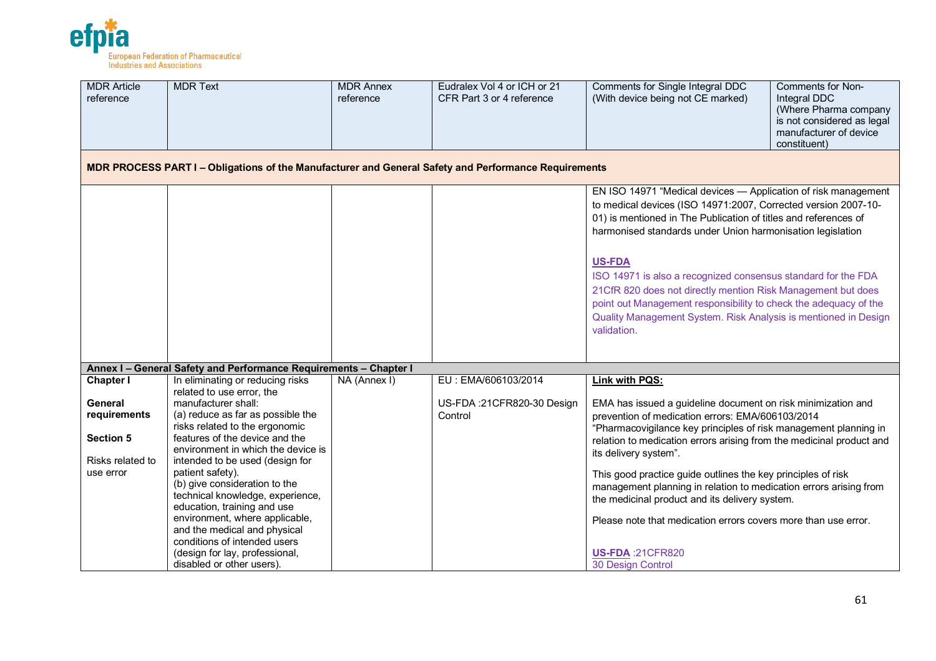

| <b>MDR Article</b><br>reference                                 | <b>MDR Text</b>                                                                                                                                                                                       | <b>MDR Annex</b><br>reference | Eudralex Vol 4 or ICH or 21<br>CFR Part 3 or 4 reference | Comments for Non-<br>Comments for Single Integral DDC<br>(With device being not CE marked)<br>Integral DDC<br>(Where Pharma company<br>is not considered as legal<br>manufacturer of device<br>constituent)                                                                                                                                                                                                                                                                                                                                                               |
|-----------------------------------------------------------------|-------------------------------------------------------------------------------------------------------------------------------------------------------------------------------------------------------|-------------------------------|----------------------------------------------------------|---------------------------------------------------------------------------------------------------------------------------------------------------------------------------------------------------------------------------------------------------------------------------------------------------------------------------------------------------------------------------------------------------------------------------------------------------------------------------------------------------------------------------------------------------------------------------|
|                                                                 | MDR PROCESS PART I - Obligations of the Manufacturer and General Safety and Performance Requirements                                                                                                  |                               |                                                          |                                                                                                                                                                                                                                                                                                                                                                                                                                                                                                                                                                           |
|                                                                 |                                                                                                                                                                                                       |                               |                                                          | EN ISO 14971 "Medical devices - Application of risk management<br>to medical devices (ISO 14971:2007, Corrected version 2007-10-<br>01) is mentioned in The Publication of titles and references of<br>harmonised standards under Union harmonisation legislation<br><b>US-FDA</b><br>ISO 14971 is also a recognized consensus standard for the FDA<br>21CfR 820 does not directly mention Risk Management but does<br>point out Management responsibility to check the adequacy of the<br>Quality Management System. Risk Analysis is mentioned in Design<br>validation. |
|                                                                 | Annex I - General Safety and Performance Requirements - Chapter I                                                                                                                                     |                               |                                                          |                                                                                                                                                                                                                                                                                                                                                                                                                                                                                                                                                                           |
| <b>Chapter I</b>                                                | In eliminating or reducing risks<br>related to use error, the                                                                                                                                         | NA (Annex I)                  | EU: EMA/606103/2014                                      | Link with PQS:                                                                                                                                                                                                                                                                                                                                                                                                                                                                                                                                                            |
| General<br>requirements<br><b>Section 5</b><br>Risks related to | manufacturer shall:<br>(a) reduce as far as possible the<br>risks related to the ergonomic<br>features of the device and the<br>environment in which the device is<br>intended to be used (design for |                               | US-FDA:21CFR820-30 Design<br>Control                     | EMA has issued a guideline document on risk minimization and<br>prevention of medication errors: EMA/606103/2014<br>"Pharmacovigilance key principles of risk management planning in<br>relation to medication errors arising from the medicinal product and<br>its delivery system".                                                                                                                                                                                                                                                                                     |
| use error                                                       | patient safety).<br>(b) give consideration to the<br>technical knowledge, experience,<br>education, training and use<br>environment, where applicable,<br>and the medical and physical                |                               |                                                          | This good practice guide outlines the key principles of risk<br>management planning in relation to medication errors arising from<br>the medicinal product and its delivery system.<br>Please note that medication errors covers more than use error.                                                                                                                                                                                                                                                                                                                     |
|                                                                 | conditions of intended users<br>(design for lay, professional,<br>disabled or other users).                                                                                                           |                               |                                                          | <b>US-FDA: 21CFR820</b><br>30 Design Control                                                                                                                                                                                                                                                                                                                                                                                                                                                                                                                              |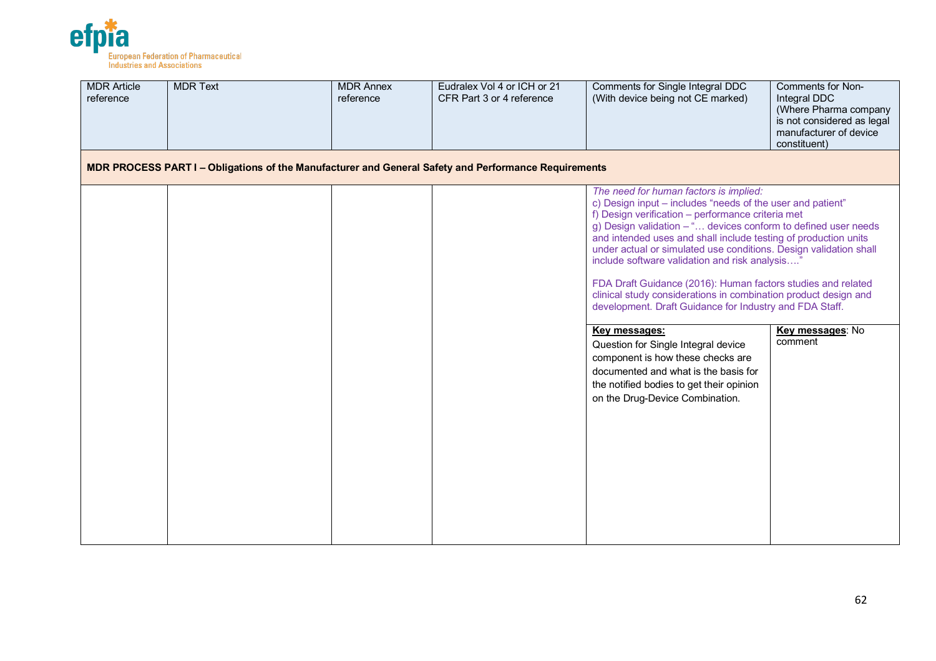

| <b>MDR Article</b><br>reference | <b>MDR Text</b>                                                                                      | <b>MDR Annex</b><br>reference | Eudralex Vol 4 or ICH or 21<br>CFR Part 3 or 4 reference | Comments for Single Integral DDC<br>(With device being not CE marked)                                                                                                                                                                                                                                                                                                                                                                                                                                                                                                                                               | Comments for Non-<br>Integral DDC<br>(Where Pharma company<br>is not considered as legal<br>manufacturer of device<br>constituent) |
|---------------------------------|------------------------------------------------------------------------------------------------------|-------------------------------|----------------------------------------------------------|---------------------------------------------------------------------------------------------------------------------------------------------------------------------------------------------------------------------------------------------------------------------------------------------------------------------------------------------------------------------------------------------------------------------------------------------------------------------------------------------------------------------------------------------------------------------------------------------------------------------|------------------------------------------------------------------------------------------------------------------------------------|
|                                 | MDR PROCESS PART I – Obligations of the Manufacturer and General Safety and Performance Requirements |                               |                                                          |                                                                                                                                                                                                                                                                                                                                                                                                                                                                                                                                                                                                                     |                                                                                                                                    |
|                                 |                                                                                                      |                               |                                                          | The need for human factors is implied:<br>c) Design input - includes "needs of the user and patient"<br>f) Design verification - performance criteria met<br>g) Design validation - " devices conform to defined user needs<br>and intended uses and shall include testing of production units<br>under actual or simulated use conditions. Design validation shall<br>include software validation and risk analysis"<br>FDA Draft Guidance (2016): Human factors studies and related<br>clinical study considerations in combination product design and<br>development. Draft Guidance for Industry and FDA Staff. |                                                                                                                                    |
|                                 |                                                                                                      |                               |                                                          | Key messages:<br>Question for Single Integral device<br>component is how these checks are<br>documented and what is the basis for<br>the notified bodies to get their opinion<br>on the Drug-Device Combination.                                                                                                                                                                                                                                                                                                                                                                                                    | Key messages: No<br>comment                                                                                                        |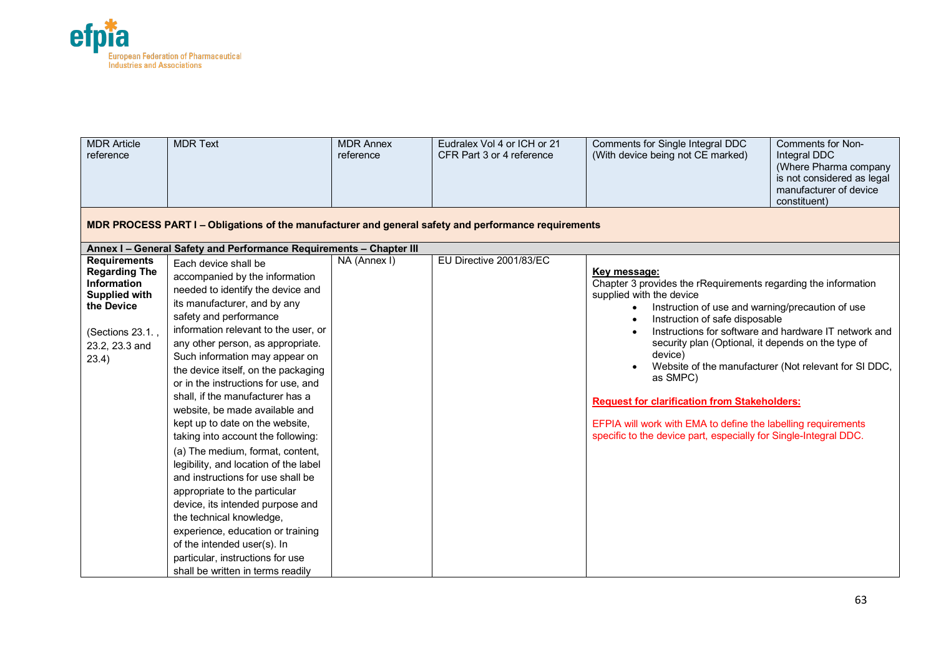

| <b>MDR Article</b><br>reference                                                                                                                 | <b>MDR Text</b>                                                                                                                                                                                                                                                                                                                                                                                                                                                                                                                                                                                                                                                                                                                                                                                                                                                   | <b>MDR Annex</b><br>reference | Eudralex Vol 4 or ICH or 21<br>CFR Part 3 or 4 reference | Comments for Single Integral DDC<br>(With device being not CE marked)                                                                                                                                                                                                                                                                                                                                                                                                                                            | Comments for Non-<br>Integral DDC<br>(Where Pharma company<br>is not considered as legal<br>manufacturer of device<br>constituent) |  |  |  |  |
|-------------------------------------------------------------------------------------------------------------------------------------------------|-------------------------------------------------------------------------------------------------------------------------------------------------------------------------------------------------------------------------------------------------------------------------------------------------------------------------------------------------------------------------------------------------------------------------------------------------------------------------------------------------------------------------------------------------------------------------------------------------------------------------------------------------------------------------------------------------------------------------------------------------------------------------------------------------------------------------------------------------------------------|-------------------------------|----------------------------------------------------------|------------------------------------------------------------------------------------------------------------------------------------------------------------------------------------------------------------------------------------------------------------------------------------------------------------------------------------------------------------------------------------------------------------------------------------------------------------------------------------------------------------------|------------------------------------------------------------------------------------------------------------------------------------|--|--|--|--|
|                                                                                                                                                 | MDR PROCESS PART I – Obligations of the manufacturer and general safety and performance requirements                                                                                                                                                                                                                                                                                                                                                                                                                                                                                                                                                                                                                                                                                                                                                              |                               |                                                          |                                                                                                                                                                                                                                                                                                                                                                                                                                                                                                                  |                                                                                                                                    |  |  |  |  |
|                                                                                                                                                 | Annex I - General Safety and Performance Requirements - Chapter III                                                                                                                                                                                                                                                                                                                                                                                                                                                                                                                                                                                                                                                                                                                                                                                               |                               |                                                          |                                                                                                                                                                                                                                                                                                                                                                                                                                                                                                                  |                                                                                                                                    |  |  |  |  |
| <b>Requirements</b><br><b>Regarding The</b><br>Information<br><b>Supplied with</b><br>the Device<br>(Sections 23.1.,<br>23.2, 23.3 and<br>23.4) | Each device shall be<br>accompanied by the information<br>needed to identify the device and<br>its manufacturer, and by any<br>safety and performance<br>information relevant to the user, or<br>any other person, as appropriate.<br>Such information may appear on<br>the device itself, on the packaging<br>or in the instructions for use, and<br>shall, if the manufacturer has a<br>website, be made available and<br>kept up to date on the website,<br>taking into account the following:<br>(a) The medium, format, content,<br>legibility, and location of the label<br>and instructions for use shall be<br>appropriate to the particular<br>device, its intended purpose and<br>the technical knowledge,<br>experience, education or training<br>of the intended user(s). In<br>particular, instructions for use<br>shall be written in terms readily | NA (Annex I)                  | EU Directive 2001/83/EC                                  | Key message:<br>Chapter 3 provides the rRequirements regarding the information<br>supplied with the device<br>Instruction of use and warning/precaution of use<br>$\bullet$<br>Instruction of safe disposable<br>$\bullet$<br>$\bullet$<br>security plan (Optional, it depends on the type of<br>device)<br>as SMPC)<br><b>Request for clarification from Stakeholders:</b><br>EFPIA will work with EMA to define the labelling requirements<br>specific to the device part, especially for Single-Integral DDC. | Instructions for software and hardware IT network and<br>Website of the manufacturer (Not relevant for SI DDC,                     |  |  |  |  |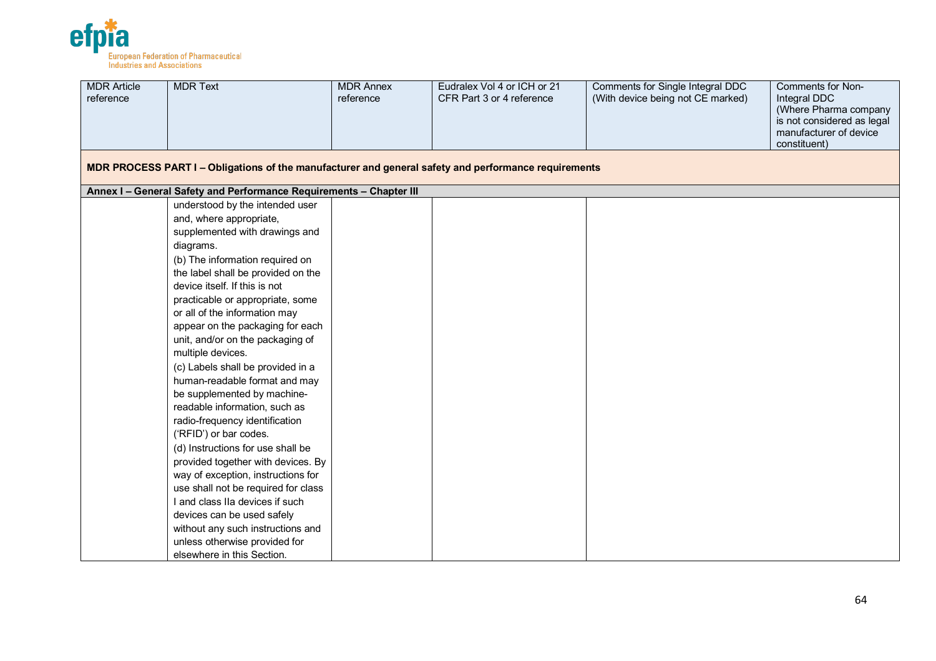

| <b>MDR Article</b><br>reference | <b>MDR Text</b>                                                                                      | <b>MDR Annex</b><br>reference | Eudralex Vol 4 or ICH or 21<br>CFR Part 3 or 4 reference | Comments for Single Integral DDC<br>(With device being not CE marked) | Comments for Non-<br>Integral DDC<br>(Where Pharma company<br>is not considered as legal<br>manufacturer of device<br>constituent) |
|---------------------------------|------------------------------------------------------------------------------------------------------|-------------------------------|----------------------------------------------------------|-----------------------------------------------------------------------|------------------------------------------------------------------------------------------------------------------------------------|
|                                 | MDR PROCESS PART I - Obligations of the manufacturer and general safety and performance requirements |                               |                                                          |                                                                       |                                                                                                                                    |
|                                 | Annex I - General Safety and Performance Requirements - Chapter III                                  |                               |                                                          |                                                                       |                                                                                                                                    |
|                                 | understood by the intended user                                                                      |                               |                                                          |                                                                       |                                                                                                                                    |
|                                 | and, where appropriate,                                                                              |                               |                                                          |                                                                       |                                                                                                                                    |
|                                 | supplemented with drawings and                                                                       |                               |                                                          |                                                                       |                                                                                                                                    |
|                                 | diagrams.                                                                                            |                               |                                                          |                                                                       |                                                                                                                                    |
|                                 | (b) The information required on                                                                      |                               |                                                          |                                                                       |                                                                                                                                    |
|                                 | the label shall be provided on the                                                                   |                               |                                                          |                                                                       |                                                                                                                                    |
|                                 | device itself. If this is not                                                                        |                               |                                                          |                                                                       |                                                                                                                                    |
|                                 | practicable or appropriate, some                                                                     |                               |                                                          |                                                                       |                                                                                                                                    |
|                                 | or all of the information may                                                                        |                               |                                                          |                                                                       |                                                                                                                                    |
|                                 | appear on the packaging for each                                                                     |                               |                                                          |                                                                       |                                                                                                                                    |
|                                 | unit, and/or on the packaging of                                                                     |                               |                                                          |                                                                       |                                                                                                                                    |
|                                 | multiple devices.                                                                                    |                               |                                                          |                                                                       |                                                                                                                                    |
|                                 | (c) Labels shall be provided in a                                                                    |                               |                                                          |                                                                       |                                                                                                                                    |
|                                 | human-readable format and may                                                                        |                               |                                                          |                                                                       |                                                                                                                                    |
|                                 | be supplemented by machine-                                                                          |                               |                                                          |                                                                       |                                                                                                                                    |
|                                 | readable information, such as                                                                        |                               |                                                          |                                                                       |                                                                                                                                    |
|                                 | radio-frequency identification                                                                       |                               |                                                          |                                                                       |                                                                                                                                    |
|                                 | ('RFID') or bar codes.                                                                               |                               |                                                          |                                                                       |                                                                                                                                    |
|                                 | (d) Instructions for use shall be                                                                    |                               |                                                          |                                                                       |                                                                                                                                    |
|                                 | provided together with devices. By                                                                   |                               |                                                          |                                                                       |                                                                                                                                    |
|                                 | way of exception, instructions for<br>use shall not be required for class                            |                               |                                                          |                                                                       |                                                                                                                                    |
|                                 | I and class IIa devices if such                                                                      |                               |                                                          |                                                                       |                                                                                                                                    |
|                                 | devices can be used safely                                                                           |                               |                                                          |                                                                       |                                                                                                                                    |
|                                 | without any such instructions and                                                                    |                               |                                                          |                                                                       |                                                                                                                                    |
|                                 | unless otherwise provided for                                                                        |                               |                                                          |                                                                       |                                                                                                                                    |
|                                 | elsewhere in this Section.                                                                           |                               |                                                          |                                                                       |                                                                                                                                    |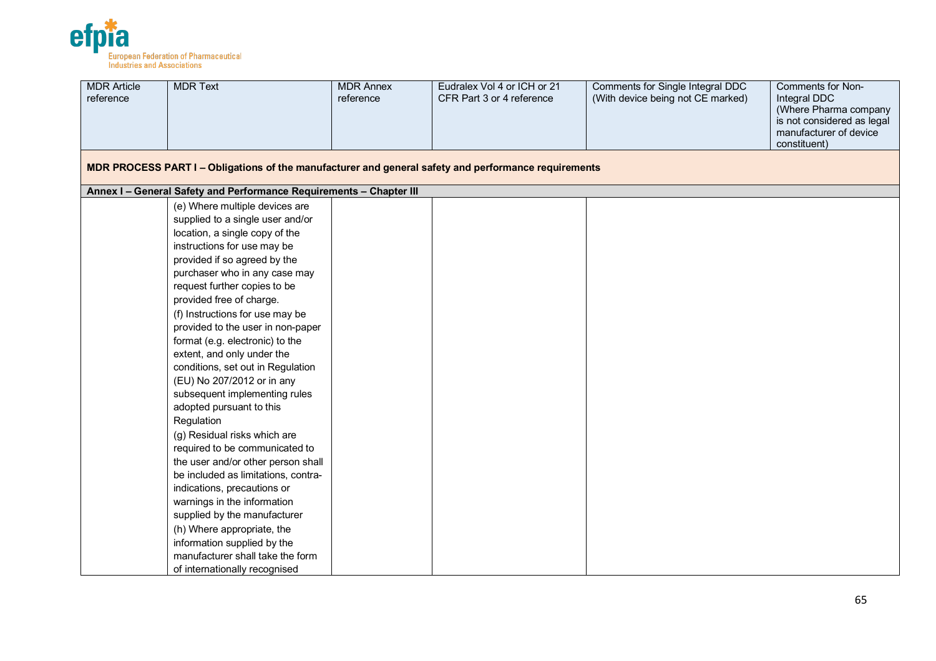

| <b>MDR Article</b><br>reference | <b>MDR Text</b>                                                                                      | <b>MDR Annex</b><br>reference | Eudralex Vol 4 or ICH or 21<br>CFR Part 3 or 4 reference | Comments for Single Integral DDC<br>(With device being not CE marked) | Comments for Non-<br>Integral DDC<br>(Where Pharma company<br>is not considered as legal<br>manufacturer of device<br>constituent) |
|---------------------------------|------------------------------------------------------------------------------------------------------|-------------------------------|----------------------------------------------------------|-----------------------------------------------------------------------|------------------------------------------------------------------------------------------------------------------------------------|
|                                 | MDR PROCESS PART I - Obligations of the manufacturer and general safety and performance requirements |                               |                                                          |                                                                       |                                                                                                                                    |
|                                 | Annex I - General Safety and Performance Requirements - Chapter III                                  |                               |                                                          |                                                                       |                                                                                                                                    |
|                                 | (e) Where multiple devices are                                                                       |                               |                                                          |                                                                       |                                                                                                                                    |
|                                 | supplied to a single user and/or                                                                     |                               |                                                          |                                                                       |                                                                                                                                    |
|                                 | location, a single copy of the                                                                       |                               |                                                          |                                                                       |                                                                                                                                    |
|                                 | instructions for use may be                                                                          |                               |                                                          |                                                                       |                                                                                                                                    |
|                                 | provided if so agreed by the                                                                         |                               |                                                          |                                                                       |                                                                                                                                    |
|                                 | purchaser who in any case may                                                                        |                               |                                                          |                                                                       |                                                                                                                                    |
|                                 | request further copies to be                                                                         |                               |                                                          |                                                                       |                                                                                                                                    |
|                                 | provided free of charge.                                                                             |                               |                                                          |                                                                       |                                                                                                                                    |
|                                 | (f) Instructions for use may be                                                                      |                               |                                                          |                                                                       |                                                                                                                                    |
|                                 | provided to the user in non-paper                                                                    |                               |                                                          |                                                                       |                                                                                                                                    |
|                                 | format (e.g. electronic) to the                                                                      |                               |                                                          |                                                                       |                                                                                                                                    |
|                                 | extent, and only under the                                                                           |                               |                                                          |                                                                       |                                                                                                                                    |
|                                 | conditions, set out in Regulation                                                                    |                               |                                                          |                                                                       |                                                                                                                                    |
|                                 | (EU) No 207/2012 or in any                                                                           |                               |                                                          |                                                                       |                                                                                                                                    |
|                                 | subsequent implementing rules                                                                        |                               |                                                          |                                                                       |                                                                                                                                    |
|                                 | adopted pursuant to this                                                                             |                               |                                                          |                                                                       |                                                                                                                                    |
|                                 | Regulation                                                                                           |                               |                                                          |                                                                       |                                                                                                                                    |
|                                 | (g) Residual risks which are                                                                         |                               |                                                          |                                                                       |                                                                                                                                    |
|                                 | required to be communicated to                                                                       |                               |                                                          |                                                                       |                                                                                                                                    |
|                                 | the user and/or other person shall                                                                   |                               |                                                          |                                                                       |                                                                                                                                    |
|                                 | be included as limitations, contra-                                                                  |                               |                                                          |                                                                       |                                                                                                                                    |
|                                 | indications, precautions or                                                                          |                               |                                                          |                                                                       |                                                                                                                                    |
|                                 | warnings in the information                                                                          |                               |                                                          |                                                                       |                                                                                                                                    |
|                                 | supplied by the manufacturer                                                                         |                               |                                                          |                                                                       |                                                                                                                                    |
|                                 | (h) Where appropriate, the                                                                           |                               |                                                          |                                                                       |                                                                                                                                    |
|                                 | information supplied by the<br>manufacturer shall take the form                                      |                               |                                                          |                                                                       |                                                                                                                                    |
|                                 |                                                                                                      |                               |                                                          |                                                                       |                                                                                                                                    |
|                                 | of internationally recognised                                                                        |                               |                                                          |                                                                       |                                                                                                                                    |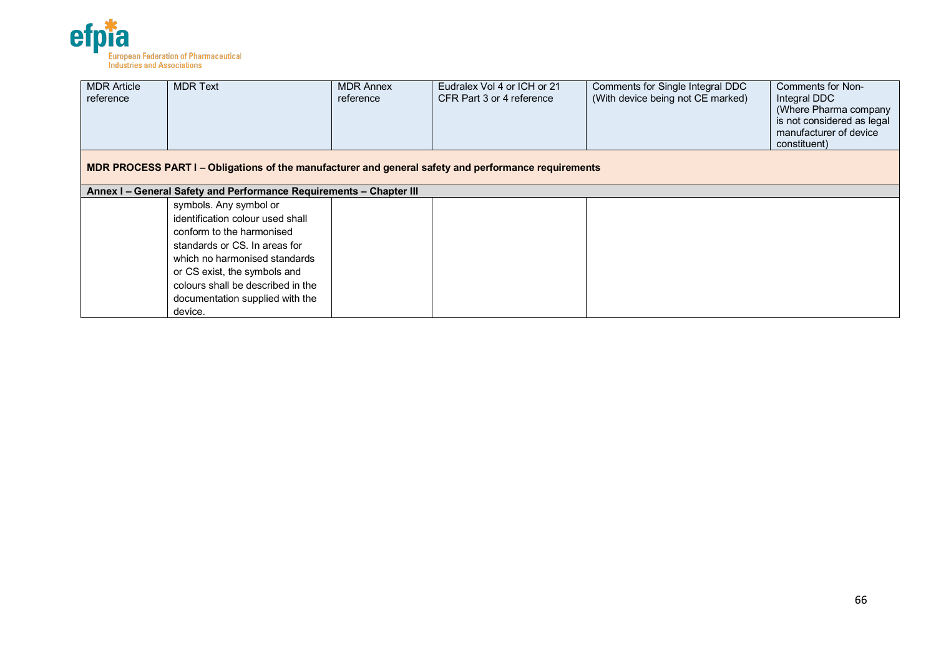

| <b>MDR Article</b><br>reference | <b>MDR Text</b>                                                                                                                                                                                                                                                              | <b>MDR Annex</b><br>reference | Eudralex Vol 4 or ICH or 21<br>CFR Part 3 or 4 reference | Comments for Single Integral DDC<br>(With device being not CE marked) | Comments for Non-<br>Integral DDC<br>(Where Pharma company<br>is not considered as legal<br>manufacturer of device<br>constituent) |  |  |  |  |
|---------------------------------|------------------------------------------------------------------------------------------------------------------------------------------------------------------------------------------------------------------------------------------------------------------------------|-------------------------------|----------------------------------------------------------|-----------------------------------------------------------------------|------------------------------------------------------------------------------------------------------------------------------------|--|--|--|--|
|                                 | MDR PROCESS PART I – Obligations of the manufacturer and general safety and performance requirements                                                                                                                                                                         |                               |                                                          |                                                                       |                                                                                                                                    |  |  |  |  |
|                                 | Annex I - General Safety and Performance Requirements - Chapter III                                                                                                                                                                                                          |                               |                                                          |                                                                       |                                                                                                                                    |  |  |  |  |
|                                 | symbols. Any symbol or<br>identification colour used shall<br>conform to the harmonised<br>standards or CS. In areas for<br>which no harmonised standards<br>or CS exist, the symbols and<br>colours shall be described in the<br>documentation supplied with the<br>device. |                               |                                                          |                                                                       |                                                                                                                                    |  |  |  |  |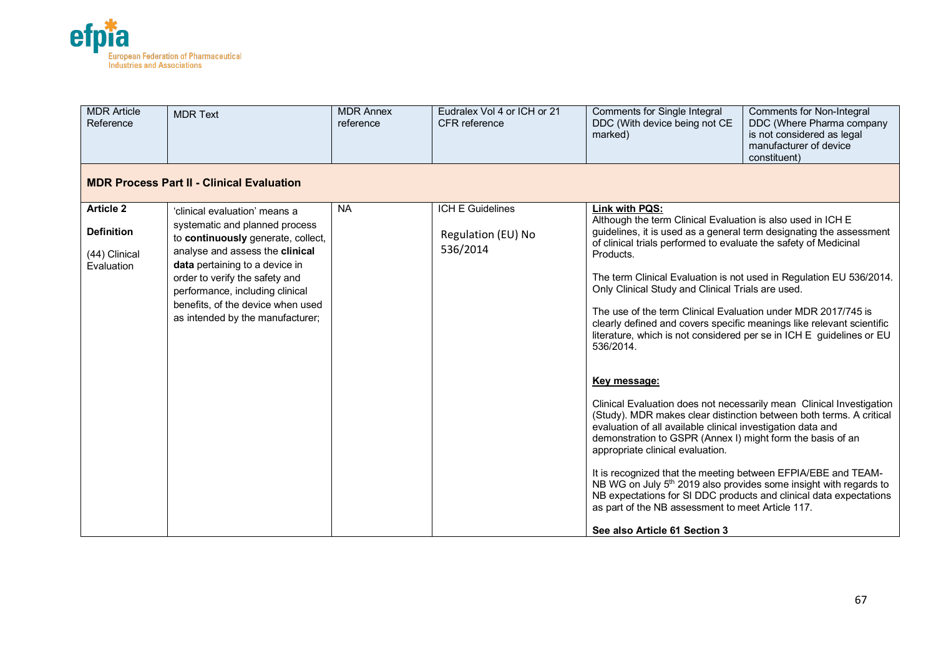

| <b>MDR Article</b><br>Reference | <b>MDR Text</b>                                                                                     | <b>MDR Annex</b><br>reference | Eudralex Vol 4 or ICH or 21<br>CFR reference | Comments for Single Integral<br>DDC (With device being not CE<br>marked)                                                                                                                                                                                                                                              | <b>Comments for Non-Integral</b><br>DDC (Where Pharma company<br>is not considered as legal<br>manufacturer of device<br>constituent) |  |  |  |  |
|---------------------------------|-----------------------------------------------------------------------------------------------------|-------------------------------|----------------------------------------------|-----------------------------------------------------------------------------------------------------------------------------------------------------------------------------------------------------------------------------------------------------------------------------------------------------------------------|---------------------------------------------------------------------------------------------------------------------------------------|--|--|--|--|
|                                 | <b>MDR Process Part II - Clinical Evaluation</b>                                                    |                               |                                              |                                                                                                                                                                                                                                                                                                                       |                                                                                                                                       |  |  |  |  |
| <b>Article 2</b>                | 'clinical evaluation' means a                                                                       | <b>NA</b>                     | ICH E Guidelines                             | <b>Link with PQS:</b>                                                                                                                                                                                                                                                                                                 |                                                                                                                                       |  |  |  |  |
| <b>Definition</b>               | systematic and planned process<br>to continuously generate, collect,                                |                               | Regulation (EU) No                           | Although the term Clinical Evaluation is also used in ICH E<br>guidelines, it is used as a general term designating the assessment<br>of clinical trials performed to evaluate the safety of Medicinal                                                                                                                |                                                                                                                                       |  |  |  |  |
| (44) Clinical                   | analyse and assess the clinical                                                                     |                               | 536/2014                                     | Products.                                                                                                                                                                                                                                                                                                             |                                                                                                                                       |  |  |  |  |
| Evaluation                      | data pertaining to a device in<br>order to verify the safety and<br>performance, including clinical |                               |                                              | Only Clinical Study and Clinical Trials are used.                                                                                                                                                                                                                                                                     | The term Clinical Evaluation is not used in Regulation EU 536/2014.                                                                   |  |  |  |  |
|                                 | benefits, of the device when used<br>as intended by the manufacturer;                               |                               |                                              | The use of the term Clinical Evaluation under MDR 2017/745 is<br>clearly defined and covers specific meanings like relevant scientific<br>literature, which is not considered per se in ICH E guidelines or EU<br>536/2014.                                                                                           |                                                                                                                                       |  |  |  |  |
|                                 |                                                                                                     |                               |                                              | Key message:<br>(Study). MDR makes clear distinction between both terms. A critical<br>evaluation of all available clinical investigation data and<br>demonstration to GSPR (Annex I) might form the basis of an<br>appropriate clinical evaluation.<br>It is recognized that the meeting between EFPIA/EBE and TEAM- | Clinical Evaluation does not necessarily mean Clinical Investigation                                                                  |  |  |  |  |
|                                 |                                                                                                     |                               |                                              | NB WG on July 5 <sup>th</sup> 2019 also provides some insight with regards to<br>NB expectations for SI DDC products and clinical data expectations<br>as part of the NB assessment to meet Article 117.                                                                                                              |                                                                                                                                       |  |  |  |  |
|                                 |                                                                                                     |                               |                                              | See also Article 61 Section 3                                                                                                                                                                                                                                                                                         |                                                                                                                                       |  |  |  |  |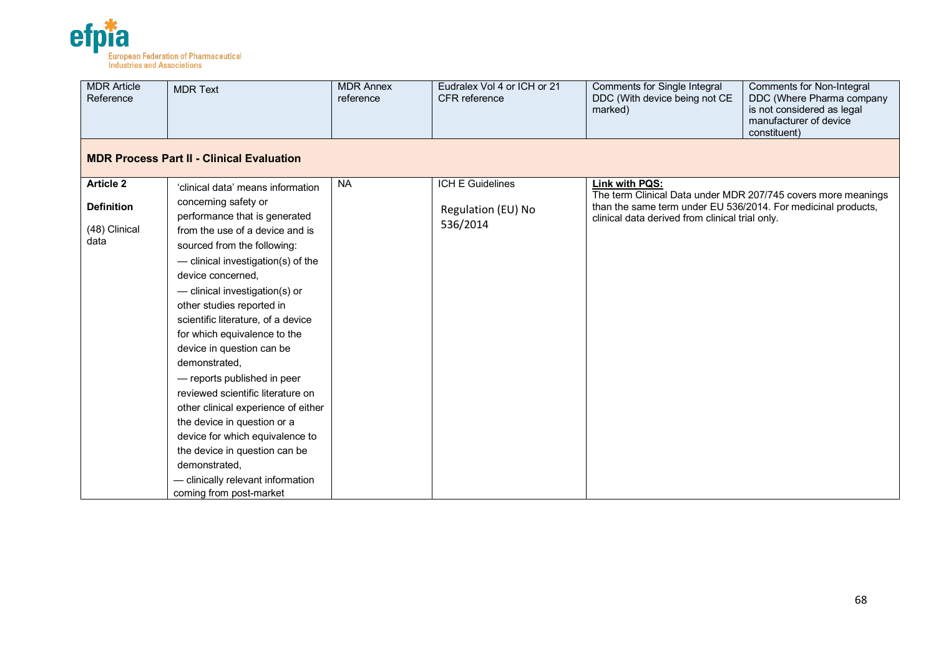

| <b>MDR Article</b><br>Reference | <b>MDR Text</b>                                                                                                                                                                                                                                                                                                                                                                                                                                                                                                                                                                  | <b>MDR Annex</b><br>reference | Eudralex Vol 4 or ICH or 21<br>CFR reference | Comments for Single Integral<br>DDC (With device being not CE<br>marked)                                         | <b>Comments for Non-Integral</b><br>DDC (Where Pharma company<br>is not considered as legal<br>manufacturer of device<br>constituent) |
|---------------------------------|----------------------------------------------------------------------------------------------------------------------------------------------------------------------------------------------------------------------------------------------------------------------------------------------------------------------------------------------------------------------------------------------------------------------------------------------------------------------------------------------------------------------------------------------------------------------------------|-------------------------------|----------------------------------------------|------------------------------------------------------------------------------------------------------------------|---------------------------------------------------------------------------------------------------------------------------------------|
|                                 | <b>MDR Process Part II - Clinical Evaluation</b>                                                                                                                                                                                                                                                                                                                                                                                                                                                                                                                                 |                               |                                              |                                                                                                                  |                                                                                                                                       |
| <b>Article 2</b>                | 'clinical data' means information                                                                                                                                                                                                                                                                                                                                                                                                                                                                                                                                                | <b>NA</b>                     | <b>ICH E Guidelines</b>                      | Link with PQS:                                                                                                   |                                                                                                                                       |
| <b>Definition</b>               | concerning safety or<br>performance that is generated                                                                                                                                                                                                                                                                                                                                                                                                                                                                                                                            |                               | Regulation (EU) No<br>536/2014               | than the same term under EU 536/2014. For medicinal products,<br>clinical data derived from clinical trial only. | The term Clinical Data under MDR 207/745 covers more meanings                                                                         |
| (48) Clinical<br>data           | from the use of a device and is<br>sourced from the following:<br>- clinical investigation(s) of the<br>device concerned,<br>- clinical investigation(s) or<br>other studies reported in<br>scientific literature, of a device<br>for which equivalence to the<br>device in question can be<br>demonstrated,<br>- reports published in peer<br>reviewed scientific literature on<br>other clinical experience of either<br>the device in question or a<br>device for which equivalence to<br>the device in question can be<br>demonstrated.<br>- clinically relevant information |                               |                                              |                                                                                                                  |                                                                                                                                       |
|                                 | coming from post-market                                                                                                                                                                                                                                                                                                                                                                                                                                                                                                                                                          |                               |                                              |                                                                                                                  |                                                                                                                                       |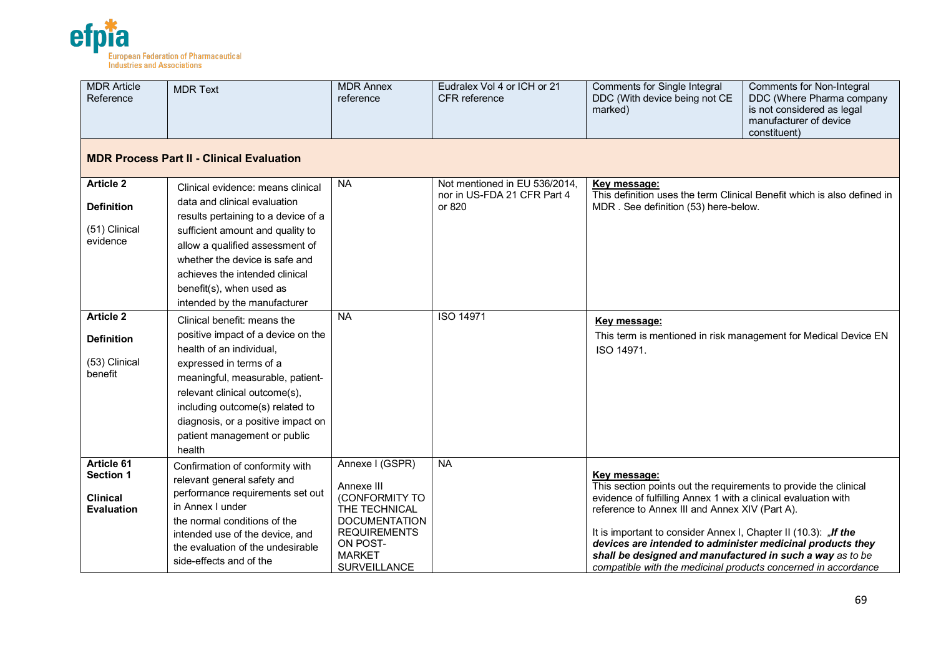

| <b>MDR</b> Article<br>Reference                                        | <b>MDR Text</b>                                                                                                                                                                                                 | <b>MDR Annex</b><br>reference                                                            | Eudralex Vol 4 or ICH or 21<br><b>CFR</b> reference | Comments for Single Integral<br>DDC (With device being not CE<br>marked)                                                                                                                                                                                     | Comments for Non-Integral<br>DDC (Where Pharma company<br>is not considered as legal<br>manufacturer of device<br>constituent) |  |  |  |  |
|------------------------------------------------------------------------|-----------------------------------------------------------------------------------------------------------------------------------------------------------------------------------------------------------------|------------------------------------------------------------------------------------------|-----------------------------------------------------|--------------------------------------------------------------------------------------------------------------------------------------------------------------------------------------------------------------------------------------------------------------|--------------------------------------------------------------------------------------------------------------------------------|--|--|--|--|
|                                                                        | <b>MDR Process Part II - Clinical Evaluation</b>                                                                                                                                                                |                                                                                          |                                                     |                                                                                                                                                                                                                                                              |                                                                                                                                |  |  |  |  |
| <b>Article 2</b>                                                       | Clinical evidence: means clinical                                                                                                                                                                               | <b>NA</b>                                                                                | Not mentioned in EU 536/2014,                       | Key message:                                                                                                                                                                                                                                                 | This definition uses the term Clinical Benefit which is also defined in                                                        |  |  |  |  |
| <b>Definition</b>                                                      | data and clinical evaluation<br>results pertaining to a device of a                                                                                                                                             |                                                                                          | nor in US-FDA 21 CFR Part 4<br>or 820               | MDR. See definition (53) here-below.                                                                                                                                                                                                                         |                                                                                                                                |  |  |  |  |
| (51) Clinical<br>evidence                                              | sufficient amount and quality to<br>allow a qualified assessment of<br>whether the device is safe and                                                                                                           |                                                                                          |                                                     |                                                                                                                                                                                                                                                              |                                                                                                                                |  |  |  |  |
|                                                                        | achieves the intended clinical<br>benefit(s), when used as<br>intended by the manufacturer                                                                                                                      |                                                                                          |                                                     |                                                                                                                                                                                                                                                              |                                                                                                                                |  |  |  |  |
| <b>Article 2</b>                                                       | Clinical benefit: means the                                                                                                                                                                                     | <b>NA</b>                                                                                | <b>ISO 14971</b>                                    | Key message:                                                                                                                                                                                                                                                 |                                                                                                                                |  |  |  |  |
| <b>Definition</b>                                                      | positive impact of a device on the<br>health of an individual,                                                                                                                                                  |                                                                                          |                                                     | ISO 14971.                                                                                                                                                                                                                                                   | This term is mentioned in risk management for Medical Device EN                                                                |  |  |  |  |
| (53) Clinical<br>benefit                                               | expressed in terms of a<br>meaningful, measurable, patient-<br>relevant clinical outcome(s),<br>including outcome(s) related to<br>diagnosis, or a positive impact on<br>patient management or public<br>health |                                                                                          |                                                     |                                                                                                                                                                                                                                                              |                                                                                                                                |  |  |  |  |
| Article 61<br><b>Section 1</b><br><b>Clinical</b><br><b>Evaluation</b> | Confirmation of conformity with<br>relevant general safety and<br>performance requirements set out<br>in Annex I under<br>the normal conditions of the                                                          | Annexe I (GSPR)<br>Annexe III<br>(CONFORMITY TO<br>THE TECHNICAL<br><b>DOCUMENTATION</b> | <b>NA</b>                                           | Key message:<br>This section points out the requirements to provide the clinical<br>evidence of fulfilling Annex 1 with a clinical evaluation with<br>reference to Annex III and Annex XIV (Part A).                                                         |                                                                                                                                |  |  |  |  |
|                                                                        | intended use of the device, and<br>the evaluation of the undesirable<br>side-effects and of the                                                                                                                 | <b>REQUIREMENTS</b><br>ON POST-<br><b>MARKET</b><br><b>SURVEILLANCE</b>                  |                                                     | It is important to consider Annex I, Chapter II (10.3): "If the<br>devices are intended to administer medicinal products they<br>shall be designed and manufactured in such a way as to be<br>compatible with the medicinal products concerned in accordance |                                                                                                                                |  |  |  |  |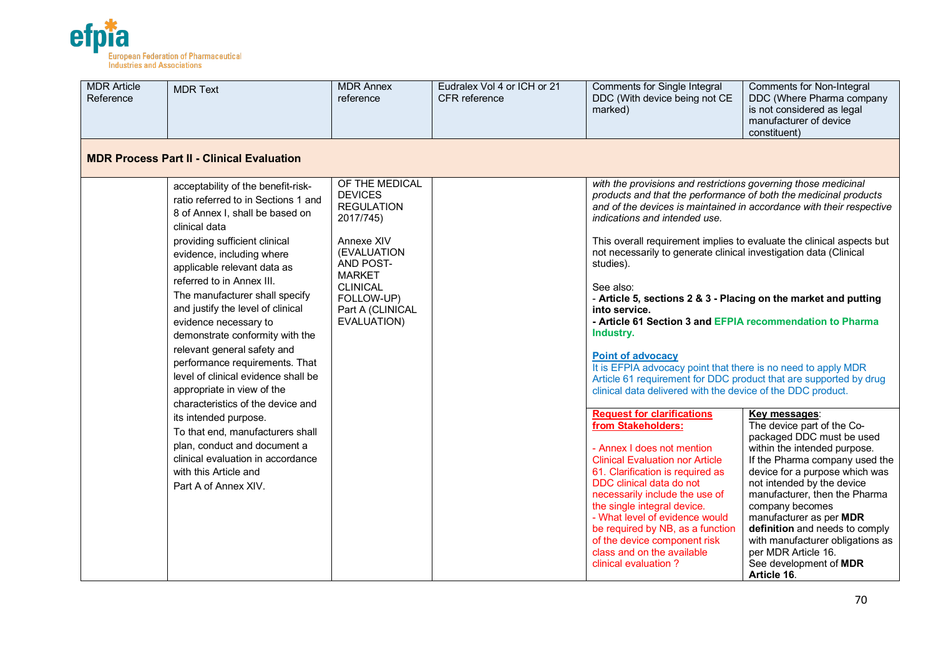

| <b>MDR Article</b><br>Reference | <b>MDR Text</b>                                                                                                                                                                 | <b>MDR Annex</b><br>reference                                                                                               | Eudralex Vol 4 or ICH or 21<br>CFR reference | <b>Comments for Single Integral</b><br>DDC (With device being not CE<br>marked)                                                                                                                                                                                                                                                                                                                                              | Comments for Non-Integral<br>DDC (Where Pharma company<br>is not considered as legal<br>manufacturer of device<br>constituent)                                                                                                                                                                                                                                                                                                  |  |
|---------------------------------|---------------------------------------------------------------------------------------------------------------------------------------------------------------------------------|-----------------------------------------------------------------------------------------------------------------------------|----------------------------------------------|------------------------------------------------------------------------------------------------------------------------------------------------------------------------------------------------------------------------------------------------------------------------------------------------------------------------------------------------------------------------------------------------------------------------------|---------------------------------------------------------------------------------------------------------------------------------------------------------------------------------------------------------------------------------------------------------------------------------------------------------------------------------------------------------------------------------------------------------------------------------|--|
|                                 | <b>MDR Process Part II - Clinical Evaluation</b>                                                                                                                                |                                                                                                                             |                                              |                                                                                                                                                                                                                                                                                                                                                                                                                              |                                                                                                                                                                                                                                                                                                                                                                                                                                 |  |
|                                 | acceptability of the benefit-risk-<br>ratio referred to in Sections 1 and<br>8 of Annex I, shall be based on<br>clinical data                                                   | OF THE MEDICAL<br><b>DEVICES</b><br><b>REGULATION</b><br>2017/745)                                                          |                                              | with the provisions and restrictions governing those medicinal<br>products and that the performance of both the medicinal products<br>indications and intended use.                                                                                                                                                                                                                                                          | and of the devices is maintained in accordance with their respective                                                                                                                                                                                                                                                                                                                                                            |  |
|                                 | providing sufficient clinical<br>evidence, including where<br>applicable relevant data as                                                                                       | Annexe XIV<br>(EVALUATION<br>AND POST-<br><b>MARKET</b><br><b>CLINICAL</b><br>FOLLOW-UP)<br>Part A (CLINICAL<br>EVALUATION) |                                              | not necessarily to generate clinical investigation data (Clinical<br>studies).                                                                                                                                                                                                                                                                                                                                               | This overall requirement implies to evaluate the clinical aspects but                                                                                                                                                                                                                                                                                                                                                           |  |
|                                 | referred to in Annex III.<br>The manufacturer shall specify<br>and justify the level of clinical<br>evidence necessary to<br>demonstrate conformity with the                    |                                                                                                                             |                                              | See also:<br>- Article 5, sections 2 & 3 - Placing on the market and putting<br>into service.<br>- Article 61 Section 3 and EFPIA recommendation to Pharma<br>Industry.                                                                                                                                                                                                                                                      |                                                                                                                                                                                                                                                                                                                                                                                                                                 |  |
|                                 | relevant general safety and<br>performance requirements. That<br>level of clinical evidence shall be<br>appropriate in view of the<br>characteristics of the device and         |                                                                                                                             |                                              |                                                                                                                                                                                                                                                                                                                                                                                                                              | <b>Point of advocacy</b><br>It is EFPIA advocacy point that there is no need to apply MDR<br>Article 61 requirement for DDC product that are supported by drug<br>clinical data delivered with the device of the DDC product.                                                                                                                                                                                                   |  |
|                                 | its intended purpose.<br>To that end, manufacturers shall<br>plan, conduct and document a<br>clinical evaluation in accordance<br>with this Article and<br>Part A of Annex XIV. |                                                                                                                             |                                              | <b>Request for clarifications</b><br>from Stakeholders:<br>- Annex I does not mention<br><b>Clinical Evaluation nor Article</b><br>61. Clarification is required as<br>DDC clinical data do not<br>necessarily include the use of<br>the single integral device.<br>- What level of evidence would<br>be required by NB, as a function<br>of the device component risk<br>class and on the available<br>clinical evaluation? | Key messages:<br>The device part of the Co-<br>packaged DDC must be used<br>within the intended purpose.<br>If the Pharma company used the<br>device for a purpose which was<br>not intended by the device<br>manufacturer, then the Pharma<br>company becomes<br>manufacturer as per MDR<br>definition and needs to comply<br>with manufacturer obligations as<br>per MDR Article 16.<br>See development of MDR<br>Article 16. |  |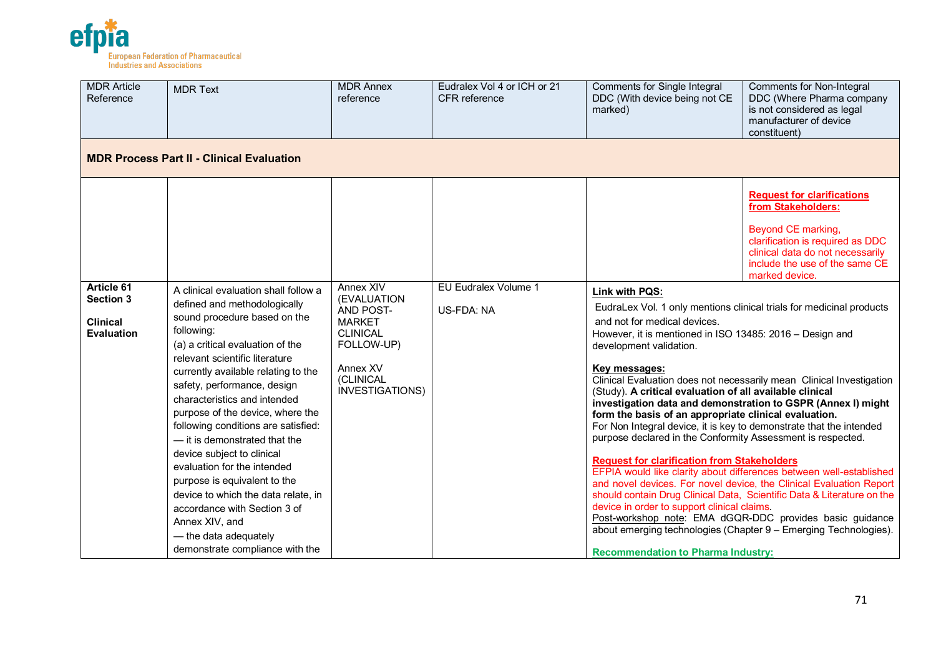

| <b>MDR Article</b><br>Reference                                        | <b>MDR Text</b>                                                                                                                                                                                                                                                                                                                                                                                                                                                                                                                                                                                                                                              | <b>MDR Annex</b><br>reference                                                                                                              | Eudralex Vol 4 or ICH or 21<br>CFR reference | <b>Comments for Single Integral</b><br>DDC (With device being not CE<br>marked)                                                                                                                                                                                                                                                                                                                                                                                                                                                                                     | <b>Comments for Non-Integral</b><br>DDC (Where Pharma company<br>is not considered as legal<br>manufacturer of device<br>constituent)                                                                                                                                                                                                                                                                                                                                                                                                                                                                                                                                                                                                                                             |  |  |  |  |
|------------------------------------------------------------------------|--------------------------------------------------------------------------------------------------------------------------------------------------------------------------------------------------------------------------------------------------------------------------------------------------------------------------------------------------------------------------------------------------------------------------------------------------------------------------------------------------------------------------------------------------------------------------------------------------------------------------------------------------------------|--------------------------------------------------------------------------------------------------------------------------------------------|----------------------------------------------|---------------------------------------------------------------------------------------------------------------------------------------------------------------------------------------------------------------------------------------------------------------------------------------------------------------------------------------------------------------------------------------------------------------------------------------------------------------------------------------------------------------------------------------------------------------------|-----------------------------------------------------------------------------------------------------------------------------------------------------------------------------------------------------------------------------------------------------------------------------------------------------------------------------------------------------------------------------------------------------------------------------------------------------------------------------------------------------------------------------------------------------------------------------------------------------------------------------------------------------------------------------------------------------------------------------------------------------------------------------------|--|--|--|--|
|                                                                        | <b>MDR Process Part II - Clinical Evaluation</b>                                                                                                                                                                                                                                                                                                                                                                                                                                                                                                                                                                                                             |                                                                                                                                            |                                              |                                                                                                                                                                                                                                                                                                                                                                                                                                                                                                                                                                     |                                                                                                                                                                                                                                                                                                                                                                                                                                                                                                                                                                                                                                                                                                                                                                                   |  |  |  |  |
| Article 61<br><b>Section 3</b><br><b>Clinical</b><br><b>Evaluation</b> | A clinical evaluation shall follow a<br>defined and methodologically<br>sound procedure based on the<br>following:<br>(a) a critical evaluation of the<br>relevant scientific literature<br>currently available relating to the<br>safety, performance, design<br>characteristics and intended<br>purpose of the device, where the<br>following conditions are satisfied:<br>- it is demonstrated that the<br>device subject to clinical<br>evaluation for the intended<br>purpose is equivalent to the<br>device to which the data relate, in<br>accordance with Section 3 of<br>Annex XIV, and<br>- the data adequately<br>demonstrate compliance with the | Annex XIV<br>(EVALUATION<br>AND POST-<br><b>MARKET</b><br><b>CLINICAL</b><br>FOLLOW-UP)<br>Annex XV<br>(CLINICAL<br><b>INVESTIGATIONS)</b> | EU Eudralex Volume 1<br>US-FDA: NA           | Link with PQS:<br>and not for medical devices.<br>However, it is mentioned in ISO 13485: 2016 - Design and<br>development validation.<br>Key messages:<br>(Study). A critical evaluation of all available clinical<br>form the basis of an appropriate clinical evaluation.<br>For Non Integral device, it is key to demonstrate that the intended<br>purpose declared in the Conformity Assessment is respected.<br><b>Request for clarification from Stakeholders</b><br>device in order to support clinical claims.<br><b>Recommendation to Pharma Industry:</b> | <b>Request for clarifications</b><br>from Stakeholders:<br>Beyond CE marking,<br>clarification is required as DDC<br>clinical data do not necessarily<br>include the use of the same CE<br>marked device.<br>EudraLex Vol. 1 only mentions clinical trials for medicinal products<br>Clinical Evaluation does not necessarily mean Clinical Investigation<br>investigation data and demonstration to GSPR (Annex I) might<br>EFPIA would like clarity about differences between well-established<br>and novel devices. For novel device, the Clinical Evaluation Report<br>should contain Drug Clinical Data, Scientific Data & Literature on the<br>Post-workshop note: EMA dGQR-DDC provides basic guidance<br>about emerging technologies (Chapter 9 - Emerging Technologies). |  |  |  |  |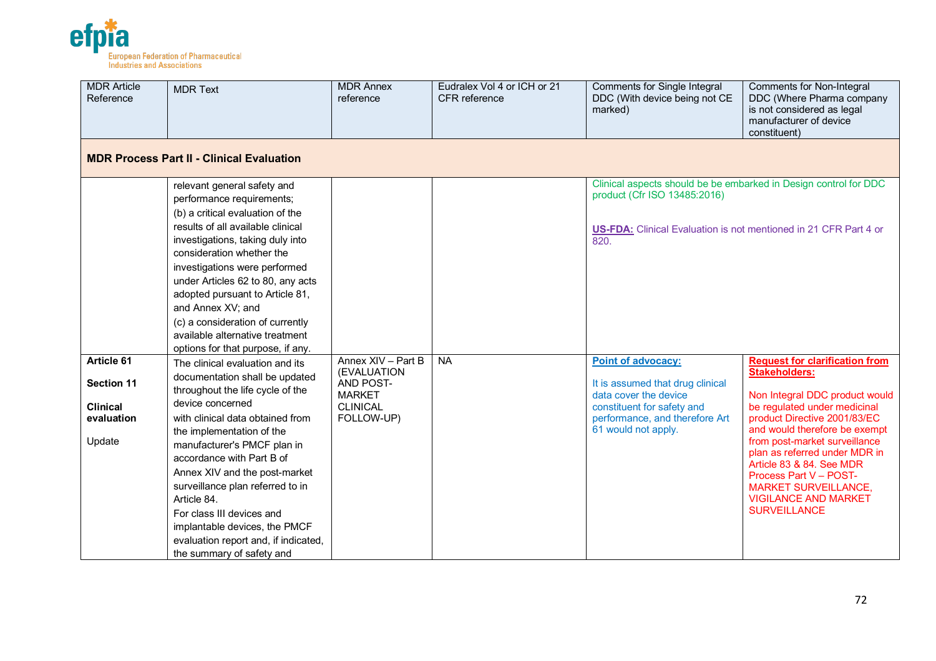

| <b>MDR Article</b><br>Reference                                            | <b>MDR Text</b>                                                                                                                                                                                                                                                                                                                                                                                                                                                               | <b>MDR Annex</b><br>reference                                                                    | Eudralex Vol 4 or ICH or 21<br>CFR reference | Comments for Single Integral<br>DDC (With device being not CE<br>marked)                                                                                                            | Comments for Non-Integral<br>DDC (Where Pharma company<br>is not considered as legal<br>manufacturer of device<br>constituent)                                                                                                                                                                                                                                                                                |  |  |  |  |
|----------------------------------------------------------------------------|-------------------------------------------------------------------------------------------------------------------------------------------------------------------------------------------------------------------------------------------------------------------------------------------------------------------------------------------------------------------------------------------------------------------------------------------------------------------------------|--------------------------------------------------------------------------------------------------|----------------------------------------------|-------------------------------------------------------------------------------------------------------------------------------------------------------------------------------------|---------------------------------------------------------------------------------------------------------------------------------------------------------------------------------------------------------------------------------------------------------------------------------------------------------------------------------------------------------------------------------------------------------------|--|--|--|--|
|                                                                            | <b>MDR Process Part II - Clinical Evaluation</b>                                                                                                                                                                                                                                                                                                                                                                                                                              |                                                                                                  |                                              |                                                                                                                                                                                     |                                                                                                                                                                                                                                                                                                                                                                                                               |  |  |  |  |
|                                                                            | relevant general safety and<br>performance requirements;<br>(b) a critical evaluation of the<br>results of all available clinical<br>investigations, taking duly into<br>consideration whether the<br>investigations were performed<br>under Articles 62 to 80, any acts<br>adopted pursuant to Article 81,<br>and Annex XV; and<br>(c) a consideration of currently<br>available alternative treatment<br>options for that purpose, if any.                                  |                                                                                                  |                                              | Clinical aspects should be be embarked in Design control for DDC<br>product (Cfr ISO 13485:2016)<br><b>US-FDA:</b> Clinical Evaluation is not mentioned in 21 CFR Part 4 or<br>820. |                                                                                                                                                                                                                                                                                                                                                                                                               |  |  |  |  |
| Article 61<br><b>Section 11</b><br><b>Clinical</b><br>evaluation<br>Update | The clinical evaluation and its<br>documentation shall be updated<br>throughout the life cycle of the<br>device concerned<br>with clinical data obtained from<br>the implementation of the<br>manufacturer's PMCF plan in<br>accordance with Part B of<br>Annex XIV and the post-market<br>surveillance plan referred to in<br>Article 84.<br>For class III devices and<br>implantable devices, the PMCF<br>evaluation report and, if indicated,<br>the summary of safety and | Annex XIV - Part B<br>(EVALUATION<br>AND POST-<br><b>MARKET</b><br><b>CLINICAL</b><br>FOLLOW-UP) | <b>NA</b>                                    | Point of advocacy:<br>It is assumed that drug clinical<br>data cover the device<br>constituent for safety and<br>performance, and therefore Art<br>61 would not apply.              | <b>Request for clarification from</b><br><b>Stakeholders:</b><br>Non Integral DDC product would<br>be regulated under medicinal<br>product Directive 2001/83/EC<br>and would therefore be exempt<br>from post-market surveillance<br>plan as referred under MDR in<br>Article 83 & 84. See MDR<br>Process Part V - POST-<br><b>MARKET SURVEILLANCE,</b><br><b>VIGILANCE AND MARKET</b><br><b>SURVEILLANCE</b> |  |  |  |  |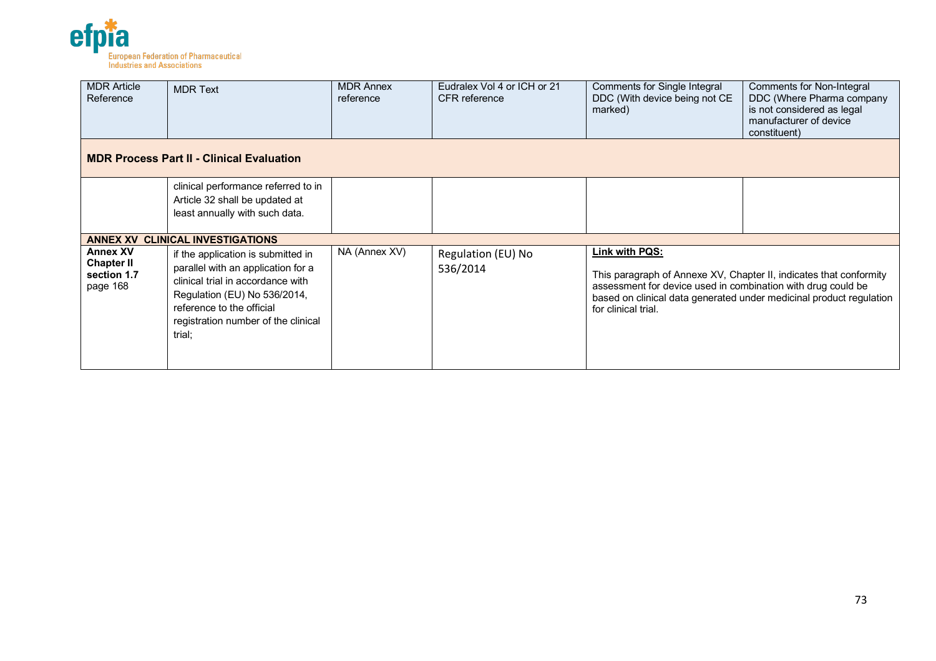

| <b>MDR Article</b><br>Reference                                 | <b>MDR Text</b>                                                                                                                                                                                                             | <b>MDR Annex</b><br>reference | Eudralex Vol 4 or ICH or 21<br><b>CFR</b> reference | Comments for Single Integral<br>DDC (With device being not CE<br>marked)                                                                                                    | Comments for Non-Integral<br>DDC (Where Pharma company<br>is not considered as legal<br>manufacturer of device<br>constituent) |
|-----------------------------------------------------------------|-----------------------------------------------------------------------------------------------------------------------------------------------------------------------------------------------------------------------------|-------------------------------|-----------------------------------------------------|-----------------------------------------------------------------------------------------------------------------------------------------------------------------------------|--------------------------------------------------------------------------------------------------------------------------------|
|                                                                 | <b>MDR Process Part II - Clinical Evaluation</b>                                                                                                                                                                            |                               |                                                     |                                                                                                                                                                             |                                                                                                                                |
|                                                                 | clinical performance referred to in<br>Article 32 shall be updated at<br>least annually with such data.                                                                                                                     |                               |                                                     |                                                                                                                                                                             |                                                                                                                                |
|                                                                 | <b>ANNEX XV CLINICAL INVESTIGATIONS</b>                                                                                                                                                                                     |                               |                                                     |                                                                                                                                                                             |                                                                                                                                |
| <b>Annex XV</b><br><b>Chapter II</b><br>section 1.7<br>page 168 | if the application is submitted in<br>parallel with an application for a<br>clinical trial in accordance with<br>Regulation (EU) No 536/2014,<br>reference to the official<br>registration number of the clinical<br>trial; | NA (Annex XV)                 | Regulation (EU) No<br>536/2014                      | Link with PQS:<br>This paragraph of Annexe XV, Chapter II, indicates that conformity<br>assessment for device used in combination with drug could be<br>for clinical trial. | based on clinical data generated under medicinal product regulation                                                            |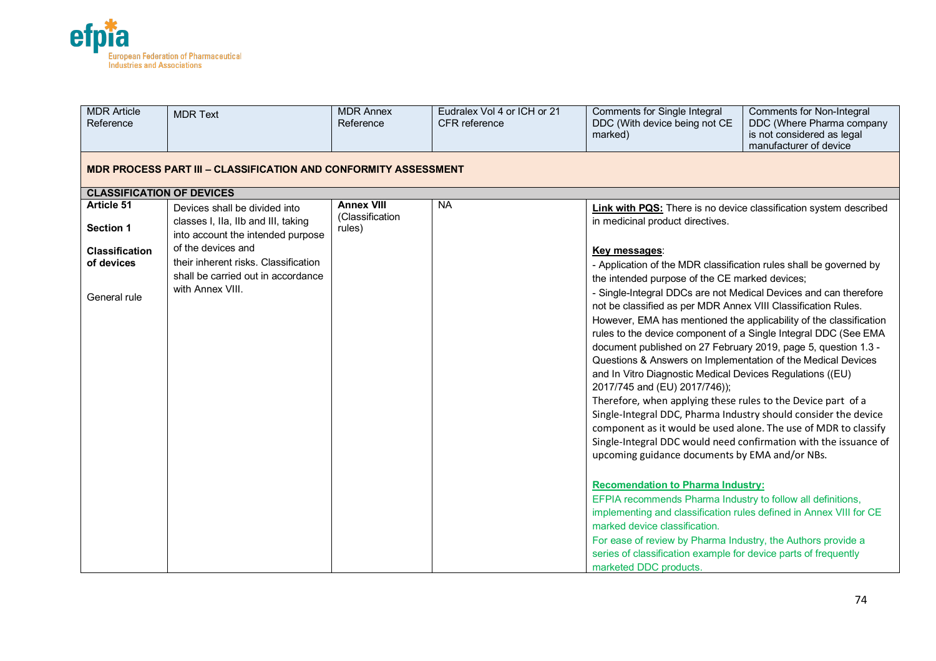

| <b>MDR</b> Article<br>Reference  | <b>MDR Text</b>                                                          | <b>MDR Annex</b><br>Reference | Eudralex Vol 4 or ICH or 21<br><b>CFR</b> reference | Comments for Single Integral<br>DDC (With device being not CE<br>marked)                                                          | <b>Comments for Non-Integral</b><br>DDC (Where Pharma company<br>is not considered as legal<br>manufacturer of device |  |  |  |  |  |
|----------------------------------|--------------------------------------------------------------------------|-------------------------------|-----------------------------------------------------|-----------------------------------------------------------------------------------------------------------------------------------|-----------------------------------------------------------------------------------------------------------------------|--|--|--|--|--|
|                                  | <b>MDR PROCESS PART III - CLASSIFICATION AND CONFORMITY ASSESSMENT</b>   |                               |                                                     |                                                                                                                                   |                                                                                                                       |  |  |  |  |  |
| <b>CLASSIFICATION OF DEVICES</b> |                                                                          |                               |                                                     |                                                                                                                                   |                                                                                                                       |  |  |  |  |  |
| Article 51                       | Devices shall be divided into                                            | <b>Annex VIII</b>             | <b>NA</b>                                           | Link with PQS: There is no device classification system described                                                                 |                                                                                                                       |  |  |  |  |  |
| <b>Section 1</b>                 | classes I, IIa, IIb and III, taking<br>into account the intended purpose | (Classification<br>rules)     |                                                     | in medicinal product directives.                                                                                                  |                                                                                                                       |  |  |  |  |  |
| <b>Classification</b>            | of the devices and                                                       |                               |                                                     | Key messages:                                                                                                                     |                                                                                                                       |  |  |  |  |  |
| of devices                       | their inherent risks. Classification                                     |                               |                                                     | - Application of the MDR classification rules shall be governed by                                                                |                                                                                                                       |  |  |  |  |  |
|                                  | shall be carried out in accordance                                       |                               |                                                     | the intended purpose of the CE marked devices;                                                                                    |                                                                                                                       |  |  |  |  |  |
| General rule                     | with Annex VIII.                                                         |                               |                                                     | - Single-Integral DDCs are not Medical Devices and can therefore<br>not be classified as per MDR Annex VIII Classification Rules. |                                                                                                                       |  |  |  |  |  |
|                                  |                                                                          |                               |                                                     | However, EMA has mentioned the applicability of the classification                                                                |                                                                                                                       |  |  |  |  |  |
|                                  |                                                                          |                               |                                                     | rules to the device component of a Single Integral DDC (See EMA                                                                   |                                                                                                                       |  |  |  |  |  |
|                                  |                                                                          |                               |                                                     | document published on 27 February 2019, page 5, question 1.3 -                                                                    |                                                                                                                       |  |  |  |  |  |
|                                  |                                                                          |                               |                                                     | Questions & Answers on Implementation of the Medical Devices                                                                      |                                                                                                                       |  |  |  |  |  |
|                                  |                                                                          |                               |                                                     | and In Vitro Diagnostic Medical Devices Regulations ((EU)                                                                         |                                                                                                                       |  |  |  |  |  |
|                                  |                                                                          |                               |                                                     | 2017/745 and (EU) 2017/746));                                                                                                     |                                                                                                                       |  |  |  |  |  |
|                                  |                                                                          |                               |                                                     | Therefore, when applying these rules to the Device part of a                                                                      |                                                                                                                       |  |  |  |  |  |
|                                  |                                                                          |                               |                                                     | Single-Integral DDC, Pharma Industry should consider the device                                                                   |                                                                                                                       |  |  |  |  |  |
|                                  |                                                                          |                               |                                                     | component as it would be used alone. The use of MDR to classify                                                                   |                                                                                                                       |  |  |  |  |  |
|                                  |                                                                          |                               |                                                     |                                                                                                                                   | Single-Integral DDC would need confirmation with the issuance of                                                      |  |  |  |  |  |
|                                  |                                                                          |                               |                                                     | upcoming guidance documents by EMA and/or NBs.                                                                                    |                                                                                                                       |  |  |  |  |  |
|                                  |                                                                          |                               |                                                     | <b>Recomendation to Pharma Industry:</b>                                                                                          |                                                                                                                       |  |  |  |  |  |
|                                  |                                                                          |                               |                                                     | EFPIA recommends Pharma Industry to follow all definitions,                                                                       |                                                                                                                       |  |  |  |  |  |
|                                  |                                                                          |                               |                                                     | implementing and classification rules defined in Annex VIII for CE                                                                |                                                                                                                       |  |  |  |  |  |
|                                  |                                                                          |                               |                                                     | marked device classification.                                                                                                     |                                                                                                                       |  |  |  |  |  |
|                                  |                                                                          |                               |                                                     | For ease of review by Pharma Industry, the Authors provide a                                                                      |                                                                                                                       |  |  |  |  |  |
|                                  |                                                                          |                               |                                                     | series of classification example for device parts of frequently                                                                   |                                                                                                                       |  |  |  |  |  |
|                                  |                                                                          |                               |                                                     | marketed DDC products.                                                                                                            |                                                                                                                       |  |  |  |  |  |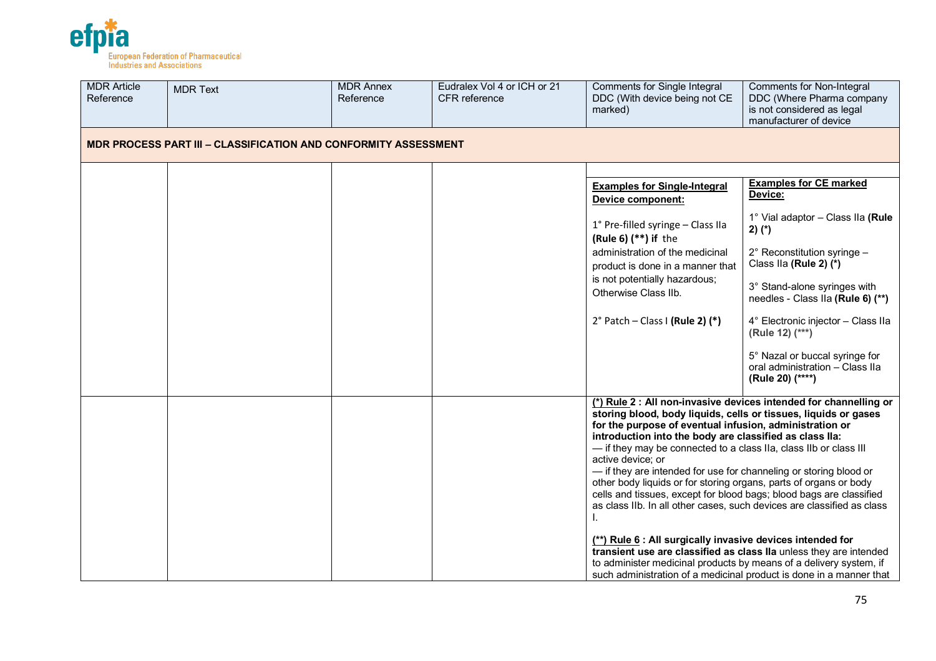

| <b>MDR Article</b><br>Reference | <b>MDR Text</b>                                                        | <b>MDR Annex</b><br>Reference | Eudralex Vol 4 or ICH or 21<br><b>CFR</b> reference | <b>Comments for Single Integral</b><br>DDC (With device being not CE<br>marked)                                                                                                                                                                                                                                                                                                                                                                                                                                                                                                                                                                                                                                                                                                                                                                             | Comments for Non-Integral<br>DDC (Where Pharma company<br>is not considered as legal<br>manufacturer of device |
|---------------------------------|------------------------------------------------------------------------|-------------------------------|-----------------------------------------------------|-------------------------------------------------------------------------------------------------------------------------------------------------------------------------------------------------------------------------------------------------------------------------------------------------------------------------------------------------------------------------------------------------------------------------------------------------------------------------------------------------------------------------------------------------------------------------------------------------------------------------------------------------------------------------------------------------------------------------------------------------------------------------------------------------------------------------------------------------------------|----------------------------------------------------------------------------------------------------------------|
|                                 | <b>MDR PROCESS PART III - CLASSIFICATION AND CONFORMITY ASSESSMENT</b> |                               |                                                     |                                                                                                                                                                                                                                                                                                                                                                                                                                                                                                                                                                                                                                                                                                                                                                                                                                                             |                                                                                                                |
|                                 |                                                                        |                               |                                                     | <b>Examples for Single-Integral</b><br>Device component:                                                                                                                                                                                                                                                                                                                                                                                                                                                                                                                                                                                                                                                                                                                                                                                                    | <b>Examples for CE marked</b><br>Device:                                                                       |
|                                 |                                                                        |                               |                                                     | 1° Pre-filled syringe - Class IIa<br>(Rule 6) $(**)$ if the                                                                                                                                                                                                                                                                                                                                                                                                                                                                                                                                                                                                                                                                                                                                                                                                 | 1° Vial adaptor - Class IIa (Rule<br>$2)$ (*)                                                                  |
|                                 |                                                                        |                               |                                                     | administration of the medicinal<br>product is done in a manner that                                                                                                                                                                                                                                                                                                                                                                                                                                                                                                                                                                                                                                                                                                                                                                                         | 2° Reconstitution syringe -<br>Class IIa (Rule 2) (*)                                                          |
|                                 |                                                                        |                               |                                                     | is not potentially hazardous;<br>Otherwise Class IIb.                                                                                                                                                                                                                                                                                                                                                                                                                                                                                                                                                                                                                                                                                                                                                                                                       | 3° Stand-alone syringes with<br>needles - Class IIa (Rule 6) (**)                                              |
|                                 |                                                                        |                               |                                                     | $2^{\circ}$ Patch - Class I (Rule 2) (*)                                                                                                                                                                                                                                                                                                                                                                                                                                                                                                                                                                                                                                                                                                                                                                                                                    | 4° Electronic injector - Class IIa<br>(Rule 12) (***)                                                          |
|                                 |                                                                        |                               |                                                     |                                                                                                                                                                                                                                                                                                                                                                                                                                                                                                                                                                                                                                                                                                                                                                                                                                                             | 5° Nazal or buccal syringe for<br>oral administration - Class IIa<br>(Rule 20) (****)                          |
|                                 |                                                                        |                               |                                                     | storing blood, body liquids, cells or tissues, liquids or gases<br>for the purpose of eventual infusion, administration or<br>introduction into the body are classified as class lla:<br>- if they may be connected to a class IIa, class IIb or class III<br>active device; or<br>- if they are intended for use for channeling or storing blood or<br>other body liquids or for storing organs, parts of organs or body<br>cells and tissues, except for blood bags; blood bags are classified<br>as class IIb. In all other cases, such devices are classified as class<br>(**) Rule 6 : All surgically invasive devices intended for<br>transient use are classified as class IIa unless they are intended<br>to administer medicinal products by means of a delivery system, if<br>such administration of a medicinal product is done in a manner that | (*) Rule 2 : All non-invasive devices intended for channelling or                                              |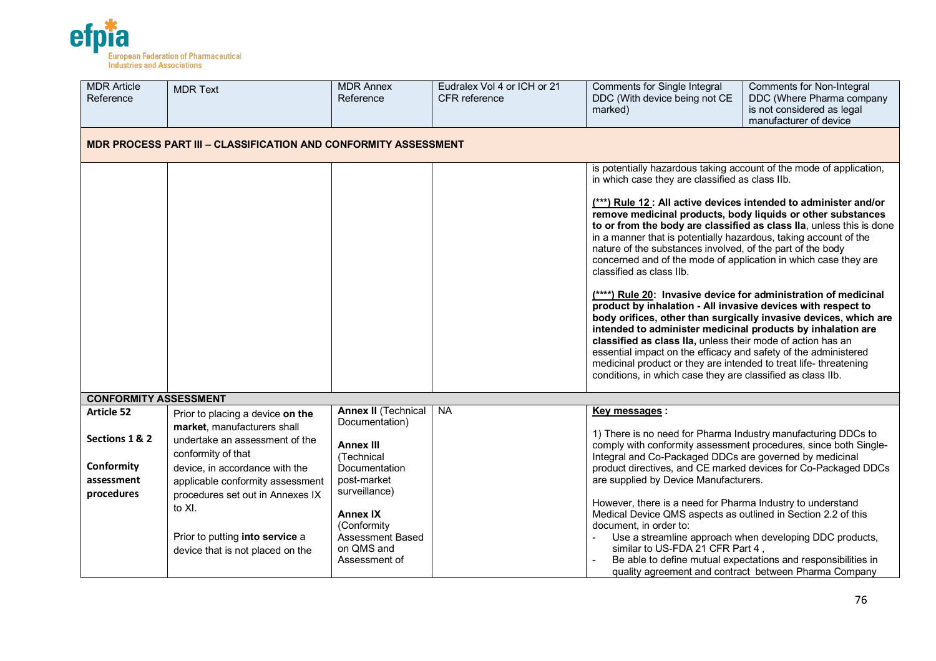

| <b>MDR Article</b><br>Reference                          | <b>MDR Text</b>                                                                                                                                                                                                                                                                                    | <b>MDR Annex</b><br>Reference                                                            | Eudralex Vol 4 or ICH or 21<br>CFR reference                                                                                                                                                                                          | <b>Comments for Single Integral</b><br>DDC (With device being not CE<br>marked)                                                                                                                                                                                                                                                                                                                                                                                                                                                                                                                                                                                                                                                                                                                                                          | <b>Comments for Non-Integral</b><br>DDC (Where Pharma company<br>is not considered as legal<br>manufacturer of device                                                             |  |  |  |  |
|----------------------------------------------------------|----------------------------------------------------------------------------------------------------------------------------------------------------------------------------------------------------------------------------------------------------------------------------------------------------|------------------------------------------------------------------------------------------|---------------------------------------------------------------------------------------------------------------------------------------------------------------------------------------------------------------------------------------|------------------------------------------------------------------------------------------------------------------------------------------------------------------------------------------------------------------------------------------------------------------------------------------------------------------------------------------------------------------------------------------------------------------------------------------------------------------------------------------------------------------------------------------------------------------------------------------------------------------------------------------------------------------------------------------------------------------------------------------------------------------------------------------------------------------------------------------|-----------------------------------------------------------------------------------------------------------------------------------------------------------------------------------|--|--|--|--|
|                                                          | <b>MDR PROCESS PART III - CLASSIFICATION AND CONFORMITY ASSESSMENT</b>                                                                                                                                                                                                                             |                                                                                          |                                                                                                                                                                                                                                       |                                                                                                                                                                                                                                                                                                                                                                                                                                                                                                                                                                                                                                                                                                                                                                                                                                          |                                                                                                                                                                                   |  |  |  |  |
|                                                          |                                                                                                                                                                                                                                                                                                    |                                                                                          |                                                                                                                                                                                                                                       | is potentially hazardous taking account of the mode of application,<br>in which case they are classified as class IIb.                                                                                                                                                                                                                                                                                                                                                                                                                                                                                                                                                                                                                                                                                                                   |                                                                                                                                                                                   |  |  |  |  |
|                                                          |                                                                                                                                                                                                                                                                                                    |                                                                                          |                                                                                                                                                                                                                                       | (***) Rule 12 : All active devices intended to administer and/or<br>remove medicinal products, body liquids or other substances<br>in a manner that is potentially hazardous, taking account of the<br>nature of the substances involved, of the part of the body<br>concerned and of the mode of application in which case they are<br>classified as class IIb.<br>(****) Rule 20: Invasive device for administration of medicinal<br>product by inhalation - All invasive devices with respect to<br>intended to administer medicinal products by inhalation are<br>classified as class IIa, unless their mode of action has an<br>essential impact on the efficacy and safety of the administered<br>medicinal product or they are intended to treat life- threatening<br>conditions, in which case they are classified as class IIb. | to or from the body are classified as class IIa, unless this is done<br>body orifices, other than surgically invasive devices, which are                                          |  |  |  |  |
| <b>CONFORMITY ASSESSMENT</b>                             |                                                                                                                                                                                                                                                                                                    |                                                                                          |                                                                                                                                                                                                                                       |                                                                                                                                                                                                                                                                                                                                                                                                                                                                                                                                                                                                                                                                                                                                                                                                                                          |                                                                                                                                                                                   |  |  |  |  |
| <b>Article 52</b>                                        | Prior to placing a device on the                                                                                                                                                                                                                                                                   | <b>Annex II (Technical</b>                                                               | <b>NA</b>                                                                                                                                                                                                                             | Key messages :                                                                                                                                                                                                                                                                                                                                                                                                                                                                                                                                                                                                                                                                                                                                                                                                                           |                                                                                                                                                                                   |  |  |  |  |
| Sections 1 & 2<br>Conformity<br>assessment<br>procedures | Documentation)<br>market, manufacturers shall<br>undertake an assessment of the<br><b>Annex III</b><br>conformity of that<br>(Technical<br>device, in accordance with the<br>Documentation<br>post-market<br>applicable conformity assessment<br>surveillance)<br>procedures set out in Annexes IX |                                                                                          | 1) There is no need for Pharma Industry manufacturing DDCs to<br>comply with conformity assessment procedures, since both Single-<br>Integral and Co-Packaged DDCs are governed by medicinal<br>are supplied by Device Manufacturers. | product directives, and CE marked devices for Co-Packaged DDCs                                                                                                                                                                                                                                                                                                                                                                                                                                                                                                                                                                                                                                                                                                                                                                           |                                                                                                                                                                                   |  |  |  |  |
|                                                          | to XI.<br>Prior to putting into service a<br>device that is not placed on the                                                                                                                                                                                                                      | <b>Annex IX</b><br>(Conformity<br><b>Assessment Based</b><br>on QMS and<br>Assessment of |                                                                                                                                                                                                                                       | However, there is a need for Pharma Industry to understand<br>Medical Device QMS aspects as outlined in Section 2.2 of this<br>document, in order to:<br>similar to US-FDA 21 CFR Part 4,                                                                                                                                                                                                                                                                                                                                                                                                                                                                                                                                                                                                                                                | Use a streamline approach when developing DDC products,<br>Be able to define mutual expectations and responsibilities in<br>quality agreement and contract between Pharma Company |  |  |  |  |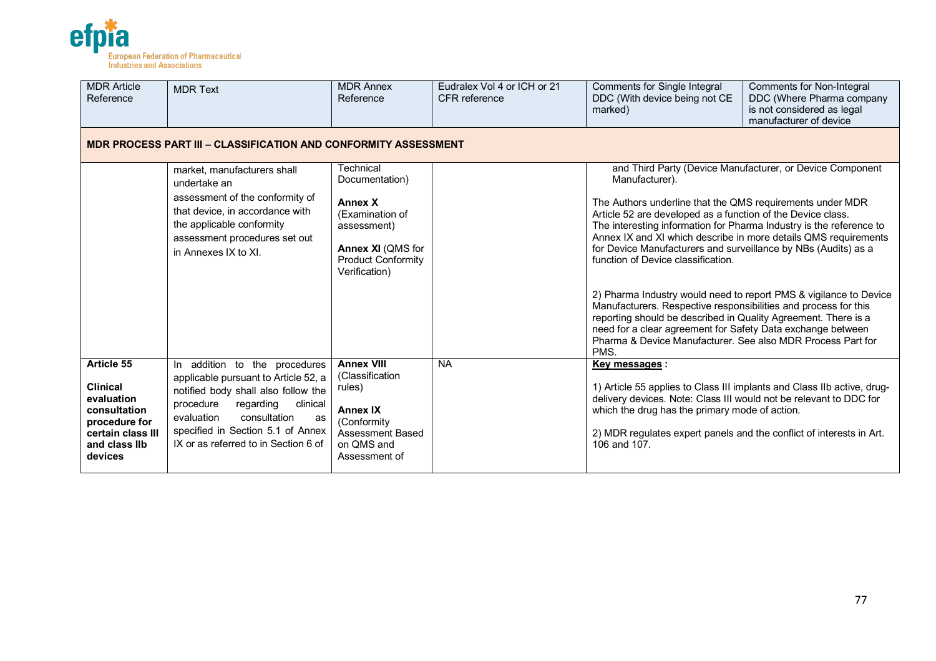

| <b>MDR Article</b><br>Reference                                                                                               | <b>MDR Text</b>                                                                                                                                                                                                                                                     | <b>MDR Annex</b><br>Reference                                                                                                                      | Eudralex Vol 4 or ICH or 21<br><b>CFR</b> reference | Comments for Single Integral<br>DDC (With device being not CE<br>marked)                                                                                                                                                                                                                                                                                                                                                                                                                                                                                                                                                                                                | <b>Comments for Non-Integral</b><br>DDC (Where Pharma company<br>is not considered as legal<br>manufacturer of device          |  |  |  |  |
|-------------------------------------------------------------------------------------------------------------------------------|---------------------------------------------------------------------------------------------------------------------------------------------------------------------------------------------------------------------------------------------------------------------|----------------------------------------------------------------------------------------------------------------------------------------------------|-----------------------------------------------------|-------------------------------------------------------------------------------------------------------------------------------------------------------------------------------------------------------------------------------------------------------------------------------------------------------------------------------------------------------------------------------------------------------------------------------------------------------------------------------------------------------------------------------------------------------------------------------------------------------------------------------------------------------------------------|--------------------------------------------------------------------------------------------------------------------------------|--|--|--|--|
|                                                                                                                               | <b>MDR PROCESS PART III - CLASSIFICATION AND CONFORMITY ASSESSMENT</b>                                                                                                                                                                                              |                                                                                                                                                    |                                                     |                                                                                                                                                                                                                                                                                                                                                                                                                                                                                                                                                                                                                                                                         |                                                                                                                                |  |  |  |  |
|                                                                                                                               | market, manufacturers shall<br>undertake an<br>assessment of the conformity of<br>that device, in accordance with<br>the applicable conformity<br>assessment procedures set out<br>in Annexes IX to XI.                                                             | Technical<br>Documentation)<br><b>Annex X</b><br>(Examination of<br>assessment)<br>Annex XI (QMS for<br><b>Product Conformity</b><br>Verification) |                                                     | Manufacturer).<br>The Authors underline that the QMS requirements under MDR<br>Article 52 are developed as a function of the Device class.<br>The interesting information for Pharma Industry is the reference to<br>Annex IX and XI which describe in more details QMS requirements<br>for Device Manufacturers and surveillance by NBs (Audits) as a<br>function of Device classification.<br>Manufacturers. Respective responsibilities and process for this<br>reporting should be described in Quality Agreement. There is a<br>need for a clear agreement for Safety Data exchange between<br>Pharma & Device Manufacturer. See also MDR Process Part for<br>PMS. | and Third Party (Device Manufacturer, or Device Component<br>2) Pharma Industry would need to report PMS & vigilance to Device |  |  |  |  |
| Article 55<br><b>Clinical</b><br>evaluation<br>consultation<br>procedure for<br>certain class III<br>and class IIb<br>devices | In addition to the procedures<br>applicable pursuant to Article 52, a<br>notified body shall also follow the<br>procedure<br>regarding<br>clinical<br>consultation<br>evaluation<br>as<br>specified in Section 5.1 of Annex<br>IX or as referred to in Section 6 of | <b>Annex VIII</b><br>(Classification)<br>rules)<br><b>Annex IX</b><br>(Conformity<br>Assessment Based<br>on QMS and<br>Assessment of               | <b>NA</b>                                           | <b>Key messages:</b><br>1) Article 55 applies to Class III implants and Class IIb active, drug-<br>delivery devices. Note: Class III would not be relevant to DDC for<br>which the drug has the primary mode of action.<br>2) MDR regulates expert panels and the conflict of interests in Art.<br>106 and $107$ .                                                                                                                                                                                                                                                                                                                                                      |                                                                                                                                |  |  |  |  |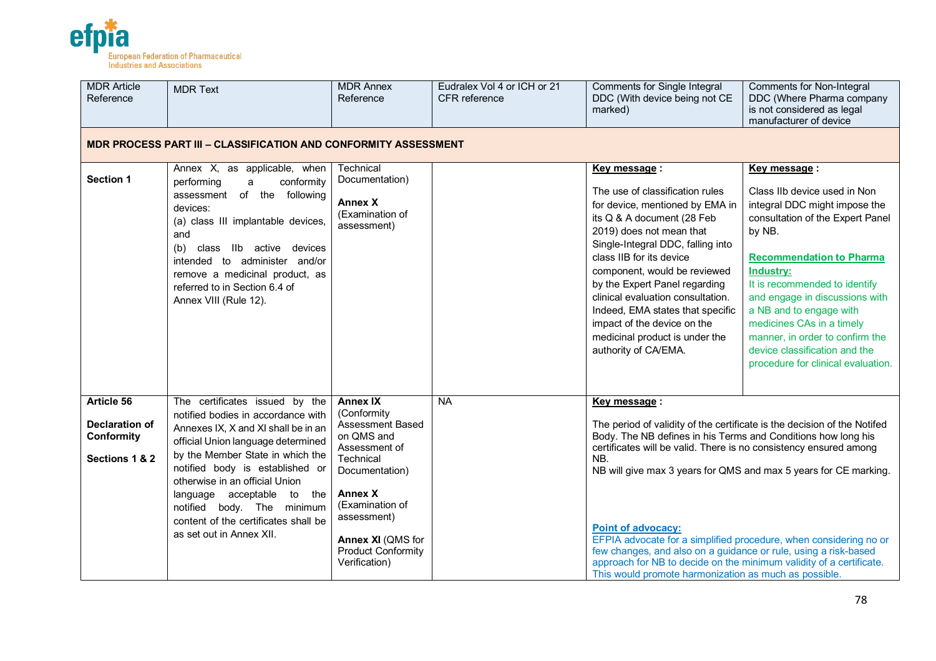

| <b>MDR Article</b><br>Reference                              | <b>MDR Text</b>                                                                                                                                                                                                                                                                                                                                                                                  | <b>MDR Annex</b><br>Reference                                                                                                                                                                                                                   | Eudralex Vol 4 or ICH or 21<br><b>CFR</b> reference | <b>Comments for Single Integral</b><br>DDC (With device being not CE<br>marked)                                                                                                                                                                                                                                                                                                                                                                                                                                                                                                                                | Comments for Non-Integral<br>DDC (Where Pharma company<br>is not considered as legal<br>manufacturer of device                                                                                                                                                                                                                                                                                                          |
|--------------------------------------------------------------|--------------------------------------------------------------------------------------------------------------------------------------------------------------------------------------------------------------------------------------------------------------------------------------------------------------------------------------------------------------------------------------------------|-------------------------------------------------------------------------------------------------------------------------------------------------------------------------------------------------------------------------------------------------|-----------------------------------------------------|----------------------------------------------------------------------------------------------------------------------------------------------------------------------------------------------------------------------------------------------------------------------------------------------------------------------------------------------------------------------------------------------------------------------------------------------------------------------------------------------------------------------------------------------------------------------------------------------------------------|-------------------------------------------------------------------------------------------------------------------------------------------------------------------------------------------------------------------------------------------------------------------------------------------------------------------------------------------------------------------------------------------------------------------------|
|                                                              | <b>MDR PROCESS PART III - CLASSIFICATION AND CONFORMITY ASSESSMENT</b>                                                                                                                                                                                                                                                                                                                           |                                                                                                                                                                                                                                                 |                                                     |                                                                                                                                                                                                                                                                                                                                                                                                                                                                                                                                                                                                                |                                                                                                                                                                                                                                                                                                                                                                                                                         |
| Section 1                                                    | Annex X, as applicable, when<br>conformity<br>performing<br>a<br>assessment of the following<br>devices:<br>(a) class III implantable devices,<br>and<br>class IIb active devices<br>(b)<br>intended to administer and/or<br>remove a medicinal product, as<br>referred to in Section 6.4 of<br>Annex VIII (Rule 12).                                                                            | Technical<br>Documentation)<br><b>Annex X</b><br>(Examination of<br>assessment)                                                                                                                                                                 |                                                     | Key message:<br>The use of classification rules<br>for device, mentioned by EMA in<br>its Q & A document (28 Feb<br>2019) does not mean that<br>Single-Integral DDC, falling into<br>class IIB for its device<br>component, would be reviewed<br>by the Expert Panel regarding<br>clinical evaluation consultation.<br>Indeed, EMA states that specific<br>impact of the device on the<br>medicinal product is under the<br>authority of CA/EMA.                                                                                                                                                               | Key message:<br>Class IIb device used in Non<br>integral DDC might impose the<br>consultation of the Expert Panel<br>by NB.<br><b>Recommendation to Pharma</b><br><b>Industry:</b><br>It is recommended to identify<br>and engage in discussions with<br>a NB and to engage with<br>medicines CAs in a timely<br>manner, in order to confirm the<br>device classification and the<br>procedure for clinical evaluation. |
| Article 56<br>Declaration of<br>Conformity<br>Sections 1 & 2 | The certificates issued by the<br>notified bodies in accordance with<br>Annexes IX, X and XI shall be in an<br>official Union language determined<br>by the Member State in which the<br>notified body is established or<br>otherwise in an official Union<br>language acceptable<br>to<br>the<br>notified body. The minimum<br>content of the certificates shall be<br>as set out in Annex XII. | <b>Annex IX</b><br>(Conformity)<br><b>Assessment Based</b><br>on QMS and<br>Assessment of<br>Technical<br>Documentation)<br><b>Annex X</b><br>(Examination of<br>assessment)<br>Annex XI (QMS for<br><b>Product Conformity</b><br>Verification) | <b>NA</b>                                           | Key message:<br>The period of validity of the certificate is the decision of the Notifed<br>Body. The NB defines in his Terms and Conditions how long his<br>certificates will be valid. There is no consistency ensured among<br>NB.<br>NB will give max 3 years for QMS and max 5 years for CE marking.<br><b>Point of advocacy:</b><br>EFPIA advocate for a simplified procedure, when considering no or<br>few changes, and also on a guidance or rule, using a risk-based<br>approach for NB to decide on the minimum validity of a certificate.<br>This would promote harmonization as much as possible. |                                                                                                                                                                                                                                                                                                                                                                                                                         |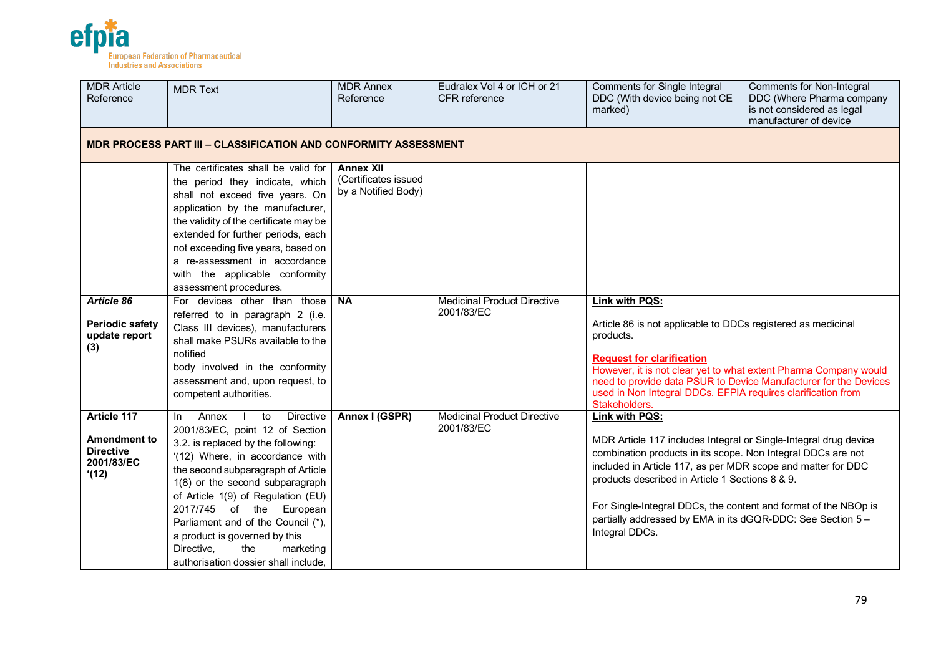

| <b>MDR Article</b><br>Reference                                              | <b>MDR Text</b>                                                                                                                                                                                                                                                                                                                                                                                                                                                 | <b>MDR Annex</b><br>Reference                                   | Eudralex Vol 4 or ICH or 21<br>CFR reference     | <b>Comments for Single Integral</b><br>DDC (With device being not CE<br>marked)                                                                                                                                                                                                                                                                                                                                           | <b>Comments for Non-Integral</b><br>DDC (Where Pharma company<br>is not considered as legal<br>manufacturer of device |  |  |  |
|------------------------------------------------------------------------------|-----------------------------------------------------------------------------------------------------------------------------------------------------------------------------------------------------------------------------------------------------------------------------------------------------------------------------------------------------------------------------------------------------------------------------------------------------------------|-----------------------------------------------------------------|--------------------------------------------------|---------------------------------------------------------------------------------------------------------------------------------------------------------------------------------------------------------------------------------------------------------------------------------------------------------------------------------------------------------------------------------------------------------------------------|-----------------------------------------------------------------------------------------------------------------------|--|--|--|
|                                                                              | <b>MDR PROCESS PART III - CLASSIFICATION AND CONFORMITY ASSESSMENT</b>                                                                                                                                                                                                                                                                                                                                                                                          |                                                                 |                                                  |                                                                                                                                                                                                                                                                                                                                                                                                                           |                                                                                                                       |  |  |  |
|                                                                              | The certificates shall be valid for<br>the period they indicate, which<br>shall not exceed five years. On<br>application by the manufacturer,<br>the validity of the certificate may be<br>extended for further periods, each<br>not exceeding five years, based on<br>a re-assessment in accordance<br>with the applicable conformity<br>assessment procedures.                                                                                                | <b>Annex XII</b><br>(Certificates issued<br>by a Notified Body) |                                                  |                                                                                                                                                                                                                                                                                                                                                                                                                           |                                                                                                                       |  |  |  |
| Article 86<br><b>Periodic safety</b><br>update report<br>(3)                 | For devices other than those<br>referred to in paragraph 2 (i.e.<br>Class III devices), manufacturers<br>shall make PSURs available to the<br>notified<br>body involved in the conformity<br>assessment and, upon request, to<br>competent authorities.                                                                                                                                                                                                         | <b>NA</b>                                                       | <b>Medicinal Product Directive</b><br>2001/83/EC | Link with PQS:<br>Article 86 is not applicable to DDCs registered as medicinal<br>products.<br><b>Request for clarification</b><br>However, it is not clear yet to what extent Pharma Company would<br>used in Non Integral DDCs. EFPIA requires clarification from<br>Stakeholders.                                                                                                                                      | need to provide data PSUR to Device Manufacturer for the Devices                                                      |  |  |  |
| Article 117<br><b>Amendment to</b><br><b>Directive</b><br>2001/83/EC<br>(12) | Annex<br>to<br><b>Directive</b><br>In I<br>$\mathbf{I}$<br>2001/83/EC, point 12 of Section<br>3.2. is replaced by the following:<br>'(12) Where, in accordance with<br>the second subparagraph of Article<br>1(8) or the second subparagraph<br>of Article 1(9) of Regulation (EU)<br>2017/745 of the European<br>Parliament and of the Council (*),<br>a product is governed by this<br>Directive,<br>the<br>marketing<br>authorisation dossier shall include. | Annex I (GSPR)                                                  | <b>Medicinal Product Directive</b><br>2001/83/EC | Link with PQS:<br>MDR Article 117 includes Integral or Single-Integral drug device<br>combination products in its scope. Non Integral DDCs are not<br>included in Article 117, as per MDR scope and matter for DDC<br>products described in Article 1 Sections 8 & 9.<br>For Single-Integral DDCs, the content and format of the NBOp is<br>partially addressed by EMA in its dGQR-DDC: See Section 5 -<br>Integral DDCs. |                                                                                                                       |  |  |  |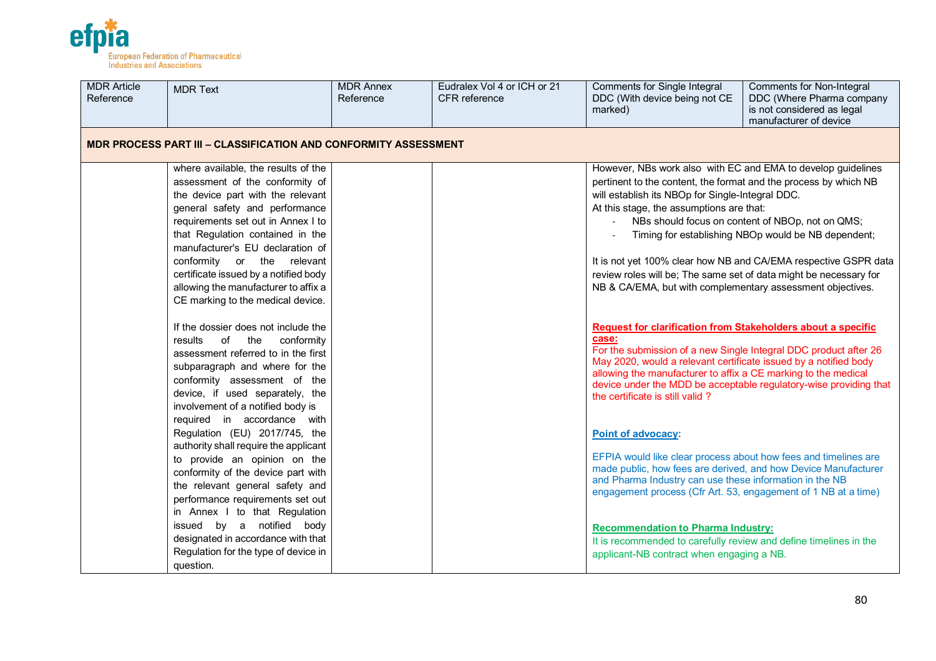

| <b>MDR Article</b><br>Reference | <b>MDR Text</b>                                                                                                                                                                                                                                                                                                                                                                                                 | <b>MDR Annex</b><br>Reference | Eudralex Vol 4 or ICH or 21<br><b>CFR</b> reference | Comments for Single Integral<br>DDC (With device being not CE<br>marked)                                                                                                                                                                                                                                                                                            | Comments for Non-Integral<br>DDC (Where Pharma company<br>is not considered as legal<br>manufacturer of device                                                             |
|---------------------------------|-----------------------------------------------------------------------------------------------------------------------------------------------------------------------------------------------------------------------------------------------------------------------------------------------------------------------------------------------------------------------------------------------------------------|-------------------------------|-----------------------------------------------------|---------------------------------------------------------------------------------------------------------------------------------------------------------------------------------------------------------------------------------------------------------------------------------------------------------------------------------------------------------------------|----------------------------------------------------------------------------------------------------------------------------------------------------------------------------|
|                                 | MDR PROCESS PART III – CLASSIFICATION AND CONFORMITY ASSESSMENT                                                                                                                                                                                                                                                                                                                                                 |                               |                                                     |                                                                                                                                                                                                                                                                                                                                                                     |                                                                                                                                                                            |
|                                 | where available, the results of the<br>assessment of the conformity of<br>the device part with the relevant<br>general safety and performance<br>requirements set out in Annex I to<br>that Regulation contained in the<br>manufacturer's EU declaration of<br>conformity or the relevant<br>certificate issued by a notified body<br>allowing the manufacturer to affix a<br>CE marking to the medical device. |                               |                                                     | However, NBs work also with EC and EMA to develop guidelines<br>pertinent to the content, the format and the process by which NB<br>will establish its NBOp for Single-Integral DDC.<br>At this stage, the assumptions are that:<br>review roles will be; The same set of data might be necessary for<br>NB & CA/EMA, but with complementary assessment objectives. | NBs should focus on content of NBOp, not on QMS;<br>Timing for establishing NBOp would be NB dependent;<br>It is not yet 100% clear how NB and CA/EMA respective GSPR data |
|                                 | If the dossier does not include the<br>results<br>of the<br>conformity<br>assessment referred to in the first<br>subparagraph and where for the<br>conformity assessment of the<br>device, if used separately, the<br>involvement of a notified body is                                                                                                                                                         |                               |                                                     | <b>Request for clarification from Stakeholders about a specific</b><br>case:<br>For the submission of a new Single Integral DDC product after 26<br>May 2020, would a relevant certificate issued by a notified body<br>allowing the manufacturer to affix a CE marking to the medical<br>the certificate is still valid?                                           | device under the MDD be acceptable regulatory-wise providing that                                                                                                          |
|                                 | required in accordance with<br>Regulation (EU) 2017/745, the<br>authority shall require the applicant<br>to provide an opinion on the<br>conformity of the device part with<br>the relevant general safety and<br>performance requirements set out<br>in Annex I to that Regulation                                                                                                                             |                               |                                                     | <b>Point of advocacy:</b><br>EFPIA would like clear process about how fees and timelines are<br>made public, how fees are derived, and how Device Manufacturer<br>and Pharma Industry can use these information in the NB<br>engagement process (Cfr Art. 53, engagement of 1 NB at a time)                                                                         |                                                                                                                                                                            |
|                                 | issued by a notified body<br>designated in accordance with that<br>Regulation for the type of device in<br>question.                                                                                                                                                                                                                                                                                            |                               |                                                     | <b>Recommendation to Pharma Industry:</b><br>It is recommended to carefully review and define timelines in the<br>applicant-NB contract when engaging a NB.                                                                                                                                                                                                         |                                                                                                                                                                            |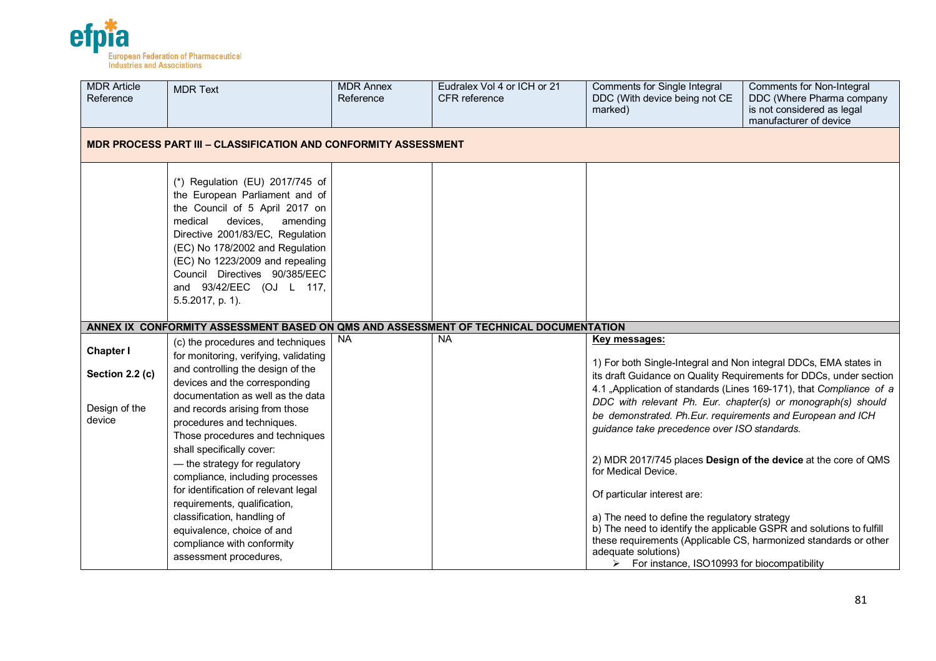

| <b>MDR Article</b><br>Reference     | <b>MDR Text</b>                                                                                                                                                                                                                                                                                                                   | <b>MDR Annex</b><br>Reference | Eudralex Vol 4 or ICH or 21<br>CFR reference | <b>Comments for Single Integral</b><br>DDC (With device being not CE<br>marked)                                                                                                                                                                                   | <b>Comments for Non-Integral</b><br>DDC (Where Pharma company<br>is not considered as legal<br>manufacturer of device |  |  |  |
|-------------------------------------|-----------------------------------------------------------------------------------------------------------------------------------------------------------------------------------------------------------------------------------------------------------------------------------------------------------------------------------|-------------------------------|----------------------------------------------|-------------------------------------------------------------------------------------------------------------------------------------------------------------------------------------------------------------------------------------------------------------------|-----------------------------------------------------------------------------------------------------------------------|--|--|--|
|                                     | <b>MDR PROCESS PART III - CLASSIFICATION AND CONFORMITY ASSESSMENT</b>                                                                                                                                                                                                                                                            |                               |                                              |                                                                                                                                                                                                                                                                   |                                                                                                                       |  |  |  |
|                                     | (*) Regulation (EU) 2017/745 of<br>the European Parliament and of<br>the Council of 5 April 2017 on<br>medical<br>devices.<br>amending<br>Directive 2001/83/EC, Regulation<br>(EC) No 178/2002 and Regulation<br>(EC) No 1223/2009 and repealing<br>Council Directives 90/385/EEC<br>and 93/42/EEC (OJ L 117,<br>5.5.2017, p. 1). |                               |                                              |                                                                                                                                                                                                                                                                   |                                                                                                                       |  |  |  |
|                                     | ANNEX IX CONFORMITY ASSESSMENT BASED ON QMS AND ASSESSMENT OF TECHNICAL DOCUMENTATION                                                                                                                                                                                                                                             |                               |                                              |                                                                                                                                                                                                                                                                   |                                                                                                                       |  |  |  |
| <b>Chapter I</b><br>Section 2.2 (c) | (c) the procedures and techniques<br>for monitoring, verifying, validating<br>and controlling the design of the<br>devices and the corresponding                                                                                                                                                                                  | <b>NA</b>                     | <b>NA</b>                                    | Key messages:<br>1) For both Single-Integral and Non integral DDCs, EMA states in                                                                                                                                                                                 | its draft Guidance on Quality Requirements for DDCs, under section                                                    |  |  |  |
| Design of the<br>device             | documentation as well as the data<br>and records arising from those<br>procedures and techniques.<br>Those procedures and techniques<br>shall specifically cover:                                                                                                                                                                 |                               |                                              | DDC with relevant Ph. Eur. chapter(s) or monograph(s) should<br>be demonstrated. Ph.Eur. requirements and European and ICH<br>guidance take precedence over ISO standards.                                                                                        | 4.1 "Application of standards (Lines 169-171), that Compliance of a                                                   |  |  |  |
|                                     | - the strategy for regulatory<br>compliance, including processes<br>for identification of relevant legal<br>requirements, qualification,                                                                                                                                                                                          |                               |                                              | 2) MDR 2017/745 places Design of the device at the core of QMS<br>for Medical Device.<br>Of particular interest are:                                                                                                                                              |                                                                                                                       |  |  |  |
|                                     | classification, handling of<br>equivalence, choice of and<br>compliance with conformity<br>assessment procedures,                                                                                                                                                                                                                 |                               |                                              | a) The need to define the regulatory strategy<br>b) The need to identify the applicable GSPR and solutions to fulfill<br>these requirements (Applicable CS, harmonized standards or other<br>adequate solutions)<br>> For instance, ISO10993 for biocompatibility |                                                                                                                       |  |  |  |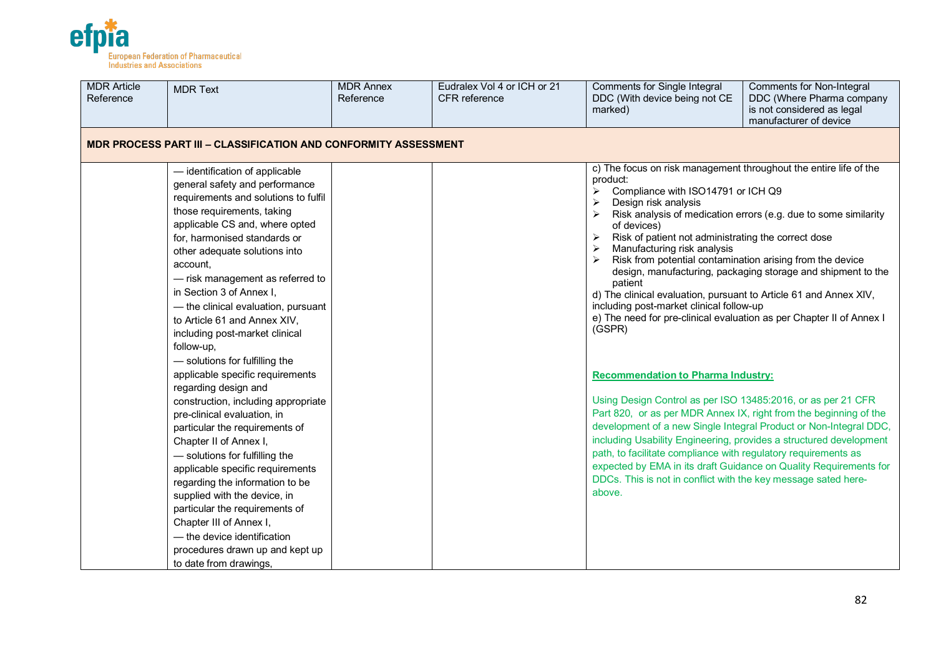

| <b>MDR Article</b><br>Reference | <b>MDR Text</b>                                                                                                                                                                                                                                                                                                                                                                                                                                                                                                                                                                                                                                                                                                                                                                                                                                         | <b>MDR Annex</b><br>Reference | Eudralex Vol 4 or ICH or 21<br>CFR reference | <b>Comments for Single Integral</b><br>DDC (With device being not CE<br>marked)                                                                                                                                                                                                                                                                                                                                                                                                                                                                                                                                                                                                                                                                                                                                                                             | <b>Comments for Non-Integral</b><br>DDC (Where Pharma company<br>is not considered as legal<br>manufacturer of device                                                                                                                                                                                                                           |
|---------------------------------|---------------------------------------------------------------------------------------------------------------------------------------------------------------------------------------------------------------------------------------------------------------------------------------------------------------------------------------------------------------------------------------------------------------------------------------------------------------------------------------------------------------------------------------------------------------------------------------------------------------------------------------------------------------------------------------------------------------------------------------------------------------------------------------------------------------------------------------------------------|-------------------------------|----------------------------------------------|-------------------------------------------------------------------------------------------------------------------------------------------------------------------------------------------------------------------------------------------------------------------------------------------------------------------------------------------------------------------------------------------------------------------------------------------------------------------------------------------------------------------------------------------------------------------------------------------------------------------------------------------------------------------------------------------------------------------------------------------------------------------------------------------------------------------------------------------------------------|-------------------------------------------------------------------------------------------------------------------------------------------------------------------------------------------------------------------------------------------------------------------------------------------------------------------------------------------------|
|                                 | <b>MDR PROCESS PART III - CLASSIFICATION AND CONFORMITY ASSESSMENT</b>                                                                                                                                                                                                                                                                                                                                                                                                                                                                                                                                                                                                                                                                                                                                                                                  |                               |                                              |                                                                                                                                                                                                                                                                                                                                                                                                                                                                                                                                                                                                                                                                                                                                                                                                                                                             |                                                                                                                                                                                                                                                                                                                                                 |
|                                 | - identification of applicable<br>general safety and performance<br>requirements and solutions to fulfil<br>those requirements, taking<br>applicable CS and, where opted<br>for, harmonised standards or<br>other adequate solutions into<br>account,<br>- risk management as referred to<br>in Section 3 of Annex I,<br>- the clinical evaluation, pursuant<br>to Article 61 and Annex XIV,<br>including post-market clinical<br>follow-up,<br>- solutions for fulfilling the<br>applicable specific requirements<br>regarding design and<br>construction, including appropriate<br>pre-clinical evaluation, in<br>particular the requirements of<br>Chapter II of Annex I,<br>- solutions for fulfilling the<br>applicable specific requirements<br>regarding the information to be<br>supplied with the device, in<br>particular the requirements of |                               |                                              | c) The focus on risk management throughout the entire life of the<br>product:<br>Compliance with ISO14791 or ICH Q9<br>Design risk analysis<br>of devices)<br>Risk of patient not administrating the correct dose<br>Manufacturing risk analysis<br>Risk from potential contamination arising from the device<br>patient<br>d) The clinical evaluation, pursuant to Article 61 and Annex XIV,<br>including post-market clinical follow-up<br>e) The need for pre-clinical evaluation as per Chapter II of Annex I<br>(GSPR)<br><b>Recommendation to Pharma Industry:</b><br>Using Design Control as per ISO 13485:2016, or as per 21 CFR<br>Part 820, or as per MDR Annex IX, right from the beginning of the<br>path, to facilitate compliance with regulatory requirements as<br>DDCs. This is not in conflict with the key message sated here-<br>above. | Risk analysis of medication errors (e.g. due to some similarity<br>design, manufacturing, packaging storage and shipment to the<br>development of a new Single Integral Product or Non-Integral DDC,<br>including Usability Engineering, provides a structured development<br>expected by EMA in its draft Guidance on Quality Requirements for |
|                                 | Chapter III of Annex I,<br>- the device identification<br>procedures drawn up and kept up<br>to date from drawings,                                                                                                                                                                                                                                                                                                                                                                                                                                                                                                                                                                                                                                                                                                                                     |                               |                                              |                                                                                                                                                                                                                                                                                                                                                                                                                                                                                                                                                                                                                                                                                                                                                                                                                                                             |                                                                                                                                                                                                                                                                                                                                                 |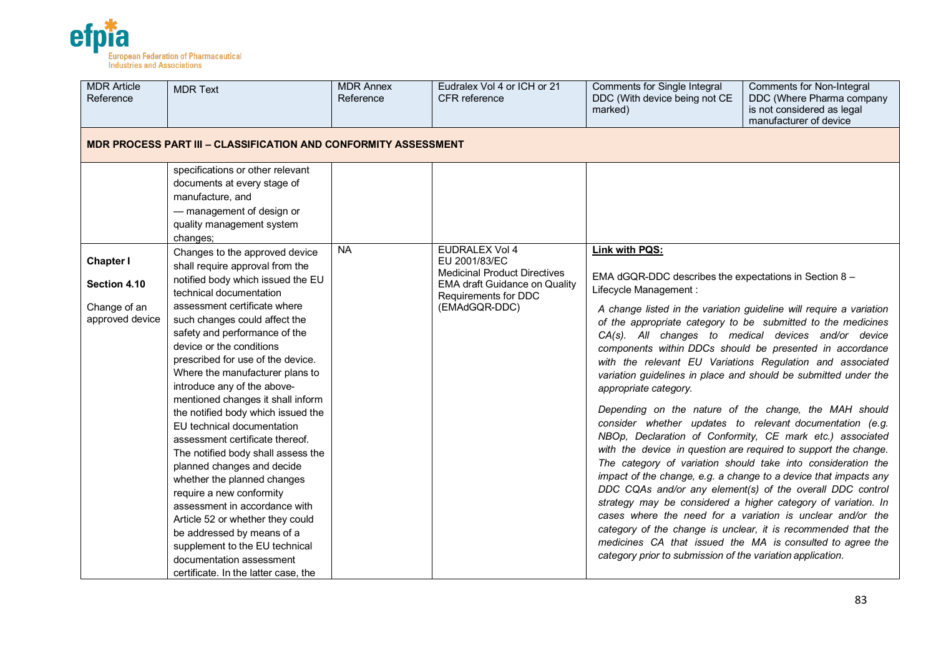

| <b>MDR Article</b><br>Reference                                     | <b>MDR Text</b>                                                                                                                                                                                                                                                                                                                                                                                                                                                                                                                                                                                                                                                                    | <b>MDR Annex</b><br>Reference | Eudralex Vol 4 or ICH or 21<br>CFR reference                                                                                                                   | Comments for Single Integral<br>DDC (With device being not CE<br>marked)                                                    | <b>Comments for Non-Integral</b><br>DDC (Where Pharma company<br>is not considered as legal<br>manufacturer of device                                                                                                                                                                                                                                                                                                                                                                                                                                                                                                                                                                                                                                                                                                                                                                                         |
|---------------------------------------------------------------------|------------------------------------------------------------------------------------------------------------------------------------------------------------------------------------------------------------------------------------------------------------------------------------------------------------------------------------------------------------------------------------------------------------------------------------------------------------------------------------------------------------------------------------------------------------------------------------------------------------------------------------------------------------------------------------|-------------------------------|----------------------------------------------------------------------------------------------------------------------------------------------------------------|-----------------------------------------------------------------------------------------------------------------------------|---------------------------------------------------------------------------------------------------------------------------------------------------------------------------------------------------------------------------------------------------------------------------------------------------------------------------------------------------------------------------------------------------------------------------------------------------------------------------------------------------------------------------------------------------------------------------------------------------------------------------------------------------------------------------------------------------------------------------------------------------------------------------------------------------------------------------------------------------------------------------------------------------------------|
|                                                                     | <b>MDR PROCESS PART III - CLASSIFICATION AND CONFORMITY ASSESSMENT</b>                                                                                                                                                                                                                                                                                                                                                                                                                                                                                                                                                                                                             |                               |                                                                                                                                                                |                                                                                                                             |                                                                                                                                                                                                                                                                                                                                                                                                                                                                                                                                                                                                                                                                                                                                                                                                                                                                                                               |
|                                                                     | specifications or other relevant<br>documents at every stage of<br>manufacture, and<br>- management of design or<br>quality management system<br>changes;                                                                                                                                                                                                                                                                                                                                                                                                                                                                                                                          |                               |                                                                                                                                                                |                                                                                                                             |                                                                                                                                                                                                                                                                                                                                                                                                                                                                                                                                                                                                                                                                                                                                                                                                                                                                                                               |
| <b>Chapter I</b><br>Section 4.10<br>Change of an<br>approved device | Changes to the approved device<br>shall require approval from the<br>notified body which issued the EU<br>technical documentation<br>assessment certificate where<br>such changes could affect the<br>safety and performance of the<br>device or the conditions<br>prescribed for use of the device.<br>Where the manufacturer plans to<br>introduce any of the above-<br>mentioned changes it shall inform<br>the notified body which issued the<br>EU technical documentation<br>assessment certificate thereof.<br>The notified body shall assess the<br>planned changes and decide<br>whether the planned changes<br>require a new conformity<br>assessment in accordance with | <b>NA</b>                     | <b>EUDRALEX Vol 4</b><br>EU 2001/83/EC<br><b>Medicinal Product Directives</b><br><b>EMA draft Guidance on Quality</b><br>Requirements for DDC<br>(EMAdGQR-DDC) | Link with PQS:<br>EMA dGQR-DDC describes the expectations in Section 8 -<br>Lifecycle Management :<br>appropriate category. | A change listed in the variation guideline will require a variation<br>of the appropriate category to be submitted to the medicines<br>CA(s). All changes to medical devices and/or device<br>components within DDCs should be presented in accordance<br>with the relevant EU Variations Regulation and associated<br>variation guidelines in place and should be submitted under the<br>Depending on the nature of the change, the MAH should<br>consider whether updates to relevant documentation (e.g.<br>NBOp, Declaration of Conformity, CE mark etc.) associated<br>with the device in question are required to support the change.<br>The category of variation should take into consideration the<br>impact of the change, e.g. a change to a device that impacts any<br>DDC CQAs and/or any element(s) of the overall DDC control<br>strategy may be considered a higher category of variation. In |
|                                                                     | Article 52 or whether they could<br>be addressed by means of a<br>supplement to the EU technical<br>documentation assessment<br>certificate. In the latter case, the                                                                                                                                                                                                                                                                                                                                                                                                                                                                                                               |                               |                                                                                                                                                                | category prior to submission of the variation application.                                                                  | cases where the need for a variation is unclear and/or the<br>category of the change is unclear, it is recommended that the<br>medicines CA that issued the MA is consulted to agree the                                                                                                                                                                                                                                                                                                                                                                                                                                                                                                                                                                                                                                                                                                                      |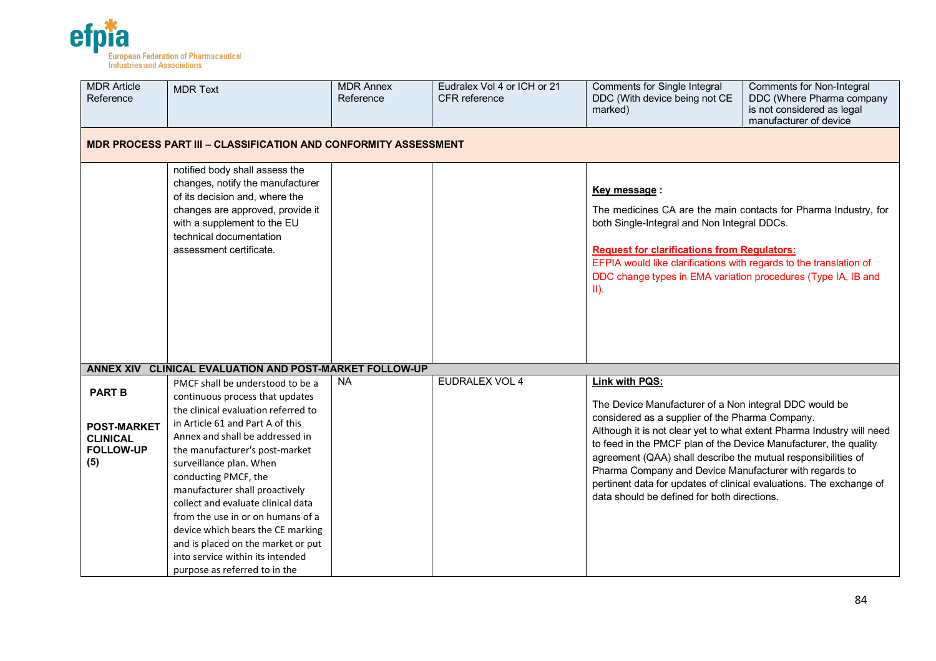

| <b>MDR Article</b><br>Reference                                                   | <b>MDR Text</b>                                                                                                                                                                                                                                                                                                                                                                                                                                                                                                                     | <b>MDR Annex</b><br>Reference | Eudralex Vol 4 or ICH or 21<br><b>CFR</b> reference | Comments for Single Integral<br>DDC (With device being not CE<br>marked)                                                                                                                                                                                                                                                                                                                                                                                                                                                  | Comments for Non-Integral<br>DDC (Where Pharma company<br>is not considered as legal<br>manufacturer of device |  |  |  |  |
|-----------------------------------------------------------------------------------|-------------------------------------------------------------------------------------------------------------------------------------------------------------------------------------------------------------------------------------------------------------------------------------------------------------------------------------------------------------------------------------------------------------------------------------------------------------------------------------------------------------------------------------|-------------------------------|-----------------------------------------------------|---------------------------------------------------------------------------------------------------------------------------------------------------------------------------------------------------------------------------------------------------------------------------------------------------------------------------------------------------------------------------------------------------------------------------------------------------------------------------------------------------------------------------|----------------------------------------------------------------------------------------------------------------|--|--|--|--|
|                                                                                   | <b>MDR PROCESS PART III - CLASSIFICATION AND CONFORMITY ASSESSMENT</b>                                                                                                                                                                                                                                                                                                                                                                                                                                                              |                               |                                                     |                                                                                                                                                                                                                                                                                                                                                                                                                                                                                                                           |                                                                                                                |  |  |  |  |
|                                                                                   | notified body shall assess the<br>changes, notify the manufacturer<br>of its decision and, where the<br>changes are approved, provide it<br>with a supplement to the EU<br>technical documentation<br>assessment certificate.                                                                                                                                                                                                                                                                                                       |                               |                                                     | Key message:<br>The medicines CA are the main contacts for Pharma Industry, for<br>both Single-Integral and Non Integral DDCs.<br><b>Request for clarifications from Regulators:</b><br>EFPIA would like clarifications with regards to the translation of<br>DDC change types in EMA variation procedures (Type IA, IB and<br>$II$ ).                                                                                                                                                                                    |                                                                                                                |  |  |  |  |
| <b>ANNEX XIV</b>                                                                  | <b>CLINICAL EVALUATION AND POST-MARKET FOLLOW-UP</b>                                                                                                                                                                                                                                                                                                                                                                                                                                                                                |                               |                                                     |                                                                                                                                                                                                                                                                                                                                                                                                                                                                                                                           |                                                                                                                |  |  |  |  |
| <b>PART B</b><br><b>POST-MARKET</b><br><b>CLINICAL</b><br><b>FOLLOW-UP</b><br>(5) | PMCF shall be understood to be a<br>continuous process that updates<br>the clinical evaluation referred to<br>in Article 61 and Part A of this<br>Annex and shall be addressed in<br>the manufacturer's post-market<br>surveillance plan. When<br>conducting PMCF, the<br>manufacturer shall proactively<br>collect and evaluate clinical data<br>from the use in or on humans of a<br>device which bears the CE marking<br>and is placed on the market or put<br>into service within its intended<br>purpose as referred to in the | <b>NA</b>                     | EUDRALEX VOL 4                                      | Link with PQS:<br>The Device Manufacturer of a Non integral DDC would be<br>considered as a supplier of the Pharma Company.<br>Although it is not clear yet to what extent Pharma Industry will need<br>to feed in the PMCF plan of the Device Manufacturer, the quality<br>agreement (QAA) shall describe the mutual responsibilities of<br>Pharma Company and Device Manufacturer with regards to<br>pertinent data for updates of clinical evaluations. The exchange of<br>data should be defined for both directions. |                                                                                                                |  |  |  |  |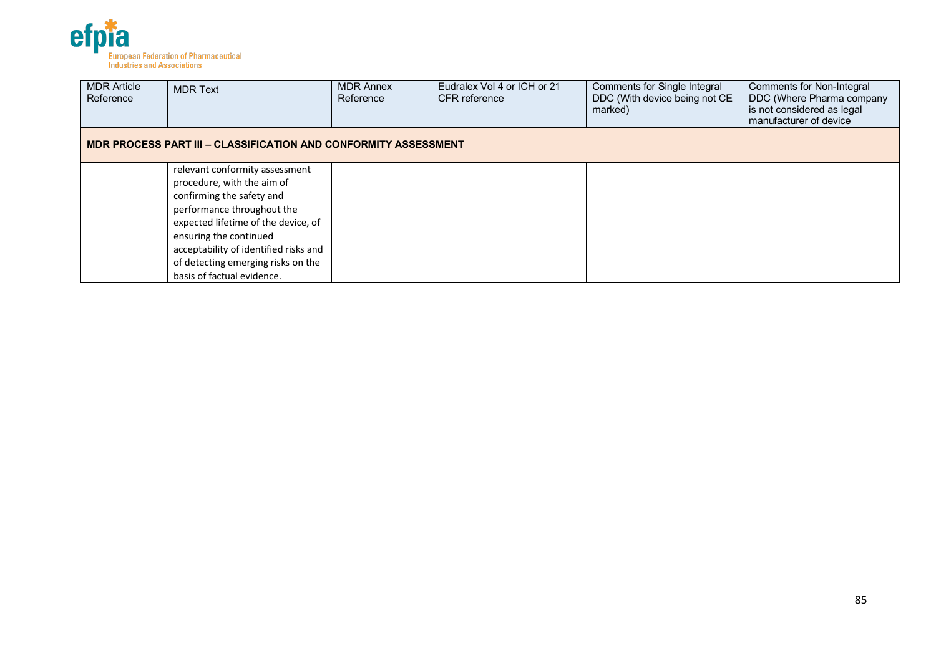

| <b>MDR Article</b><br>Reference | <b>MDR Text</b>                                                        | <b>MDR Annex</b><br>Reference | Eudralex Vol 4 or ICH or 21<br>CFR reference | Comments for Single Integral<br>DDC (With device being not CE<br>marked) | <b>Comments for Non-Integral</b><br>DDC (Where Pharma company<br>is not considered as legal<br>manufacturer of device |  |  |  |  |
|---------------------------------|------------------------------------------------------------------------|-------------------------------|----------------------------------------------|--------------------------------------------------------------------------|-----------------------------------------------------------------------------------------------------------------------|--|--|--|--|
|                                 | <b>MDR PROCESS PART III - CLASSIFICATION AND CONFORMITY ASSESSMENT</b> |                               |                                              |                                                                          |                                                                                                                       |  |  |  |  |
|                                 | relevant conformity assessment                                         |                               |                                              |                                                                          |                                                                                                                       |  |  |  |  |
|                                 | procedure, with the aim of                                             |                               |                                              |                                                                          |                                                                                                                       |  |  |  |  |
|                                 | confirming the safety and                                              |                               |                                              |                                                                          |                                                                                                                       |  |  |  |  |
|                                 | performance throughout the                                             |                               |                                              |                                                                          |                                                                                                                       |  |  |  |  |
|                                 | expected lifetime of the device, of                                    |                               |                                              |                                                                          |                                                                                                                       |  |  |  |  |
|                                 | ensuring the continued                                                 |                               |                                              |                                                                          |                                                                                                                       |  |  |  |  |
|                                 | acceptability of identified risks and                                  |                               |                                              |                                                                          |                                                                                                                       |  |  |  |  |
|                                 | of detecting emerging risks on the                                     |                               |                                              |                                                                          |                                                                                                                       |  |  |  |  |
|                                 | basis of factual evidence.                                             |                               |                                              |                                                                          |                                                                                                                       |  |  |  |  |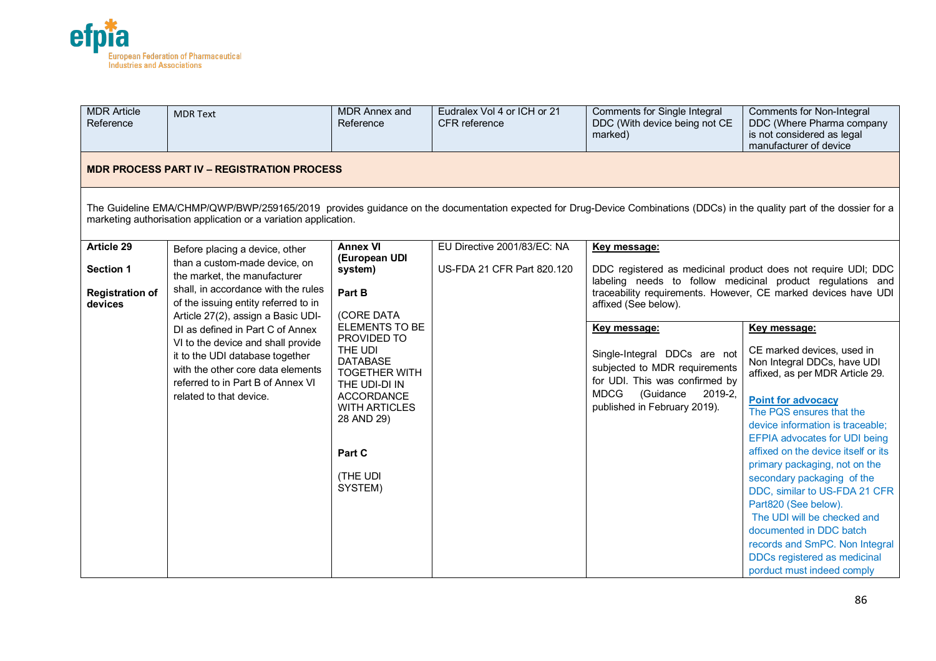

| <b>MDR</b> Article<br>Reference                                                                                                                                                                                                            | <b>MDR Text</b>                                                                                                                                                                     | <b>MDR Annex and</b><br>Reference                                                  | Eudralex Vol 4 or ICH or 21<br>CFR reference | Comments for Single Integral<br>DDC (With device being not CE<br>marked)                                                               | Comments for Non-Integral<br>DDC (Where Pharma company<br>is not considered as legal<br>manufacturer of device              |  |            |  |  |  |  |                                                                                        |  |
|--------------------------------------------------------------------------------------------------------------------------------------------------------------------------------------------------------------------------------------------|-------------------------------------------------------------------------------------------------------------------------------------------------------------------------------------|------------------------------------------------------------------------------------|----------------------------------------------|----------------------------------------------------------------------------------------------------------------------------------------|-----------------------------------------------------------------------------------------------------------------------------|--|------------|--|--|--|--|----------------------------------------------------------------------------------------|--|
|                                                                                                                                                                                                                                            | <b>MDR PROCESS PART IV - REGISTRATION PROCESS</b>                                                                                                                                   |                                                                                    |                                              |                                                                                                                                        |                                                                                                                             |  |            |  |  |  |  |                                                                                        |  |
| The Guideline EMA/CHMP/QWP/BWP/259165/2019 provides guidance on the documentation expected for Drug-Device Combinations (DDCs) in the quality part of the dossier for a<br>marketing authorisation application or a variation application. |                                                                                                                                                                                     |                                                                                    |                                              |                                                                                                                                        |                                                                                                                             |  |            |  |  |  |  |                                                                                        |  |
| Article 29                                                                                                                                                                                                                                 | Before placing a device, other                                                                                                                                                      | <b>Annex VI</b>                                                                    | EU Directive 2001/83/EC: NA                  | Key message:                                                                                                                           |                                                                                                                             |  |            |  |  |  |  |                                                                                        |  |
| <b>Section 1</b>                                                                                                                                                                                                                           | than a custom-made device, on<br>the market, the manufacturer                                                                                                                       | (European UDI<br>system)                                                           | US-FDA 21 CFR Part 820.120                   |                                                                                                                                        | DDC registered as medicinal product does not require UDI; DDC<br>labeling needs to follow medicinal product regulations and |  |            |  |  |  |  |                                                                                        |  |
| <b>Registration of</b><br>devices                                                                                                                                                                                                          | shall, in accordance with the rules<br>of the issuing entity referred to in<br>Article 27(2), assign a Basic UDI-                                                                   | Part B                                                                             |                                              |                                                                                                                                        |                                                                                                                             |  | (CORE DATA |  |  |  |  | traceability requirements. However, CE marked devices have UDI<br>affixed (See below). |  |
|                                                                                                                                                                                                                                            |                                                                                                                                                                                     | <b>ELEMENTS TO BE</b>                                                              |                                              | Key message:                                                                                                                           | Key message:                                                                                                                |  |            |  |  |  |  |                                                                                        |  |
|                                                                                                                                                                                                                                            | DI as defined in Part C of Annex<br>VI to the device and shall provide<br>it to the UDI database together<br>with the other core data elements<br>referred to in Part B of Annex VI | PROVIDED TO<br>THE UDI<br><b>DATABASE</b><br><b>TOGETHER WITH</b><br>THE UDI-DI IN | related to that device.<br><b>ACCORDANCE</b> | Single-Integral DDCs are not<br>subjected to MDR requirements<br>for UDI. This was confirmed by<br><b>MDCG</b><br>(Guidance<br>2019-2, | CE marked devices, used in<br>Non Integral DDCs, have UDI<br>affixed, as per MDR Article 29.<br><b>Point for advocacy</b>   |  |            |  |  |  |  |                                                                                        |  |
|                                                                                                                                                                                                                                            |                                                                                                                                                                                     | <b>WITH ARTICLES</b>                                                               |                                              | published in February 2019).                                                                                                           | The PQS ensures that the                                                                                                    |  |            |  |  |  |  |                                                                                        |  |
|                                                                                                                                                                                                                                            |                                                                                                                                                                                     | 28 AND 29)                                                                         |                                              |                                                                                                                                        | device information is traceable;                                                                                            |  |            |  |  |  |  |                                                                                        |  |
|                                                                                                                                                                                                                                            |                                                                                                                                                                                     |                                                                                    |                                              |                                                                                                                                        | <b>EFPIA advocates for UDI being</b>                                                                                        |  |            |  |  |  |  |                                                                                        |  |
|                                                                                                                                                                                                                                            |                                                                                                                                                                                     | Part C                                                                             |                                              |                                                                                                                                        | affixed on the device itself or its                                                                                         |  |            |  |  |  |  |                                                                                        |  |
|                                                                                                                                                                                                                                            |                                                                                                                                                                                     |                                                                                    |                                              |                                                                                                                                        | primary packaging, not on the                                                                                               |  |            |  |  |  |  |                                                                                        |  |
|                                                                                                                                                                                                                                            |                                                                                                                                                                                     | (THE UDI<br>SYSTEM)                                                                |                                              |                                                                                                                                        | secondary packaging of the                                                                                                  |  |            |  |  |  |  |                                                                                        |  |
|                                                                                                                                                                                                                                            |                                                                                                                                                                                     |                                                                                    |                                              |                                                                                                                                        | DDC, similar to US-FDA 21 CFR<br>Part820 (See below).                                                                       |  |            |  |  |  |  |                                                                                        |  |
|                                                                                                                                                                                                                                            |                                                                                                                                                                                     |                                                                                    |                                              |                                                                                                                                        | The UDI will be checked and                                                                                                 |  |            |  |  |  |  |                                                                                        |  |
|                                                                                                                                                                                                                                            |                                                                                                                                                                                     |                                                                                    |                                              |                                                                                                                                        | documented in DDC batch                                                                                                     |  |            |  |  |  |  |                                                                                        |  |
|                                                                                                                                                                                                                                            |                                                                                                                                                                                     |                                                                                    |                                              |                                                                                                                                        | records and SmPC. Non Integral                                                                                              |  |            |  |  |  |  |                                                                                        |  |
|                                                                                                                                                                                                                                            |                                                                                                                                                                                     |                                                                                    |                                              |                                                                                                                                        | DDCs registered as medicinal                                                                                                |  |            |  |  |  |  |                                                                                        |  |
|                                                                                                                                                                                                                                            |                                                                                                                                                                                     |                                                                                    |                                              |                                                                                                                                        | porduct must indeed comply                                                                                                  |  |            |  |  |  |  |                                                                                        |  |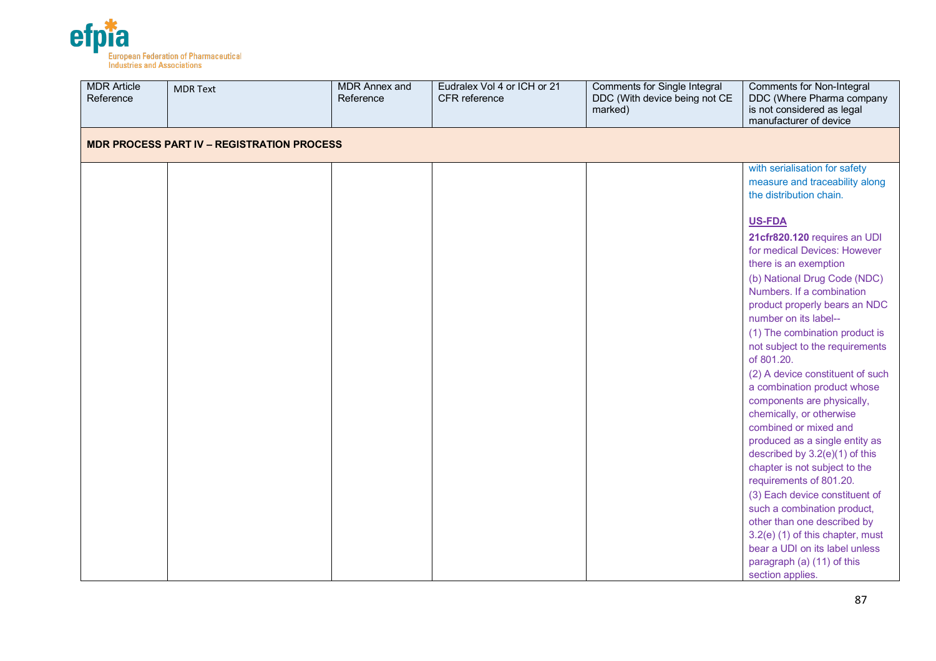

| <b>MDR Article</b><br>Reference                   | <b>MDR Text</b> | <b>MDR Annex and</b><br>Reference | Eudralex Vol 4 or ICH or 21<br>CFR reference | <b>Comments for Single Integral</b><br>DDC (With device being not CE<br>marked) | Comments for Non-Integral<br>DDC (Where Pharma company<br>is not considered as legal<br>manufacturer of device                                                                                                                                                                                                                                                                                                                                                                                                                                                                                                                                                                                                                                                                                                          |  |  |  |  |  |
|---------------------------------------------------|-----------------|-----------------------------------|----------------------------------------------|---------------------------------------------------------------------------------|-------------------------------------------------------------------------------------------------------------------------------------------------------------------------------------------------------------------------------------------------------------------------------------------------------------------------------------------------------------------------------------------------------------------------------------------------------------------------------------------------------------------------------------------------------------------------------------------------------------------------------------------------------------------------------------------------------------------------------------------------------------------------------------------------------------------------|--|--|--|--|--|
| <b>MDR PROCESS PART IV - REGISTRATION PROCESS</b> |                 |                                   |                                              |                                                                                 |                                                                                                                                                                                                                                                                                                                                                                                                                                                                                                                                                                                                                                                                                                                                                                                                                         |  |  |  |  |  |
|                                                   |                 |                                   |                                              |                                                                                 | with serialisation for safety<br>measure and traceability along<br>the distribution chain.                                                                                                                                                                                                                                                                                                                                                                                                                                                                                                                                                                                                                                                                                                                              |  |  |  |  |  |
|                                                   |                 |                                   |                                              |                                                                                 | US-FDA<br>21cfr820.120 requires an UDI<br>for medical Devices: However<br>there is an exemption<br>(b) National Drug Code (NDC)<br>Numbers. If a combination<br>product properly bears an NDC<br>number on its label--<br>(1) The combination product is<br>not subject to the requirements<br>of 801.20.<br>(2) A device constituent of such<br>a combination product whose<br>components are physically,<br>chemically, or otherwise<br>combined or mixed and<br>produced as a single entity as<br>described by 3.2(e)(1) of this<br>chapter is not subject to the<br>requirements of 801.20.<br>(3) Each device constituent of<br>such a combination product,<br>other than one described by<br>3.2(e) (1) of this chapter, must<br>bear a UDI on its label unless<br>paragraph (a) (11) of this<br>section applies. |  |  |  |  |  |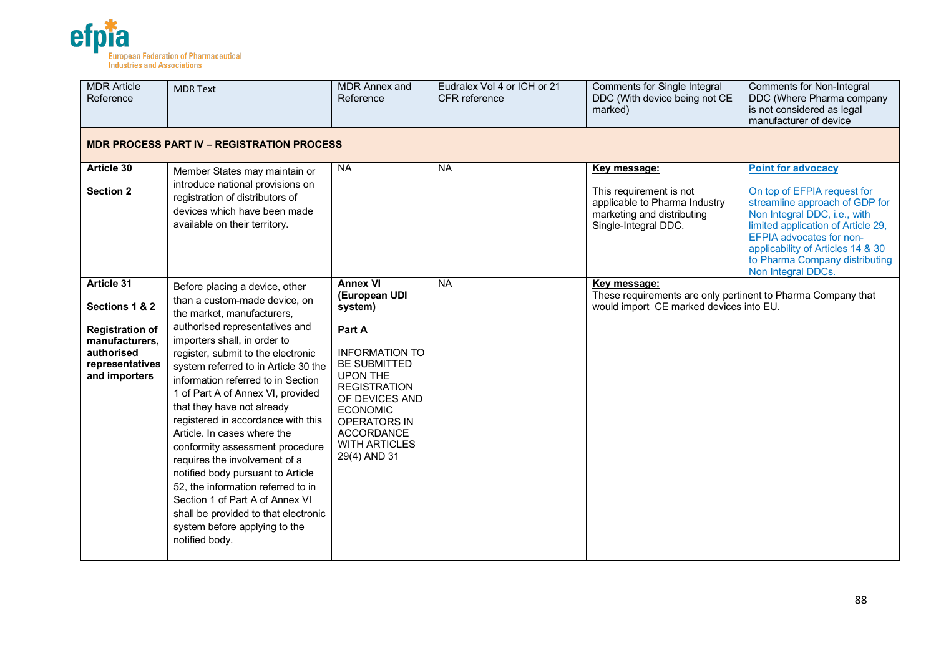

| <b>MDR</b> Article<br>Reference                                                                                                   | <b>MDR Text</b>                                                                                                                                                                                                                                                                                                                                                                                                                                                                                                                                                                                                                                                                                          | <b>MDR Annex and</b><br>Reference                                                                                                                                                                                                                                 | Eudralex Vol 4 or ICH or 21<br>CFR reference | <b>Comments for Single Integral</b><br>DDC (With device being not CE<br>marked)                                                | <b>Comments for Non-Integral</b><br>DDC (Where Pharma company<br>is not considered as legal<br>manufacturer of device                                                                                                                                                                     |  |  |  |  |  |
|-----------------------------------------------------------------------------------------------------------------------------------|----------------------------------------------------------------------------------------------------------------------------------------------------------------------------------------------------------------------------------------------------------------------------------------------------------------------------------------------------------------------------------------------------------------------------------------------------------------------------------------------------------------------------------------------------------------------------------------------------------------------------------------------------------------------------------------------------------|-------------------------------------------------------------------------------------------------------------------------------------------------------------------------------------------------------------------------------------------------------------------|----------------------------------------------|--------------------------------------------------------------------------------------------------------------------------------|-------------------------------------------------------------------------------------------------------------------------------------------------------------------------------------------------------------------------------------------------------------------------------------------|--|--|--|--|--|
|                                                                                                                                   | <b>MDR PROCESS PART IV - REGISTRATION PROCESS</b>                                                                                                                                                                                                                                                                                                                                                                                                                                                                                                                                                                                                                                                        |                                                                                                                                                                                                                                                                   |                                              |                                                                                                                                |                                                                                                                                                                                                                                                                                           |  |  |  |  |  |
| Article 30<br><b>Section 2</b>                                                                                                    | Member States may maintain or<br>introduce national provisions on<br>registration of distributors of<br>devices which have been made<br>available on their territory.                                                                                                                                                                                                                                                                                                                                                                                                                                                                                                                                    | <b>NA</b>                                                                                                                                                                                                                                                         | <b>NA</b>                                    | Key message:<br>This requirement is not<br>applicable to Pharma Industry<br>marketing and distributing<br>Single-Integral DDC. | <b>Point for advocacy</b><br>On top of EFPIA request for<br>streamline approach of GDP for<br>Non Integral DDC, i.e., with<br>limited application of Article 29,<br>EFPIA advocates for non-<br>applicability of Articles 14 & 30<br>to Pharma Company distributing<br>Non Integral DDCs. |  |  |  |  |  |
| <b>Article 31</b><br>Sections 1 & 2<br><b>Registration of</b><br>manufacturers,<br>authorised<br>representatives<br>and importers | Before placing a device, other<br>than a custom-made device, on<br>the market, manufacturers,<br>authorised representatives and<br>importers shall, in order to<br>register, submit to the electronic<br>system referred to in Article 30 the<br>information referred to in Section<br>1 of Part A of Annex VI, provided<br>that they have not already<br>registered in accordance with this<br>Article. In cases where the<br>conformity assessment procedure<br>requires the involvement of a<br>notified body pursuant to Article<br>52, the information referred to in<br>Section 1 of Part A of Annex VI<br>shall be provided to that electronic<br>system before applying to the<br>notified body. | Annex VI<br>(European UDI<br>system)<br>Part A<br><b>INFORMATION TO</b><br><b>BE SUBMITTED</b><br><b>UPON THE</b><br><b>REGISTRATION</b><br>OF DEVICES AND<br><b>ECONOMIC</b><br><b>OPERATORS IN</b><br><b>ACCORDANCE</b><br><b>WITH ARTICLES</b><br>29(4) AND 31 | <b>NA</b>                                    | Key message:<br>These requirements are only pertinent to Pharma Company that<br>would import CE marked devices into EU.        |                                                                                                                                                                                                                                                                                           |  |  |  |  |  |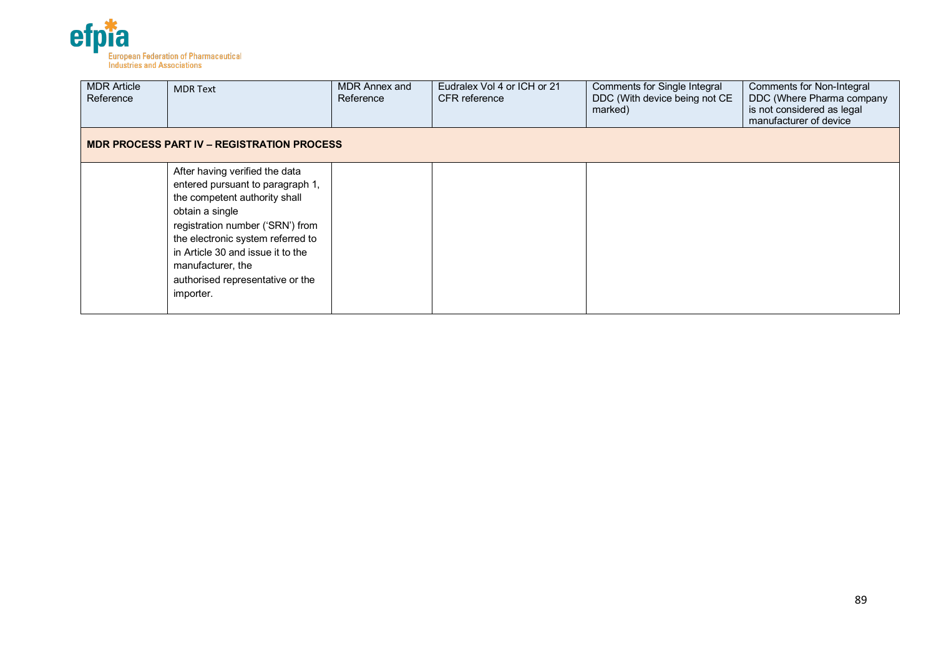

| <b>MDR Article</b><br>Reference | <b>MDR Text</b>                                                                                                                                                                                                                                                                                            | MDR Annex and<br>Reference | Eudralex Vol 4 or ICH or 21<br><b>CFR</b> reference | Comments for Single Integral<br>DDC (With device being not CE<br>marked) | Comments for Non-Integral<br>DDC (Where Pharma company<br>is not considered as legal<br>manufacturer of device |
|---------------------------------|------------------------------------------------------------------------------------------------------------------------------------------------------------------------------------------------------------------------------------------------------------------------------------------------------------|----------------------------|-----------------------------------------------------|--------------------------------------------------------------------------|----------------------------------------------------------------------------------------------------------------|
|                                 | <b>MDR PROCESS PART IV - REGISTRATION PROCESS</b>                                                                                                                                                                                                                                                          |                            |                                                     |                                                                          |                                                                                                                |
|                                 | After having verified the data<br>entered pursuant to paragraph 1,<br>the competent authority shall<br>obtain a single<br>registration number ('SRN') from<br>the electronic system referred to<br>in Article 30 and issue it to the<br>manufacturer, the<br>authorised representative or the<br>importer. |                            |                                                     |                                                                          |                                                                                                                |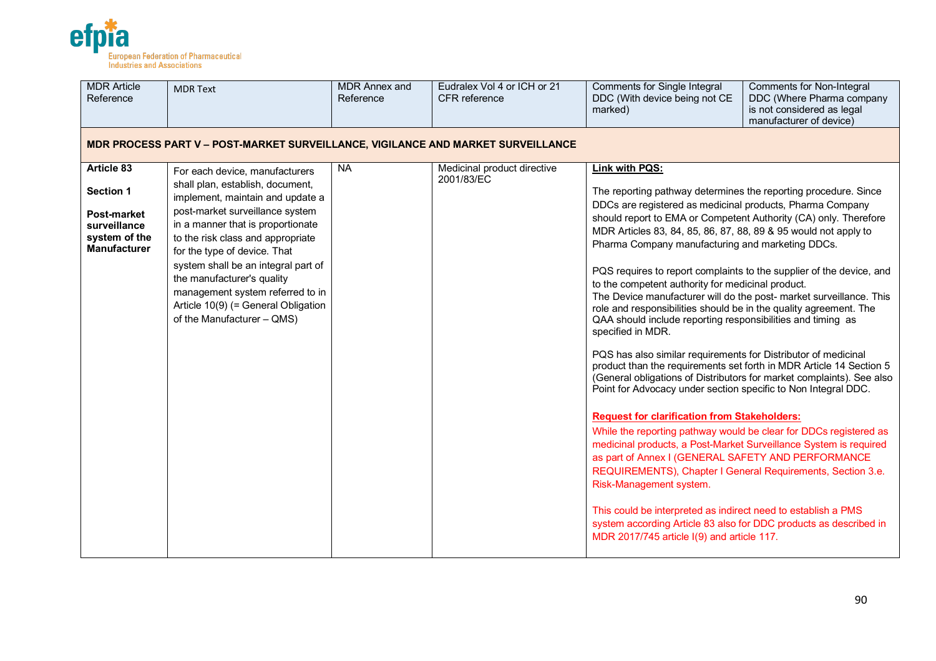

| <b>MDR Article</b><br>Reference                                            | <b>MDR Text</b>                                                                                                                                                            | <b>MDR Annex and</b><br>Reference | Eudralex Vol 4 or ICH or 21<br>CFR reference | <b>Comments for Single Integral</b><br>DDC (With device being not CE<br>marked)                                                                                                                                                                                                                                                               | <b>Comments for Non-Integral</b><br>DDC (Where Pharma company<br>is not considered as legal<br>manufacturer of device)                       |
|----------------------------------------------------------------------------|----------------------------------------------------------------------------------------------------------------------------------------------------------------------------|-----------------------------------|----------------------------------------------|-----------------------------------------------------------------------------------------------------------------------------------------------------------------------------------------------------------------------------------------------------------------------------------------------------------------------------------------------|----------------------------------------------------------------------------------------------------------------------------------------------|
|                                                                            | <b>MDR PROCESS PART V - POST-MARKET SURVEILLANCE, VIGILANCE AND MARKET SURVEILLANCE</b>                                                                                    |                                   |                                              |                                                                                                                                                                                                                                                                                                                                               |                                                                                                                                              |
| Article 83                                                                 | For each device, manufacturers                                                                                                                                             | <b>NA</b>                         | Medicinal product directive                  | Link with PQS:                                                                                                                                                                                                                                                                                                                                |                                                                                                                                              |
| Section 1                                                                  | shall plan, establish, document,<br>implement, maintain and update a                                                                                                       |                                   | 2001/83/EC                                   | The reporting pathway determines the reporting procedure. Since<br>DDCs are registered as medicinal products, Pharma Company                                                                                                                                                                                                                  |                                                                                                                                              |
| <b>Post-market</b><br>surveillance<br>system of the<br><b>Manufacturer</b> | post-market surveillance system<br>in a manner that is proportionate<br>to the risk class and appropriate<br>for the type of device. That                                  |                                   |                                              | should report to EMA or Competent Authority (CA) only. Therefore<br>MDR Articles 83, 84, 85, 86, 87, 88, 89 & 95 would not apply to<br>Pharma Company manufacturing and marketing DDCs.                                                                                                                                                       |                                                                                                                                              |
|                                                                            | system shall be an integral part of<br>the manufacturer's quality<br>management system referred to in<br>Article 10(9) (= General Obligation<br>of the Manufacturer - QMS) |                                   |                                              | to the competent authority for medicinal product.<br>role and responsibilities should be in the quality agreement. The<br>QAA should include reporting responsibilities and timing as<br>specified in MDR.                                                                                                                                    | PQS requires to report complaints to the supplier of the device, and<br>The Device manufacturer will do the post- market surveillance. This  |
|                                                                            |                                                                                                                                                                            |                                   |                                              | PQS has also similar requirements for Distributor of medicinal<br>Point for Advocacy under section specific to Non Integral DDC.                                                                                                                                                                                                              | product than the requirements set forth in MDR Article 14 Section 5<br>(General obligations of Distributors for market complaints). See also |
|                                                                            |                                                                                                                                                                            |                                   |                                              | <b>Request for clarification from Stakeholders:</b><br>While the reporting pathway would be clear for DDCs registered as<br>medicinal products, a Post-Market Surveillance System is required<br>as part of Annex I (GENERAL SAFETY AND PERFORMANCE<br>REQUIREMENTS), Chapter I General Requirements, Section 3.e.<br>Risk-Management system. |                                                                                                                                              |
|                                                                            |                                                                                                                                                                            |                                   |                                              | This could be interpreted as indirect need to establish a PMS<br>system according Article 83 also for DDC products as described in<br>MDR 2017/745 article I(9) and article 117.                                                                                                                                                              |                                                                                                                                              |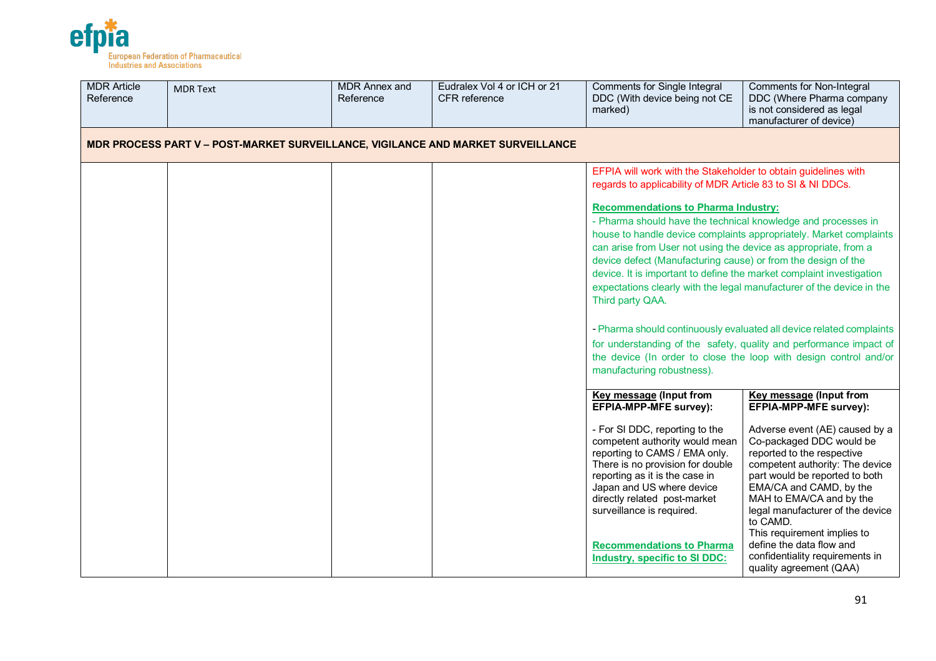

| <b>MDR Article</b><br>Reference | <b>MDR Text</b>                                                                  | <b>MDR Annex and</b><br>Reference | Eudralex Vol 4 or ICH or 21<br><b>CFR</b> reference | Comments for Single Integral<br>DDC (With device being not CE<br>marked)                                                                                                                                                                                                                                                                                                                                  | <b>Comments for Non-Integral</b><br>DDC (Where Pharma company<br>is not considered as legal<br>manufacturer of device)                                                                                                                                                                                                                                                                                                                                           |  |
|---------------------------------|----------------------------------------------------------------------------------|-----------------------------------|-----------------------------------------------------|-----------------------------------------------------------------------------------------------------------------------------------------------------------------------------------------------------------------------------------------------------------------------------------------------------------------------------------------------------------------------------------------------------------|------------------------------------------------------------------------------------------------------------------------------------------------------------------------------------------------------------------------------------------------------------------------------------------------------------------------------------------------------------------------------------------------------------------------------------------------------------------|--|
|                                 | MDR PROCESS PART V - POST-MARKET SURVEILLANCE, VIGILANCE AND MARKET SURVEILLANCE |                                   |                                                     |                                                                                                                                                                                                                                                                                                                                                                                                           |                                                                                                                                                                                                                                                                                                                                                                                                                                                                  |  |
|                                 |                                                                                  |                                   |                                                     | EFPIA will work with the Stakeholder to obtain guidelines with<br>regards to applicability of MDR Article 83 to SI & NI DDCs.                                                                                                                                                                                                                                                                             |                                                                                                                                                                                                                                                                                                                                                                                                                                                                  |  |
|                                 |                                                                                  |                                   |                                                     | <b>Recommendations to Pharma Industry:</b><br>- Pharma should have the technical knowledge and processes in<br>can arise from User not using the device as appropriate, from a<br>device defect (Manufacturing cause) or from the design of the<br>device. It is important to define the market complaint investigation<br>Third party QAA.<br>manufacturing robustness).                                 | house to handle device complaints appropriately. Market complaints<br>expectations clearly with the legal manufacturer of the device in the<br>- Pharma should continuously evaluated all device related complaints<br>for understanding of the safety, quality and performance impact of<br>the device (In order to close the loop with design control and/or                                                                                                   |  |
|                                 |                                                                                  |                                   |                                                     | <b>Key message (Input from</b><br>EFPIA-MPP-MFE survey):<br>- For SI DDC, reporting to the<br>competent authority would mean<br>reporting to CAMS / EMA only.<br>There is no provision for double<br>reporting as it is the case in<br>Japan and US where device<br>directly related post-market<br>surveillance is required.<br><b>Recommendations to Pharma</b><br><b>Industry, specific to SI DDC:</b> | <b>Key message (Input from</b><br><b>EFPIA-MPP-MFE survey):</b><br>Adverse event (AE) caused by a<br>Co-packaged DDC would be<br>reported to the respective<br>competent authority: The device<br>part would be reported to both<br>EMA/CA and CAMD, by the<br>MAH to EMA/CA and by the<br>legal manufacturer of the device<br>to CAMD.<br>This requirement implies to<br>define the data flow and<br>confidentiality requirements in<br>quality agreement (QAA) |  |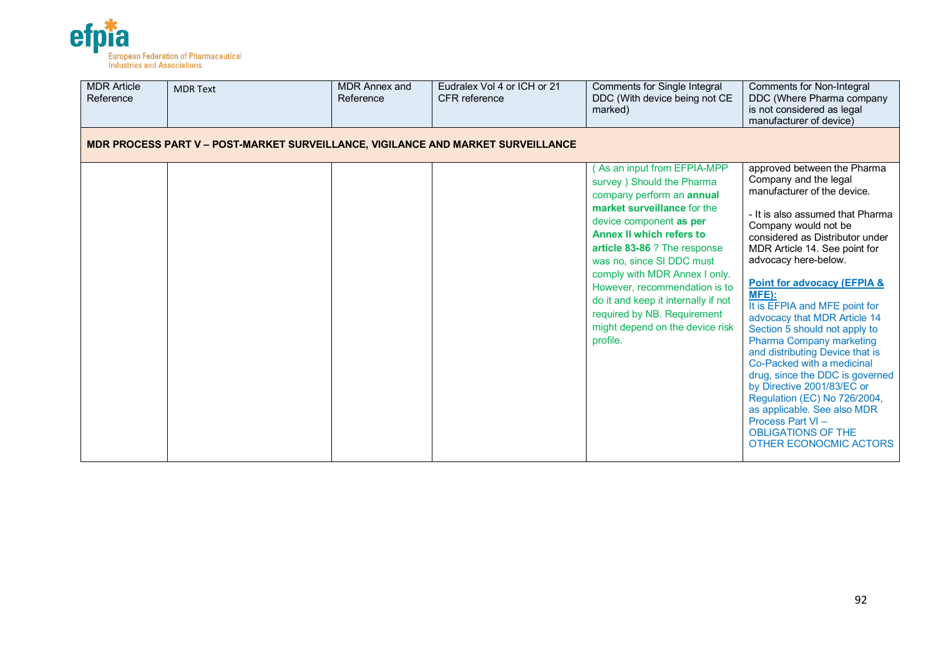

| <b>MDR Article</b><br>Reference | <b>MDR Text</b>                                                                  | <b>MDR Annex and</b><br>Reference | Eudralex Vol 4 or ICH or 21<br><b>CFR</b> reference | Comments for Single Integral<br>DDC (With device being not CE<br>marked)                                                                                                                                                                                                                                                                                                                                                               | <b>Comments for Non-Integral</b><br>DDC (Where Pharma company<br>is not considered as legal<br>manufacturer of device)                                                                                                                                                                                                                                                                                                                                                                                                                                                                                                                                                                                                 |  |  |  |  |  |
|---------------------------------|----------------------------------------------------------------------------------|-----------------------------------|-----------------------------------------------------|----------------------------------------------------------------------------------------------------------------------------------------------------------------------------------------------------------------------------------------------------------------------------------------------------------------------------------------------------------------------------------------------------------------------------------------|------------------------------------------------------------------------------------------------------------------------------------------------------------------------------------------------------------------------------------------------------------------------------------------------------------------------------------------------------------------------------------------------------------------------------------------------------------------------------------------------------------------------------------------------------------------------------------------------------------------------------------------------------------------------------------------------------------------------|--|--|--|--|--|
|                                 | MDR PROCESS PART V - POST-MARKET SURVEILLANCE, VIGILANCE AND MARKET SURVEILLANCE |                                   |                                                     |                                                                                                                                                                                                                                                                                                                                                                                                                                        |                                                                                                                                                                                                                                                                                                                                                                                                                                                                                                                                                                                                                                                                                                                        |  |  |  |  |  |
|                                 |                                                                                  |                                   |                                                     | As an input from EFPIA-MPP<br>survey ) Should the Pharma<br>company perform an annual<br>market surveillance for the<br>device component as per<br><b>Annex II which refers to</b><br>article 83-86 ? The response<br>was no, since SI DDC must<br>comply with MDR Annex I only.<br>However, recommendation is to<br>do it and keep it internally if not<br>required by NB. Requirement<br>might depend on the device risk<br>profile. | approved between the Pharma<br>Company and the legal<br>manufacturer of the device.<br>- It is also assumed that Pharma<br>Company would not be<br>considered as Distributor under<br>MDR Article 14. See point for<br>advocacy here-below.<br><b>Point for advocacy (EFPIA &amp;</b><br>MFE):<br>It is EFPIA and MFE point for<br>advocacy that MDR Article 14<br>Section 5 should not apply to<br><b>Pharma Company marketing</b><br>and distributing Device that is<br>Co-Packed with a medicinal<br>drug, since the DDC is governed<br>by Directive 2001/83/EC or<br>Regulation (EC) No 726/2004,<br>as applicable. See also MDR<br>Process Part VI-<br><b>OBLIGATIONS OF THE</b><br><b>OTHER ECONOCMIC ACTORS</b> |  |  |  |  |  |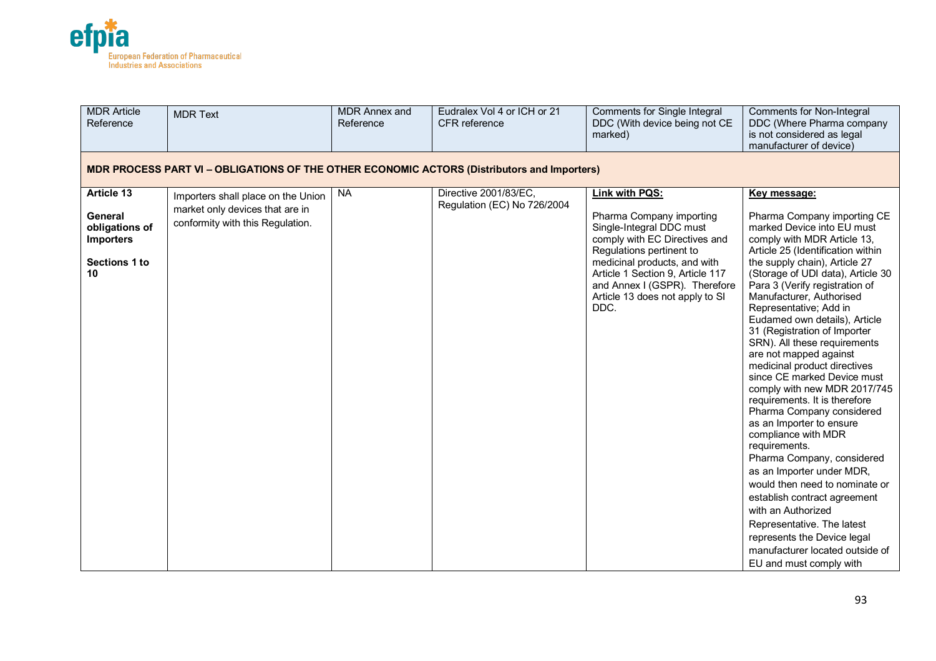

| <b>MDR Article</b><br>Reference                                                                    | <b>MDR Text</b>                                                                                           | <b>MDR Annex and</b><br>Reference | Eudralex Vol 4 or ICH or 21<br><b>CFR</b> reference  | <b>Comments for Single Integral</b><br>DDC (With device being not CE<br>marked)                                                                                                                                                                                                     | <b>Comments for Non-Integral</b><br>DDC (Where Pharma company<br>is not considered as legal<br>manufacturer of device)                                                                                                                                                                                                                                                                                                                                                                                                                                                                                                                                                                                                                                                                                                                                                                                                                                |  |  |  |  |
|----------------------------------------------------------------------------------------------------|-----------------------------------------------------------------------------------------------------------|-----------------------------------|------------------------------------------------------|-------------------------------------------------------------------------------------------------------------------------------------------------------------------------------------------------------------------------------------------------------------------------------------|-------------------------------------------------------------------------------------------------------------------------------------------------------------------------------------------------------------------------------------------------------------------------------------------------------------------------------------------------------------------------------------------------------------------------------------------------------------------------------------------------------------------------------------------------------------------------------------------------------------------------------------------------------------------------------------------------------------------------------------------------------------------------------------------------------------------------------------------------------------------------------------------------------------------------------------------------------|--|--|--|--|
| <b>MDR PROCESS PART VI - OBLIGATIONS OF THE OTHER ECONOMIC ACTORS (Distributors and Importers)</b> |                                                                                                           |                                   |                                                      |                                                                                                                                                                                                                                                                                     |                                                                                                                                                                                                                                                                                                                                                                                                                                                                                                                                                                                                                                                                                                                                                                                                                                                                                                                                                       |  |  |  |  |
| <b>Article 13</b><br><b>General</b><br>obligations of<br><b>Importers</b><br>Sections 1 to<br>10   | Importers shall place on the Union<br>market only devices that are in<br>conformity with this Regulation. | <b>NA</b>                         | Directive 2001/83/EC,<br>Regulation (EC) No 726/2004 | Link with PQS:<br>Pharma Company importing<br>Single-Integral DDC must<br>comply with EC Directives and<br>Regulations pertinent to<br>medicinal products, and with<br>Article 1 Section 9, Article 117<br>and Annex I (GSPR). Therefore<br>Article 13 does not apply to SI<br>DDC. | Key message:<br>Pharma Company importing CE<br>marked Device into EU must<br>comply with MDR Article 13,<br>Article 25 (Identification within<br>the supply chain), Article 27<br>(Storage of UDI data), Article 30<br>Para 3 (Verify registration of<br>Manufacturer, Authorised<br>Representative; Add in<br>Eudamed own details), Article<br>31 (Registration of Importer<br>SRN). All these requirements<br>are not mapped against<br>medicinal product directives<br>since CE marked Device must<br>comply with new MDR 2017/745<br>requirements. It is therefore<br>Pharma Company considered<br>as an Importer to ensure<br>compliance with MDR<br>requirements.<br>Pharma Company, considered<br>as an Importer under MDR,<br>would then need to nominate or<br>establish contract agreement<br>with an Authorized<br>Representative. The latest<br>represents the Device legal<br>manufacturer located outside of<br>EU and must comply with |  |  |  |  |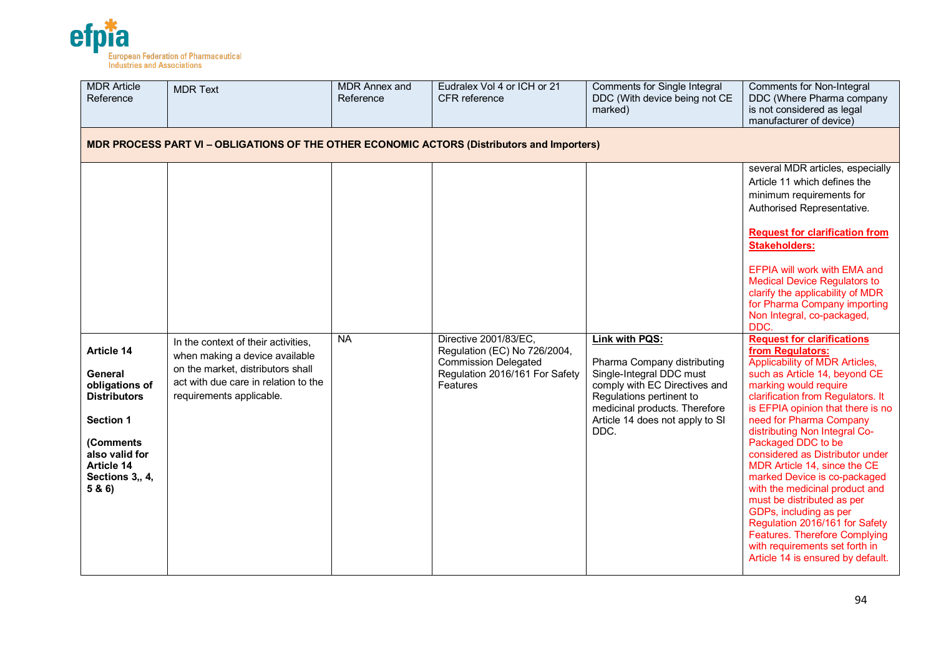

| <b>MDR Article</b><br>Reference                                                                                                                      | <b>MDR Text</b>                                                                                                                                                                | MDR Annex and<br>Reference | Eudralex Vol 4 or ICH or 21<br>CFR reference                                                                                       | <b>Comments for Single Integral</b><br>DDC (With device being not CE<br>marked)                                                                                                                                    | <b>Comments for Non-Integral</b><br>DDC (Where Pharma company<br>is not considered as legal<br>manufacturer of device)                                                                                                                                                                                                                                                                                                                                                                                                                                                                                                                                                                                                                                                                                                                                                                                                                                                                                                                      |  |  |  |  |  |
|------------------------------------------------------------------------------------------------------------------------------------------------------|--------------------------------------------------------------------------------------------------------------------------------------------------------------------------------|----------------------------|------------------------------------------------------------------------------------------------------------------------------------|--------------------------------------------------------------------------------------------------------------------------------------------------------------------------------------------------------------------|---------------------------------------------------------------------------------------------------------------------------------------------------------------------------------------------------------------------------------------------------------------------------------------------------------------------------------------------------------------------------------------------------------------------------------------------------------------------------------------------------------------------------------------------------------------------------------------------------------------------------------------------------------------------------------------------------------------------------------------------------------------------------------------------------------------------------------------------------------------------------------------------------------------------------------------------------------------------------------------------------------------------------------------------|--|--|--|--|--|
| <b>MDR PROCESS PART VI - OBLIGATIONS OF THE OTHER ECONOMIC ACTORS (Distributors and Importers)</b>                                                   |                                                                                                                                                                                |                            |                                                                                                                                    |                                                                                                                                                                                                                    |                                                                                                                                                                                                                                                                                                                                                                                                                                                                                                                                                                                                                                                                                                                                                                                                                                                                                                                                                                                                                                             |  |  |  |  |  |
| Article 14<br>General<br>obligations of<br><b>Distributors</b><br>Section 1<br>(Comments<br>also valid for<br>Article 14<br>Sections 3,, 4,<br>5 & 6 | In the context of their activities,<br>when making a device available<br>on the market, distributors shall<br>act with due care in relation to the<br>requirements applicable. | <b>NA</b>                  | Directive 2001/83/EC,<br>Regulation (EC) No 726/2004,<br><b>Commission Delegated</b><br>Regulation 2016/161 For Safety<br>Features | Link with PQS:<br>Pharma Company distributing<br>Single-Integral DDC must<br>comply with EC Directives and<br>Regulations pertinent to<br>medicinal products. Therefore<br>Article 14 does not apply to SI<br>DDC. | several MDR articles, especially<br>Article 11 which defines the<br>minimum requirements for<br>Authorised Representative.<br><b>Request for clarification from</b><br><b>Stakeholders:</b><br>EFPIA will work with EMA and<br><b>Medical Device Regulators to</b><br>clarify the applicability of MDR<br>for Pharma Company importing<br>Non Integral, co-packaged,<br>DDC.<br><b>Request for clarifications</b><br>from Regulators:<br>Applicability of MDR Articles,<br>such as Article 14, beyond CE<br>marking would require<br>clarification from Regulators. It<br>is EFPIA opinion that there is no<br>need for Pharma Company<br>distributing Non Integral Co-<br>Packaged DDC to be<br>considered as Distributor under<br>MDR Article 14, since the CE<br>marked Device is co-packaged<br>with the medicinal product and<br>must be distributed as per<br>GDPs, including as per<br>Regulation 2016/161 for Safety<br><b>Features. Therefore Complying</b><br>with requirements set forth in<br>Article 14 is ensured by default. |  |  |  |  |  |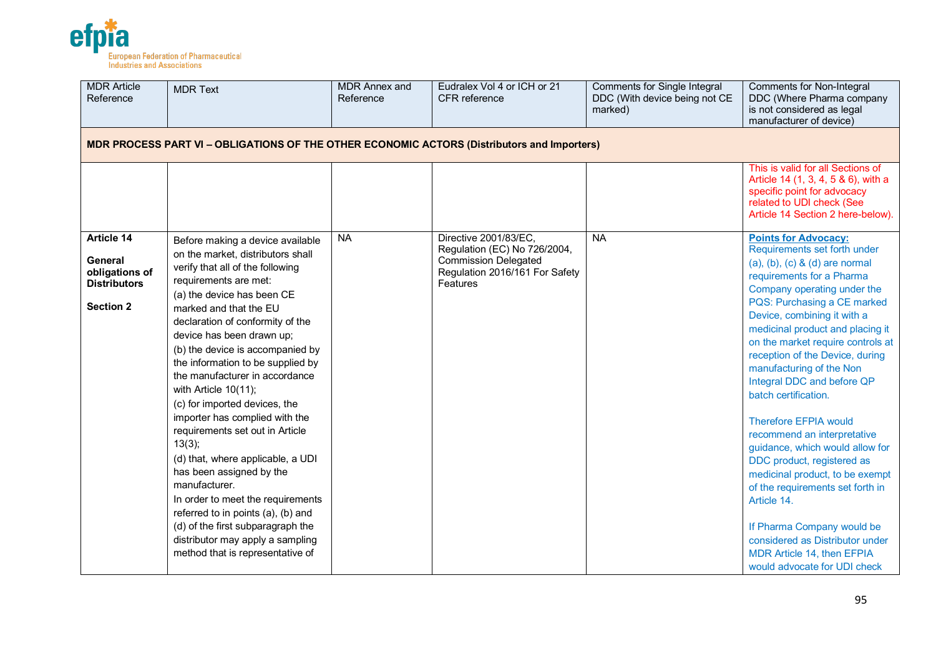

| <b>MDR</b> Article<br>Reference                                                                    | <b>MDR Text</b>                                                                                                                                                                                                                                                                                                                                                                                                                                                                                                                                                                                                                                                                                                                                                                          | <b>MDR Annex and</b><br>Reference | Eudralex Vol 4 or ICH or 21<br>CFR reference                                                                                       | <b>Comments for Single Integral</b><br>DDC (With device being not CE<br>marked) | <b>Comments for Non-Integral</b><br>DDC (Where Pharma company<br>is not considered as legal<br>manufacturer of device)                                                                                                                                                                                                                                                                                                                                                                                                                                                                                                                                                                                                                                                         |  |  |  |  |  |
|----------------------------------------------------------------------------------------------------|------------------------------------------------------------------------------------------------------------------------------------------------------------------------------------------------------------------------------------------------------------------------------------------------------------------------------------------------------------------------------------------------------------------------------------------------------------------------------------------------------------------------------------------------------------------------------------------------------------------------------------------------------------------------------------------------------------------------------------------------------------------------------------------|-----------------------------------|------------------------------------------------------------------------------------------------------------------------------------|---------------------------------------------------------------------------------|--------------------------------------------------------------------------------------------------------------------------------------------------------------------------------------------------------------------------------------------------------------------------------------------------------------------------------------------------------------------------------------------------------------------------------------------------------------------------------------------------------------------------------------------------------------------------------------------------------------------------------------------------------------------------------------------------------------------------------------------------------------------------------|--|--|--|--|--|
| <b>MDR PROCESS PART VI - OBLIGATIONS OF THE OTHER ECONOMIC ACTORS (Distributors and Importers)</b> |                                                                                                                                                                                                                                                                                                                                                                                                                                                                                                                                                                                                                                                                                                                                                                                          |                                   |                                                                                                                                    |                                                                                 |                                                                                                                                                                                                                                                                                                                                                                                                                                                                                                                                                                                                                                                                                                                                                                                |  |  |  |  |  |
|                                                                                                    |                                                                                                                                                                                                                                                                                                                                                                                                                                                                                                                                                                                                                                                                                                                                                                                          |                                   |                                                                                                                                    |                                                                                 | This is valid for all Sections of<br>Article 14 (1, 3, 4, 5 & 6), with a<br>specific point for advocacy<br>related to UDI check (See<br>Article 14 Section 2 here-below).                                                                                                                                                                                                                                                                                                                                                                                                                                                                                                                                                                                                      |  |  |  |  |  |
| <b>Article 14</b><br>General<br>obligations of<br><b>Distributors</b><br><b>Section 2</b>          | Before making a device available<br>on the market, distributors shall<br>verify that all of the following<br>requirements are met:<br>(a) the device has been CE<br>marked and that the EU<br>declaration of conformity of the<br>device has been drawn up;<br>(b) the device is accompanied by<br>the information to be supplied by<br>the manufacturer in accordance<br>with Article 10(11);<br>(c) for imported devices, the<br>importer has complied with the<br>requirements set out in Article<br>13(3);<br>(d) that, where applicable, a UDI<br>has been assigned by the<br>manufacturer.<br>In order to meet the requirements<br>referred to in points (a), (b) and<br>(d) of the first subparagraph the<br>distributor may apply a sampling<br>method that is representative of | <b>NA</b>                         | Directive 2001/83/EC,<br>Regulation (EC) No 726/2004,<br><b>Commission Delegated</b><br>Regulation 2016/161 For Safety<br>Features | <b>NA</b>                                                                       | <b>Points for Advocacy:</b><br>Requirements set forth under<br>$(a), (b), (c)$ & $(d)$ are normal<br>requirements for a Pharma<br>Company operating under the<br>PQS: Purchasing a CE marked<br>Device, combining it with a<br>medicinal product and placing it<br>on the market require controls at<br>reception of the Device, during<br>manufacturing of the Non<br>Integral DDC and before QP<br>batch certification.<br><b>Therefore EFPIA would</b><br>recommend an interpretative<br>guidance, which would allow for<br>DDC product, registered as<br>medicinal product, to be exempt<br>of the requirements set forth in<br>Article 14.<br>If Pharma Company would be<br>considered as Distributor under<br>MDR Article 14, then EFPIA<br>would advocate for UDI check |  |  |  |  |  |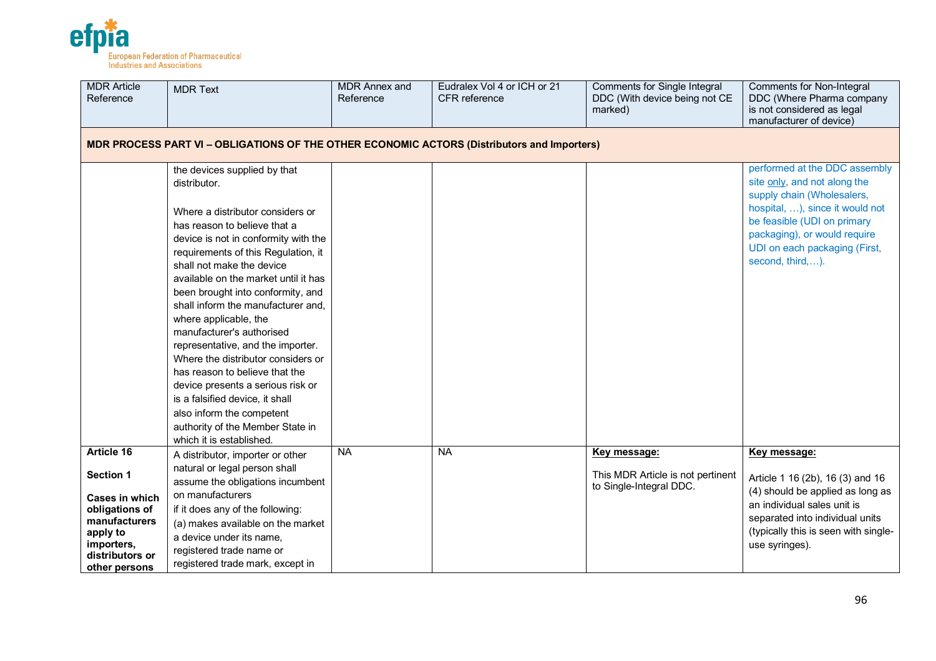

| <b>MDR Article</b><br>Reference                                                                                        | <b>MDR Text</b>                                                                                                                                                                                                                                                                                                                                                                                                                                                                                                                                                                                                                         | <b>MDR Annex and</b><br>Reference | Eudralex Vol 4 or ICH or 21<br><b>CFR</b> reference | Comments for Single Integral<br>DDC (With device being not CE<br>marked) | <b>Comments for Non-Integral</b><br>DDC (Where Pharma company<br>is not considered as legal<br>manufacturer of device)                                                                           |  |  |  |  |
|------------------------------------------------------------------------------------------------------------------------|-----------------------------------------------------------------------------------------------------------------------------------------------------------------------------------------------------------------------------------------------------------------------------------------------------------------------------------------------------------------------------------------------------------------------------------------------------------------------------------------------------------------------------------------------------------------------------------------------------------------------------------------|-----------------------------------|-----------------------------------------------------|--------------------------------------------------------------------------|--------------------------------------------------------------------------------------------------------------------------------------------------------------------------------------------------|--|--|--|--|
|                                                                                                                        | MDR PROCESS PART VI - OBLIGATIONS OF THE OTHER ECONOMIC ACTORS (Distributors and Importers)                                                                                                                                                                                                                                                                                                                                                                                                                                                                                                                                             |                                   |                                                     |                                                                          |                                                                                                                                                                                                  |  |  |  |  |
|                                                                                                                        | the devices supplied by that<br>distributor.                                                                                                                                                                                                                                                                                                                                                                                                                                                                                                                                                                                            |                                   |                                                     |                                                                          | performed at the DDC assembly<br>site only, and not along the<br>supply chain (Wholesalers,                                                                                                      |  |  |  |  |
|                                                                                                                        | Where a distributor considers or<br>has reason to believe that a<br>device is not in conformity with the<br>requirements of this Regulation, it<br>shall not make the device<br>available on the market until it has<br>been brought into conformity, and<br>shall inform the manufacturer and,<br>where applicable, the<br>manufacturer's authorised<br>representative, and the importer.<br>Where the distributor considers or<br>has reason to believe that the<br>device presents a serious risk or<br>is a falsified device, it shall<br>also inform the competent<br>authority of the Member State in<br>which it is established. |                                   |                                                     |                                                                          | hospital, ), since it would not<br>be feasible (UDI on primary<br>packaging), or would require<br>UDI on each packaging (First,<br>second, third,).                                              |  |  |  |  |
| Article 16<br><b>Section 1</b>                                                                                         | A distributor, importer or other<br>natural or legal person shall                                                                                                                                                                                                                                                                                                                                                                                                                                                                                                                                                                       | <b>NA</b>                         | <b>NA</b>                                           | Key message:<br>This MDR Article is not pertinent                        | Key message:                                                                                                                                                                                     |  |  |  |  |
| <b>Cases in which</b><br>obligations of<br>manufacturers<br>apply to<br>importers,<br>distributors or<br>other persons | assume the obligations incumbent<br>on manufacturers<br>if it does any of the following:<br>(a) makes available on the market<br>a device under its name,<br>registered trade name or<br>registered trade mark, except in                                                                                                                                                                                                                                                                                                                                                                                                               |                                   |                                                     | to Single-Integral DDC.                                                  | Article 1 16 (2b), 16 (3) and 16<br>(4) should be applied as long as<br>an individual sales unit is<br>separated into individual units<br>(typically this is seen with single-<br>use syringes). |  |  |  |  |